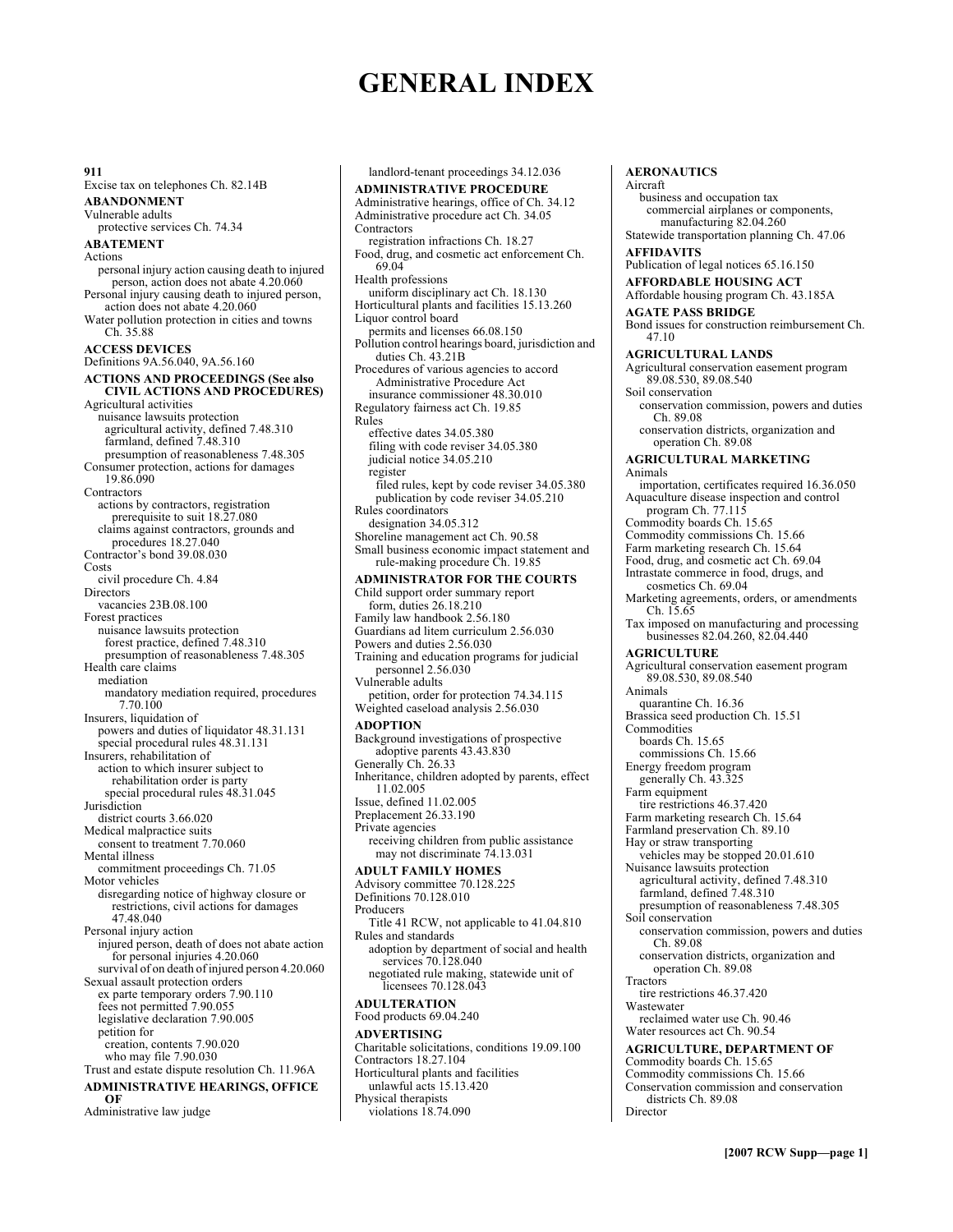# **GENERAL INDEX**

**911**  Excise tax on telephones Ch. 82.14B **ABANDONMENT**  Vulnerable adults protective services Ch. 74.34 **ABATEMENT**  Actions personal injury action causing death to injured person, action does not abate 4.20.060 Personal injury causing death to injured person, action does not abate 4.20.060 Water pollution protection in cities and towns Ch. 35.88 **ACCESS DEVICES**  Definitions 9A.56.040, 9A.56.160 **ACTIONS AND PROCEEDINGS (See also CIVIL ACTIONS AND PROCEDURES)**  Agricultural activities nuisance lawsuits protection agricultural activity, defined 7.48.310 farmland, defined 7.48.310 presumption of reasonableness 7.48.305 Consumer protection, actions for damages 19.86.090 **Contractors** actions by contractors, registration prerequisite to suit 18.27.080 claims against contractors, grounds and procedures 18.27.040 Contractor's bond 39.08.030 Costs civil procedure Ch. 4.84 **Directors** vacancies 23B.08.100 Forest practices nuisance lawsuits protection forest practice, defined 7.48.310 presumption of reasonableness 7.48.305 Health care claims mediation mandatory mediation required, procedures 7.70.100 Insurers, liquidation of powers and duties of liquidator 48.31.131 special procedural rules 48.31.131 Insurers, rehabilitation of action to which insurer subject to rehabilitation order is party special procedural rules 48.31.045 **Jurisdiction** district courts 3.66.020 Medical malpractice suits consent to treatment 7.70.060 Mental illness commitment proceedings Ch. 71.05 Motor vehicles disregarding notice of highway closure or restrictions, civil actions for damages 47.48.040 Personal injury action injured person, death of does not abate action for personal injuries 4.20.060 survival of on death of injured person 4.20.060 Sexual assault protection orders ex parte temporary orders 7.90.110 fees not permitted 7.90.055 legislative declaration 7.90.005 petition for creation, contents 7.90.020 who may file 7.90.030 Trust and estate dispute resolution Ch. 11.96A **ADMINISTRATIVE HEARINGS, OFFICE OF**  Administrative law judge

landlord-tenant proceedings 34.12.036 **ADMINISTRATIVE PROCEDURE**  Administrative hearings, office of Ch. 34.12 Administrative procedure act Ch. 34.05 Contractors registration infractions Ch. 18.27 Food, drug, and cosmetic act enforcement Ch. 69.04 Health professions uniform disciplinary act Ch. 18.130 Horticultural plants and facilities 15.13.260 Liquor control board permits and licenses 66.08.150 Pollution control hearings board, jurisdiction and duties Ch. 43.21B Procedures of various agencies to accord Administrative Procedure Act insurance commissioner 48.30.010 Regulatory fairness act Ch. 19.85 Rules effective dates 34.05.380 filing with code reviser 34.05.380 judicial notice 34.05.210 register filed rules, kept by code reviser 34.05.380 publication by code reviser 34.05.210 Rules coordinators designation 34.05.312 Shoreline management act Ch. 90.58 Small business economic impact statement and rule-making procedure Ch. 19.85 **ADMINISTRATOR FOR THE COURTS**  Child support order summary report form, duties 26.18.210 Family law handbook 2.56.180 Guardians ad litem curriculum 2.56.030 Powers and duties 2.56.030 Training and education programs for judicial personnel 2.56.030 Vulnerable adults petition, order for protection 74.34.115 Weighted caseload analysis 2.56.030 **ADOPTION**  Background investigations of prospective adoptive parents 43.43.830 Generally Ch. 26.33 Inheritance, children adopted by parents, effect 11.02.005 Issue, defined 11.02.005 Preplacement 26.33.190 Private agencies receiving children from public assistance may not discriminate 74.13.031 **ADULT FAMILY HOMES**  Advisory committee 70.128.225 Definitions 70.128.010 Producers Title 41 RCW, not applicable to 41.04.810 Rules and standards adoption by department of social and health services 70.128.040 negotiated rule making, statewide unit of licensees 70.128.043 **ADULTERATION**  Food products 69.04.240 **ADVERTISING**  Charitable solicitations, conditions 19.09.100 Contractors 18.27.104 Horticultural plants and facilities unlawful acts 15.13.420 Physical therapists violations 18.74.090

**AERONAUTICS**  Aircraft business and occupation tax commercial airplanes or components, manufacturing 82.04.260 Statewide transportation planning Ch. 47.06 **AFFIDAVITS**  Publication of legal notices 65.16.150 **AFFORDABLE HOUSING ACT**  Affordable housing program Ch. 43.185A **AGATE PASS BRIDGE**  Bond issues for construction reimbursement Ch. 47.10 **AGRICULTURAL LANDS**  Agricultural conservation easement program 89.08.530, 89.08.540 Soil conservation conservation commission, powers and duties Ch. 89.08 conservation districts, organization and operation Ch. 89.08 **AGRICULTURAL MARKETING**  Animals importation, certificates required 16.36.050 Aquaculture disease inspection and control program Ch. 77.115 Commodity boards Ch. 15.65 Commodity commissions Ch. 15.66 Farm marketing research Ch. 15.64 Food, drug, and cosmetic act Ch. 69.04 Intrastate commerce in food, drugs, and cosmetics Ch. 69.04 Marketing agreements, orders, or amendments Ch. 15.65 Tax imposed on manufacturing and processing businesses 82.04.260, 82.04.440 **AGRICULTURE**  Agricultural conservation easement program 89.08.530, 89.08.540 Animals quarantine Ch. 16.36 Brassica seed production Ch. 15.51 Commodities boards Ch. 15.65 commissions Ch. 15.66 Energy freedom program generally Ch. 43.325 Farm equipment tire restrictions 46.37.420 Farm marketing research Ch. 15.64 Farmland preservation Ch. 89.10 Hay or straw transporting vehicles may be stopped 20.01.610 Nuisance lawsuits protection agricultural activity, defined 7.48.310 farmland, defined 7.48.310 presumption of reasonableness 7.48.305 Soil conservation conservation commission, powers and duties Ch. 89.08 conservation districts, organization and operation Ch. 89.08 **Tractors** tire restrictions 46.37.420 Wastewater reclaimed water use Ch. 90.46 Water resources act Ch. 90.54 **AGRICULTURE, DEPARTMENT OF**  Commodity boards Ch. 15.65 Commodity commissions Ch. 15.66 Conservation commission and conservation

districts Ch. 89.08 Director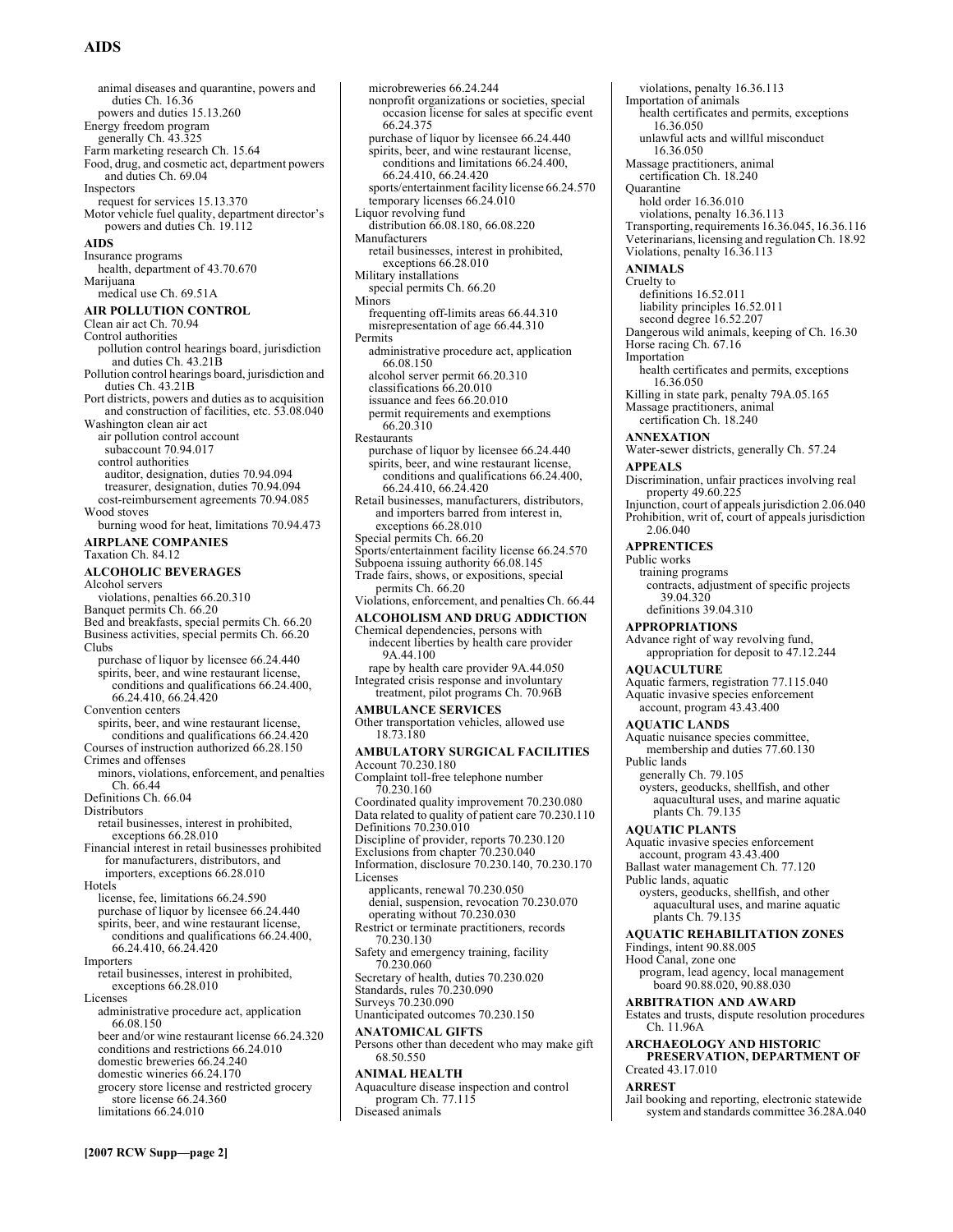# **AIDS**

animal diseases and quarantine, powers and duties Ch. 16.36 powers and duties 15.13.260 Energy freedom program generally Ch. 43.325 Farm marketing research Ch. 15.64 Food, drug, and cosmetic act, department powers and duties Ch. 69.04 **Inspectors** request for services 15.13.370 Motor vehicle fuel quality, department director's powers and duties Ch. 19.112 **AIDS**  Insurance programs health, department of 43.70.670 Marijuana medical use Ch. 69.51A **AIR POLLUTION CONTROL**  Clean air act Ch. 70.94 Control authorities pollution control hearings board, jurisdiction and duties Ch. 43.21B Pollution control hearings board, jurisdiction and duties Ch. 43.21B Port districts, powers and duties as to acquisition and construction of facilities, etc. 53.08.040 Washington clean air act air pollution control account subaccount 70.94.017 control authorities auditor, designation, duties 70.94.094 treasurer, designation, duties 70.94.094 cost-reimbursement agreements 70.94.085 Wood stoves burning wood for heat, limitations 70.94.473 **AIRPLANE COMPANIES**  Taxation Ch. 84.12 **ALCOHOLIC BEVERAGES**  Alcohol servers violations, penalties 66.20.310 Banquet permits Ch. 66.20 Bed and breakfasts, special permits Ch. 66.20 Business activities, special permits Ch. 66.20 Clubs purchase of liquor by licensee 66.24.440 spirits, beer, and wine restaurant license, conditions and qualifications 66.24.400, 66.24.410, 66.24.420 Convention centers spirits, beer, and wine restaurant license, conditions and qualifications 66.24.420 Courses of instruction authorized 66.28.150 Crimes and offenses minors, violations, enforcement, and penalties Ch. 66.44 Definitions Ch. 66.04 **Distributors** retail businesses, interest in prohibited, exceptions 66.28.010 Financial interest in retail businesses prohibited for manufacturers, distributors, and importers, exceptions 66.28.010 Hotels license, fee, limitations 66.24.590 purchase of liquor by licensee 66.24.440 spirits, beer, and wine restaurant license, conditions and qualifications 66.24.400, 66.24.410, 66.24.420 Importers retail businesses, interest in prohibited, exceptions 66.28.010 Licenses administrative procedure act, application 66.08.150 beer and/or wine restaurant license 66.24.320 conditions and restrictions 66.24.010 domestic breweries 66.24.240 domestic wineries 66.24.170 grocery store license and restricted grocery store license 66.24.360 limitations 66.24.010

nonprofit organizations or societies, special occasion license for sales at specific event 66.24.375 purchase of liquor by licensee 66.24.440 spirits, beer, and wine restaurant license, conditions and limitations 66.24.400, 66.24.410, 66.24.420 sports/entertainment facility license 66.24.570 temporary licenses 66.24.010 Liquor revolving fund distribution 66.08.180, 66.08.220 Manufacturers retail businesses, interest in prohibited, exceptions 66.28.010 Military installations special permits Ch. 66.20 Minors frequenting off-limits areas 66.44.310 misrepresentation of age 66.44.310 Permits administrative procedure act, application 66.08.150 alcohol server permit 66.20.310 classifications 66.20.010 issuance and fees 66.20.010 permit requirements and exemptions 66.20.310 Restaurants purchase of liquor by licensee 66.24.440 spirits, beer, and wine restaurant license, conditions and qualifications 66.24.400, 66.24.410, 66.24.420 Retail businesses, manufacturers, distributors, and importers barred from interest in, exceptions 66.28.010 Special permits Ch. 66.20 Sports/entertainment facility license 66.24.570 Subpoena issuing authority 66.08.145 Trade fairs, shows, or expositions, special permits Ch. 66.20 Violations, enforcement, and penalties Ch. 66.44 **ALCOHOLISM AND DRUG ADDICTION**  Chemical dependencies, persons with indecent liberties by health care provider 9A.44.100 rape by health care provider 9A.44.050 Integrated crisis response and involuntary treatment, pilot programs Ch. 70.96B **AMBULANCE SERVICES**  Other transportation vehicles, allowed use 18.73.180 **AMBULATORY SURGICAL FACILITIES**  Account 70.230.180 Complaint toll-free telephone number 70.230.160 Coordinated quality improvement 70.230.080 Data related to quality of patient care 70.230.110 Definitions 70.230.010 Discipline of provider, reports 70.230.120 Exclusions from chapter 70.230.040 Information, disclosure 70.230.140, 70.230.170 Licenses applicants, renewal 70.230.050 denial, suspension, revocation 70.230.070 operating without 70.230.030 Restrict or terminate practitioners, records 70.230.130 Safety and emergency training, facility 70.230.060 Secretary of health, duties 70.230.020 Standards, rules 70.230.090 Surveys 70.230.090 Unanticipated outcomes 70.230.150 **ANATOMICAL GIFTS**  Persons other than decedent who may make gift 68.50.550 **ANIMAL HEALTH**  Aquaculture disease inspection and control program Ch. 77.115 Diseased animals

microbreweries 66.24.244

violations, penalty 16.36.113 Importation of animals health certificates and permits, exceptions 16.36.050 unlawful acts and willful misconduct 16.36.050 Massage practitioners, animal certification Ch. 18.240 **Ouarantine** hold order 16.36.010 violations, penalty 16.36.113 Transporting, requirements 16.36.045, 16.36.116 Veterinarians, licensing and regulation Ch. 18.92 Violations, penalty 16.36.113 **ANIMALS**  Cruelty to definitions 16.52.011 liability principles 16.52.011 second degree 16.52.207 Dangerous wild animals, keeping of Ch. 16.30 Horse racing Ch. 67.16 Importation health certificates and permits, exceptions 16.36.050 Killing in state park, penalty 79A.05.165 Massage practitioners, animal certification Ch. 18.240 **ANNEXATION**  Water-sewer districts, generally Ch. 57.24 **APPEALS**  Discrimination, unfair practices involving real property 49.60.225 Injunction, court of appeals jurisdiction 2.06.040 Prohibition, writ of, court of appeals jurisdiction 2.06.040 **APPRENTICES**  Public works training programs contracts, adjustment of specific projects 39.04.320 definitions 39.04.310 **APPROPRIATIONS**  Advance right of way revolving fund, appropriation for deposit to 47.12.244 **AQUACULTURE**  Aquatic farmers, registration 77.115.040 Aquatic invasive species enforcement account, program 43.43.400 **AQUATIC LANDS**  Aquatic nuisance species committee, membership and duties 77.60.130 Public lands generally Ch. 79.105 oysters, geoducks, shellfish, and other aquacultural uses, and marine aquatic plants Ch. 79.135 **AQUATIC PLANTS**  Aquatic invasive species enforcement account, program 43.43.400 Ballast water management Ch. 77.120 Public lands, aquatic oysters, geoducks, shellfish, and other aquacultural uses, and marine aquatic plants Ch. 79.135 **AQUATIC REHABILITATION ZONES**  Findings, intent 90.88.005 Hood Canal, zone one program, lead agency, local management board 90.88.020, 90.88.030 **ARBITRATION AND AWARD**  Estates and trusts, dispute resolution procedures Ch. 11.96A **ARCHAEOLOGY AND HISTORIC PRESERVATION, DEPARTMENT OF**  Created 43.17.010 **ARREST**  Jail booking and reporting, electronic statewide system and standards committee 36.28A.040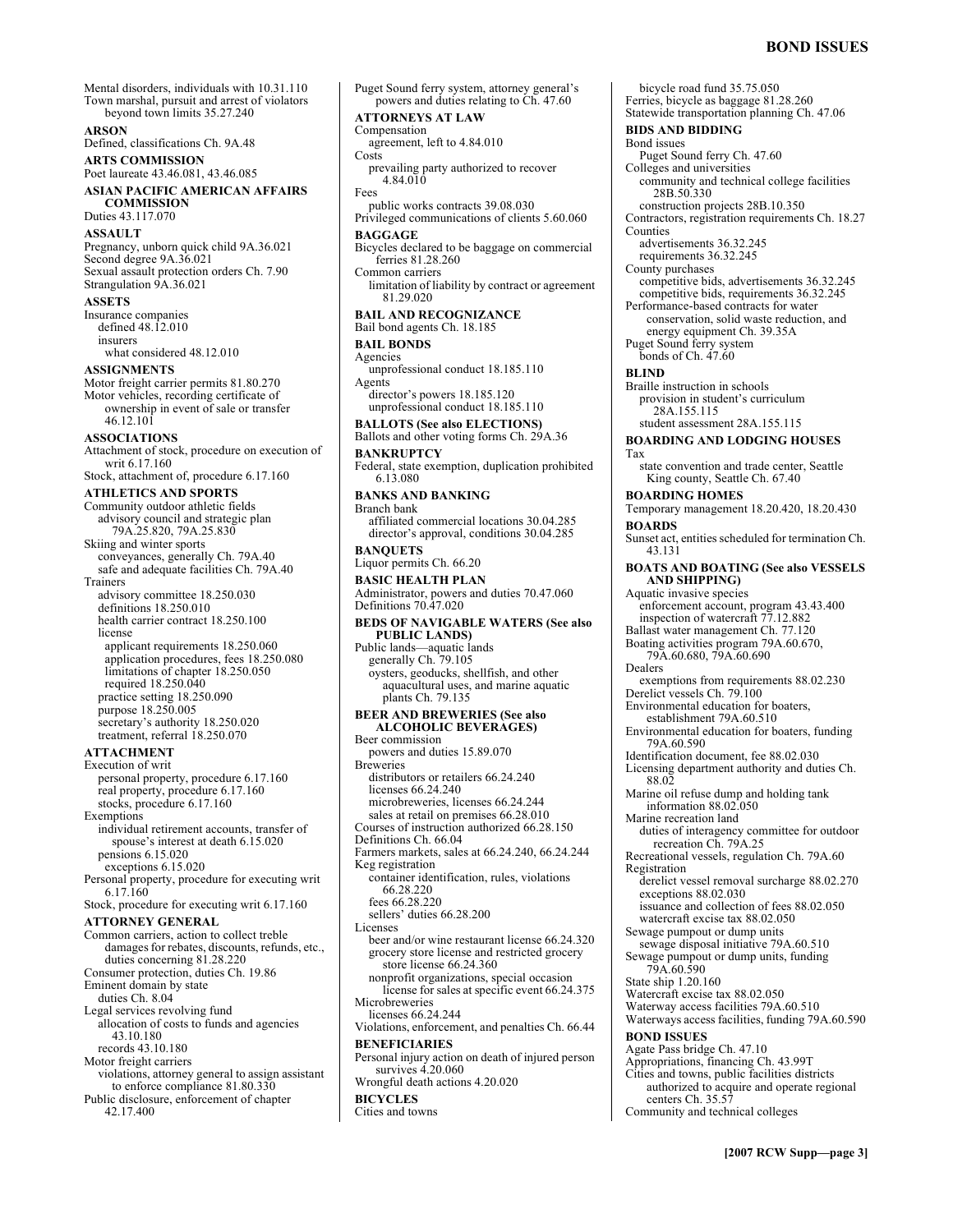Mental disorders, individuals with 10.31.110 Town marshal, pursuit and arrest of violators beyond town limits 35.27.240 **ARSON**  Defined, classifications Ch. 9A.48 **ARTS COMMISSION**  Poet laureate 43.46.081, 43.46.085 **ASIAN PACIFIC AMERICAN AFFAIRS COMMISSION**  Duties 43.117.070 **ASSAULT**  Pregnancy, unborn quick child 9A.36.021 Second degree 9A.36.021 Sexual assault protection orders Ch. 7.90 Strangulation 9A.36.021 **ASSETS**  Insurance companies defined 48.12.010 insurers what considered 48.12.010 **ASSIGNMENTS**  Motor freight carrier permits 81.80.270 Motor vehicles, recording certificate of ownership in event of sale or transfer 46.12.101 **ASSOCIATIONS**  Attachment of stock, procedure on execution of writ 6.17.160 Stock, attachment of, procedure 6.17.160 **ATHLETICS AND SPORTS**  Community outdoor athletic fields advisory council and strategic plan 79A.25.820, 79A.25.830 Skiing and winter sports conveyances, generally Ch. 79A.40 safe and adequate facilities Ch. 79A.40 Trainers advisory committee 18.250.030 definitions 18.250.010 health carrier contract 18.250.100 license applicant requirements 18.250.060 application procedures, fees 18.250.080 limitations of chapter 18.250.050 required 18.250.040 practice setting 18.250.090 purpose 18.250.005 secretary's authority 18.250.020 treatment, referral 18.250.070 **ATTACHMENT**  Execution of writ personal property, procedure 6.17.160 real property, procedure 6.17.160 stocks, procedure 6.17.160 Exemptions individual retirement accounts, transfer of spouse's interest at death 6.15.020 pensions 6.15.020 exceptions 6.15.020 Personal property, procedure for executing writ 6.17.160 Stock, procedure for executing writ 6.17.160 **ATTORNEY GENERAL**  Common carriers, action to collect treble damages for rebates, discounts, refunds, etc., duties concerning 81.28.220 Consumer protection, duties Ch. 19.86 Eminent domain by state duties Ch. 8.04 Legal services revolving fund allocation of costs to funds and agencies 43.10.180 records 43.10.180 Motor freight carriers violations, attorney general to assign assistant to enforce compliance 81.80.330 Public disclosure, enforcement of chapter 42.17.400

Puget Sound ferry system, attorney general's powers and duties relating to Ch. 47.60 **ATTORNEYS AT LAW**  Compensation agreement, left to 4.84.010 **Costs** prevailing party authorized to recover 4.84.010 Fees public works contracts 39.08.030 Privileged communications of clients 5.60.060 **BAGGAGE**  Bicycles declared to be baggage on commercial ferries 81.28.260 Common carriers limitation of liability by contract or agreement 81.29.020 **BAIL AND RECOGNIZANCE**  Bail bond agents Ch. 18.185 **BAIL BONDS**  Agencies unprofessional conduct 18.185.110 Agents director's powers 18.185.120 unprofessional conduct 18.185.110 **BALLOTS (See also ELECTIONS)**  Ballots and other voting forms Ch. 29A.36 **BANKRUPTCY**  Federal, state exemption, duplication prohibited 6.13.080 **BANKS AND BANKING**  Branch bank affiliated commercial locations 30.04.285 director's approval, conditions 30.04.285 **BANQUETS**  Liquor permits Ch. 66.20 **BASIC HEALTH PLAN**  Administrator, powers and duties 70.47.060 Definitions 70.47.020 **BEDS OF NAVIGABLE WATERS (See also PUBLIC LANDS)**  Public lands—aquatic lands generally Ch. 79.105 oysters, geoducks, shellfish, and other aquacultural uses, and marine aquatic plants Ch. 79.135 **BEER AND BREWERIES (See also ALCOHOLIC BEVERAGES)** Beer commission powers and duties 15.89.070 **Breweries** distributors or retailers 66.24.240 licenses 66.24.240 microbreweries, licenses 66.24.244 sales at retail on premises 66.28.010 Courses of instruction authorized 66.28.150 Definitions Ch. 66.04 Farmers markets, sales at 66.24.240, 66.24.244 Keg registration container identification, rules, violations 66.28.220 fees 66.28.220 sellers' duties 66.28.200 Licenses beer and/or wine restaurant license 66.24.320 grocery store license and restricted grocery store license 66.24.360 nonprofit organizations, special occasion license for sales at specific event 66.24.375 Microbreweries licenses 66.24.244 Violations, enforcement, and penalties Ch. 66.44 **BENEFICIARIES**  Personal injury action on death of injured person survives 4.20.060 Wrongful death actions 4.20.020 **BICYCLES**  Cities and towns

bicycle road fund 35.75.050 Ferries, bicycle as baggage 81.28.260 Statewide transportation planning Ch. 47.06 **BIDS AND BIDDING**  Bond issues Puget Sound ferry Ch. 47.60 Colleges and universities community and technical college facilities 28B.50.330 construction projects 28B.10.350 Contractors, registration requirements Ch. 18.27 Counties advertisements 36.32.245 requirements 36.32.245 County purchases competitive bids, advertisements 36.32.245 competitive bids, requirements 36.32.245 Performance-based contracts for water conservation, solid waste reduction, and energy equipment Ch. 39.35A Puget Sound ferry system bonds of Ch. 47.60 **BLIND**  Braille instruction in schools provision in student's curriculum 28A.155.115 student assessment 28A.155.115 **BOARDING AND LODGING HOUSES**  Tax state convention and trade center, Seattle King county, Seattle Ch. 67.40 **BOARDING HOMES**  Temporary management 18.20.420, 18.20.430 **BOARDS**  Sunset act, entities scheduled for termination Ch. 43.131 **BOATS AND BOATING (See also VESSELS AND SHIPPING)**  Aquatic invasive species enforcement account, program 43.43.400 inspection of watercraft 77.12.882 Ballast water management Ch. 77.120 Boating activities program 79A.60.670, 79A.60.680, 79A.60.690 Dealers exemptions from requirements 88.02.230 Derelict vessels Ch. 79.100 Environmental education for boaters, establishment 79A.60.510 Environmental education for boaters, funding 79A.60.590 Identification document, fee 88.02.030 Licensing department authority and duties Ch. 88.02 Marine oil refuse dump and holding tank information 88.02.050 Marine recreation land duties of interagency committee for outdoor recreation Ch. 79A.25 Recreational vessels, regulation Ch. 79A.60 Registration derelict vessel removal surcharge 88.02.270 exceptions 88.02.030 issuance and collection of fees 88.02.050 watercraft excise tax 88.02.050 Sewage pumpout or dump units sewage disposal initiative 79A.60.510 Sewage pumpout or dump units, funding 79A.60.590 State ship 1.20.160 Watercraft excise tax 88.02.050 Waterway access facilities 79A.60.510 Waterways access facilities, funding 79A.60.590 **BOND ISSUES**  Agate Pass bridge Ch. 47.10 Appropriations, financing Ch. 43.99T Cities and towns, public facilities districts authorized to acquire and operate regional centers Ch. 35.57 Community and technical colleges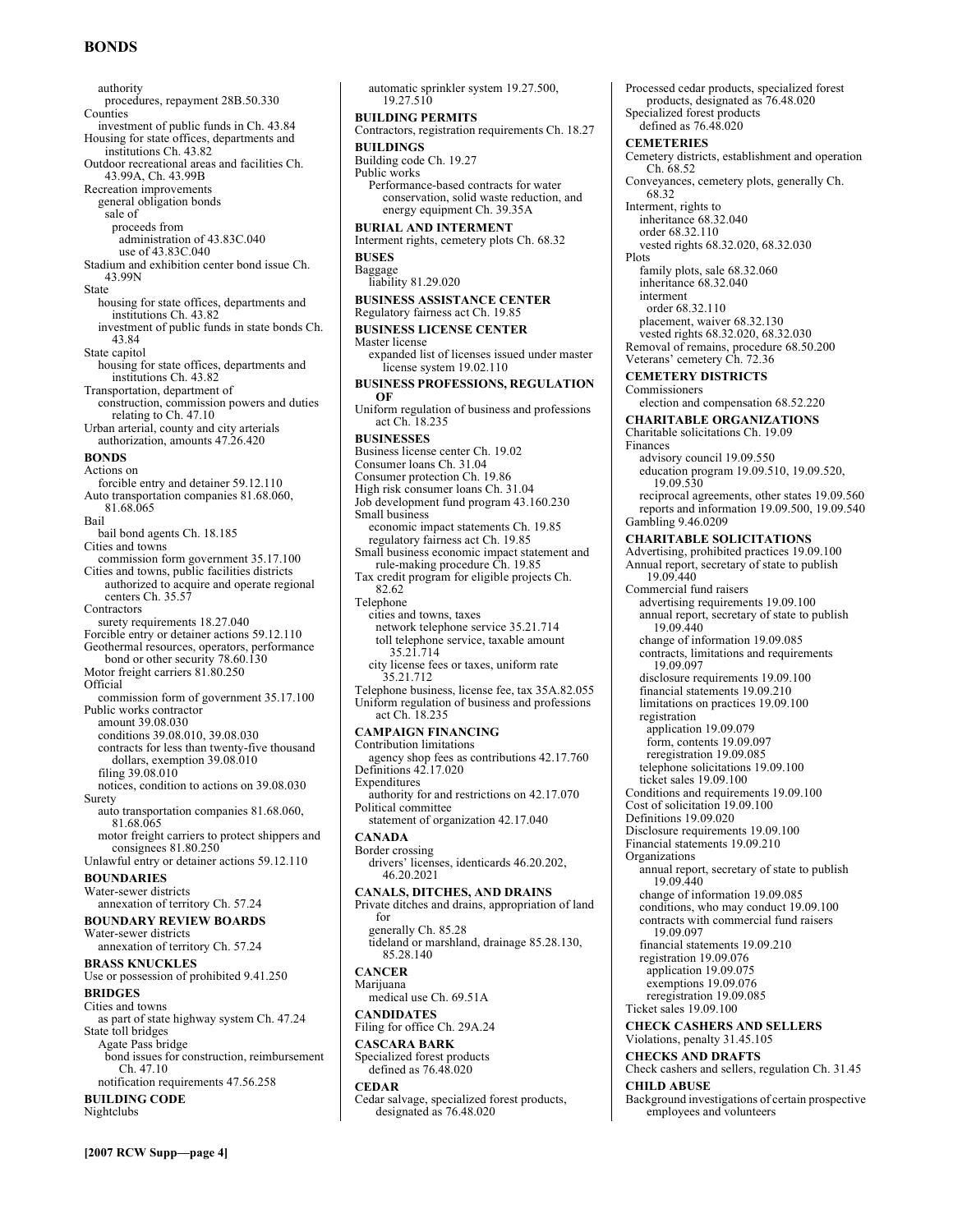# **BONDS**

authority procedures, repayment 28B.50.330 Counties investment of public funds in Ch. 43.84 Housing for state offices, departments and institutions Ch. 43.82 Outdoor recreational areas and facilities Ch. 43.99A, Ch. 43.99B Recreation improvements general obligation bonds sale of proceeds from administration of 43.83C.040 use of 43.83C.040 Stadium and exhibition center bond issue Ch. 43.99N State housing for state offices, departments and institutions Ch. 43.82 investment of public funds in state bonds Ch. 43.84 State capitol housing for state offices, departments and institutions Ch. 43.82 Transportation, department of construction, commission powers and duties relating to Ch. 47.10 Urban arterial, county and city arterials authorization, amounts 47.26.420 **BONDS**  Actions on forcible entry and detainer 59.12.110 Auto transportation companies 81.68.060, 81.68.065 Bail bail bond agents Ch. 18.185 Cities and towns commission form government 35.17.100 Cities and towns, public facilities districts authorized to acquire and operate regional centers Ch. 35.57 Contractors surety requirements 18.27.040 Forcible entry or detainer actions 59.12.110 Geothermal resources, operators, performance bond or other security 78.60.130 Motor freight carriers 81.80.250 Official commission form of government 35.17.100 Public works contractor amount 39.08.030 conditions 39.08.010, 39.08.030 contracts for less than twenty-five thousand dollars, exemption 39.08.010 filing 39.08.010 notices, condition to actions on 39.08.030 Surety auto transportation companies 81.68.060, 81.68.065 motor freight carriers to protect shippers and consignees 81.80.250 Unlawful entry or detainer actions 59.12.110 **BOUNDARIES**  Water-sewer districts annexation of territory Ch. 57.24 **BOUNDARY REVIEW BOARDS**  Water-sewer districts annexation of territory Ch. 57.24 **BRASS KNUCKLES**  Use or possession of prohibited 9.41.250 **BRIDGES**  Cities and towns as part of state highway system Ch. 47.24 State toll bridges Agate Pass bridge bond issues for construction, reimbursement Ch. 47.10 notification requirements 47.56.258 **BUILDING CODE**  Nightclubs

automatic sprinkler system 19.27.500, 19.27.510 **BUILDING PERMITS**  Contractors, registration requirements Ch. 18.27 **BUILDINGS**  Building code Ch. 19.27 Public works Performance-based contracts for water conservation, solid waste reduction, and energy equipment Ch. 39.35A **BURIAL AND INTERMENT**  Interment rights, cemetery plots Ch. 68.32 **BUSES**  Baggage liability 81.29.020 **BUSINESS ASSISTANCE CENTER**  Regulatory fairness act Ch. 19.85 **BUSINESS LICENSE CENTER**  Master license expanded list of licenses issued under master license system 19.02.110 **BUSINESS PROFESSIONS, REGULATION OF**  Uniform regulation of business and professions act Ch. 18.235 **BUSINESSES**  Business license center Ch. 19.02 Consumer loans Ch. 31.04 Consumer protection Ch. 19.86 High risk consumer loans Ch. 31.04 Job development fund program 43.160.230 Small business economic impact statements Ch. 19.85 regulatory fairness act Ch. 19.85 Small business economic impact statement and rule-making procedure Ch. 19.85 Tax credit program for eligible projects Ch. 82.62 Telephone cities and towns, taxes network telephone service 35.21.714 toll telephone service, taxable amount 35.21.714 city license fees or taxes, uniform rate 35.21.712 Telephone business, license fee, tax 35A.82.055 Uniform regulation of business and professions act Ch. 18.235 **CAMPAIGN FINANCING**  Contribution limitations agency shop fees as contributions 42.17.760 Definitions 42.17.020 Expenditures authority for and restrictions on 42.17.070 Political committee statement of organization 42.17.040 **CANADA**  Border crossing drivers' licenses, identicards 46.20.202, 46.20.2021 **CANALS, DITCHES, AND DRAINS**  Private ditches and drains, appropriation of land for generally Ch. 85.28 tideland or marshland, drainage 85.28.130, 85.28.140 **CANCER**  Marijuana medical use Ch. 69.51A **CANDIDATES**  Filing for office Ch. 29A.24 **CASCARA BARK**  Specialized forest products defined as 76.48.020 **CEDAR**  Cedar salvage, specialized forest products,

designated as 76.48.020

Processed cedar products, specialized forest products, designated as 76.48.020 Specialized forest products defined as 76.48.020 **CEMETERIES**  Cemetery districts, establishment and operation Ch. 68.52 Conveyances, cemetery plots, generally Ch. 68.32 Interment, rights to inheritance 68.32.040 order 68.32.110 vested rights 68.32.020, 68.32.030 Plots family plots, sale 68.32.060 inheritance 68.32.040 interment order 68.32.110 placement, waiver 68.32.130 vested rights 68.32.020, 68.32.030 Removal of remains, procedure 68.50.200 Veterans' cemetery Ch. 72.36 **CEMETERY DISTRICTS**  Commissioners election and compensation 68.52.220 **CHARITABLE ORGANIZATIONS**  Charitable solicitations Ch. 19.09 Finances advisory council 19.09.550 education program 19.09.510, 19.09.520, 19.09.530 reciprocal agreements, other states 19.09.560 reports and information 19.09.500, 19.09.540 Gambling 9.46.0209 **CHARITABLE SOLICITATIONS**  Advertising, prohibited practices 19.09.100 Annual report, secretary of state to publish 19.09.440 Commercial fund raisers advertising requirements 19.09.100 annual report, secretary of state to publish 19.09.440 change of information 19.09.085 contracts, limitations and requirements 19.09.097 disclosure requirements 19.09.100 financial statements 19.09.210 limitations on practices 19.09.100 registration application 19.09.079 form, contents 19.09.097 reregistration 19.09.085 telephone solicitations 19.09.100 ticket sales 19.09.100 Conditions and requirements 19.09.100 Cost of solicitation 19.09.100 Definitions 19.09.020 Disclosure requirements 19.09.100 Financial statements 19.09.210 **Organizations** annual report, secretary of state to publish 19.09.440 change of information 19.09.085 conditions, who may conduct 19.09.100 contracts with commercial fund raisers 19.09.097 financial statements 19.09.210 registration 19.09.076 application 19.09.075 exemptions 19.09.076 reregistration 19.09.085 Ticket sales 19.09.100 **CHECK CASHERS AND SELLERS**  Violations, penalty 31.45.105 **CHECKS AND DRAFTS**  Check cashers and sellers, regulation Ch. 31.45 **CHILD ABUSE**  Background investigations of certain prospective employees and volunteers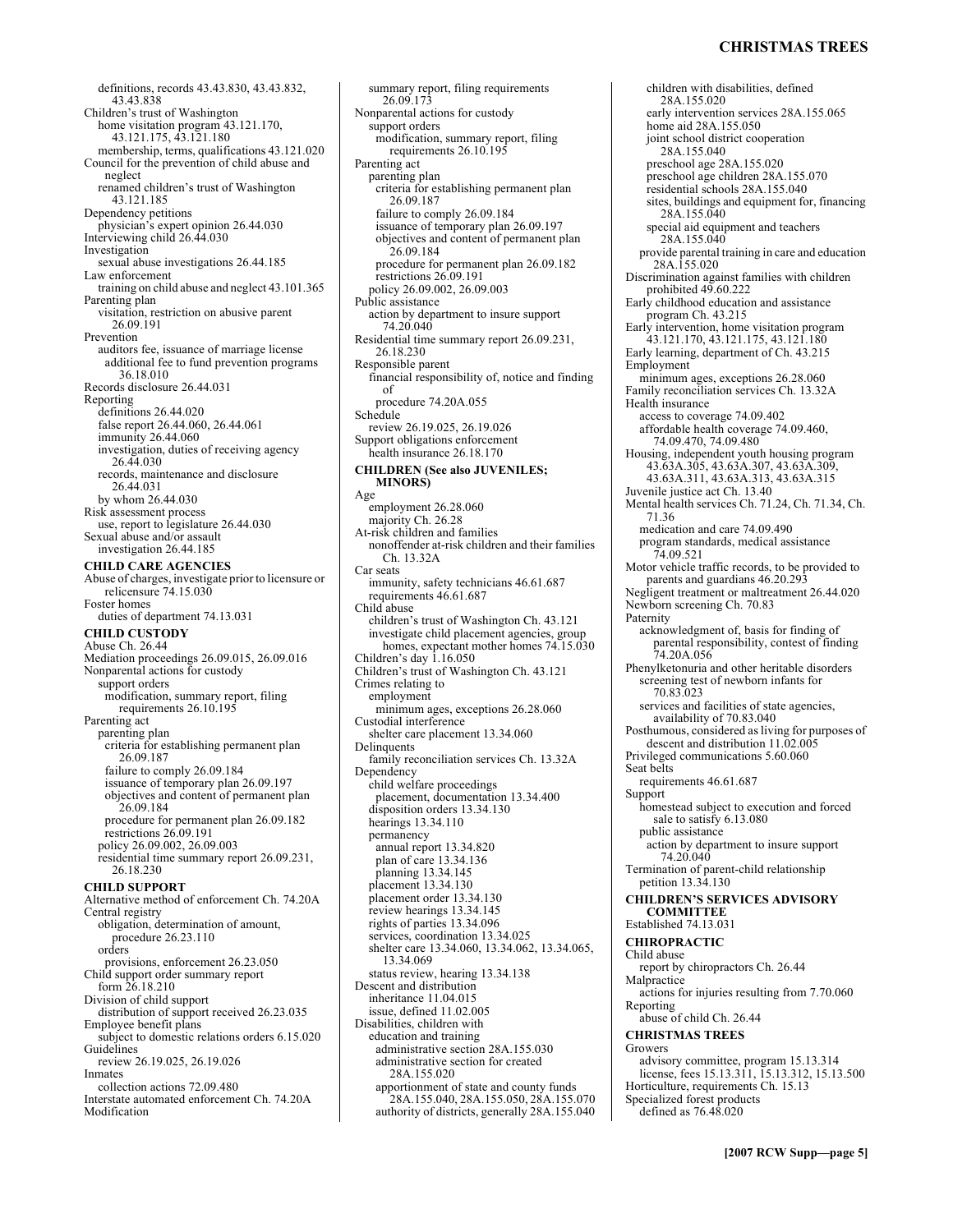### **CHRISTMAS TREES**

definitions, records 43.43.830, 43.43.832, 43.43.838 Children's trust of Washington home visitation program 43.121.170, 43.121.175, 43.121.180 membership, terms, qualifications 43.121.020 Council for the prevention of child abuse and neglect renamed childrenís trust of Washington 43.121.185 Dependency petitions physician's expert opinion 26.44.030<br>Interviewing child 26.44.030 Investigation sexual abuse investigations 26.44.185 Law enforcement training on child abuse and neglect 43.101.365 Parenting plan visitation, restriction on abusive parent 26.09.191 Prevention auditors fee, issuance of marriage license additional fee to fund prevention programs 36.18.010 Records disclosure 26.44.031 Reporting definitions 26.44.020 false report 26.44.060, 26.44.061 immunity 26.44.060 investigation, duties of receiving agency 26.44.030 records, maintenance and disclosure 26.44.031 by whom 26.44.030 Risk assessment process use, report to legislature 26.44.030 Sexual abuse and/or assault investigation 26.44.185 **CHILD CARE AGENCIES**  Abuse of charges, investigate prior to licensure or relicensure 74.15.030 Foster homes duties of department 74.13.031 **CHILD CUSTODY**  Abuse Ch. 26.44 Mediation proceedings 26.09.015, 26.09.016 Nonparental actions for custody support orders modification, summary report, filing requirements 26.10.195 Parenting act parenting plan criteria for establishing permanent plan 26.09.187 failure to comply 26.09.184 issuance of temporary plan 26.09.197 objectives and content of permanent plan 26.09.184 procedure for permanent plan 26.09.182 restrictions 26.09.191 policy 26.09.002, 26.09.003 residential time summary report 26.09.231, 26.18.230 **CHILD SUPPORT**  Alternative method of enforcement Ch. 74.20A Central registry obligation, determination of amount, procedure 26.23.110 orders provisions, enforcement 26.23.050 Child support order summary report form 26.18.210 Division of child support distribution of support received 26.23.035 Employee benefit plans subject to domestic relations orders 6.15.020 **Guidelines** review 26.19.025, 26.19.026 Inmates collection actions 72.09.480 Interstate automated enforcement Ch. 74.20A Modification

26.09.173 Nonparental actions for custody support orders modification, summary report, filing requirements 26.10.195 Parenting act parenting plan criteria for establishing permanent plan 26.09.187 failure to comply 26.09.184 issuance of temporary plan 26.09.197 objectives and content of permanent plan 26.09.184 procedure for permanent plan 26.09.182 restrictions 26.09.191 policy 26.09.002, 26.09.003 Public assistance action by department to insure support 74.20.040 Residential time summary report 26.09.231, 26.18.230 Responsible parent financial responsibility of, notice and finding of procedure 74.20A.055 Schedule review 26.19.025, 26.19.026 Support obligations enforcement health insurance 26.18.170 **CHILDREN (See also JUVENILES; MINORS)**  Age employment 26.28.060 majority Ch. 26.28 At-risk children and families nonoffender at-risk children and their families Ch. 13.32A Car seats immunity, safety technicians 46.61.687 requirements 46.61.687 Child abuse children's trust of Washington Ch. 43.121 investigate child placement agencies, group homes, expectant mother homes  $74.15.030$ Children's day 1.16.050 Children's trust of Washington Ch. 43.121 Crimes relating to employment minimum ages, exceptions 26.28.060 Custodial interference shelter care placement 13.34.060 Delinquents family reconciliation services Ch. 13.32A Dependency child welfare proceedings placement, documentation 13.34.400 disposition orders 13.34.130 hearings 13.34.110 permanency annual report 13.34.820 plan of care 13.34.136 planning 13.34.145 placement 13.34.130 placement order 13.34.130 review hearings 13.34.145 rights of parties 13.34.096 services, coordination 13.34.025 shelter care 13.34.060, 13.34.062, 13.34.065, 13.34.069 status review, hearing 13.34.138 Descent and distribution inheritance 11.04.015 issue, defined 11.02.005 Disabilities, children with education and training administrative section 28A.155.030 administrative section for created 28A.155.020 apportionment of state and county funds 28A.155.040, 28A.155.050, 28A.155.070 authority of districts, generally 28A.155.040

summary report, filing requirements

children with disabilities, defined 28A.155.020 early intervention services 28A.155.065 home aid 28A.155.050 joint school district cooperation 28A.155.040 preschool age 28A.155.020 preschool age children 28A.155.070 residential schools 28A.155.040 sites, buildings and equipment for, financing 28A.155.040 special aid equipment and teachers 28A.155.040 provide parental training in care and education 28A.155.020 Discrimination against families with children prohibited 49.60.222 Early childhood education and assistance program Ch. 43.215 Early intervention, home visitation program 43.121.170, 43.121.175, 43.121.180 Early learning, department of Ch. 43.215 Employment minimum ages, exceptions 26.28.060 Family reconciliation services Ch. 13.32A Health insurance access to coverage 74.09.402 affordable health coverage 74.09.460, 74.09.470, 74.09.480 Housing, independent youth housing program 43.63A.305, 43.63A.307, 43.63A.309, 43.63A.311, 43.63A.313, 43.63A.315 Juvenile justice act Ch. 13.40 Mental health services Ch. 71.24, Ch. 71.34, Ch. 71.36 medication and care 74.09.490 program standards, medical assistance 74.09.521 Motor vehicle traffic records, to be provided to parents and guardians 46.20.293 Negligent treatment or maltreatment 26.44.020 Newborn screening Ch. 70.83 Paternity acknowledgment of, basis for finding of parental responsibility, contest of finding 74.20A.056 Phenylketonuria and other heritable disorders screening test of newborn infants for 70.83.023 services and facilities of state agencies, availability of 70.83.040 Posthumous, considered as living for purposes of descent and distribution 11.02.005 Privileged communications 5.60.060 Seat belts requirements 46.61.687 Support homestead subject to execution and forced sale to satisfy 6.13.080 public assistance action by department to insure support 74.20.040 Termination of parent-child relationship petition 13.34.130 **CHILDREN'S SERVICES ADVISORY COMMITTEE**  Established 74.13.031 **CHIROPRACTIC**  Child abuse report by chiropractors Ch. 26.44 Malpractice actions for injuries resulting from 7.70.060 Reporting abuse of child Ch. 26.44 **CHRISTMAS TREES**  Growers advisory committee, program 15.13.314 license, fees 15.13.311, 15.13.312, 15.13.500 Horticulture, requirements Ch. 15.13 Specialized forest products defined as 76.48.020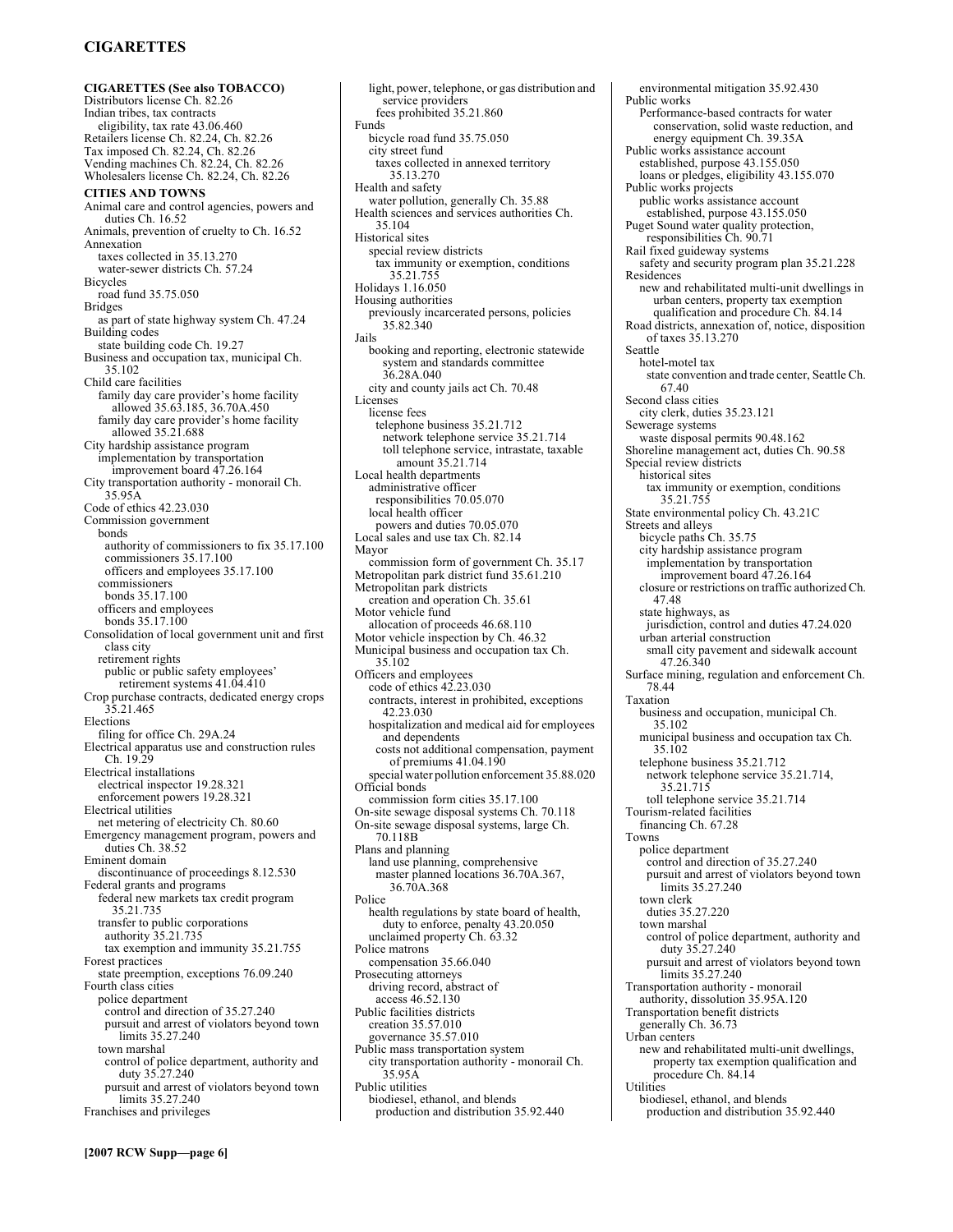# **CIGARETTES**

**CIGARETTES (See also TOBACCO)**  Distributors license Ch. 82.26 Indian tribes, tax contracts eligibility, tax rate 43.06.460 Retailers license Ch. 82.24, Ch. 82.26 Tax imposed Ch. 82.24, Ch. 82.26 Vending machines Ch. 82.24, Ch. 82.26 Wholesalers license Ch. 82.24, Ch. 82.26 **CITIES AND TOWNS**  Animal care and control agencies, powers and duties Ch. 16.52 Animals, prevention of cruelty to Ch. 16.52 Annexation taxes collected in 35.13.270 water-sewer districts Ch. 57.24 Bicycles road fund 35.75.050 Bridges as part of state highway system Ch. 47.24 Building codes state building code Ch. 19.27 Business and occupation tax, municipal Ch. 35.102 Child care facilities family day care provider's home facility allowed 35.63.185, 36.70A.450 family day care provider's home facility allowed 35.21.688 City hardship assistance program implementation by transportation improvement board 47.26.164 City transportation authority - monorail Ch. 35.95A Code of ethics 42.23.030 Commission government bonds authority of commissioners to fix 35.17.100 commissioners 35.17.100 officers and employees 35.17.100 commissioners bonds 35.17.100 officers and employees bonds 35.17.100 Consolidation of local government unit and first class city retirement rights public or public safety employees' retirement systems 41.04.410 Crop purchase contracts, dedicated energy crops 35.21.465 Elections filing for office Ch. 29A.24 Electrical apparatus use and construction rules Ch. 19.29 Electrical installations electrical inspector 19.28.321 enforcement powers 19.28.321 Electrical utilities net metering of electricity Ch. 80.60 Emergency management program, powers and duties Ch. 38.52 Eminent domain discontinuance of proceedings 8.12.530 Federal grants and programs federal new markets tax credit program 35.21.735 transfer to public corporations authority 35.21.735 tax exemption and immunity 35.21.755 Forest practices state preemption, exceptions 76.09.240 Fourth class cities police department control and direction of 35.27.240 pursuit and arrest of violators beyond town limits 35.27.240 town marshal control of police department, authority and duty 35.27.240 pursuit and arrest of violators beyond town limits 35.27.240 Franchises and privileges

light, power, telephone, or gas distribution and service providers fees prohibited 35.21.860 Funds bicycle road fund 35.75.050 city street fund taxes collected in annexed territory 35.13.270 Health and safety water pollution, generally Ch. 35.88 Health sciences and services authorities Ch. 35.104 Historical sites special review districts tax immunity or exemption, conditions 35.21.755 Holidays 1.16.050 Housing authorities previously incarcerated persons, policies 35.82.340 Jails booking and reporting, electronic statewide system and standards committee 36.28A.040 city and county jails act Ch. 70.48 Licenses license fees telephone business 35.21.712 network telephone service 35.21.714 toll telephone service, intrastate, taxable amount 35.21.714 Local health departments administrative officer responsibilities 70.05.070 local health officer powers and duties 70.05.070 Local sales and use tax Ch. 82.14 Mayor commission form of government Ch. 35.17 Metropolitan park district fund 35.61.210 Metropolitan park districts creation and operation Ch. 35.61 Motor vehicle fund allocation of proceeds 46.68.110 Motor vehicle inspection by Ch. 46.32 Municipal business and occupation tax Ch. 35.102 Officers and employees code of ethics 42.23.030 contracts, interest in prohibited, exceptions 42.23.030 hospitalization and medical aid for employees and dependents costs not additional compensation, payment of premiums 41.04.190 special water pollution enforcement 35.88.020 Official bonds commission form cities 35.17.100 On-site sewage disposal systems Ch. 70.118 On-site sewage disposal systems, large Ch. 70.118B Plans and planning land use planning, comprehensive master planned locations 36.70A.367, 36.70A.368 Police health regulations by state board of health, duty to enforce, penalty 43.20.050 unclaimed property Ch. 63.32 Police matrons compensation 35.66.040 Prosecuting attorneys driving record, abstract of access 46.52.130 Public facilities districts creation 35.57.010 governance 35.57.010 Public mass transportation system city transportation authority - monorail Ch. 35.95A Public utilities biodiesel, ethanol, and blends production and distribution 35.92.440

environmental mitigation 35.92.430 Public works Performance-based contracts for water conservation, solid waste reduction, and energy equipment Ch. 39.35A Public works assistance account established, purpose 43.155.050 loans or pledges, eligibility 43.155.070 Public works projects public works assistance account established, purpose 43.155.050 Puget Sound water quality protection, responsibilities Ch. 90.71 Rail fixed guideway systems safety and security program plan 35.21.228 Residences new and rehabilitated multi-unit dwellings in urban centers, property tax exemption qualification and procedure Ch. 84.14 Road districts, annexation of, notice, disposition of taxes 35.13.270 Seattle hotel-motel tax state convention and trade center, Seattle Ch. 67.40 Second class cities city clerk, duties 35.23.121 Sewerage systems waste disposal permits 90.48.162 Shoreline management act, duties Ch. 90.58 Special review districts historical sites tax immunity or exemption, conditions 35.21.755 State environmental policy Ch. 43.21C Streets and alleys bicycle paths Ch. 35.75 city hardship assistance program implementation by transportation improvement board 47.26.164 closure or restrictions on traffic authorized Ch. 47.48 state highways, as jurisdiction, control and duties 47.24.020 urban arterial construction small city pavement and sidewalk account 47.26.340 Surface mining, regulation and enforcement Ch. 78.44 Taxation business and occupation, municipal Ch. 35.102 municipal business and occupation tax Ch. 35.102 telephone business 35.21.712 network telephone service 35.21.714, 35.21.715 toll telephone service 35.21.714 Tourism-related facilities financing Ch. 67.28 Towns police department control and direction of 35.27.240 pursuit and arrest of violators beyond town limits 35.27.240 town clerk duties 35.27.220 town marshal control of police department, authority and duty 35.27.240 pursuit and arrest of violators beyond town limits 35.27.240 Transportation authority - monorail authority, dissolution 35.95A.120 Transportation benefit districts generally Ch. 36.73 Urban centers new and rehabilitated multi-unit dwellings, property tax exemption qualification and procedure Ch. 84.14 Utilities biodiesel, ethanol, and blends

production and distribution 35.92.440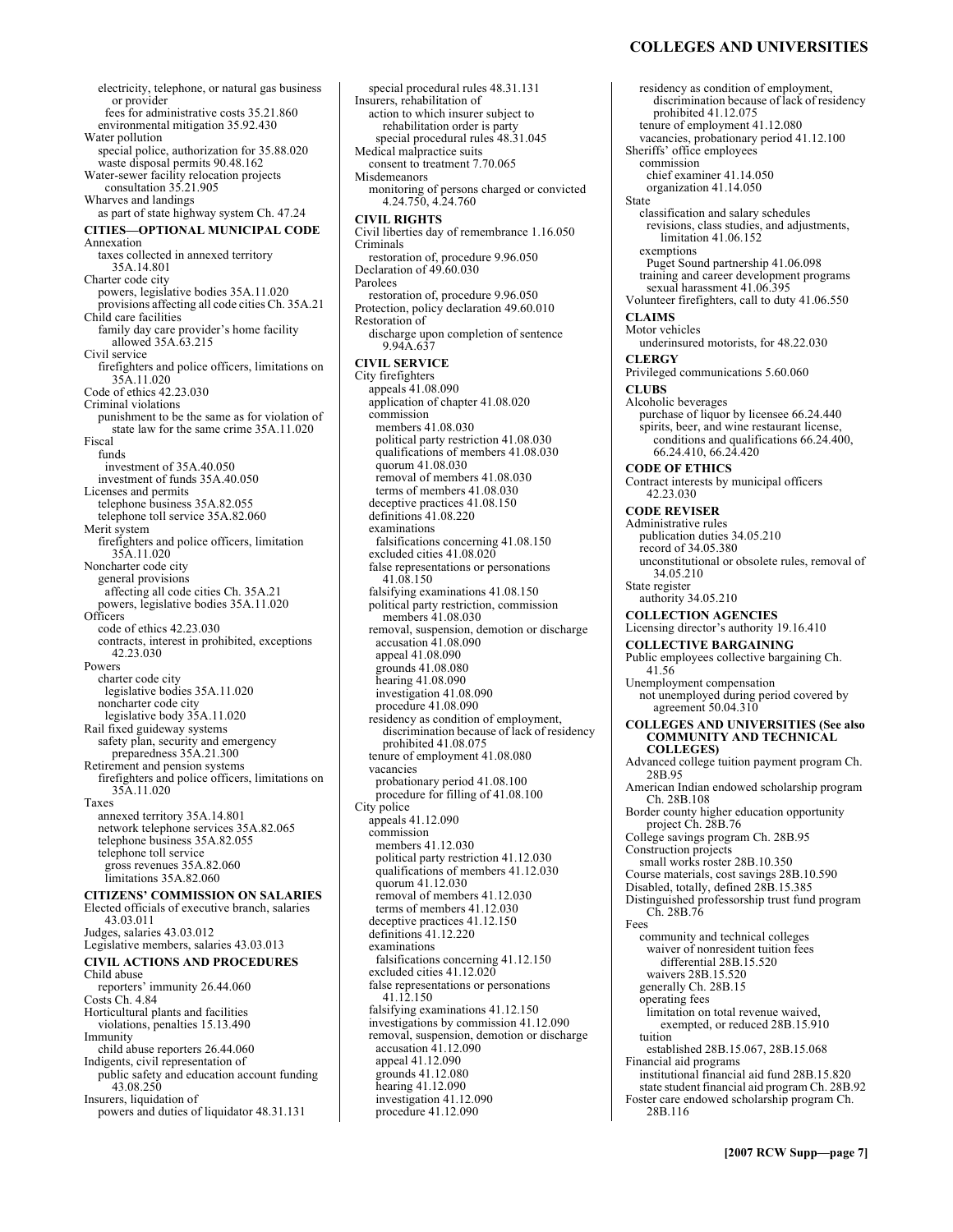### **COLLEGES AND UNIVERSITIES**

electricity, telephone, or natural gas business or provider fees for administrative costs 35.21.860 environmental mitigation 35.92.430 Water pollution special police, authorization for 35.88.020 waste disposal permits 90.48.162 Water-sewer facility relocation projects consultation 35.21.905 Wharves and landings as part of state highway system Ch. 47.24 **CITIES-OPTIONAL MUNICIPAL CODE** Annexation taxes collected in annexed territory 35A.14.801 Charter code city powers, legislative bodies 35A.11.020 provisions affecting all code cities Ch. 35A.21 Child care facilities family day care provider's home facility allowed 35A.63.215 Civil service firefighters and police officers, limitations on 35A.11.020 Code of ethics 42.23.030 Criminal violations punishment to be the same as for violation of state law for the same crime 35A.11.020 Fiscal funds investment of 35A.40.050 investment of funds 35A.40.050 Licenses and permits telephone business 35A.82.055 telephone toll service 35A.82.060 Merit system firefighters and police officers, limitation 35A.11.020 Noncharter code city general provisions affecting all code cities Ch. 35A.21 powers, legislative bodies 35A.11.020 **Officers** code of ethics 42.23.030 contracts, interest in prohibited, exceptions 42.23.030 Powers charter code city legislative bodies 35A.11.020 noncharter code city legislative body 35A.11.020 Rail fixed guideway systems safety plan, security and emergency preparedness 35A.21.300 Retirement and pension systems firefighters and police officers, limitations on 35A.11.020 Taxes annexed territory 35A.14.801 network telephone services 35A.82.065 telephone business 35A.82.055 telephone toll service gross revenues 35A.82.060 limitations 35A.82.060 **CITIZENS' COMMISSION ON SALARIES** Elected officials of executive branch, salaries 43.03.011 Judges, salaries 43.03.012 Legislative members, salaries 43.03.013 **CIVIL ACTIONS AND PROCEDURES**  Child abuse reporters' immunity 26.44.060 Costs Ch. 4.84 Horticultural plants and facilities violations, penalties 15.13.490 Immunity child abuse reporters 26.44.060 Indigents, civil representation of public safety and education account funding 43.08.250 Insurers, liquidation of powers and duties of liquidator 48.31.131

special procedural rules 48.31.131 Insurers, rehabilitation of action to which insurer subject to rehabilitation order is party special procedural rules 48.31.045 Medical malpractice suits consent to treatment 7.70.065 Misdemeanors monitoring of persons charged or convicted 4.24.750, 4.24.760 **CIVIL RIGHTS**  Civil liberties day of remembrance 1.16.050 Criminals restoration of, procedure 9.96.050 Declaration of 49.60.030 Parolees restoration of, procedure 9.96.050 Protection, policy declaration 49.60.010 Restoration of discharge upon completion of sentence 9.94A.637 **CIVIL SERVICE**  City firefighters appeals 41.08.090 application of chapter 41.08.020 commission members 41.08.030 political party restriction 41.08.030 qualifications of members 41.08.030 quorum 41.08.030 removal of members 41.08.030 terms of members 41.08.030 deceptive practices 41.08.150 definitions 41.08.220 examinations falsifications concerning 41.08.150 excluded cities 41.08.020 false representations or personations 41.08.150 falsifying examinations 41.08.150 political party restriction, commission members 41.08.030 removal, suspension, demotion or discharge accusation 41.08.090 appeal 41.08.090 grounds 41.08.080 hearing 41.08.090 investigation 41.08.090 procedure 41.08.090 residency as condition of employment, discrimination because of lack of residency prohibited 41.08.075 tenure of employment 41.08.080 vacancies probationary period 41.08.100 procedure for filling of 41.08.100 City police appeals 41.12.090 commission members 41.12.030 political party restriction 41.12.030 qualifications of members 41.12.030 quorum 41.12.030 removal of members 41.12.030 terms of members 41.12.030 deceptive practices 41.12.150 definitions 41.12.220 examinations falsifications concerning 41.12.150 excluded cities 41.12.020 false representations or personations 41.12.150 falsifying examinations 41.12.150 investigations by commission 41.12.090 removal, suspension, demotion or discharge accusation 41.12.090 appeal 41.12.090 grounds 41.12.080 hearing 41.12.090 investigation 41.12.090 procedure 41.12.090

residency as condition of employment, discrimination because of lack of residency prohibited 41.12.075 tenure of employment 41.12.080 vacancies, probationary period 41.12.100 Sheriffs' office employees commission chief examiner 41.14.050 organization 41.14.050 State classification and salary schedules revisions, class studies, and adjustments, limitation 41.06.152 exemptions Puget Sound partnership 41.06.098 training and career development programs sexual harassment 41.06.395 Volunteer firefighters, call to duty 41.06.550 **CLAIMS**  Motor vehicles underinsured motorists, for 48.22.030 **CLERGY**  Privileged communications 5.60.060 **CLUBS**  Alcoholic beverages purchase of liquor by licensee 66.24.440 spirits, beer, and wine restaurant license, conditions and qualifications 66.24.400, 66.24.410, 66.24.420 **CODE OF ETHICS**  Contract interests by municipal officers 42.23.030 **CODE REVISER**  Administrative rules publication duties 34.05.210 record of 34.05.380 unconstitutional or obsolete rules, removal of 34.05.210 State register authority 34.05.210 **COLLECTION AGENCIES**  Licensing director's authority 19.16.410 **COLLECTIVE BARGAINING**  Public employees collective bargaining Ch. 41.56 Unemployment compensation not unemployed during period covered by agreement 50.04.310 **COLLEGES AND UNIVERSITIES (See also COMMUNITY AND TECHNICAL COLLEGES)**  Advanced college tuition payment program Ch. 28B.95 American Indian endowed scholarship program Ch. 28B.108 Border county higher education opportunity project Ch. 28B.76 College savings program Ch. 28B.95 Construction projects small works roster 28B.10.350 Course materials, cost savings 28B.10.590 Disabled, totally, defined 28B.15.385 Distinguished professorship trust fund program Ch. 28B.76 Fees community and technical colleges waiver of nonresident tuition fees differential 28B.15.520 waivers 28B.15.520 generally Ch. 28B.15 operating fees limitation on total revenue waived, exempted, or reduced 28B.15.910 tuition established 28B.15.067, 28B.15.068 Financial aid programs institutional financial aid fund 28B.15.820 state student financial aid program Ch. 28B.92 Foster care endowed scholarship program Ch. 28B.116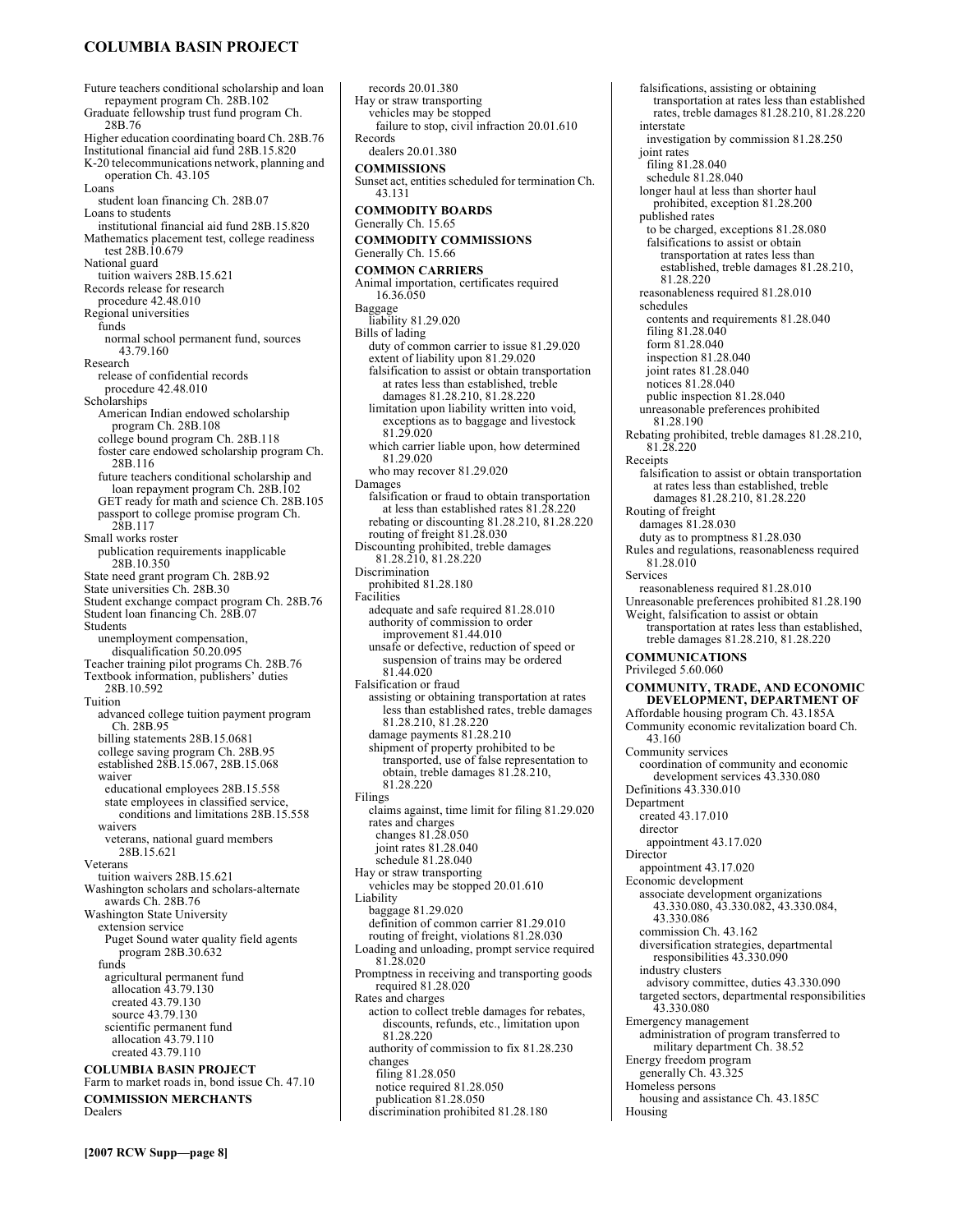# **COLUMBIA BASIN PROJECT**

Future teachers conditional scholarship and loan repayment program Ch. 28B.102 Graduate fellowship trust fund program Ch. 28B.76 Higher education coordinating board Ch. 28B.76 Institutional financial aid fund 28B.15.820 K-20 telecommunications network, planning and operation Ch. 43.105 Loans student loan financing Ch. 28B.07 Loans to students institutional financial aid fund 28B.15.820 Mathematics placement test, college readiness test 28B.10.679 National guard tuition waivers 28B.15.621 Records release for research procedure 42.48.010 Regional universities funds normal school permanent fund, sources 43.79.160 Research release of confidential records procedure 42.48.010 Scholarships American Indian endowed scholarship program Ch. 28B.108 college bound program Ch. 28B.118 foster care endowed scholarship program Ch. 28B.116 future teachers conditional scholarship and loan repayment program Ch. 28B.102 GET ready for math and science Ch. 28B.105 passport to college promise program Ch. 28B.117 Small works roster publication requirements inapplicable 28B.10.350 State need grant program Ch. 28B.92 State universities Ch. 28B.30 Student exchange compact program Ch. 28B.76 Student loan financing Ch. 28B.07 Students unemployment compensation, disqualification 50.20.095 Teacher training pilot programs Ch. 28B.76 Textbook information, publishers' duties 28B.10.592 Tuition advanced college tuition payment program Ch. 28B.95 billing statements 28B.15.0681 college saving program Ch. 28B.95 established 28B.15.067, 28B.15.068 waiver educational employees 28B.15.558 state employees in classified service, conditions and limitations 28B.15.558 waivers veterans, national guard members 28B.15.621 Veterans tuition waivers 28B.15.621 Washington scholars and scholars-alternate awards Ch. 28B.76 Washington State University extension service Puget Sound water quality field agents program 28B.30.632 funds agricultural permanent fund allocation 43.79.130 created 43.79.130 source 43.79.130 scientific permanent fund allocation 43.79.110 created 43.79.110 **COLUMBIA BASIN PROJECT**  Farm to market roads in, bond issue Ch. 47.10 **COMMISSION MERCHANTS**  Dealers

records 20.01.380 Hay or straw transporting vehicles may be stopped failure to stop, civil infraction 20.01.610 Records dealers 20.01.380 **COMMISSIONS**  Sunset act, entities scheduled for termination Ch. 43.131 **COMMODITY BOARDS**  Generally Ch. 15.65 **COMMODITY COMMISSIONS**  Generally Ch. 15.66 **COMMON CARRIERS**  Animal importation, certificates required 16.36.050 Baggage liability 81.29.020 Bills of lading duty of common carrier to issue 81.29.020 extent of liability upon 81.29.020 falsification to assist or obtain transportation at rates less than established, treble damages 81.28.210, 81.28.220 limitation upon liability written into void, exceptions as to baggage and livestock 81.29.020 which carrier liable upon, how determined 81.29.020 who may recover 81.29.020 Damages falsification or fraud to obtain transportation at less than established rates 81.28.220 rebating or discounting 81.28.210, 81.28.220 routing of freight 81.28.030 Discounting prohibited, treble damages 81.28.210, 81.28.220 Discrimination prohibited 81.28.180 Facilities adequate and safe required 81.28.010 authority of commission to order improvement 81.44.010 unsafe or defective, reduction of speed or suspension of trains may be ordered 81.44.020 Falsification or fraud assisting or obtaining transportation at rates less than established rates, treble damages 81.28.210, 81.28.220 damage payments 81.28.210 shipment of property prohibited to be transported, use of false representation to obtain, treble damages 81.28.210, 81.28.220 Filings claims against, time limit for filing 81.29.020 rates and charges changes 81.28.050 joint rates 81.28.040 schedule 81.28.040 Hay or straw transporting vehicles may be stopped 20.01.610 Liability baggage 81.29.020 definition of common carrier 81.29.010 routing of freight, violations 81.28.030 Loading and unloading, prompt service required 81.28.020 Promptness in receiving and transporting goods required 81.28.020 Rates and charges action to collect treble damages for rebates, discounts, refunds, etc., limitation upon 81.28.220 authority of commission to fix 81.28.230 changes filing 81.28.050 notice required 81.28.050 publication 81.28.050

discrimination prohibited 81.28.180

Housing

falsifications, assisting or obtaining transportation at rates less than established rates, treble damages 81.28.210, 81.28.220 interstate investigation by commission 81.28.250 joint rates filing 81.28.040 schedule 81.28.040 longer haul at less than shorter haul prohibited, exception 81.28.200 published rates to be charged, exceptions 81.28.080 falsifications to assist or obtain transportation at rates less than established, treble damages 81.28.210, 81.28.220 reasonableness required 81.28.010 schedules contents and requirements 81.28.040 filing 81.28.040 form 81.28.040 inspection 81.28.040 joint rates 81.28.040 notices 81.28.040 public inspection 81.28.040 unreasonable preferences prohibited 81.28.190 Rebating prohibited, treble damages 81.28.210, 81.28.220 Receipts falsification to assist or obtain transportation at rates less than established, treble damages 81.28.210, 81.28.220 Routing of freight damages 81.28.030 duty as to promptness 81.28.030 Rules and regulations, reasonableness required 81.28.010 Services reasonableness required 81.28.010 Unreasonable preferences prohibited 81.28.190 Weight, falsification to assist or obtain transportation at rates less than established, treble damages 81.28.210, 81.28.220 **COMMUNICATIONS**  Privileged 5.60.060 **COMMUNITY, TRADE, AND ECONOMIC DEVELOPMENT, DEPARTMENT OF**  Affordable housing program Ch. 43.185A Community economic revitalization board Ch. 43.160 Community services coordination of community and economic development services 43.330.080 Definitions 43.330.010 Department created 43.17.010 director appointment 43.17.020 **Director** appointment 43.17.020 Economic development associate development organizations 43.330.080, 43.330.082, 43.330.084, 43.330.086 commission Ch. 43.162 diversification strategies, departmental responsibilities 43.330.090 industry clusters advisory committee, duties 43.330.090 targeted sectors, departmental responsibilities 43.330.080 Emergency management administration of program transferred to military department Ch. 38.52 Energy freedom program generally Ch. 43.325 Homeless persons housing and assistance Ch. 43.185C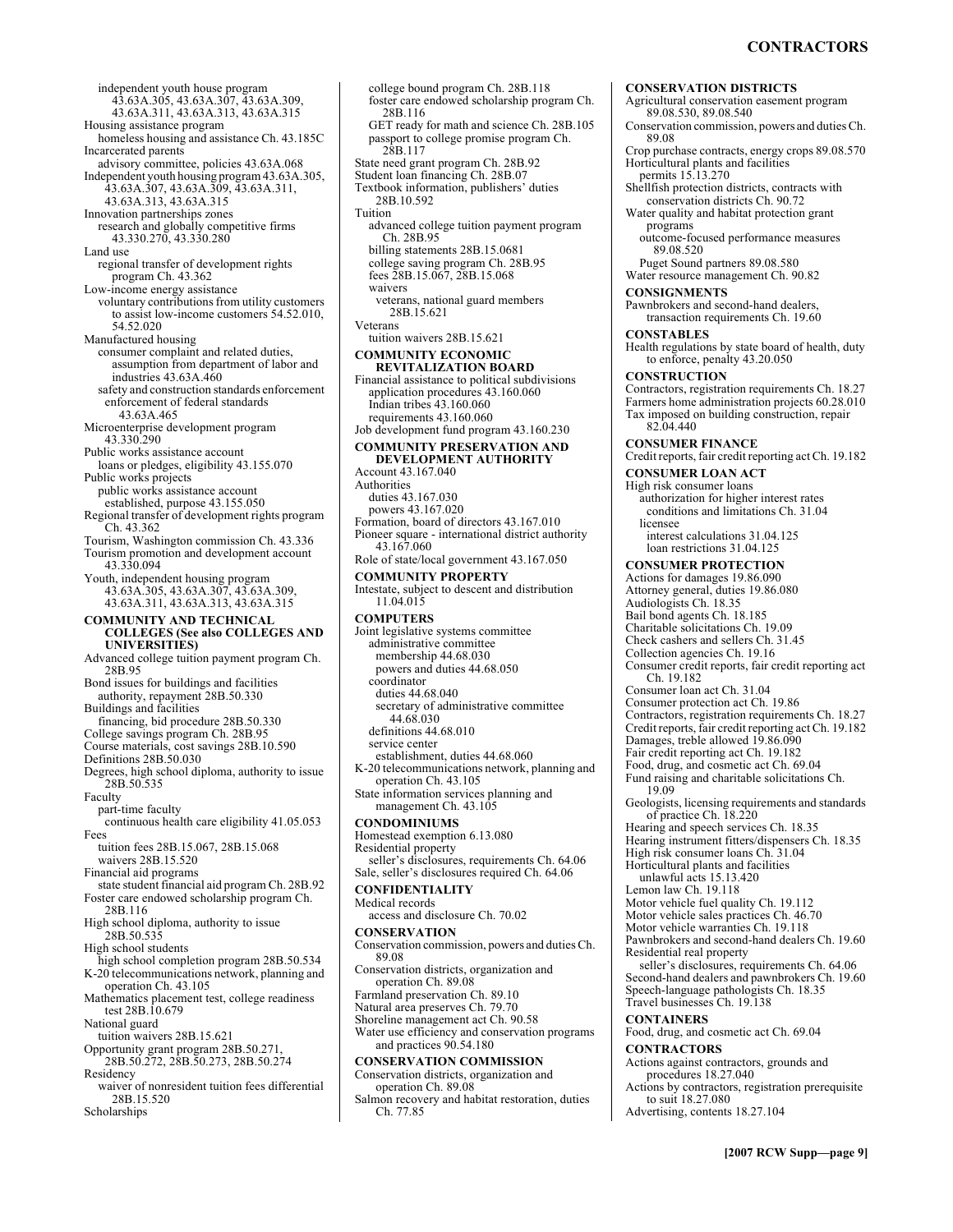independent youth house program 43.63A.305, 43.63A.307, 43.63A.309, 43.63A.311, 43.63A.313, 43.63A.315 Housing assistance program homeless housing and assistance Ch. 43.185C Incarcerated parents advisory committee, policies 43.63A.068 Independent youth housing program 43.63A.305, 43.63A.307, 43.63A.309, 43.63A.311, 43.63A.313, 43.63A.315 Innovation partnerships zones research and globally competitive firms 43.330.270, 43.330.280 Land use regional transfer of development rights program Ch. 43.362 Low-income energy assistance voluntary contributions from utility customers to assist low-income customers 54.52.010, 54.52.020 Manufactured housing consumer complaint and related duties, assumption from department of labor and industries 43.63A.460 safety and construction standards enforcement enforcement of federal standards 43.63A.465 Microenterprise development program 43.330.290 Public works assistance account loans or pledges, eligibility 43.155.070 Public works projects public works assistance account established, purpose 43.155.050 Regional transfer of development rights program Ch. 43.362 Tourism, Washington commission Ch. 43.336 Tourism promotion and development account 43.330.094 Youth, independent housing program 43.63A.305, 43.63A.307, 43.63A.309, 43.63A.311, 43.63A.313, 43.63A.315 **COMMUNITY AND TECHNICAL COLLEGES (See also COLLEGES AND UNIVERSITIES)**  Advanced college tuition payment program Ch. 28B.95 Bond issues for buildings and facilities authority, repayment 28B.50.330 Buildings and facilities financing, bid procedure 28B.50.330 College savings program Ch. 28B.95 Course materials, cost savings 28B.10.590 Definitions 28B.50.030 Degrees, high school diploma, authority to issue 28B.50.535 Faculty part-time faculty continuous health care eligibility 41.05.053 Fees tuition fees 28B.15.067, 28B.15.068 waivers 28B.15.520 Financial aid programs state student financial aid program Ch. 28B.92 Foster care endowed scholarship program Ch. 28B.116 High school diploma, authority to issue 28B.50.535 High school students high school completion program 28B.50.534 K-20 telecommunications network, planning and operation Ch. 43.105 Mathematics placement test, college readiness test 28B.10.679 National guard tuition waivers 28B.15.621 Opportunity grant program 28B.50.271, 28B.50.272, 28B.50.273, 28B.50.274 Residency waiver of nonresident tuition fees differential 28B.15.520

Scholarships

college bound program Ch. 28B.118 foster care endowed scholarship program Ch. 28B.116 GET ready for math and science Ch. 28B.105 passport to college promise program Ch. 28B.117 State need grant program Ch. 28B.92 Student loan financing Ch. 28B.07 Textbook information, publishers' duties 28B.10.592 Tuition advanced college tuition payment program Ch. 28B.95 billing statements 28B.15.0681 college saving program Ch. 28B.95 fees 28B.15.067, 28B.15.068 waivers veterans, national guard members 28B.15.621 Veterans tuition waivers 28B.15.621 **COMMUNITY ECONOMIC REVITALIZATION BOARD**  Financial assistance to political subdivisions application procedures 43.160.060 Indian tribes 43.160.060 requirements 43.160.060 Job development fund program 43.160.230 **COMMUNITY PRESERVATION AND DEVELOPMENT AUTHORITY**  Account 43.167.040 Authorities duties 43.167.030 powers 43.167.020 Formation, board of directors 43.167.010 Pioneer square - international district authority 43.167.060 Role of state/local government 43.167.050 **COMMUNITY PROPERTY**  Intestate, subject to descent and distribution 11.04.015 **COMPUTERS**  Joint legislative systems committee administrative committee membership 44.68.030 powers and duties 44.68.050 coordinator duties 44.68.040 secretary of administrative committee 44.68.030 definitions 44.68.010 service center establishment, duties 44.68.060 K-20 telecommunications network, planning and operation Ch. 43.105 State information services planning and management Ch. 43.105 **CONDOMINIUMS**  Homestead exemption 6.13.080 Residential property seller's disclosures, requirements Ch. 64.06 Sale, seller's disclosures required Ch. 64.06 **CONFIDENTIALITY**  Medical records access and disclosure Ch. 70.02 **CONSERVATION**  Conservation commission, powers and duties Ch. 89.08 Conservation districts, organization and operation Ch. 89.08 Farmland preservation Ch. 89.10 Natural area preserves Ch. 79.70 Shoreline management act Ch. 90.58 Water use efficiency and conservation programs and practices 90.54.180 **CONSERVATION COMMISSION**  Conservation districts, organization and operation Ch. 89.08 Salmon recovery and habitat restoration, duties Ch. 77.85

**CONSERVATION DISTRICTS**  Agricultural conservation easement program 89.08.530, 89.08.540 Conservation commission, powers and duties Ch. 89.08 Crop purchase contracts, energy crops 89.08.570 Horticultural plants and facilities permits 15.13.270 Shellfish protection districts, contracts with conservation districts Ch. 90.72 Water quality and habitat protection grant programs outcome-focused performance measures 89.08.520 Puget Sound partners 89.08.580 Water resource management Ch. 90.82 **CONSIGNMENTS**  Pawnbrokers and second-hand dealers, transaction requirements Ch. 19.60 **CONSTABLES**  Health regulations by state board of health, duty to enforce, penalty 43.20.050 **CONSTRUCTION**  Contractors, registration requirements Ch. 18.27 Farmers home administration projects 60.28.010 Tax imposed on building construction, repair 82.04.440 **CONSUMER FINANCE**  Credit reports, fair credit reporting act Ch. 19.182 **CONSUMER LOAN ACT**  High risk consumer loans authorization for higher interest rates conditions and limitations Ch. 31.04 licensee interest calculations 31.04.125 loan restrictions 31.04.125 **CONSUMER PROTECTION**  Actions for damages 19.86.090 Attorney general, duties 19.86.080 Audiologists Ch. 18.35 Bail bond agents Ch. 18.185 Charitable solicitations Ch. 19.09 Check cashers and sellers Ch. 31.45 Collection agencies Ch. 19.16 Consumer credit reports, fair credit reporting act Ch. 19.182 Consumer loan act Ch. 31.04 Consumer protection act Ch. 19.86 Contractors, registration requirements Ch. 18.27 Credit reports, fair credit reporting act Ch. 19.182 Damages, treble allowed 19.86.090 Fair credit reporting act Ch. 19.182 Food, drug, and cosmetic act Ch. 69.04 Fund raising and charitable solicitations Ch. 19.09 Geologists, licensing requirements and standards of practice Ch. 18.220 Hearing and speech services Ch. 18.35 Hearing instrument fitters/dispensers Ch. 18.35 High risk consumer loans Ch. 31.04 Horticultural plants and facilities unlawful acts 15.13.420 Lemon law Ch. 19.118 Motor vehicle fuel quality Ch. 19.112 Motor vehicle sales practices Ch. 46.70 Motor vehicle warranties Ch. 19.118 Pawnbrokers and second-hand dealers Ch. 19.60 Residential real property seller's disclosures, requirements Ch. 64.06 Second-hand dealers and pawnbrokers Ch. 19.60 Speech-language pathologists Ch. 18.35 Travel businesses Ch. 19.138 **CONTAINERS**  Food, drug, and cosmetic act Ch. 69.04 **CONTRACTORS**  Actions against contractors, grounds and procedures 18.27.040 Actions by contractors, registration prerequisite to suit 18.27.080 Advertising, contents 18.27.104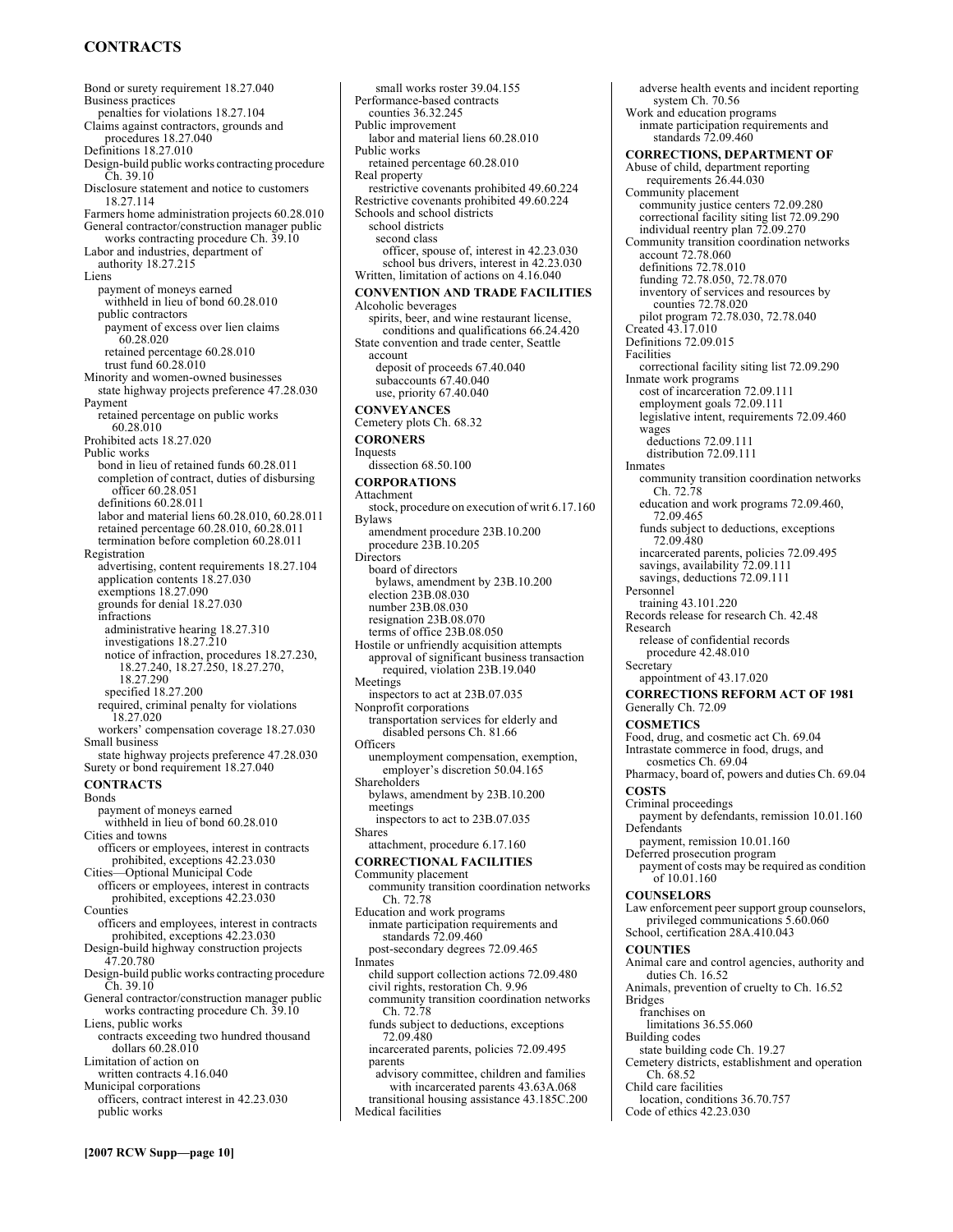# **CONTRACTS**

Bond or surety requirement 18.27.040 Business practices penalties for violations 18.27.104 Claims against contractors, grounds and procedures 18.27.040 Definitions 18.27.010 Design-build public works contracting procedure Ch. 39.10 Disclosure statement and notice to customers 18.27.114 Farmers home administration projects 60.28.010 General contractor/construction manager public works contracting procedure Ch. 39.10 Labor and industries, department of authority 18.27.215 Liens payment of moneys earned withheld in lieu of bond 60.28.010 public contractors payment of excess over lien claims 60.28.020 retained percentage 60.28.010 trust fund 60.28.010 Minority and women-owned businesses state highway projects preference 47.28.030 Payment retained percentage on public works 60.28.010 Prohibited acts 18.27.020 Public works bond in lieu of retained funds 60.28.011 completion of contract, duties of disbursing officer 60.28.051 definitions 60.28.011 labor and material liens 60.28.010, 60.28.011 retained percentage 60.28.010, 60.28.011 termination before completion 60.28.011 Registration advertising, content requirements 18.27.104 application contents 18.27.030 exemptions 18.27.090 grounds for denial 18.27.030 infractions administrative hearing 18.27.310 investigations  $18.27.\overline{2}10$ notice of infraction, procedures 18.27.230, 18.27.240, 18.27.250, 18.27.270, 18.27.290 specified 18.27.200 required, criminal penalty for violations 18.27.020 workers' compensation coverage 18.27.030 Small business state highway projects preference 47.28.030 Surety or bond requirement 18.27.040 **CONTRACTS**  Bonds payment of moneys earned withheld in lieu of bond 60.28.010 Cities and towns officers or employees, interest in contracts prohibited, exceptions 42.23.030 Cities-Optional Municipal Code officers or employees, interest in contracts prohibited, exceptions 42.23.030 Counties officers and employees, interest in contracts prohibited, exceptions 42.23.030 Design-build highway construction projects 47.20.780 Design-build public works contracting procedure Ch. 39.10 General contractor/construction manager public works contracting procedure Ch. 39.10 Liens, public works contracts exceeding two hundred thousand dollars 60.28.010 Limitation of action on written contracts 4.16.040 Municipal corporations officers, contract interest in 42.23.030 public works

small works roster 39.04.155 Performance-based contracts counties 36.32.245 Public improvement labor and material liens 60.28.010 Public works retained percentage 60.28.010 Real property restrictive covenants prohibited 49.60.224 Restrictive covenants prohibited 49.60.224 Schools and school districts school districts second class officer, spouse of, interest in 42.23.030 school bus drivers, interest in 42.23.030 Written, limitation of actions on 4.16.040 **CONVENTION AND TRADE FACILITIES**  Alcoholic beverages spirits, beer, and wine restaurant license, conditions and qualifications 66.24.420 State convention and trade center, Seattle account deposit of proceeds 67.40.040 subaccounts 67.40.040 use, priority 67.40.040 **CONVEYANCES**  Cemetery plots Ch. 68.32 **CORONERS**  Inquests dissection 68.50.100 **CORPORATIONS**  Attachment stock, procedure on execution of writ 6.17.160 Bylaws amendment procedure 23B.10.200 procedure 23B.10.205 **Directors** board of directors bylaws, amendment by 23B.10.200 election 23B.08.030 number 23B.08.030 resignation 23B.08.070 terms of office 23B.08.050 Hostile or unfriendly acquisition attempts approval of significant business transaction required, violation 23B.19.040 **Meetings** inspectors to act at 23B.07.035 Nonprofit corporations transportation services for elderly and disabled persons Ch. 81.66 **Officers** unemployment compensation, exemption, employer's discretion 50.04.165 Shareholders bylaws, amendment by 23B.10.200 meetings inspectors to act to 23B.07.035 Shares attachment, procedure 6.17.160 **CORRECTIONAL FACILITIES**  Community placement community transition coordination networks Ch. 72.78 Education and work programs inmate participation requirements and standards 72.09.460 post-secondary degrees 72.09.465 Inmates child support collection actions 72.09.480 civil rights, restoration Ch. 9.96 community transition coordination networks Ch. 72.78 funds subject to deductions, exceptions 72.09.480 incarcerated parents, policies 72.09.495 parents advisory committee, children and families with incarcerated parents 43.63A.068 transitional housing assistance 43.185C.200 Medical facilities

adverse health events and incident reporting system Ch. 70.56 Work and education programs inmate participation requirements and standards 72.09.460 **CORRECTIONS, DEPARTMENT OF**  Abuse of child, department reporting requirements 26.44.030 Community placement community justice centers 72.09.280 correctional facility siting list 72.09.290 individual reentry plan 72.09.270 Community transition coordination networks account 72.78.060 definitions 72.78.010 funding 72.78.050, 72.78.070 inventory of services and resources by counties 72.78.020 pilot program 72.78.030, 72.78.040 Created 43.17.010 Definitions 72.09.015 Facilities correctional facility siting list 72.09.290 Inmate work programs cost of incarceration 72.09.111 employment goals 72.09.111 legislative intent, requirements 72.09.460 wages deductions 72.09.111 distribution 72.09.111 Inmates community transition coordination networks Ch. 72.78 education and work programs 72.09.460, 72.09.465 funds subject to deductions, exceptions 72.09.480 incarcerated parents, policies 72.09.495 savings, availability 72.09.111 savings, deductions 72.09.111 Personnel training 43.101.220 Records release for research Ch. 42.48 Research release of confidential records procedure 42.48.010 **Secretary** appointment of 43.17.020 **CORRECTIONS REFORM ACT OF 1981**  Generally Ch. 72.09 **COSMETICS**  Food, drug, and cosmetic act Ch. 69.04 Intrastate commerce in food, drugs, and cosmetics Ch. 69.04 Pharmacy, board of, powers and duties Ch. 69.04 **COSTS**  Criminal proceedings payment by defendants, remission 10.01.160 Defendants payment, remission 10.01.160 Deferred prosecution program payment of costs may be required as condition of 10.01.160 **COUNSELORS**  Law enforcement peer support group counselors, privileged communications 5.60.060 School, certification 28A.410.043 **COUNTIES**  Animal care and control agencies, authority and duties Ch. 16.52 Animals, prevention of cruelty to Ch. 16.52 Bridges franchises on limitations 36.55.060 Building codes state building code Ch. 19.27 Cemetery districts, establishment and operation Ch. 68.52 Child care facilities location, conditions 36.70.757 Code of ethics 42.23.030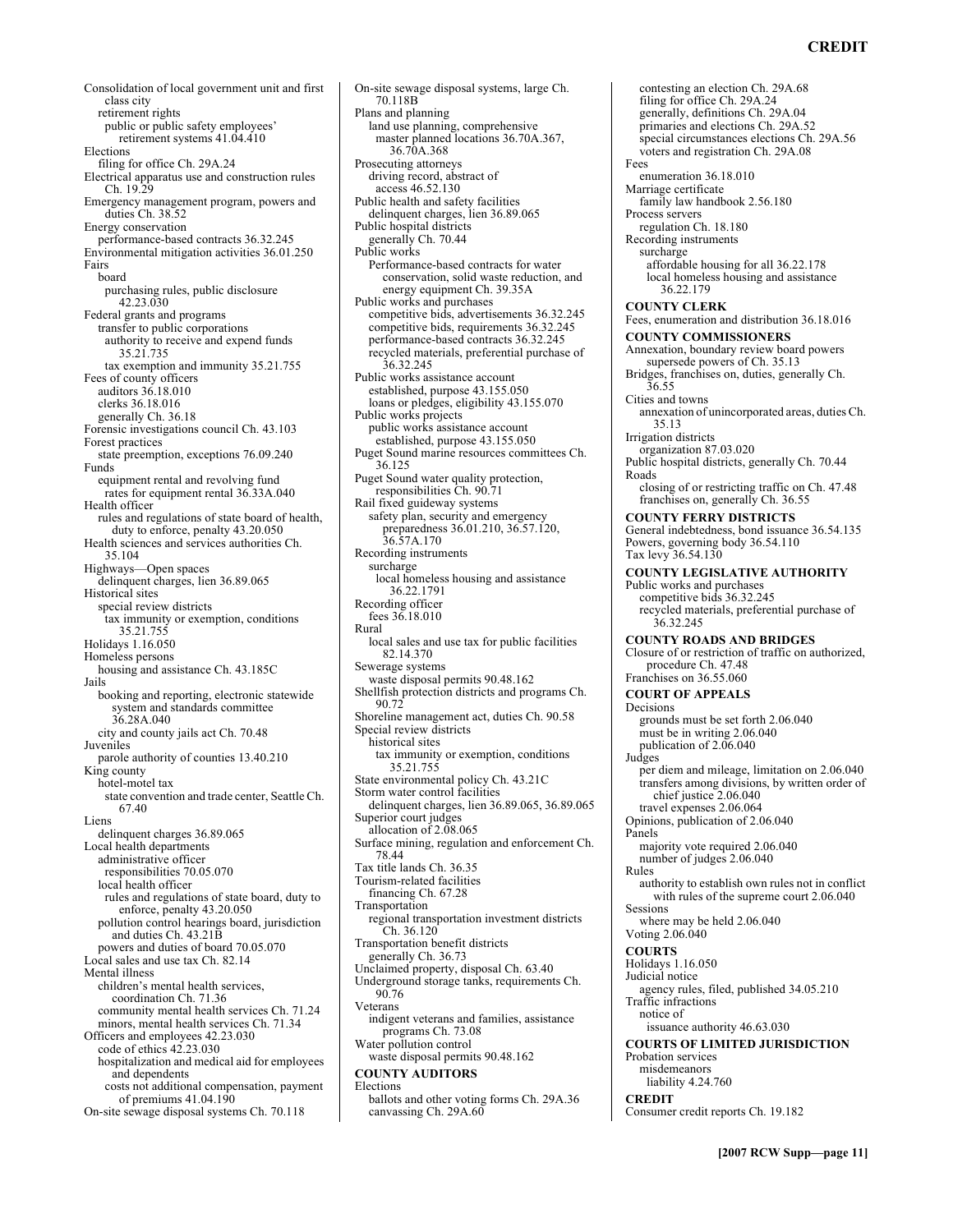### **CREDIT**

Consolidation of local government unit and first class city retirement rights public or public safety employees' retirement systems 41.04.410 Elections filing for office Ch. 29A.24 Electrical apparatus use and construction rules Ch. 19.29 Emergency management program, powers and duties Ch. 38.52 Energy conservation performance-based contracts 36.32.245 Environmental mitigation activities 36.01.250 Fairs board purchasing rules, public disclosure 42.23.030 Federal grants and programs transfer to public corporations authority to receive and expend funds 35.21.735 tax exemption and immunity 35.21.755 Fees of county officers auditors 36.18.010 clerks 36.18.016 generally Ch. 36.18 Forensic investigations council Ch. 43.103 Forest practices state preemption, exceptions 76.09.240 Funds equipment rental and revolving fund rates for equipment rental 36.33A.040 Health officer rules and regulations of state board of health, duty to enforce, penalty 43.20.050 Health sciences and services authorities Ch. 35.104 Highways-Open spaces delinquent charges, lien 36.89.065 Historical sites special review districts tax immunity or exemption, conditions 35.21.755 Holidays 1.16.050 Homeless persons housing and assistance Ch. 43.185C Jails booking and reporting, electronic statewide system and standards committee 36.28A.040 city and county jails act Ch. 70.48 Juveniles parole authority of counties 13.40.210 King county hotel-motel tax state convention and trade center, Seattle Ch. 67.40 Liens delinquent charges 36.89.065 Local health departments administrative officer responsibilities 70.05.070 local health officer rules and regulations of state board, duty to enforce, penalty 43.20.050 pollution control hearings board, jurisdiction and duties Ch. 43.21B powers and duties of board 70.05.070 Local sales and use tax Ch. 82.14 Mental illness children's mental health services, coordination Ch. 71.36 community mental health services Ch. 71.24 minors, mental health services Ch. 71.34 Officers and employees 42.23.030 code of ethics 42.23.030 hospitalization and medical aid for employees and dependents costs not additional compensation, payment of premiums 41.04.190 On-site sewage disposal systems Ch. 70.118

70.118B Plans and planning land use planning, comprehensive master planned locations 36.70A.367, 36.70A.368 Prosecuting attorneys driving record, abstract of access 46.52.130 Public health and safety facilities delinquent charges, lien 36.89.065 Public hospital districts generally Ch. 70.44 Public works Performance-based contracts for water conservation, solid waste reduction, and energy equipment Ch. 39.35A Public works and purchases competitive bids, advertisements 36.32.245 competitive bids, requirements 36.32.245 performance-based contracts 36.32.245 recycled materials, preferential purchase of 36.32.245 Public works assistance account established, purpose 43.155.050 loans or pledges, eligibility 43.155.070 Public works projects public works assistance account established, purpose 43.155.050 Puget Sound marine resources committees Ch. 36.125 Puget Sound water quality protection, responsibilities Ch. 90.71 Rail fixed guideway systems safety plan, security and emergency preparedness 36.01.210, 36.57.120, 36.57A.170 Recording instruments surcharge local homeless housing and assistance 36.22.1791 Recording officer fees 36.18.010 Rural local sales and use tax for public facilities 82.14.370 Sewerage systems waste disposal permits 90.48.162 Shellfish protection districts and programs Ch. 90.72 Shoreline management act, duties Ch. 90.58 Special review districts historical sites tax immunity or exemption, conditions 35.21.755 State environmental policy Ch. 43.21C Storm water control facilities delinquent charges, lien 36.89.065, 36.89.065 Superior court judges allocation of 2.08.065 Surface mining, regulation and enforcement Ch. 78.44 Tax title lands Ch. 36.35 Tourism-related facilities financing Ch. 67.28 Transportation regional transportation investment districts Ch. 36.120 Transportation benefit districts generally Ch. 36.73 Unclaimed property, disposal Ch. 63.40 Underground storage tanks, requirements Ch. 90.76 Veterans indigent veterans and families, assistance programs Ch. 73.08 Water pollution control waste disposal permits 90.48.162 **COUNTY AUDITORS**  Elections ballots and other voting forms Ch. 29A.36 canvassing Ch. 29A.60

On-site sewage disposal systems, large Ch.

contesting an election Ch. 29A.68 filing for office Ch. 29A.24 generally, definitions Ch. 29A.04 primaries and elections Ch. 29A.52 special circumstances elections Ch. 29A.56 voters and registration Ch. 29A.08 Fees enumeration 36.18.010 Marriage certificate family law handbook 2.56.180 Process servers regulation Ch. 18.180 Recording instruments surcharge affordable housing for all 36.22.178 local homeless housing and assistance 36.22.179 **COUNTY CLERK**  Fees, enumeration and distribution 36.18.016 **COUNTY COMMISSIONERS**  Annexation, boundary review board powers supersede powers of Ch. 35.13 Bridges, franchises on, duties, generally Ch. 36.55 Cities and towns annexation of unincorporated areas, duties Ch. 35.13 Irrigation districts organization 87.03.020 Public hospital districts, generally Ch. 70.44 Roads closing of or restricting traffic on Ch. 47.48 franchises on, generally Ch. 36.55 **COUNTY FERRY DISTRICTS**  General indebtedness, bond issuance 36.54.135 Powers, governing body 36.54.110 Tax levy 36.54.130 **COUNTY LEGISLATIVE AUTHORITY**  Public works and purchases competitive bids 36.32.245 recycled materials, preferential purchase of 36.32.245 **COUNTY ROADS AND BRIDGES**  Closure of or restriction of traffic on authorized, procedure Ch. 47.48 Franchises on 36.55.060 **COURT OF APPEALS**  Decisions grounds must be set forth 2.06.040 must be in writing 2.06.040 publication of 2.06.040 Judges per diem and mileage, limitation on 2.06.040 transfers among divisions, by written order of chief justice 2.06.040 travel expenses 2.06.064 Opinions, publication of 2.06.040 Panels majority vote required 2.06.040 number of judges 2.06.040 Rules authority to establish own rules not in conflict with rules of the supreme court 2.06.040 Sessions where may be held 2.06.040 Voting 2.06.040 **COURTS**  Holidays 1.16.050 Judicial notice agency rules, filed, published 34.05.210 Traffic infractions notice of issuance authority 46.63.030 **COURTS OF LIMITED JURISDICTION**  Probation services misdemeanors liability 4.24.760 **CREDIT**  Consumer credit reports Ch. 19.182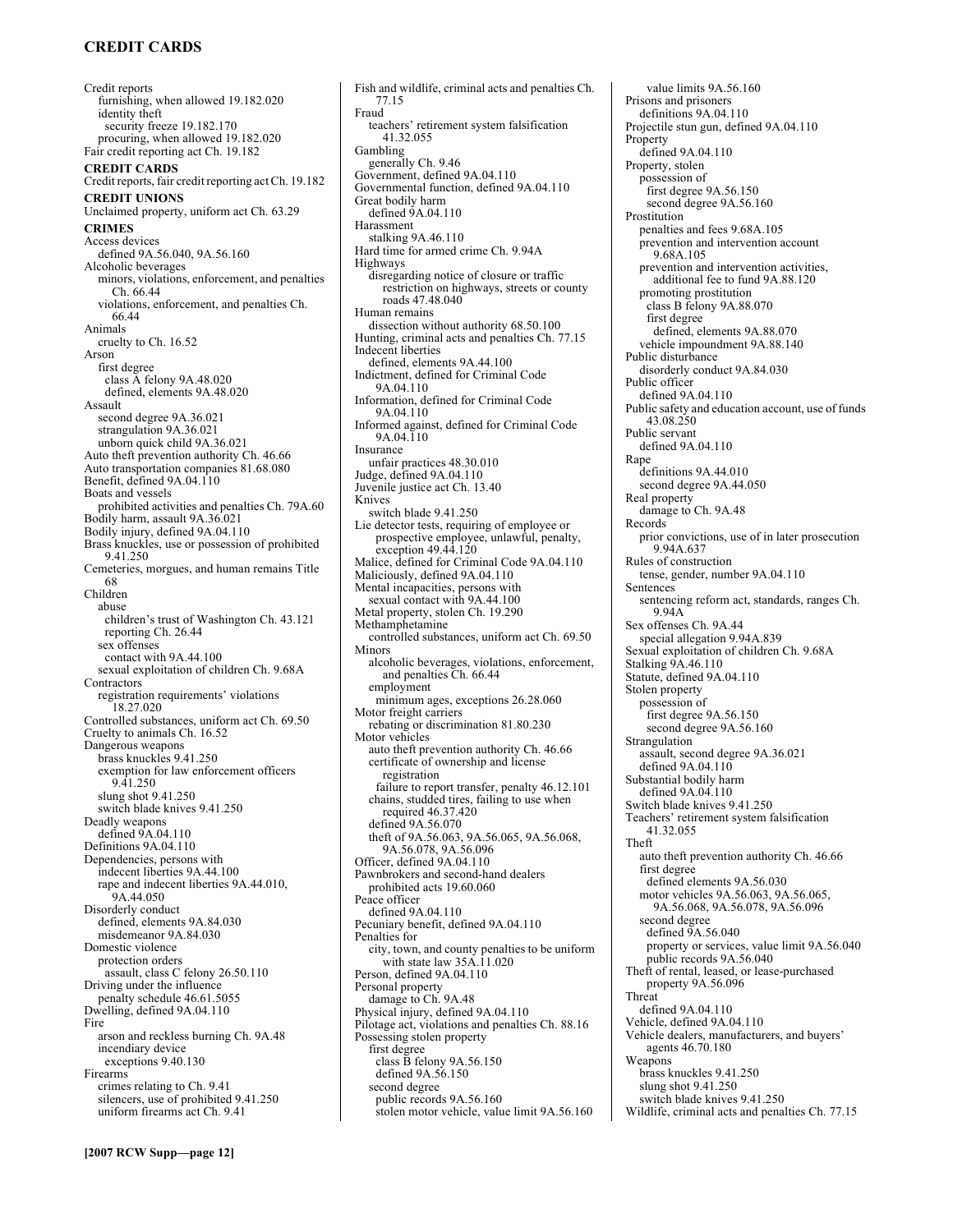# **CREDIT CARDS**

Credit reports furnishing, when allowed 19.182.020 identity theft security freeze 19.182.170 procuring, when allowed 19.182.020 Fair credit reporting act Ch. 19.182 **CREDIT CARDS**  Credit reports, fair credit reporting act Ch. 19.182 **CREDIT UNIONS**  Unclaimed property, uniform act Ch. 63.29 **CRIMES**  Access devices defined 9A.56.040, 9A.56.160 Alcoholic beverages minors, violations, enforcement, and penalties Ch. 66.44 violations, enforcement, and penalties Ch. 66.44 Animals cruelty to Ch. 16.52 Arson first degree class A felony 9A.48.020 defined, elements 9A.48.020 Assault second degree 9A.36.021 strangulation 9A.36.021 unborn quick child 9A.36.021 Auto theft prevention authority Ch. 46.66 Auto transportation companies 81.68.080 Benefit, defined 9A.04.110 Boats and vessels prohibited activities and penalties Ch. 79A.60 Bodily harm, assault 9A.36.021 Bodily injury, defined 9A.04.110 Brass knuckles, use or possession of prohibited 9.41.250 Cemeteries, morgues, and human remains Title 68 Children abuse children's trust of Washington Ch. 43.121 reporting Ch. 26.44 sex offenses contact with 9A.44.100 sexual exploitation of children Ch. 9.68A Contractors registration requirements' violations 18.27.020 Controlled substances, uniform act Ch. 69.50 Cruelty to animals Ch. 16.52 Dangerous weapons brass knuckles 9.41.250 exemption for law enforcement officers 9.41.250 slung shot 9.41.250 switch blade knives 9.41.250 Deadly weapons defined 9A.04.110 Definitions 9A.04.110 Dependencies, persons with indecent liberties 9A.44.100 rape and indecent liberties 9A.44.010, 9A.44.050 Disorderly conduct defined, elements 9A.84.030 misdemeanor 9A.84.030 Domestic violence protection orders assault, class C felony 26.50.110 Driving under the influence penalty schedule 46.61.5055 Dwelling, defined 9A.04.110 Fire arson and reckless burning Ch. 9A.48 incendiary device exceptions 9.40.130 Firearms crimes relating to Ch. 9.41 silencers, use of prohibited 9.41.250 uniform firearms act Ch. 9.41

Fish and wildlife, criminal acts and penalties Ch. 77.15 Fraud teachers' retirement system falsification 41.32.055 Gambling generally Ch. 9.46 Government, defined 9A.04.110 Governmental function, defined 9A.04.110 Great bodily harm defined  $\frac{6}{9}A.04.110$ Harassment stalking 9A.46.110 Hard time for armed crime Ch. 9.94A Highways disregarding notice of closure or traffic restriction on highways, streets or county roads 47.48.040 Human remains dissection without authority 68.50.100 Hunting, criminal acts and penalties Ch. 77.15 Indecent liberties defined, elements 9A.44.100 Indictment, defined for Criminal Code 9A.04.110 Information, defined for Criminal Code 9A.04.110 Informed against, defined for Criminal Code 9A.04.110 Insurance unfair practices 48.30.010 Judge, defined 9A.04.110 Juvenile justice act Ch. 13.40 Knives switch blade 9.41.250 Lie detector tests, requiring of employee or prospective employee, unlawful, penalty, exception 49.44.120 Malice, defined for Criminal Code 9A.04.110 Maliciously, defined 9A.04.110 Mental incapacities, persons with sexual contact with 9A.44.100 Metal property, stolen Ch. 19.290 Methamphetamine controlled substances, uniform act Ch. 69.50 Minors alcoholic beverages, violations, enforcement, and penalties Ch. 66.44 employment minimum ages, exceptions 26.28.060 Motor freight carriers rebating or discrimination 81.80.230 Motor vehicles auto theft prevention authority Ch. 46.66 certificate of ownership and license registration failure to report transfer, penalty 46.12.101 chains, studded tires, failing to use when required 46.37.420 defined 9A.56.070 theft of 9A.56.063, 9A.56.065, 9A.56.068, 9A.56.078, 9A.56.096 Officer, defined 9A.04.110 Pawnbrokers and second-hand dealers prohibited acts 19.60.060 Peace officer defined 9A.04.110 Pecuniary benefit, defined 9A.04.110 Penalties for city, town, and county penalties to be uniform with state law 35A.11.020 Person, defined 9A.04.110 Personal property damage to Ch. 9A.48 Physical injury, defined 9A.04.110 Pilotage act, violations and penalties Ch. 88.16 Possessing stolen property first degree class B felony 9A.56.150 defined 9A.56.150 second degree public records 9A.56.160 stolen motor vehicle, value limit 9A.56.160

value limits 9A.56.160 Prisons and prisoners definitions 9A.04.110 Projectile stun gun, defined 9A.04.110 Property defined 9A.04.110 Property, stolen possession of first degree 9A.56.150 second degree 9A.56.160 Prostitution penalties and fees 9.68A.105 prevention and intervention account 9.68A.105 prevention and intervention activities, additional fee to fund 9A.88.120 promoting prostitution class B felony 9A.88.070 first degree defined, elements 9A.88.070 vehicle impoundment 9A.88.140 Public disturbance disorderly conduct 9A.84.030 Public officer defined 9A.04.110 Public safety and education account, use of funds 43.08.250 Public servant defined 9A.04.110 Rape definitions 9A.44.010 second degree 9A.44.050 Real property damage to Ch. 9A.48 Records prior convictions, use of in later prosecution 9.94A.637 Rules of construction tense, gender, number 9A.04.110 Sentences sentencing reform act, standards, ranges Ch. 9.94A Sex offenses Ch. 9A.44 special allegation 9.94A.839 Sexual exploitation of children Ch. 9.68A Stalking 9A.46.110 Statute, defined 9A.04.110 Stolen property possession of first degree 9A.56.150 second degree 9A.56.160 Strangulation assault, second degree 9A.36.021 defined 9A.04.110 Substantial bodily harm defined 9A.04.110 Switch blade knives 9.41.250 Teachers' retirement system falsification 41.32.055 Theft auto theft prevention authority Ch. 46.66 first degree defined elements 9A.56.030 motor vehicles 9A.56.063, 9A.56.065, 9A.56.068, 9A.56.078, 9A.56.096 second degree defined 9A.56.040 property or services, value limit 9A.56.040 public records 9A.56.040 Theft of rental, leased, or lease-purchased property 9A.56.096 Threat defined 9A.04.110 Vehicle, defined 9A.04.110 Vehicle dealers, manufacturers, and buyers' agents 46.70.180 Weapons brass knuckles 9.41.250 slung shot 9.41.250 switch blade knives 9.41.250

Wildlife, criminal acts and penalties Ch. 77.15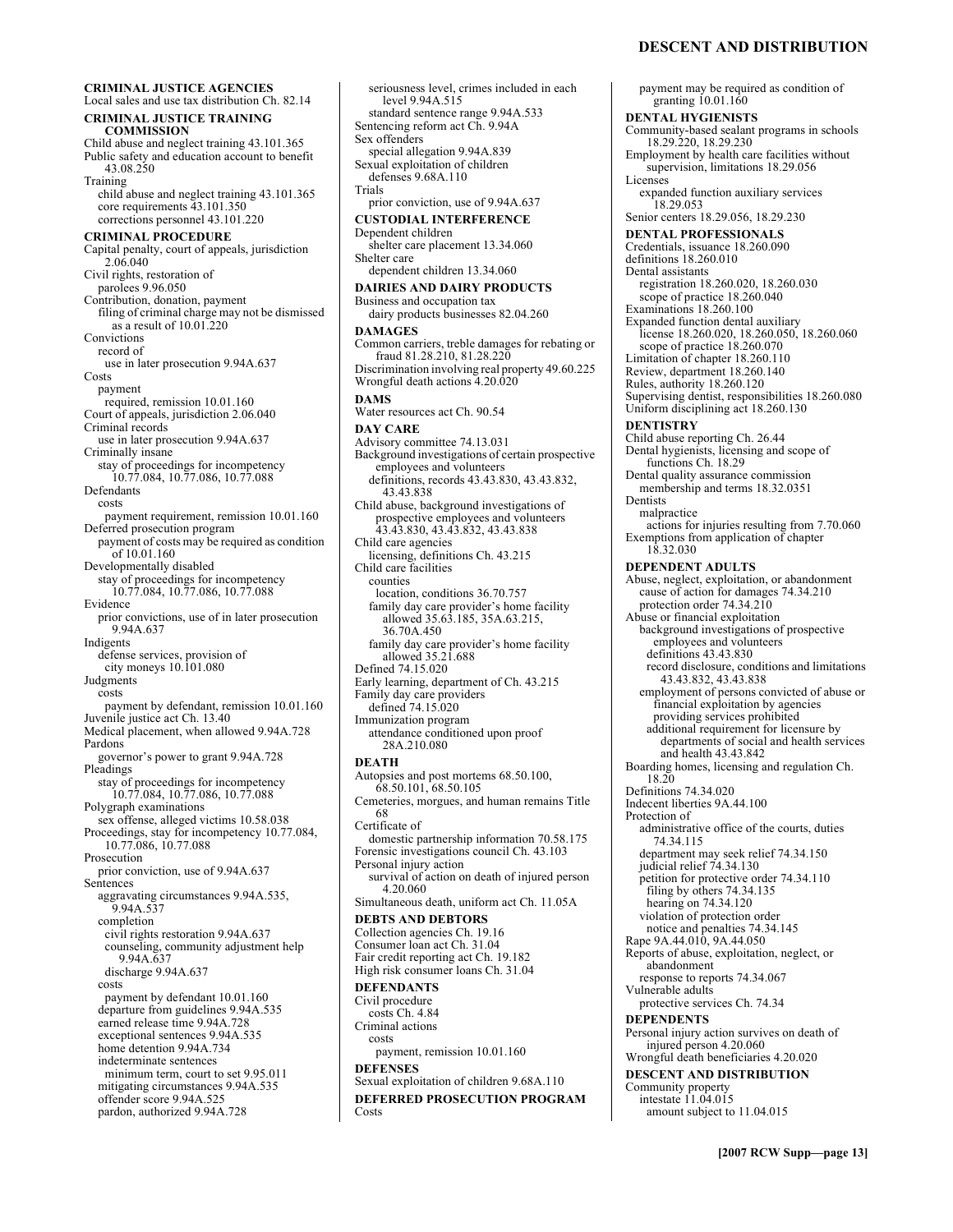### **DESCENT AND DISTRIBUTION**

payment may be required as condition of

**CRIMINAL JUSTICE AGENCIES**  Local sales and use tax distribution Ch. 82.14 **CRIMINAL JUSTICE TRAINING COMMISSION**  Child abuse and neglect training 43.101.365 Public safety and education account to benefit 43.08.250 Training child abuse and neglect training 43.101.365 core requirements 43.101.350 corrections personnel 43.101.220 **CRIMINAL PROCEDURE**  Capital penalty, court of appeals, jurisdiction 2.06.040 Civil rights, restoration of parolees 9.96.050 Contribution, donation, payment filing of criminal charge may not be dismissed as a result of 10.01.220 Convictions record of use in later prosecution 9.94A.637 Costs payment required, remission 10.01.160 Court of appeals, jurisdiction 2.06.040 Criminal records use in later prosecution 9.94A.637 Criminally insane stay of proceedings for incompetency 10.77.084, 10.77.086, 10.77.088 Defendants costs payment requirement, remission 10.01.160 Deferred prosecution program payment of costs may be required as condition of 10.01.160 Developmentally disabled stay of proceedings for incompetency 10.77.084, 10.77.086, 10.77.088 Evidence prior convictions, use of in later prosecution 9.94A.637 Indigents defense services, provision of city moneys 10.101.080 **Judgments** costs payment by defendant, remission 10.01.160 Juvenile justice act Ch. 13.40 Medical placement, when allowed 9.94A.728 Pardons governor's power to grant 9.94A.728 Pleadings stay of proceedings for incompetency 10.77.084, 10.77.086, 10.77.088 Polygraph examinations sex offense, alleged victims 10.58.038 Proceedings, stay for incompetency 10.77.084, 10.77.086, 10.77.088 Prosecution prior conviction, use of 9.94A.637 Sentences aggravating circumstances 9.94A.535, 9.94A.537 completion civil rights restoration 9.94A.637 counseling, community adjustment help 9.94A.637 discharge 9.94A.637 costs payment by defendant 10.01.160 departure from guidelines 9.94A.535 earned release time 9.94A.728 exceptional sentences 9.94A.535 home detention 9.94A.734 indeterminate sentences minimum term, court to set 9.95.011 mitigating circumstances 9.94A.535 offender score 9.94A.525 pardon, authorized 9.94A.728

seriousness level, crimes included in each level 9.94A.515 standard sentence range 9.94A.533 Sentencing reform act Ch. 9.94A Sex offenders special allegation 9.94A.839 Sexual exploitation of children defenses 9.68A.110 Trials prior conviction, use of 9.94A.637 **CUSTODIAL INTERFERENCE**  Dependent children shelter care placement 13.34.060 Shelter care dependent children 13.34.060 **DAIRIES AND DAIRY PRODUCTS**  Business and occupation tax dairy products businesses 82.04.260 **DAMAGES**  Common carriers, treble damages for rebating or fraud 81.28.210, 81.28.220 Discrimination involving real property 49.60.225 Wrongful death actions 4.20.020 **DAMS**  Water resources act Ch. 90.54 **DAY CARE**  Advisory committee 74.13.031 Background investigations of certain prospective employees and volunteers definitions, records 43.43.830, 43.43.832, 43.43.838 Child abuse, background investigations of prospective employees and volunteers 43.43.830, 43.43.832, 43.43.838 Child care agencies licensing, definitions Ch. 43.215 Child care facilities counties location, conditions 36.70.757 family day care provider's home facility allowed 35.63.185, 35A.63.215, 36.70A.450 family day care provider's home facility<br>allowed 35.21.688 Defined 74.15.020 Early learning, department of Ch. 43.215 Family day care providers defined 74.15.020 Immunization program attendance conditioned upon proof 28A.210.080 **DEATH**  Autopsies and post mortems 68.50.100, 68.50.101, 68.50.105 Cemeteries, morgues, and human remains Title 68 Certificate of domestic partnership information 70.58.175 Forensic investigations council Ch. 43.103 Personal injury action survival of action on death of injured person 4.20.060 Simultaneous death, uniform act Ch. 11.05A **DEBTS AND DEBTORS**  Collection agencies Ch. 19.16 Consumer loan act Ch. 31.04 Fair credit reporting act Ch. 19.182 High risk consumer loans Ch. 31.04 **DEFENDANTS**  Civil procedure costs Ch. 4.84 Criminal actions costs payment, remission 10.01.160 **DEFENSES**  Sexual exploitation of children 9.68A.110 **DEFERRED PROSECUTION PROGRAM**  Costs

granting 10.01.160 **DENTAL HYGIENISTS**  Community-based sealant programs in schools 18.29.220, 18.29.230 Employment by health care facilities without supervision, limitations 18.29.056 Licenses expanded function auxiliary services 18.29.053 Senior centers 18.29.056, 18.29.230 **DENTAL PROFESSIONALS**  Credentials, issuance 18.260.090 definitions 18.260.010 Dental assistants registration 18.260.020, 18.260.030 scope of practice 18.260.040 Examinations 18.260.100 Expanded function dental auxiliary license 18.260.020, 18.260.050, 18.260.060 scope of practice 18.260.070 Limitation of chapter 18.260.110 Review, department 18.260.140 Rules, authority 18.260.120 Supervising dentist, responsibilities 18.260.080 Uniform disciplining act 18.260.130 **DENTISTRY**  Child abuse reporting Ch. 26.44 Dental hygienists, licensing and scope of functions Ch. 18.29 Dental quality assurance commission membership and terms 18.32.0351 Dentists malpractice actions for injuries resulting from 7.70.060 Exemptions from application of chapter 18.32.030 **DEPENDENT ADULTS**  Abuse, neglect, exploitation, or abandonment cause of action for damages 74.34.210 protection order 74.34.210 Abuse or financial exploitation background investigations of prospective employees and volunteers definitions 43.43.830 record disclosure, conditions and limitations 43.43.832, 43.43.838 employment of persons convicted of abuse or financial exploitation by agencies providing services prohibited additional requirement for licensure by departments of social and health services and health 43.43.842 Boarding homes, licensing and regulation Ch. 18.20 Definitions 74.34.020 Indecent liberties 9A.44.100 Protection of administrative office of the courts, duties 74.34.115 department may seek relief 74.34.150 judicial relief 74.34.130 petition for protective order 74.34.110 filing by others 74.34.135 hearing on 74.34.120 violation of protection order notice and penalties 74.34.145 Rape 9A.44.010, 9A.44.050 Reports of abuse, exploitation, neglect, or abandonment response to reports 74.34.067 Vulnerable adults protective services Ch. 74.34 **DEPENDENTS**  Personal injury action survives on death of injured person 4.20.060 Wrongful death beneficiaries 4.20.020 **DESCENT AND DISTRIBUTION**  Community property intestate 11.04.015 amount subject to 11.04.015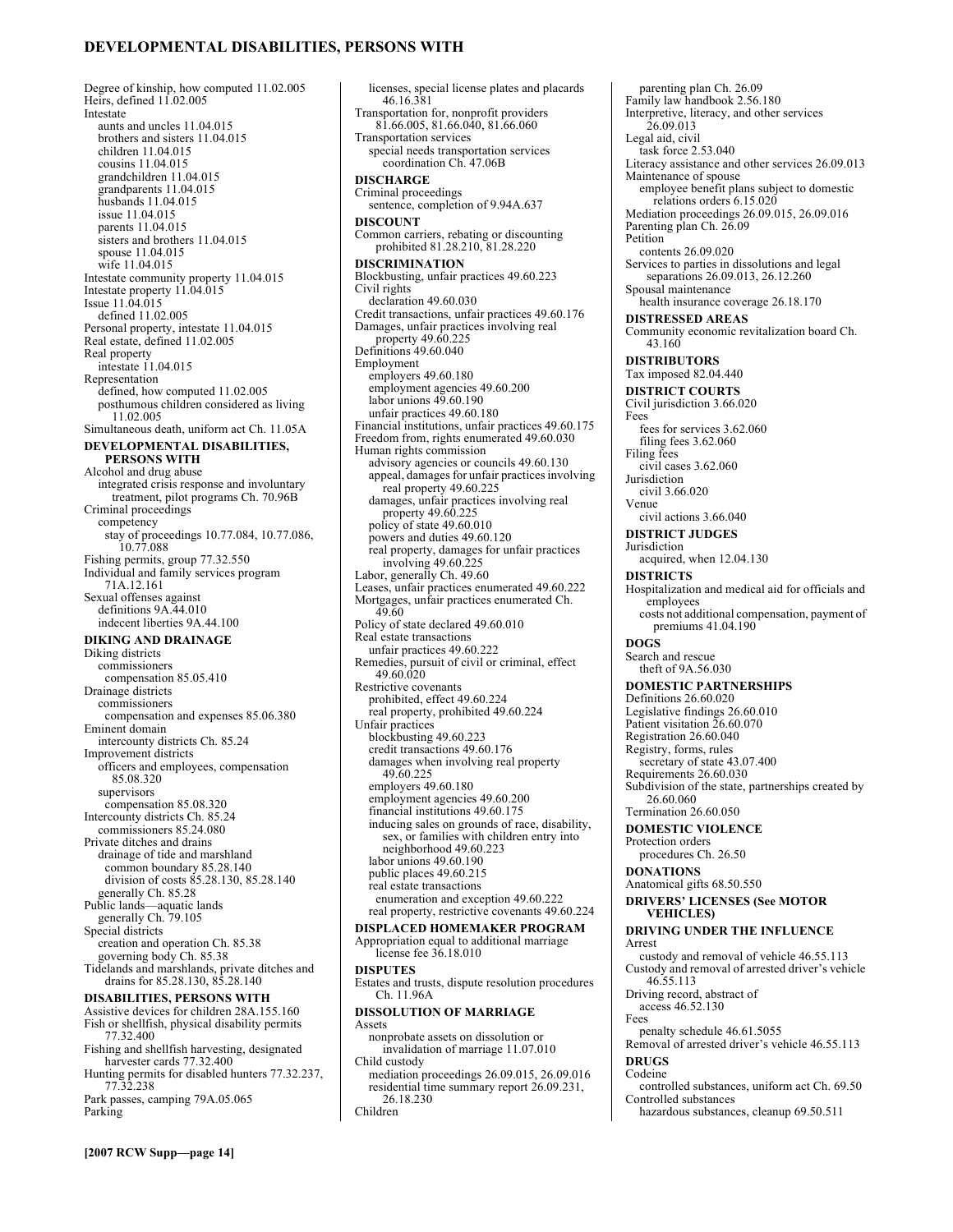### **DEVELOPMENTAL DISABILITIES, PERSONS WITH**

Degree of kinship, how computed 11.02.005 Heirs, defined 11.02.005 Intestate aunts and uncles 11.04.015 brothers and sisters 11.04.015 children 11.04.015 cousins 11.04.015 grandchildren 11.04.015 grandparents 11.04.015 husbands 11.04.015 issue 11.04.015 parents 11.04.015 sisters and brothers 11.04.015 spouse 11.04.015 wife 11.04.015 Intestate community property 11.04.015 Intestate property 11.04.015 Issue 11.04.015 defined 11.02.005 Personal property, intestate 11.04.015 Real estate, defined 11.02.005 Real property intestate 11.04.015 Representation defined, how computed 11.02.005 posthumous children considered as living 11.02.005 Simultaneous death, uniform act Ch. 11.05A **DEVELOPMENTAL DISABILITIES, PERSONS WITH**  Alcohol and drug abuse integrated crisis response and involuntary treatment, pilot programs Ch. 70.96B Criminal proceedings competency stay of proceedings 10.77.084, 10.77.086, 10.77.088 Fishing permits, group 77.32.550 Individual and family services program 71A.12.161 Sexual offenses against definitions 9A.44.010 indecent liberties 9A.44.100 **DIKING AND DRAINAGE**  Diking districts commissioners compensation 85.05.410 Drainage districts commissioners compensation and expenses 85.06.380 Eminent domain intercounty districts Ch. 85.24 Improvement districts officers and employees, compensation 85.08.320 supervisors compensation 85.08.320 Intercounty districts Ch. 85.24 commissioners 85.24.080 Private ditches and drains drainage of tide and marshland common boundary 85.28.140 division of costs 85.28.130, 85.28.140 generally Ch. 85.28 Public lands—aquatic lands generally Ch. 79.105 Special districts creation and operation Ch. 85.38 governing body Ch. 85.38 Tidelands and marshlands, private ditches and drains for 85.28.130, 85.28.140 **DISABILITIES, PERSONS WITH**  Assistive devices for children 28A.155.160 Fish or shellfish, physical disability permits 77.32.400 Fishing and shellfish harvesting, designated harvester cards 77.32.400 Hunting permits for disabled hunters 77.32.237, 77.32.238

Park passes, camping 79A.05.065 Parking

licenses, special license plates and placards 46.16.381 Transportation for, nonprofit providers 81.66.005, 81.66.040, 81.66.060 Transportation services special needs transportation services coordination Ch. 47.06B **DISCHARGE**  Criminal proceedings sentence, completion of 9.94A.637 **DISCOUNT**  Common carriers, rebating or discounting prohibited 81.28.210, 81.28.220 **DISCRIMINATION**  Blockbusting, unfair practices 49.60.223 Civil rights declaration 49.60.030 Credit transactions, unfair practices 49.60.176 Damages, unfair practices involving real property 49.60.225 Definitions 49.60.040 Employment employers 49.60.180 employment agencies 49.60.200 labor unions 49.60.190 unfair practices 49.60.180 Financial institutions, unfair practices 49.60.175 Freedom from, rights enumerated 49.60.030 Human rights commission advisory agencies or councils 49.60.130 appeal, damages for unfair practices involving real property 49.60.225 damages, unfair practices involving real property 49.60.225 policy of state 49.60.010 powers and duties 49.60.120 real property, damages for unfair practices involving 49.60.225 Labor, generally Ch. 49.60 Leases, unfair practices enumerated 49.60.222 Mortgages, unfair practices enumerated Ch. 49.60 Policy of state declared 49.60.010 Real estate transactions unfair practices 49.60.222 Remedies, pursuit of civil or criminal, effect 49.60.020 Restrictive covenants prohibited, effect 49.60.224 real property, prohibited 49.60.224 Unfair practices blockbusting 49.60.223 credit transactions 49.60.176 damages when involving real property 49.60.225 employers 49.60.180 employment agencies 49.60.200 financial institutions 49.60.175 inducing sales on grounds of race, disability, sex, or families with children entry into neighborhood 49.60.223 labor unions 49.60.190 public places 49.60.215 real estate transactions enumeration and exception 49.60.222 real property, restrictive covenants 49.60.224 **DISPLACED HOMEMAKER PROGRAM**  Appropriation equal to additional marriage license fee 36.18.010 **DISPUTES**  Estates and trusts, dispute resolution procedures Ch. 11.96A **DISSOLUTION OF MARRIAGE**  Assets nonprobate assets on dissolution or invalidation of marriage 11.07.010 Child custody mediation proceedings 26.09.015, 26.09.016 residential time summary report 26.09.231, 26.18.230

Children

parenting plan Ch. 26.09 Family law handbook 2.56.180 Interpretive, literacy, and other services 26.09.013 Legal aid, civil task force 2.53.040 Literacy assistance and other services 26.09.013 Maintenance of spouse employee benefit plans subject to domestic relations orders 6.15.020 Mediation proceedings 26.09.015, 26.09.016 Parenting plan Ch. 26.09 Petition contents 26.09.020 Services to parties in dissolutions and legal separations 26.09.013, 26.12.260 Spousal maintenance health insurance coverage 26.18.170 **DISTRESSED AREAS**  Community economic revitalization board Ch. 43.160 **DISTRIBUTORS**  Tax imposed 82.04.440 **DISTRICT COURTS**  Civil jurisdiction 3.66.020 Fees fees for services 3.62.060 filing fees 3.62.060 Filing fees civil cases 3.62.060 Jurisdiction civil 3.66.020 Venue civil actions 3.66.040 **DISTRICT JUDGES**  Jurisdiction acquired, when 12.04.130 **DISTRICTS**  Hospitalization and medical aid for officials and employees costs not additional compensation, payment of premiums 41.04.190 **DOGS**  Search and rescue theft of 9A.56.030 **DOMESTIC PARTNERSHIPS**  Definitions 26.60.020 Legislative findings 26.60.010 Patient visitation 26.60.070 Registration 26.60.040 Registry, forms, rules secretary of state 43.07.400 Requirements 26.60.030 Subdivision of the state, partnerships created by 26.60.060 Termination 26.60.050 **DOMESTIC VIOLENCE**  Protection orders procedures Ch. 26.50 **DONATIONS**  Anatomical gifts 68.50.550 **DRIVERS' LICENSES (See MOTOR VEHICLES) DRIVING UNDER THE INFLUENCE**  Arrest custody and removal of vehicle 46.55.113 Custody and removal of arrested driver's vehicle 46.55.113 Driving record, abstract of access 46.52.130 Fees penalty schedule 46.61.5055 Removal of arrested driver's vehicle 46.55.113 **DRUGS**  Codeine

- controlled substances, uniform act Ch. 69.50 Controlled substances
	- hazardous substances, cleanup 69.50.511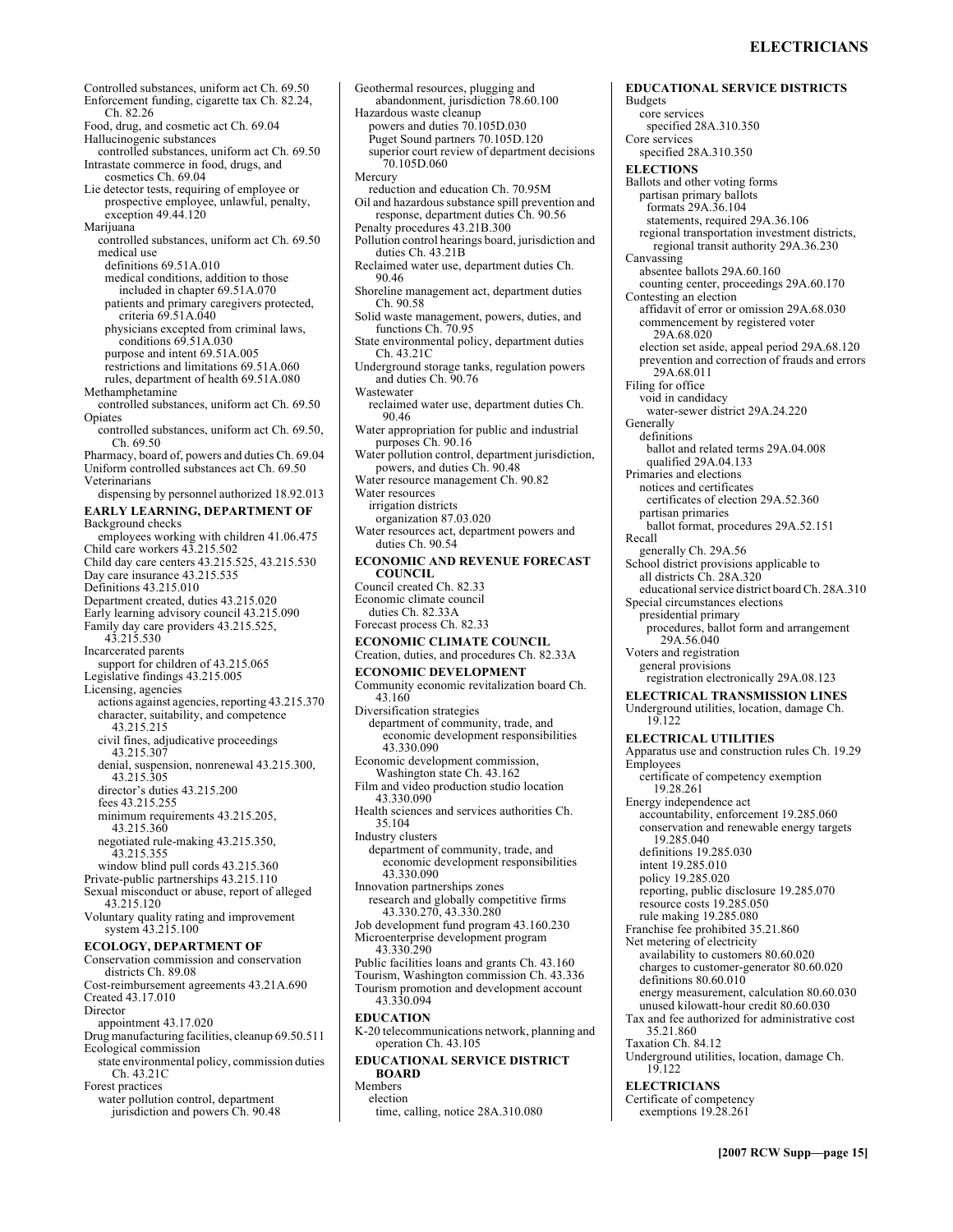Controlled substances, uniform act Ch. 69.50 Enforcement funding, cigarette tax Ch. 82.24, Ch. 82.26 Food, drug, and cosmetic act Ch. 69.04 Hallucinogenic substances controlled substances, uniform act Ch. 69.50 Intrastate commerce in food, drugs, and cosmetics Ch. 69.04 Lie detector tests, requiring of employee or prospective employee, unlawful, penalty, exception 49.44.120 Marijuana controlled substances, uniform act Ch. 69.50 medical use definitions 69.51A.010 medical conditions, addition to those included in chapter 69.51A.070 patients and primary caregivers protected, criteria 69.51A.040 physicians excepted from criminal laws, conditions 69.51A.030 purpose and intent 69.51A.005 restrictions and limitations 69.51A.060 rules, department of health 69.51A.080 Methamphetamine controlled substances, uniform act Ch. 69.50 Opiates controlled substances, uniform act Ch. 69.50, Ch. 69.50 Pharmacy, board of, powers and duties Ch. 69.04 Uniform controlled substances act Ch. 69.50 Veterinarians dispensing by personnel authorized 18.92.013 **EARLY LEARNING, DEPARTMENT OF**  Background checks employees working with children 41.06.475 Child care workers 43.215.502 Child day care centers 43.215.525, 43.215.530 Day care insurance 43.215.535 Definitions 43.215.010 Department created, duties 43.215.020 Early learning advisory council 43.215.090 Family day care providers 43.215.525, 43.215.530 Incarcerated parents support for children of 43.215.065 Legislative findings 43.215.005 Licensing, agencies actions against agencies, reporting 43.215.370 character, suitability, and competence 43.215.215 civil fines, adjudicative proceedings 43.215.307 denial, suspension, nonrenewal 43.215.300, 43.215.305 director's duties 43.215.200 fees 43.215.255 minimum requirements 43.215.205, 43.215.360 negotiated rule-making 43.215.350, 43.215.355 window blind pull cords 43.215.360 Private-public partnerships 43.215.110 Sexual misconduct or abuse, report of alleged 43.215.120 Voluntary quality rating and improvement system 43.215.100 **ECOLOGY, DEPARTMENT OF**  Conservation commission and conservation districts Ch. 89.08 Cost-reimbursement agreements 43.21A.690 Created 43.17.010 Director appointment 43.17.020 Drug manufacturing facilities, cleanup 69.50.511 Ecological commission state environmental policy, commission duties Ch. 43.21C Forest practices water pollution control, department

jurisdiction and powers Ch. 90.48

Geothermal resources, plugging and abandonment, jurisdiction 78.60.100 Hazardous waste cleanup powers and duties 70.105D.030 Puget Sound partners 70.105D.120 superior court review of department decisions 70.105D.060 Mercury reduction and education Ch. 70.95M Oil and hazardous substance spill prevention and response, department duties Ch. 90.56 Penalty procedures 43.21B.300 Pollution control hearings board, jurisdiction and duties Ch. 43.21B Reclaimed water use, department duties Ch. 90.46 Shoreline management act, department duties Ch. 90.58 Solid waste management, powers, duties, and functions Ch. 70.95 State environmental policy, department duties Ch. 43.21C Underground storage tanks, regulation powers and duties Ch. 90.76 Wastewater reclaimed water use, department duties Ch. 90.46 Water appropriation for public and industrial purposes Ch. 90.16 Water pollution control, department jurisdiction, powers, and duties Ch. 90.48 Water resource management Ch. 90.82 Water resources irrigation districts organization 87.03.020 Water resources act, department powers and duties Ch. 90.54 **ECONOMIC AND REVENUE FORECAST COUNCIL**  Council created Ch. 82.33 Economic climate council duties Ch. 82.33A Forecast process Ch. 82.33 **ECONOMIC CLIMATE COUNCIL**  Creation, duties, and procedures Ch. 82.33A **ECONOMIC DEVELOPMENT**  Community economic revitalization board Ch. 43.160 Diversification strategies department of community, trade, and economic development responsibilities 43.330.090 Economic development commission, Washington state Ch. 43.162 Film and video production studio location 43.330.090 Health sciences and services authorities Ch. 35.104 Industry clusters department of community, trade, and economic development responsibilities 43.330.090 Innovation partnerships zones research and globally competitive firms 43.330.270, 43.330.280 Job development fund program 43.160.230 Microenterprise development program 43.330.290 Public facilities loans and grants Ch. 43.160 Tourism, Washington commission Ch. 43.336 Tourism promotion and development account 43.330.094 **EDUCATION**  K-20 telecommunications network, planning and operation Ch. 43.105 **EDUCATIONAL SERVICE DISTRICT BOARD**  Members election

time, calling, notice 28A.310.080

**EDUCATIONAL SERVICE DISTRICTS**  Budgets core services specified 28A.310.350 Core services specified 28A.310.350 **ELECTIONS**  Ballots and other voting forms partisan primary ballots formats 29A.36.104 statements, required 29A.36.106 regional transportation investment districts, regional transit authority 29A.36.230 Canvassing absentee ballots 29A.60.160 counting center, proceedings 29A.60.170 Contesting an election affidavit of error or omission 29A.68.030 commencement by registered voter 29A.68.020 election set aside, appeal period 29A.68.120 prevention and correction of frauds and errors 29A.68.011 Filing for office void in candidacy water-sewer district 29A.24.220 **Generally** definitions ballot and related terms 29A.04.008 qualified 29A.04.133 Primaries and elections notices and certificates certificates of election 29A.52.360 partisan primaries ballot format, procedures 29A.52.151 Recall generally Ch. 29A.56 School district provisions applicable to all districts Ch. 28A.320 educational service district board Ch. 28A.310 Special circumstances elections presidential primary procedures, ballot form and arrangement 29A.56.040 Voters and registration general provisions registration electronically 29A.08.123 **ELECTRICAL TRANSMISSION LINES**  Underground utilities, location, damage Ch. 19.122 **ELECTRICAL UTILITIES**  Apparatus use and construction rules Ch. 19.29 Employees certificate of competency exemption 19.28.261 Energy independence act accountability, enforcement 19.285.060 conservation and renewable energy targets 19.285.040 definitions 19.285.030 intent 19.285.010 policy 19.285.020 reporting, public disclosure 19.285.070 resource costs 19.285.050 rule making 19.285.080 Franchise fee prohibited 35.21.860 Net metering of electricity availability to customers 80.60.020 charges to customer-generator 80.60.020 definitions 80.60.010 energy measurement, calculation 80.60.030 unused kilowatt-hour credit 80.60.030 Tax and fee authorized for administrative cost 35.21.860 Taxation Ch. 84.12 Underground utilities, location, damage Ch. 19.122 **ELECTRICIANS**  Certificate of competency exemptions 19.28.261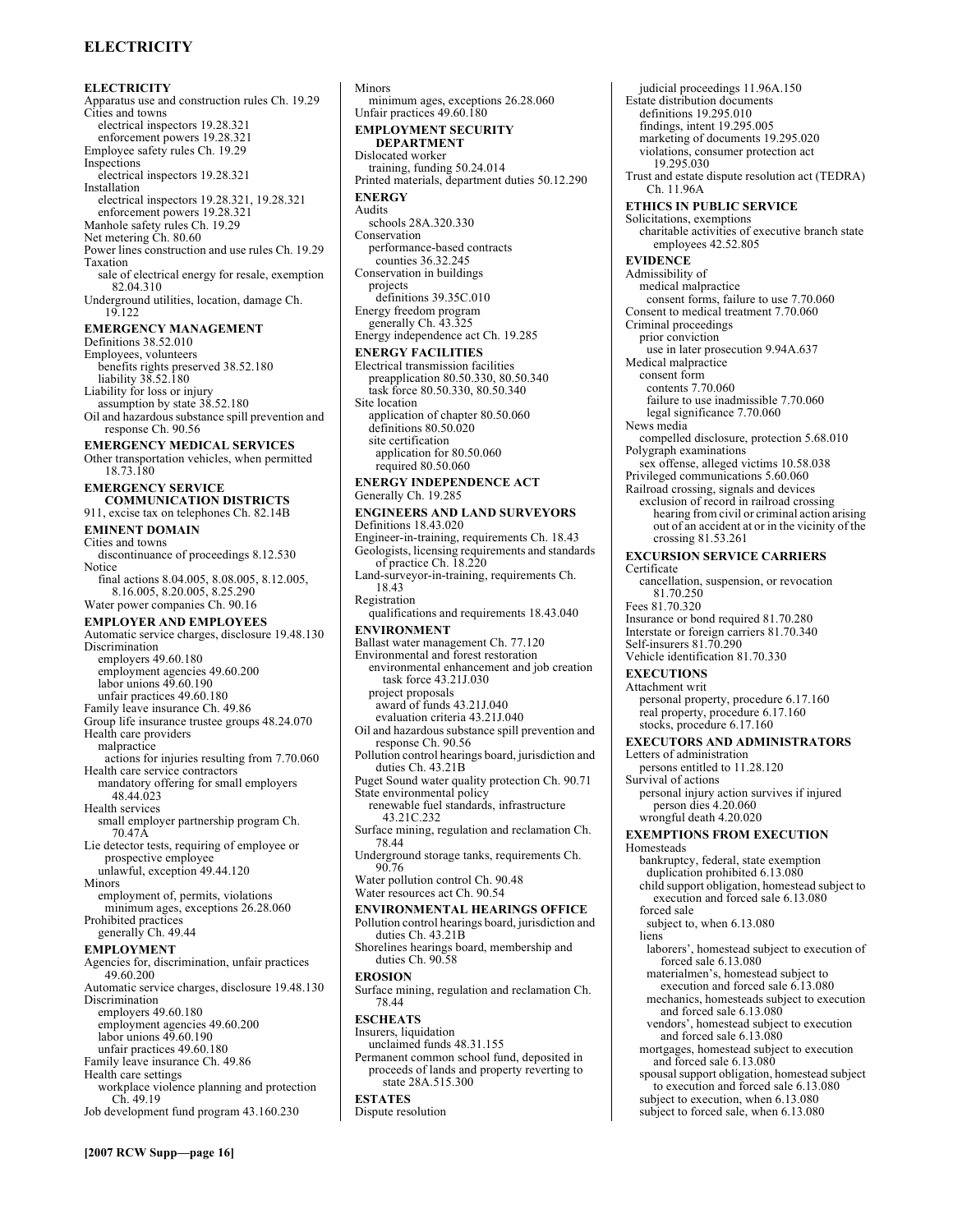# **ELECTRICITY**

**ELECTRICITY**  Apparatus use and construction rules Ch. 19.29 Cities and towns electrical inspectors 19.28.321 enforcement powers 19.28.321 Employee safety rules Ch. 19.29 Inspections electrical inspectors 19.28.321 Installation electrical inspectors 19.28.321, 19.28.321 enforcement powers 19.28.321 Manhole safety rules Ch. 19.29 Net metering Ch. 80.60 Power lines construction and use rules Ch. 19.29 Taxation sale of electrical energy for resale, exemption 82.04.310 Underground utilities, location, damage Ch. 19.122 **EMERGENCY MANAGEMENT**  Definitions 38.52.010 Employees, volunteers benefits rights preserved 38.52.180 liability 38.52.180 Liability for loss or injury assumption by state 38.52.180 Oil and hazardous substance spill prevention and response Ch. 90.56 **EMERGENCY MEDICAL SERVICES**  Other transportation vehicles, when permitted 18.73.180 **EMERGENCY SERVICE COMMUNICATION DISTRICTS**  911, excise tax on telephones Ch. 82.14B **EMINENT DOMAIN**  Cities and towns discontinuance of proceedings 8.12.530 Notice final actions 8.04.005, 8.08.005, 8.12.005, 8.16.005, 8.20.005, 8.25.290 Water power companies Ch. 90.16 **EMPLOYER AND EMPLOYEES**  Automatic service charges, disclosure 19.48.130 Discrimination employers 49.60.180 employment agencies 49.60.200 labor unions 49.60.190 unfair practices 49.60.180 Family leave insurance Ch. 49.86 Group life insurance trustee groups 48.24.070 Health care providers malpractice actions for injuries resulting from 7.70.060 Health care service contractors mandatory offering for small employers 48.44.023 Health services small employer partnership program Ch. 70.47A Lie detector tests, requiring of employee or prospective employee unlawful, exception 49.44.120 Minors employment of, permits, violations minimum ages, exceptions 26.28.060 Prohibited practices generally Ch. 49.44 **EMPLOYMENT**  Agencies for, discrimination, unfair practices 49.60.200 Automatic service charges, disclosure 19.48.130 Discrimination employers 49.60.180 employment agencies 49.60.200 labor unions 49.60.190 unfair practices 49.60.180 Family leave insurance Ch. 49.86 Health care settings workplace violence planning and protection Ch. 49.19 Job development fund program 43.160.230

[2007 RCW Supp-page 16]

Minors minimum ages, exceptions 26.28.060 Unfair practices 49.60.180 **EMPLOYMENT SECURITY DEPARTMENT**  Dislocated worker training, funding 50.24.014 Printed materials, department duties 50.12.290 **ENERGY**  Audits schools 28A.320.330 Conservation performance-based contracts counties 36.32.245 Conservation in buildings projects definitions 39.35C.010 Energy freedom program generally Ch. 43.325 Energy independence act Ch. 19.285 **ENERGY FACILITIES**  Electrical transmission facilities preapplication 80.50.330, 80.50.340 task force 80.50.330, 80.50.340 Site location application of chapter 80.50.060 definitions 80.50.020 site certification application for 80.50.060 required 80.50.060 **ENERGY INDEPENDENCE ACT**  Generally Ch. 19.285 **ENGINEERS AND LAND SURVEYORS**  Definitions 18.43.020 Engineer-in-training, requirements Ch. 18.43 Geologists, licensing requirements and standards of practice Ch. 18.220 Land-surveyor-in-training, requirements Ch. 18.43 Registration qualifications and requirements 18.43.040 **ENVIRONMENT**  Ballast water management Ch. 77.120 Environmental and forest restoration environmental enhancement and job creation task force 43.21J.030 project proposals award of funds 43.21J.040 evaluation criteria 43.21J.040 Oil and hazardous substance spill prevention and response Ch. 90.56 Pollution control hearings board, jurisdiction and duties Ch. 43.21B Puget Sound water quality protection Ch. 90.71 State environmental policy renewable fuel standards, infrastructure 43.21C.232 Surface mining, regulation and reclamation Ch. 78.44 Underground storage tanks, requirements Ch. 90.76 Water pollution control Ch. 90.48 Water resources act Ch. 90.54 **ENVIRONMENTAL HEARINGS OFFICE**  Pollution control hearings board, jurisdiction and duties Ch. 43.21B Shorelines hearings board, membership and duties Ch. 90.58 **EROSION**  Surface mining, regulation and reclamation Ch. 78.44 **ESCHEATS**  Insurers, liquidation unclaimed funds 48.31.155 Permanent common school fund, deposited in proceeds of lands and property reverting to state 28A.515.300 **ESTATES**  Dispute resolution

judicial proceedings 11.96A.150 Estate distribution documents definitions 19.295.010 findings, intent 19.295.005 marketing of documents 19.295.020 violations, consumer protection act 19.295.030 Trust and estate dispute resolution act (TEDRA) Ch. 11.96A **ETHICS IN PUBLIC SERVICE**  Solicitations, exemptions charitable activities of executive branch state employees 42.52.805 **EVIDENCE**  Admissibility of medical malpractice consent forms, failure to use 7.70.060 Consent to medical treatment 7.70.060 Criminal proceedings prior conviction use in later prosecution 9.94A.637 Medical malpractice consent form contents 7.70.060 failure to use inadmissible 7.70.060 legal significance 7.70.060 News media compelled disclosure, protection 5.68.010 Polygraph examinations sex offense, alleged victims 10.58.038 Privileged communications 5.60.060 Railroad crossing, signals and devices exclusion of record in railroad crossing hearing from civil or criminal action arising out of an accident at or in the vicinity of the crossing 81.53.261 **EXCURSION SERVICE CARRIERS**  Certificate cancellation, suspension, or revocation 81.70.250 Fees 81.70.320 Insurance or bond required 81.70.280 Interstate or foreign carriers 81.70.340 Self-insurers 81.70.290 Vehicle identification 81.70.330 **EXECUTIONS**  Attachment writ personal property, procedure 6.17.160 real property, procedure 6.17.160 stocks, procedure 6.17.160 **EXECUTORS AND ADMINISTRATORS**  Letters of administration persons entitled to 11.28.120 Survival of actions personal injury action survives if injured person dies 4.20.060 wrongful death 4.20.020 **EXEMPTIONS FROM EXECUTION Homesteads** bankruptcy, federal, state exemption duplication prohibited 6.13.080 child support obligation, homestead subject to execution and forced sale 6.13.080 forced sale subject to, when 6.13.080 liens laborers', homestead subject to execution of forced sale 6.13.080 materialmen's, homestead subject to execution and forced sale 6.13.080 mechanics, homesteads subject to execution and forced sale 6.13.080 vendors', homestead subject to execution and forced sale 6.13.080 mortgages, homestead subject to execution and forced sale 6.13.080 spousal support obligation, homestead subject to execution and forced sale 6.13.080 subject to execution, when 6.13.080 subject to forced sale, when 6.13.080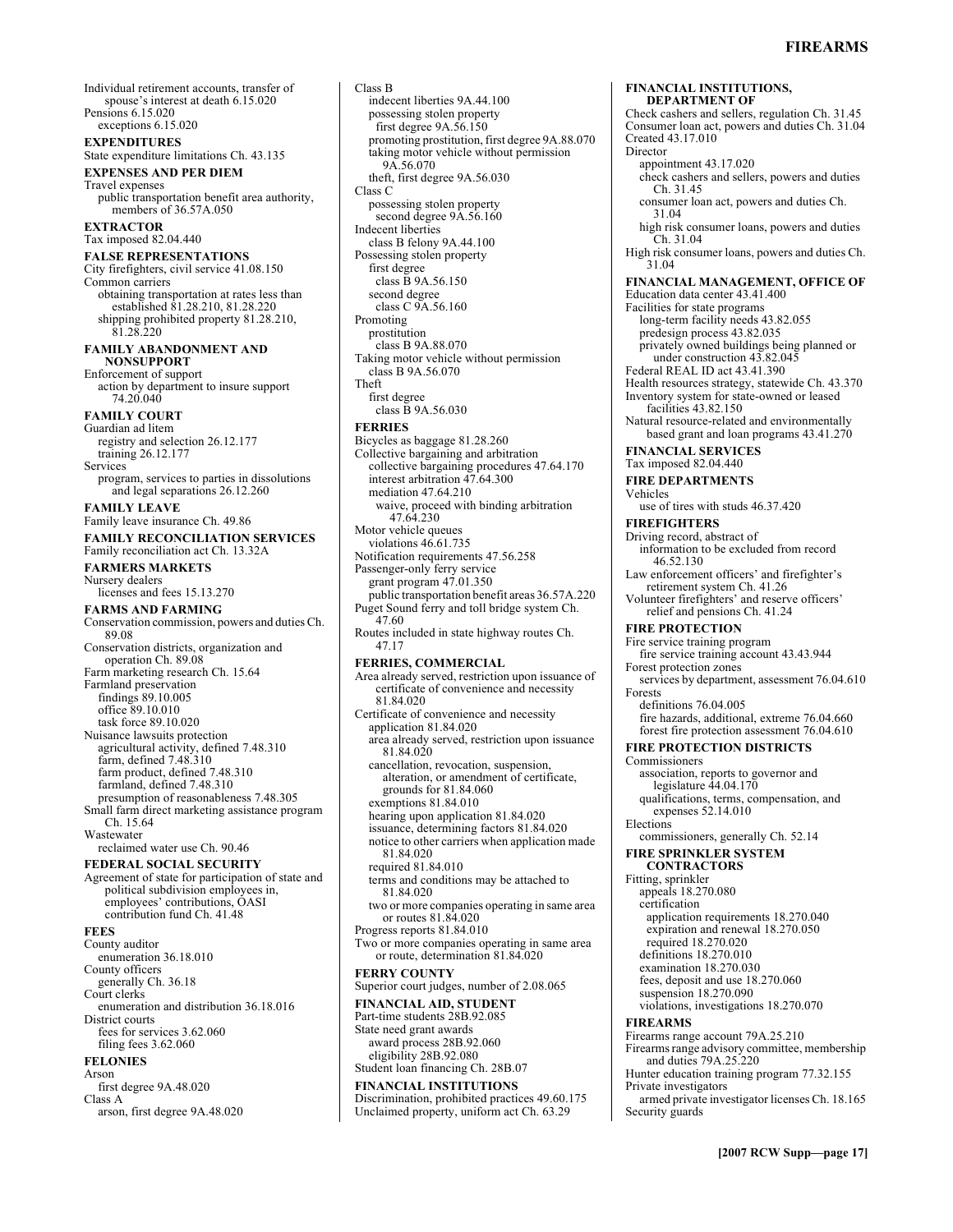Individual retirement accounts, transfer of spouse's interest at death 6.15.020 Pensions 6.15.020 exceptions 6.15.020 **EXPENDITURES**  State expenditure limitations Ch. 43.135 **EXPENSES AND PER DIEM**  Travel expenses public transportation benefit area authority, members of 36.57A.050 **EXTRACTOR**  Tax imposed 82.04.440 **FALSE REPRESENTATIONS**  City firefighters, civil service 41.08.150 Common carriers obtaining transportation at rates less than established 81.28.210, 81.28.220 shipping prohibited property 81.28.210, 81.28.220 **FAMILY ABANDONMENT AND NONSUPPORT**  Enforcement of support action by department to insure support 74.20.040 **FAMILY COURT**  Guardian ad litem registry and selection 26.12.177 training 26.12.177 Services program, services to parties in dissolutions and legal separations 26.12.260 **FAMILY LEAVE**  Family leave insurance Ch. 49.86 **FAMILY RECONCILIATION SERVICES**  Family reconciliation act Ch. 13.32A **FARMERS MARKETS**  Nursery dealers licenses and fees 15.13.270 **FARMS AND FARMING**  Conservation commission, powers and duties Ch. 89.08 Conservation districts, organization and operation Ch. 89.08 Farm marketing research Ch. 15.64 Farmland preservation findings 89.10.005 office 89.10.010 task force 89.10.020 Nuisance lawsuits protection agricultural activity, defined 7.48.310 farm, defined 7.48.310 farm product, defined 7.48.310 farmland, defined 7.48.310 presumption of reasonableness 7.48.305 Small farm direct marketing assistance program Ch. 15.64 Wastewater reclaimed water use Ch. 90.46 **FEDERAL SOCIAL SECURITY**  Agreement of state for participation of state and political subdivision employees in, employees' contributions, OASI contribution fund Ch. 41.48 **FEES**  County auditor enumeration 36.18.010 County officers generally Ch. 36.18 Court clerks enumeration and distribution 36.18.016 District courts fees for services 3.62.060 filing fees 3.62.060 **FELONIES**  Arson first degree 9A.48.020 Class A arson, first degree 9A.48.020

indecent liberties 9A.44.100 possessing stolen property first degree 9A.56.150 promoting prostitution, first degree 9A.88.070 taking motor vehicle without permission 9A.56.070 theft, first degree 9A.56.030 Class C possessing stolen property second degree  $9A.56.160$ Indecent liberties class B felony 9A.44.100 Possessing stolen property first degree class B 9A.56.150 second degree class C 9A.56.160 Promoting prostitution class B 9A.88.070 Taking motor vehicle without permission class B 9A.56.070 Theft first degree class B 9A.56.030 **FERRIES**  Bicycles as baggage 81.28.260 Collective bargaining and arbitration collective bargaining procedures 47.64.170 interest arbitration 47.64.300 mediation 47.64.210 waive, proceed with binding arbitration 47.64.230 Motor vehicle queues violations 46.61.735 Notification requirements 47.56.258 Passenger-only ferry service grant program 47.01.350 public transportation benefit areas 36.57A.220 Puget Sound ferry and toll bridge system Ch. 47.60 Routes included in state highway routes Ch. 47.17 **FERRIES, COMMERCIAL**  Area already served, restriction upon issuance of certificate of convenience and necessity 81.84.020 Certificate of convenience and necessity application 81.84.020 area already served, restriction upon issuance 81.84.020 cancellation, revocation, suspension, alteration, or amendment of certificate, grounds for 81.84.060 exemptions 81.84.010 hearing upon application 81.84.020 issuance, determining factors 81.84.020 notice to other carriers when application made 81.84.020 required 81.84.010 terms and conditions may be attached to 81.84.020 two or more companies operating in same area or routes 81.84.020 Progress reports 81.84.010 Two or more companies operating in same area or route, determination 81.84.020 **FERRY COUNTY**  Superior court judges, number of 2.08.065 **FINANCIAL AID, STUDENT**  Part-time students 28B.92.085 State need grant awards award process 28B.92.060 eligibility 28B.92.080 Student loan financing Ch. 28B.07 **FINANCIAL INSTITUTIONS**  Discrimination, prohibited practices 49.60.175 Unclaimed property, uniform act Ch. 63.29

Class B

**FINANCIAL INSTITUTIONS, DEPARTMENT OF**  Check cashers and sellers, regulation Ch. 31.45 Consumer loan act, powers and duties Ch. 31.04 Created 43.17.010 Director appointment 43.17.020 check cashers and sellers, powers and duties Ch. 31.45 consumer loan act, powers and duties Ch. 31.04 high risk consumer loans, powers and duties Ch. 31.04 High risk consumer loans, powers and duties Ch. 31.04 **FINANCIAL MANAGEMENT, OFFICE OF**  Education data center 43.41.400 Facilities for state programs long-term facility needs 43.82.055 predesign process 43.82.035 privately owned buildings being planned or<br>under construction 43.82.045 Federal REAL ID act 43.41.390 Health resources strategy, statewide Ch. 43.370 Inventory system for state-owned or leased facilities 43.82.150 Natural resource-related and environmentally based grant and loan programs 43.41.270 **FINANCIAL SERVICES**  Tax imposed 82.04.440 **FIRE DEPARTMENTS**  Vehicles use of tires with studs 46.37.420 **FIREFIGHTERS**  Driving record, abstract of information to be excluded from record 46.52.130 Law enforcement officers' and firefighter's retirement system Ch. 41.26 Volunteer firefighters' and reserve officers' relief and pensions Ch. 41.24 **FIRE PROTECTION**  Fire service training program fire service training account 43.43.944 Forest protection zones services by department, assessment 76.04.610 Forests definitions 76.04.005 fire hazards, additional, extreme 76.04.660 forest fire protection assessment 76.04.610 **FIRE PROTECTION DISTRICTS**  Commissioners association, reports to governor and legislature 44.04.170 qualifications, terms, compensation, and expenses 52.14.010 Elections commissioners, generally Ch. 52.14 **FIRE SPRINKLER SYSTEM CONTRACTORS**  Fitting, sprinkler appeals 18.270.080 certification application requirements 18.270.040 expiration and renewal 18.270.050 required 18.270.020 definitions 18.270.010 examination 18.270.030 fees, deposit and use 18.270.060 suspension 18.270.090 violations, investigations 18.270.070 **FIREARMS**  Firearms range account 79A.25.210 Firearms range advisory committee, membership and duties 79A.25.220 Hunter education training program 77.32.155 Private investigators armed private investigator licenses Ch. 18.165 Security guards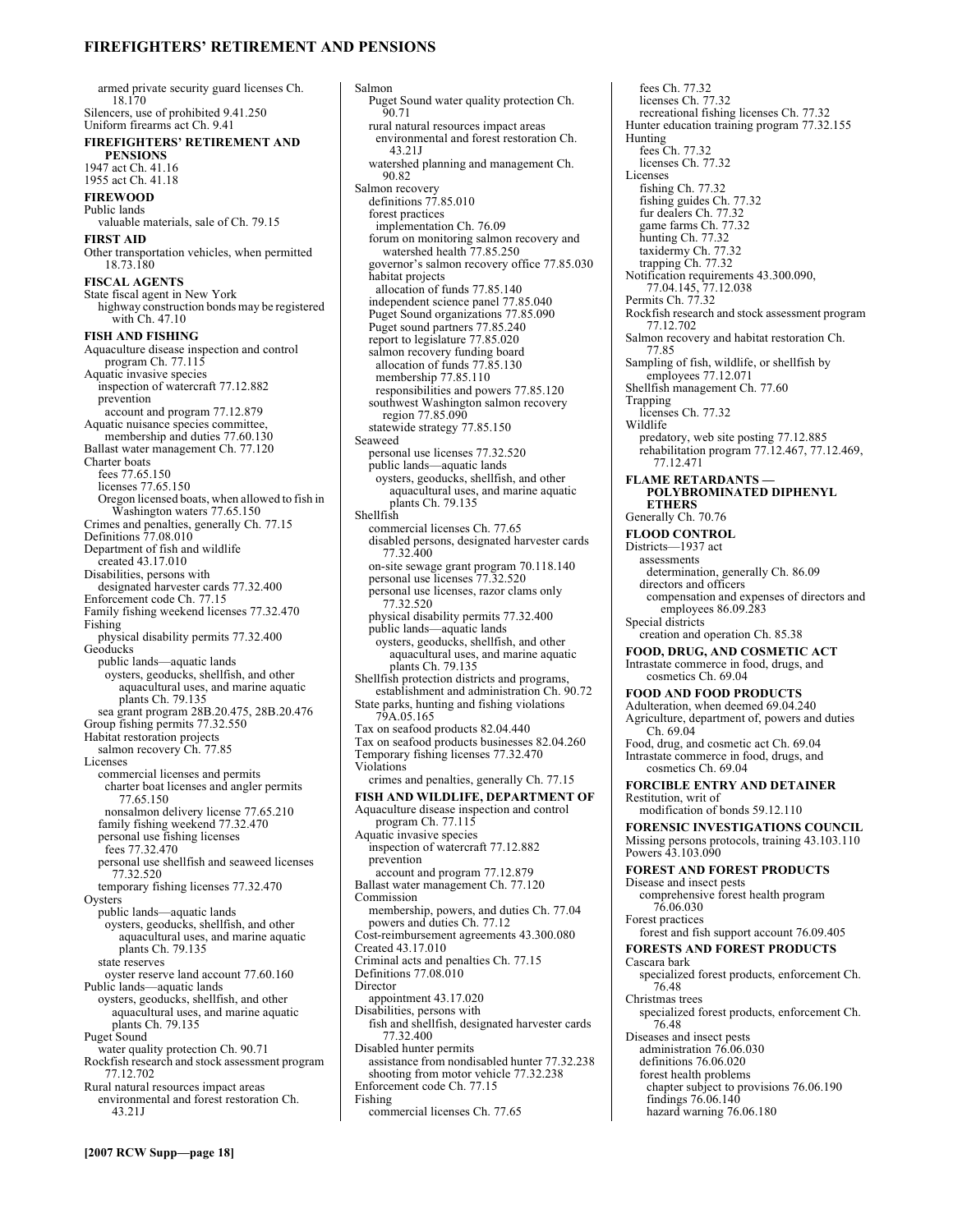### **FIREFIGHTERSí RETIREMENT AND PENSIONS**

armed private security guard licenses Ch. 18.170 Silencers, use of prohibited 9.41.250 Uniform firearms act Ch. 9.41 **FIREFIGHTERS' RETIREMENT AND PENSIONS**  1947 act Ch. 41.16 1955 act Ch. 41.18 **FIREWOOD**  Public lands valuable materials, sale of Ch. 79.15 **FIRST AID**  Other transportation vehicles, when permitted 18.73.180 **FISCAL AGENTS**  State fiscal agent in New York highway construction bonds may be registered with Ch. 47.10 **FISH AND FISHING**  Aquaculture disease inspection and control program Ch. 77.115 Aquatic invasive species inspection of watercraft 77.12.882 prevention account and program 77.12.879 Aquatic nuisance species committee, membership and duties 77.60.130 Ballast water management Ch. 77.120 Charter boats fees 77.65.150 licenses 77.65.150 Oregon licensed boats, when allowed to fish in Washington waters 77.65.150 Crimes and penalties, generally Ch. 77.15 Definitions 77.08.010 Department of fish and wildlife created 43.17.010 Disabilities, persons with designated harvester cards 77.32.400 Enforcement code Ch. 77.15 Family fishing weekend licenses 77.32.470 Fishing physical disability permits 77.32.400 **Geoducks** public lands—aquatic lands oysters, geoducks, shellfish, and other aquacultural uses, and marine aquatic plants Ch. 79.135 sea grant program 28B.20.475, 28B.20.476 Group fishing permits 77.32.550 Habitat restoration projects salmon recovery Ch. 77.85 Licenses commercial licenses and permits charter boat licenses and angler permits 77.65.150 nonsalmon delivery license 77.65.210 family fishing weekend 77.32.470 personal use fishing licenses fees 77.32.470 personal use shellfish and seaweed licenses 77.32.520 temporary fishing licenses 77.32.470 **Oysters** public lands—aquatic lands oysters, geoducks, shellfish, and other aquacultural uses, and marine aquatic plants Ch. 79.135 state reserves oyster reserve land account 77.60.160 Public lands—aquatic lands oysters, geoducks, shellfish, and other aquacultural uses, and marine aquatic plants Ch. 79.135 Puget Sound water quality protection Ch. 90.71 Rockfish research and stock assessment program 77.12.702 Rural natural resources impact areas environmental and forest restoration Ch. 43.21J

Salmon Puget Sound water quality protection Ch. 90.71 rural natural resources impact areas environmental and forest restoration Ch. 43.21J watershed planning and management Ch. 90.82 Salmon recovery definitions  $77.85.010$ forest practices implementation Ch. 76.09 forum on monitoring salmon recovery and watershed health 77.85.250 governor's salmon recovery office 77.85.030 habitat projects allocation of funds 77.85.140 independent science panel 77.85.040 Puget Sound organizations 77.85.090 Puget sound partners 77.85.240 report to legislature 77.85.020 salmon recovery funding board allocation of funds 77.85.130 membership 77.85.110 responsibilities and powers 77.85.120 southwest Washington salmon recovery region 77.85.090 statewide strategy 77.85.150 Seaweed personal use licenses 77.32.520 public lands—aquatic lands oysters, geoducks, shellfish, and other aquacultural uses, and marine aquatic plants Ch. 79.135 Shellfish commercial licenses Ch. 77.65 disabled persons, designated harvester cards 77.32.400 on-site sewage grant program 70.118.140 personal use licenses 77.32.520 personal use licenses, razor clams only 77.32.520 physical disability permits 77.32.400 public lands—aquatic lands oysters, geoducks, shellfish, and other aquacultural uses, and marine aquatic plants Ch. 79.135 Shellfish protection districts and programs, establishment and administration Ch. 90.72 State parks, hunting and fishing violations 79A.05.165 Tax on seafood products 82.04.440 Tax on seafood products businesses 82.04.260 Temporary fishing licenses 77.32.470 Violations crimes and penalties, generally Ch. 77.15 **FISH AND WILDLIFE, DEPARTMENT OF**  Aquaculture disease inspection and control program Ch. 77.115 Aquatic invasive species inspection of watercraft 77.12.882 prevention account and program 77.12.879 Ballast water management Ch. 77.120 Commission membership, powers, and duties Ch. 77.04 powers and duties Ch. 77.12 Cost-reimbursement agreements 43.300.080 Created 43.17.010 Criminal acts and penalties Ch. 77.15 Definitions 77.08.010 Director appointment 43.17.020 Disabilities, persons with fish and shellfish, designated harvester cards 77.32.400 Disabled hunter permits assistance from nondisabled hunter 77.32.238 shooting from motor vehicle 77.32.238 Enforcement code Ch. 77.15 Fishing commercial licenses Ch. 77.65

fees Ch. 77.32 licenses Ch. 77.32 recreational fishing licenses Ch. 77.32 Hunter education training program 77.32.155 Hunting fees Ch. 77.32 licenses Ch. 77.32 Licenses fishing Ch. 77.32 fishing guides Ch. 77.32 fur dealers Ch. 77.32 game farms Ch. 77.32 hunting Ch. 77.32 taxidermy Ch. 77.32 trapping Ch. 77.32 Notification requirements 43.300.090, 77.04.145, 77.12.038 Permits Ch. 77.32 Rockfish research and stock assessment program 77.12.702 Salmon recovery and habitat restoration Ch. 77.85 Sampling of fish, wildlife, or shellfish by employees 77.12.071 Shellfish management Ch. 77.60 Trapping licenses Ch. 77.32 Wildlife predatory, web site posting 77.12.885 rehabilitation program 77.12.467, 77.12.469, 77.12.471 **FLAME RETARDANTS —<br>POLYBROMINATED DIPHENYL ETHERS**  Generally Ch. 70.76 **FLOOD CONTROL**  Districts—1937 act assessments determination, generally Ch. 86.09 directors and officers compensation and expenses of directors and employees 86.09.283 Special districts creation and operation Ch. 85.38 **FOOD, DRUG, AND COSMETIC ACT**  Intrastate commerce in food, drugs, and cosmetics Ch. 69.04 **FOOD AND FOOD PRODUCTS**  Adulteration, when deemed 69.04.240 Agriculture, department of, powers and duties Ch. 69.04 Food, drug, and cosmetic act Ch. 69.04 Intrastate commerce in food, drugs, and cosmetics Ch. 69.04 **FORCIBLE ENTRY AND DETAINER**  Restitution, writ of modification of bonds 59.12.110 **FORENSIC INVESTIGATIONS COUNCIL**  Missing persons protocols, training 43.103.110 Powers 43.103.090 **FOREST AND FOREST PRODUCTS**  Disease and insect pests comprehensive forest health program 76.06.030 Forest practices forest and fish support account 76.09.405 **FORESTS AND FOREST PRODUCTS**  Cascara bark specialized forest products, enforcement Ch. 76.48 Christmas trees specialized forest products, enforcement Ch. 76.48 Diseases and insect pests administration 76.06.030 definitions 76.06.020 forest health problems chapter subject to provisions 76.06.190 findings 76.06.140 hazard warning 76.06.180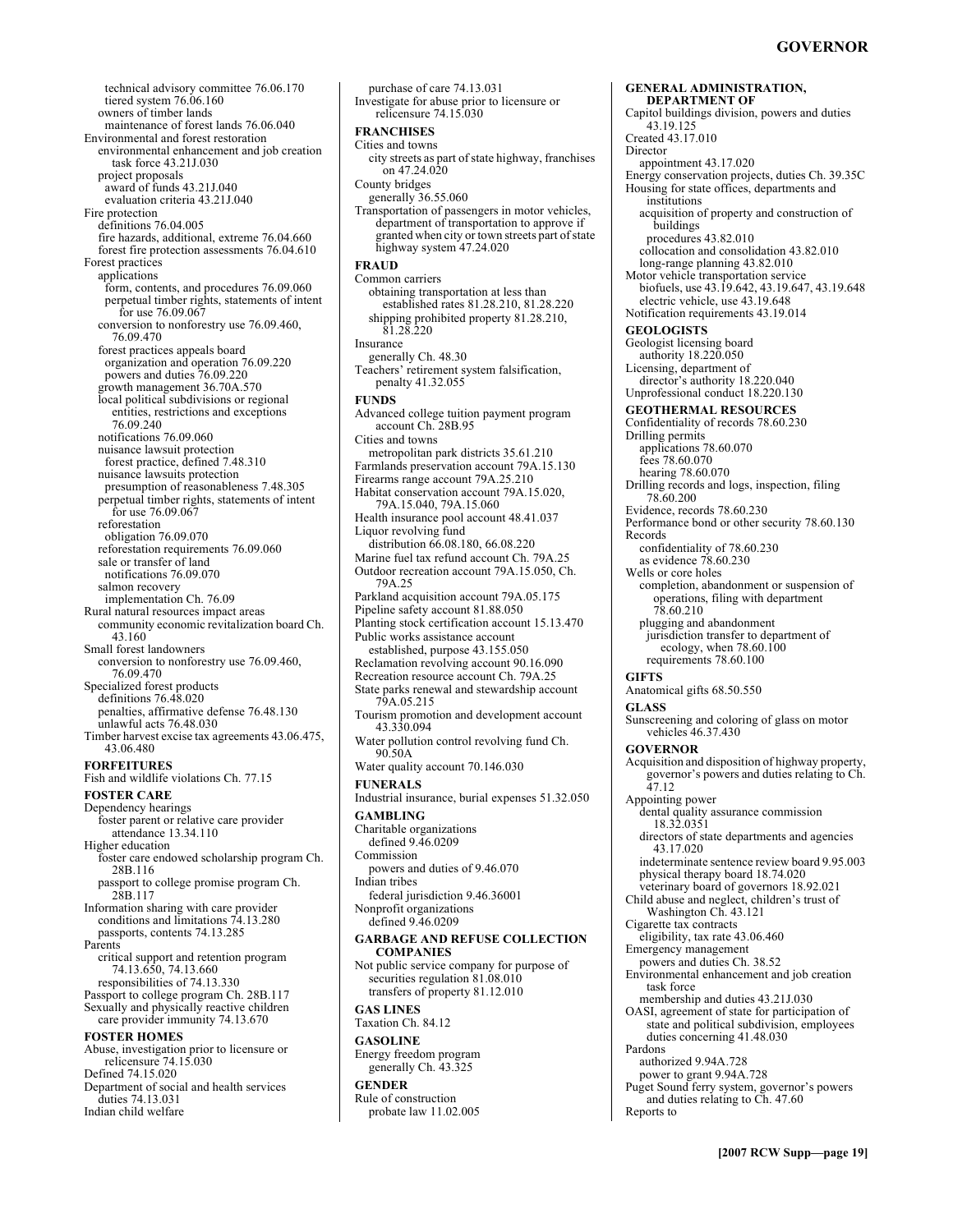**GENERAL ADMINISTRATION,** 

technical advisory committee 76.06.170 tiered system 76.06.160 owners of timber lands maintenance of forest lands 76.06.040 Environmental and forest restoration environmental enhancement and job creation task force 43.21J.030 project proposals award of funds 43.21J.040 evaluation criteria 43.21J.040 Fire protection definitions 76.04.005 fire hazards, additional, extreme 76.04.660 forest fire protection assessments 76.04.610 Forest practices applications form, contents, and procedures 76.09.060 perpetual timber rights, statements of intent for use 76.09.067 conversion to nonforestry use 76.09.460, 76.09.470 forest practices appeals board organization and operation 76.09.220 powers and duties 76.09.220 growth management 36.70A.570 local political subdivisions or regional entities, restrictions and exceptions 76.09.240 notifications 76.09.060 nuisance lawsuit protection forest practice, defined 7.48.310 nuisance lawsuits protection presumption of reasonableness 7.48.305 perpetual timber rights, statements of intent for use 76.09.067 reforestation obligation 76.09.070 reforestation requirements 76.09.060 sale or transfer of land notifications 76.09.070 salmon recovery implementation Ch. 76.09 Rural natural resources impact areas community economic revitalization board Ch. 43.160 Small forest landowners conversion to nonforestry use 76.09.460, 76.09.470 Specialized forest products definitions 76.48.020 penalties, affirmative defense 76.48.130 unlawful acts 76.48.030 Timber harvest excise tax agreements 43.06.475, 43.06.480 **FORFEITURES**  Fish and wildlife violations Ch. 77.15 **FOSTER CARE**  Dependency hearings foster parent or relative care provider attendance 13.34.110 Higher education foster care endowed scholarship program Ch. 28B.116 passport to college promise program Ch. 28B.117 Information sharing with care provider conditions and limitations 74.13.280 passports, contents 74.13.285 Parents critical support and retention program 74.13.650, 74.13.660 responsibilities of 74.13.330 Passport to college program Ch. 28B.117 Sexually and physically reactive children care provider immunity 74.13.670 **FOSTER HOMES**  Abuse, investigation prior to licensure or relicensure 74.15.030 Defined 74.15.020 Department of social and health services duties 74.13.031 Indian child welfare

purchase of care 74.13.031 Investigate for abuse prior to licensure or relicensure 74.15.030 **FRANCHISES**  Cities and towns city streets as part of state highway, franchises on 47.24.020 County bridges generally 36.55.060 Transportation of passengers in motor vehicles, department of transportation to approve if granted when city or town streets part of state highway system 47.24.020 **FRAUD**  Common carriers obtaining transportation at less than established rates 81.28.210, 81.28.220 shipping prohibited property 81.28.210, 81.28.220 Insurance generally Ch. 48.30 Teachers' retirement system falsification,<br>penalty 41.32.055 **FUNDS**  Advanced college tuition payment program account Ch. 28B.95 Cities and towns metropolitan park districts 35.61.210 Farmlands preservation account 79A.15.130 Firearms range account 79A.25.210 Habitat conservation account 79A.15.020, 79A.15.040, 79A.15.060 Health insurance pool account 48.41.037 Liquor revolving fund distribution 66.08.180, 66.08.220 Marine fuel tax refund account Ch. 79A.25 Outdoor recreation account 79A.15.050, Ch. 79A.25 Parkland acquisition account 79A.05.175 Pipeline safety account 81.88.050 Planting stock certification account 15.13.470 Public works assistance account established, purpose 43.155.050 Reclamation revolving account 90.16.090 Recreation resource account Ch. 79A.25 State parks renewal and stewardship account 79A.05.215 Tourism promotion and development account 43.330.094 Water pollution control revolving fund Ch. 90.50A Water quality account 70.146.030 **FUNERALS**  Industrial insurance, burial expenses 51.32.050 **GAMBLING**  Charitable organizations defined 9.46.0209 Commission powers and duties of 9.46.070 Indian tribes federal jurisdiction 9.46.36001 Nonprofit organizations defined 9.46.0209 **GARBAGE AND REFUSE COLLECTION COMPANIES**  Not public service company for purpose of securities regulation 81.08.010 transfers of property 81.12.010 **GAS LINES**  Taxation Ch. 84.12 **GASOLINE**  Energy freedom program generally Ch. 43.325 **GENDER**  Rule of construction probate law 11.02.005

**DEPARTMENT OF**  Capitol buildings division, powers and duties 43.19.125 Created 43.17.010 Director appointment 43.17.020 Energy conservation projects, duties Ch. 39.35C Housing for state offices, departments and institutions acquisition of property and construction of buildings procedures 43.82.010 collocation and consolidation 43.82.010 long-range planning 43.82.010 Motor vehicle transportation service biofuels, use 43.19.642, 43.19.647, 43.19.648 electric vehicle, use 43.19.648 Notification requirements 43.19.014 **GEOLOGISTS**  Geologist licensing board authority 18.220.050 Licensing, department of director's authority 18.220.040 Unprofessional conduct 18.220.130 **GEOTHERMAL RESOURCES**  Confidentiality of records 78.60.230 Drilling permits applications 78.60.070 fees 78.60.070 hearing 78.60.070 Drilling records and logs, inspection, filing 78.60.200 Evidence, records 78.60.230 Performance bond or other security 78.60.130 Records confidentiality of 78.60.230 as evidence 78.60.230 Wells or core holes completion, abandonment or suspension of operations, filing with department 78.60.210 plugging and abandonment jurisdiction transfer to department of ecology, when 78.60.100 requirements 78.60.100 **GIFTS**  Anatomical gifts 68.50.550 **GLASS**  Sunscreening and coloring of glass on motor vehicles 46.37.430 **GOVERNOR**  Acquisition and disposition of highway property, governor's powers and duties relating to Ch. 47.12 Appointing power dental quality assurance commission 18.32.0351 directors of state departments and agencies 43.17.020 indeterminate sentence review board 9.95.003 physical therapy board 18.74.020 veterinary board of governors 18.92.021 Child abuse and neglect, children's trust of Washington Ch. 43.121 Cigarette tax contracts eligibility, tax rate 43.06.460 Emergency management powers and duties Ch. 38.52 Environmental enhancement and job creation task force membership and duties 43.21J.030 OASI, agreement of state for participation of state and political subdivision, employees duties concerning 41.48.030 Pardons authorized 9.94A.728 power to grant 9.94A.728 Puget Sound ferry system, governor's powers and duties relating to Ch. 47.60 Reports to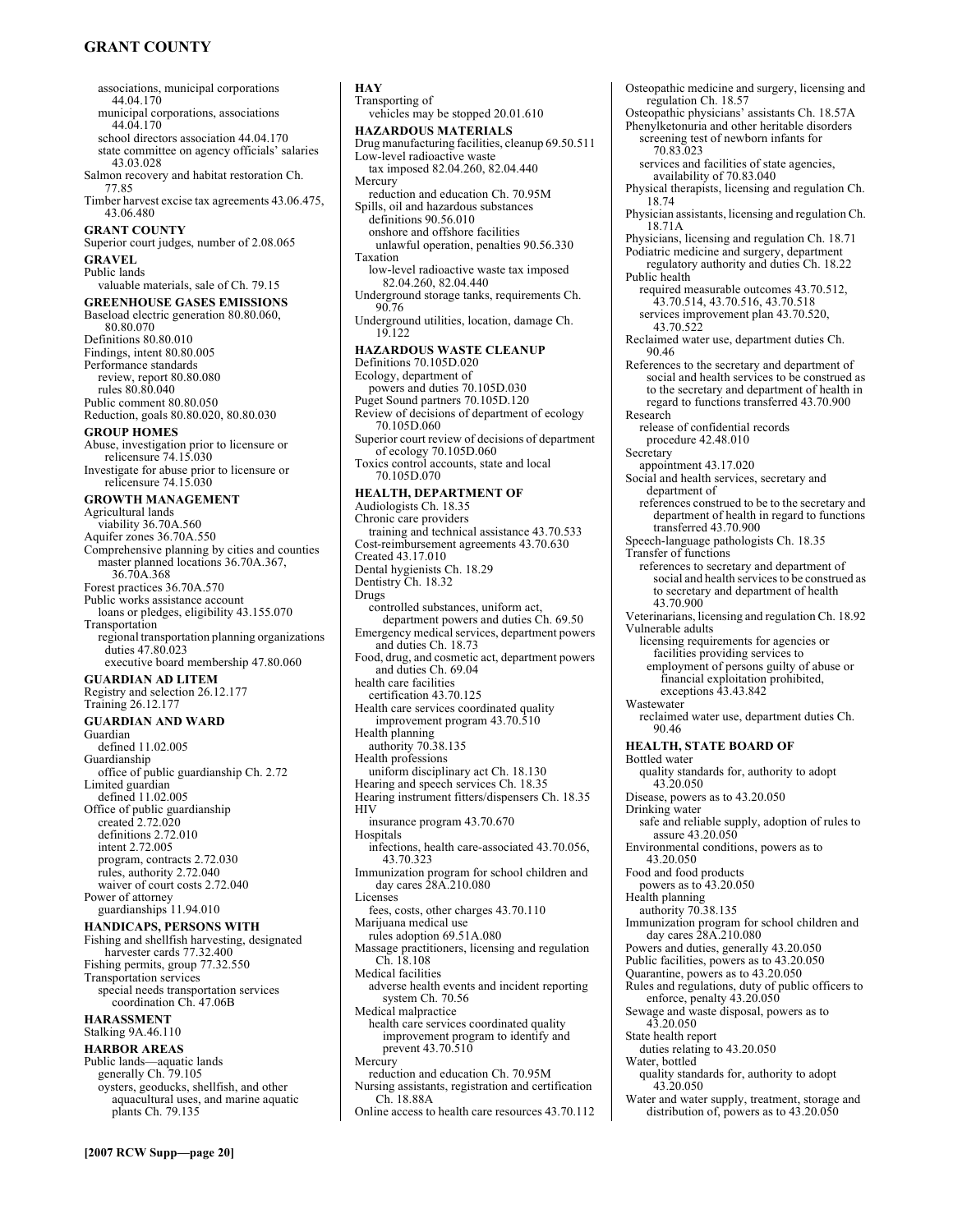# **GRANT COUNTY**

associations, municipal corporations 44.04.170 municipal corporations, associations 44.04.170 school directors association 44.04.170 state committee on agency officials' salaries 43.03.028 Salmon recovery and habitat restoration Ch. 77.85 Timber harvest excise tax agreements 43.06.475, 43.06.480 **GRANT COUNTY**  Superior court judges, number of 2.08.065 **GRAVEL**  Public lands valuable materials, sale of Ch. 79.15 **GREENHOUSE GASES EMISSIONS**  Baseload electric generation 80.80.060, 80.80.070 Definitions 80.80.010 Findings, intent 80.80.005 Performance standards review, report 80.80.080 rules 80.80.040 Public comment 80.80.050 Reduction, goals 80.80.020, 80.80.030 **GROUP HOMES**  Abuse, investigation prior to licensure or relicensure 74.15.030 Investigate for abuse prior to licensure or relicensure 74.15.030 **GROWTH MANAGEMENT**  Agricultural lands viability 36.70A.560 Aquifer zones 36.70A.550 Comprehensive planning by cities and counties master planned locations 36.70A.367, 36.70A.368 Forest practices 36.70A.570 Public works assistance account loans or pledges, eligibility 43.155.070 Transportation regional transportation planning organizations duties 47.80.023 executive board membership 47.80.060 **GUARDIAN AD LITEM**  Registry and selection 26.12.177 Training 26.12.177 **GUARDIAN AND WARD**  Guardian defined 11.02.005 Guardianship office of public guardianship Ch. 2.72 Limited guardian defined 11.02.005 Office of public guardianship created 2.72.020 definitions 2.72.010 intent 2.72.005 program, contracts 2.72.030 rules, authority 2.72.040 waiver of court costs 2.72.040 Power of attorney guardianships 11.94.010 **HANDICAPS, PERSONS WITH**  Fishing and shellfish harvesting, designated harvester cards 77.32.400 Fishing permits, group 77.32.550 Transportation services special needs transportation services coordination Ch. 47.06B **HARASSMENT**  Stalking 9A.46.110 **HARBOR AREAS**  Public lands—aquatic lands generally Ch. 79.105 oysters, geoducks, shellfish, and other aquacultural uses, and marine aquatic plants Ch. 79.135

**HAY**  Transporting of vehicles may be stopped 20.01.610 **HAZARDOUS MATERIALS**  Drug manufacturing facilities, cleanup 69.50.511 Low-level radioactive waste tax imposed 82.04.260, 82.04.440 Mercury reduction and education Ch. 70.95M Spills, oil and hazardous substances definitions 90.56.010 onshore and offshore facilities unlawful operation, penalties 90.56.330 Taxation low-level radioactive waste tax imposed 82.04.260, 82.04.440 Underground storage tanks, requirements Ch. 90.76 Underground utilities, location, damage Ch. 19.122 **HAZARDOUS WASTE CLEANUP**  Definitions 70.105D.020 Ecology, department of powers and duties 70.105D.030 Puget Sound partners 70.105D.120 Review of decisions of department of ecology 70.105D.060 Superior court review of decisions of department of ecology 70.105D.060 Toxics control accounts, state and local 70.105D.070 **HEALTH, DEPARTMENT OF**  Audiologists Ch. 18.35 Chronic care providers training and technical assistance 43.70.533 Cost-reimbursement agreements 43.70.630 Created 43.17.010 Dental hygienists Ch. 18.29 Dentistry Ch. 18.32 Drugs controlled substances, uniform act, department powers and duties Ch. 69.50 Emergency medical services, department powers and duties Ch. 18.73 Food, drug, and cosmetic act, department powers and duties Ch. 69.04 health care facilities certification 43.70.125 Health care services coordinated quality improvement program 43.70.510 Health planning authority 70.38.135 Health professions uniform disciplinary act Ch. 18.130 Hearing and speech services Ch. 18.35 Hearing instrument fitters/dispensers Ch. 18.35 **HIV** insurance program 43.70.670 Hospitals infections, health care-associated 43.70.056, 43.70.323 Immunization program for school children and day cares 28A.210.080 Licenses fees, costs, other charges 43.70.110 Marijuana medical use rules adoption 69.51A.080 Massage practitioners, licensing and regulation Ch. 18.108 Medical facilities adverse health events and incident reporting system Ch. 70.56 Medical malpractice health care services coordinated quality improvement program to identify and prevent 43.70.510 Mercury reduction and education Ch. 70.95M Nursing assistants, registration and certification Ch. 18.88A Online access to health care resources 43.70.112

Osteopathic medicine and surgery, licensing and regulation Ch. 18.57 Osteopathic physicians' assistants Ch. 18.57A Phenylketonuria and other heritable disorders screening test of newborn infants for 70.83.023 services and facilities of state agencies, availability of 70.83.040 Physical therapists, licensing and regulation Ch. 18.74 Physician assistants, licensing and regulation Ch. 18.71A Physicians, licensing and regulation Ch. 18.71 Podiatric medicine and surgery, department regulatory authority and duties Ch. 18.22 Public health required measurable outcomes 43.70.512, 43.70.514, 43.70.516, 43.70.518 services improvement plan 43.70.520, 43.70.522 Reclaimed water use, department duties Ch. 90.46 References to the secretary and department of social and health services to be construed as to the secretary and department of health in regard to functions transferred 43.70.900 Research release of confidential records procedure 42.48.010 Secretary appointment 43.17.020 Social and health services, secretary and department of references construed to be to the secretary and department of health in regard to functions transferred 43.70.900 Speech-language pathologists Ch. 18.35 Transfer of functions references to secretary and department of social and health services to be construed as to secretary and department of health 43.70.900 Veterinarians, licensing and regulation Ch. 18.92 Vulnerable adults licensing requirements for agencies or facilities providing services to employment of persons guilty of abuse or financial exploitation prohibited, exceptions 43.43.842 Wastewater reclaimed water use, department duties Ch. 90.46 **HEALTH, STATE BOARD OF**  Bottled water quality standards for, authority to adopt 43.20.050 Disease, powers as to 43.20.050 Drinking water safe and reliable supply, adoption of rules to assure 43.20.050 Environmental conditions, powers as to 43.20.050 Food and food products powers as to 43.20.050 Health planning authority 70.38.135 Immunization program for school children and day cares 28A.210.080 Powers and duties, generally 43.20.050 Public facilities, powers as to 43.20.050 Quarantine, powers as to 43.20.050 Rules and regulations, duty of public officers to enforce, penalty 43.20.050 Sewage and waste disposal, powers as to 43.20.050 State health report duties relating to 43.20.050 Water, bottled quality standards for, authority to adopt 43.20.050 Water and water supply, treatment, storage and distribution of, powers as to 43.20.050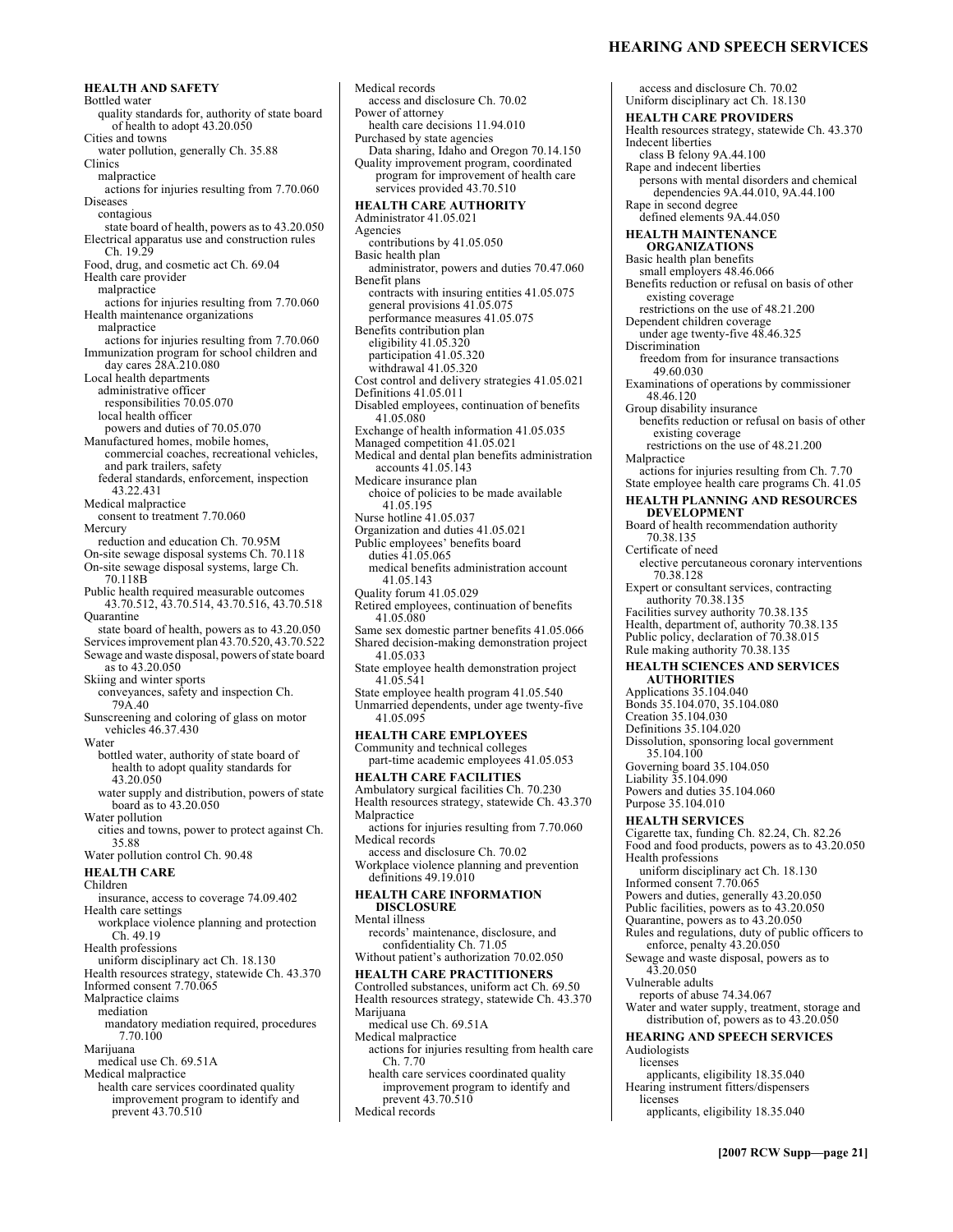**HEALTH AND SAFETY**  Bottled water quality standards for, authority of state board of health to adopt 43.20.050 Cities and towns water pollution, generally Ch. 35.88 Clinics malpractice actions for injuries resulting from 7.70.060 Diseases contagious state board of health, powers as to 43.20.050 Electrical apparatus use and construction rules Ch. 19.29 Food, drug, and cosmetic act Ch. 69.04 Health care provider malpractice actions for injuries resulting from 7.70.060 Health maintenance organizations malpractice actions for injuries resulting from 7.70.060 Immunization program for school children and day cares 28A.210.080 Local health departments administrative officer responsibilities 70.05.070 local health officer powers and duties of 70.05.070 Manufactured homes, mobile homes, commercial coaches, recreational vehicles, and park trailers, safety federal standards, enforcement, inspection 43.22.431 Medical malpractice consent to treatment 7.70.060 Mercury reduction and education Ch. 70.95M On-site sewage disposal systems Ch. 70.118 On-site sewage disposal systems, large Ch. 70.118B Public health required measurable outcomes 43.70.512, 43.70.514, 43.70.516, 43.70.518 **Ouarantine** state board of health, powers as to 43.20.050 Services improvement plan 43.70.520, 43.70.522 Sewage and waste disposal, powers of state board as to 43.20.050 Skiing and winter sports conveyances, safety and inspection Ch. 79A.40 Sunscreening and coloring of glass on motor vehicles 46.37.430 Water bottled water, authority of state board of health to adopt quality standards for 43.20.050 water supply and distribution, powers of state board as to 43.20.050 Water pollution cities and towns, power to protect against Ch. 35.88 Water pollution control Ch. 90.48 **HEALTH CARE**  Children insurance, access to coverage 74.09.402 Health care settings workplace violence planning and protection Ch. 49.19 Health professions uniform disciplinary act Ch. 18.130 Health resources strategy, statewide Ch. 43.370 Informed consent 7.70.065 Malpractice claims mediation mandatory mediation required, procedures 7.70.100 Marijuana medical use Ch. 69.51A Medical malpractice health care services coordinated quality improvement program to identify and prevent 43.70.510

Medical records access and disclosure Ch. 70.02 Power of attorney health care decisions 11.94.010 Purchased by state agencies Data sharing, Idaho and Oregon 70.14.150 Quality improvement program, coordinated program for improvement of health care services provided 43.70.510 **HEALTH CARE AUTHORITY**  Administrator 41.05.021 Agencies contributions by 41.05.050 Basic health plan administrator, powers and duties 70.47.060 Benefit plans contracts with insuring entities 41.05.075 general provisions 41.05.075 performance measures 41.05.075 Benefits contribution plan eligibility 41.05.320 participation 41.05.320 withdrawal 41.05.320 Cost control and delivery strategies 41.05.021 Definitions 41.05.011 Disabled employees, continuation of benefits 41.05.080 Exchange of health information 41.05.035 Managed competition 41.05.021 Medical and dental plan benefits administration accounts 41.05.143 Medicare insurance plan choice of policies to be made available 41.05.195 Nurse hotline 41.05.037 Organization and duties 41.05.021 Public employees' benefits board duties 41.05.065 medical benefits administration account 41.05.143 Quality forum 41.05.029 Retired employees, continuation of benefits 41.05.080 Same sex domestic partner benefits 41.05.066 Shared decision-making demonstration project 41.05.033 State employee health demonstration project 41.05.541 State employee health program 41.05.540 Unmarried dependents, under age twenty-five 41.05.095 **HEALTH CARE EMPLOYEES**  Community and technical colleges part-time academic employees 41.05.053 **HEALTH CARE FACILITIES**  Ambulatory surgical facilities Ch. 70.230 Health resources strategy, statewide Ch. 43.370 Malpractice actions for injuries resulting from 7.70.060 Medical records access and disclosure Ch. 70.02 Workplace violence planning and prevention definitions 49.19.010 **HEALTH CARE INFORMATION DISCLOSURE**  Mental illness records' maintenance, disclosure, and confidentiality Ch. 71.05 Without patient's authorization 70.02.050 **HEALTH CARE PRACTITIONERS**  Controlled substances, uniform act Ch. 69.50 Health resources strategy, statewide Ch. 43.370 Marijuana medical use Ch. 69.51A Medical malpractice actions for injuries resulting from health care Ch. 7.70 health care services coordinated quality improvement program to identify and prevent 43.70.510 Medical records

### **HEARING AND SPEECH SERVICES**

access and disclosure Ch. 70.02 Uniform disciplinary act Ch. 18.130 **HEALTH CARE PROVIDERS**  Health resources strategy, statewide Ch. 43.370 Indecent liberties class B felony 9A.44.100 Rape and indecent liberties persons with mental disorders and chemical dependencies 9A.44.010, 9A.44.100 Rape in second degree defined elements 9A.44.050 **HEALTH MAINTENANCE ORGANIZATIONS**  Basic health plan benefits small employers 48.46.066 Benefits reduction or refusal on basis of other existing coverage restrictions on the use of 48.21.200 Dependent children coverage under age twenty-five 48.46.325 Discrimination freedom from for insurance transactions 49.60.030 Examinations of operations by commissioner 48.46.120 Group disability insurance benefits reduction or refusal on basis of other existing coverage restrictions on the use of 48.21.200 Malpractice actions for injuries resulting from Ch. 7.70 State employee health care programs Ch. 41.05 **HEALTH PLANNING AND RESOURCES DEVELOPMENT**  Board of health recommendation authority 70.38.135 Certificate of need elective percutaneous coronary interventions 70.38.128 Expert or consultant services, contracting authority 70.38.135 Facilities survey authority 70.38.135 Health, department of, authority 70.38.135 Public policy, declaration of 70.38.015 Rule making authority 70.38.135 **HEALTH SCIENCES AND SERVICES AUTHORITIES**  Applications 35.104.040 Bonds 35.104.070, 35.104.080 Creation 35.104.030 Definitions 35.104.020 Dissolution, sponsoring local government 35.104.100 Governing board 35.104.050 Liability 35.104.090 Powers and duties 35.104.060 Purpose 35.104.010 **HEALTH SERVICES**  Cigarette tax, funding Ch. 82.24, Ch. 82.26 Food and food products, powers as to 43.20.050 Health professions uniform disciplinary act Ch. 18.130 Informed consent 7.70.065 Powers and duties, generally 43.20.050 Public facilities, powers as to 43.20.050 Quarantine, powers as to 43.20.050 Rules and regulations, duty of public officers to enforce, penalty 43.20.050 Sewage and waste disposal, powers as to 43.20.050 Vulnerable adults reports of abuse 74.34.067 Water and water supply, treatment, storage and distribution of, powers as to 43.20.050 **HEARING AND SPEECH SERVICES**  Audiologists licenses applicants, eligibility 18.35.040 Hearing instrument fitters/dispensers licenses applicants, eligibility 18.35.040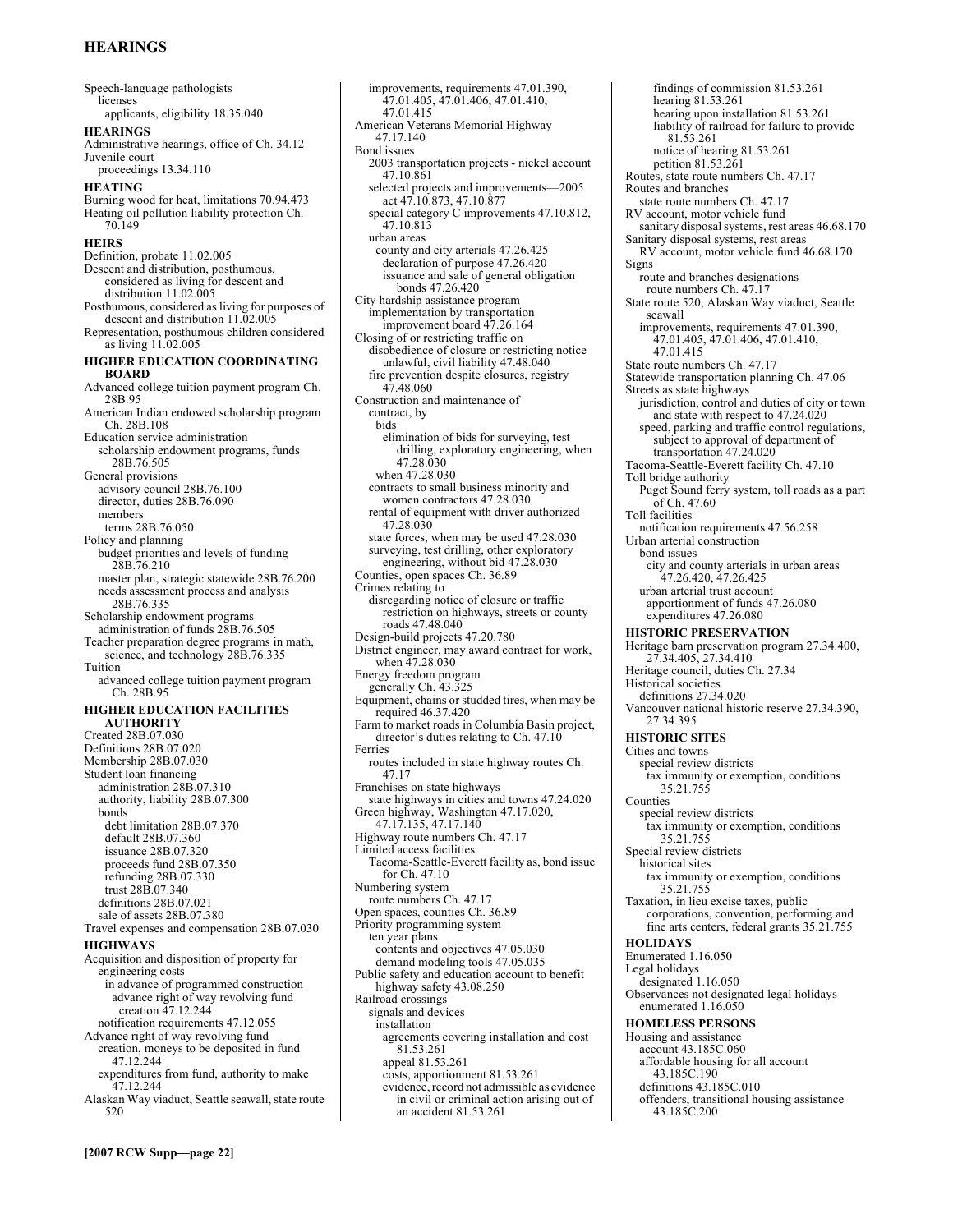# **HEARINGS**

Speech-language pathologists licenses applicants, eligibility 18.35.040 **HEARINGS**  Administrative hearings, office of Ch. 34.12 Juvenile court proceedings 13.34.110 **HEATING**  Burning wood for heat, limitations 70.94.473 Heating oil pollution liability protection Ch. 70.149 **HEIRS**  Definition, probate 11.02.005 Descent and distribution, posthumous, considered as living for descent and distribution 11.02.005 Posthumous, considered as living for purposes of descent and distribution 11.02.005 Representation, posthumous children considered as living 11.02.005 **HIGHER EDUCATION COORDINATING BOARD**  Advanced college tuition payment program Ch. 28B.95 American Indian endowed scholarship program Ch. 28B.108 Education service administration scholarship endowment programs, funds 28B.76.505 General provisions advisory council 28B.76.100 director, duties 28B.76.090 members terms 28B.76.050 Policy and planning budget priorities and levels of funding 28B.76.210 master plan, strategic statewide 28B.76.200 needs assessment process and analysis 28B.76.335 Scholarship endowment programs administration of funds 28B.76.505 Teacher preparation degree programs in math, science, and technology 28B.76.335 Tuition advanced college tuition payment program Ch. 28B.95 **HIGHER EDUCATION FACILITIES AUTHORITY**  Created 28B.07.030 Definitions 28B.07.020 Membership 28B.07.030 Student loan financing administration 28B.07.310 authority, liability 28B.07.300 bonds debt limitation 28B.07.370 default 28B.07.360 issuance 28B.07.320 proceeds fund 28B.07.350 refunding 28B.07.330 trust 28B.07.340 definitions 28B.07.021 sale of assets 28B.07.380 Travel expenses and compensation 28B.07.030 **HIGHWAYS**  Acquisition and disposition of property for engineering costs in advance of programmed construction advance right of way revolving fund creation 47.12.244 notification requirements 47.12.055 Advance right of way revolving fund creation, moneys to be deposited in fund 47.12.244 expenditures from fund, authority to make 47.12.244 Alaskan Way viaduct, Seattle seawall, state route 520

improvements, requirements 47.01.390, 47.01.405, 47.01.406, 47.01.410, 47.01.415 American Veterans Memorial Highway 47.17.140 Bond issues 2003 transportation projects - nickel account 47.10.861 selected projects and improvements-2005 act 47.10.873, 47.10.877 special category C improvements 47.10.812, 47.10.813 urban areas county and city arterials 47.26.425 declaration of purpose 47.26.420 issuance and sale of general obligation bonds 47.26.420 City hardship assistance program implementation by transportation improvement board 47.26.164 Closing of or restricting traffic on disobedience of closure or restricting notice unlawful, civil liability 47.48.040 fire prevention despite closures, registry 47.48.060 Construction and maintenance of contract, by bids elimination of bids for surveying, test drilling, exploratory engineering, when 47.28.030 when 47.28.030 contracts to small business minority and women contractors 47.28.030 rental of equipment with driver authorized 47.28.030 state forces, when may be used 47.28.030 surveying, test drilling, other exploratory engineering, without bid 47.28.030 Counties, open spaces Ch. 36.89 Crimes relating to disregarding notice of closure or traffic restriction on highways, streets or county roads 47.48.040 Design-build projects 47.20.780 District engineer, may award contract for work, when 47.28.030 Energy freedom program generally Ch. 43.325 Equipment, chains or studded tires, when may be required 46.37.420 Farm to market roads in Columbia Basin project, director's duties relating to Ch.  $47.10$ Ferries routes included in state highway routes Ch. 47.17 Franchises on state highways state highways in cities and towns 47.24.020 Green highway, Washington 47.17.020, 47.17.135, 47.17.140 Highway route numbers Ch. 47.17 Limited access facilities Tacoma-Seattle-Everett facility as, bond issue for Ch. 47.10 Numbering system route numbers Ch. 47.17 Open spaces, counties Ch. 36.89 Priority programming system ten year plans contents and objectives 47.05.030 demand modeling tools 47.05.035 Public safety and education account to benefit highway safety 43.08.250 Railroad crossings signals and devices installation agreements covering installation and cost 81.53.261 appeal 81.53.261 costs, apportionment 81.53.261 evidence, record not admissible as evidence in civil or criminal action arising out of an accident 81.53.261

findings of commission 81.53.261 hearing 81.53.261 hearing upon installation 81.53.261 liability of railroad for failure to provide 81.53.261 notice of hearing 81.53.261 petition 81.53.261 Routes, state route numbers Ch. 47.17 Routes and branches state route numbers Ch. 47.17 RV account, motor vehicle fund sanitary disposal systems, rest areas 46.68.170 Sanitary disposal systems, rest areas RV account, motor vehicle fund 46.68.170 Signs route and branches designations route numbers Ch. 47.17 State route 520, Alaskan Way viaduct, Seattle seawall improvements, requirements 47.01.390, 47.01.405, 47.01.406, 47.01.410, 47.01.415 State route numbers Ch. 47.17 Statewide transportation planning Ch. 47.06 Streets as state highways jurisdiction, control and duties of city or town and state with respect to 47.24.020 speed, parking and traffic control regulations, subject to approval of department of transportation 47.24.020 Tacoma-Seattle-Everett facility Ch. 47.10 Toll bridge authority Puget Sound ferry system, toll roads as a part  $o$ f Ch. 47.60 Toll facilities notification requirements 47.56.258 Urban arterial construction bond issues city and county arterials in urban areas 47.26.420, 47.26.425 urban arterial trust account apportionment of funds 47.26.080 expenditures 47.26.080 **HISTORIC PRESERVATION**  Heritage barn preservation program 27.34.400, 27.34.405, 27.34.410 Heritage council, duties Ch. 27.34 Historical societies definitions 27.34.020 Vancouver national historic reserve 27.34.390, 27.34.395 **HISTORIC SITES**  Cities and towns special review districts tax immunity or exemption, conditions 35.21.755 Counties special review districts tax immunity or exemption, conditions 35.21.755 Special review districts historical sites tax immunity or exemption, conditions 35.21.755 Taxation, in lieu excise taxes, public corporations, convention, performing and fine arts centers, federal grants 35.21.755 **HOLIDAYS**  Enumerated 1.16.050 Legal holidays designated 1.16.050 Observances not designated legal holidays enumerated 1.16.050 **HOMELESS PERSONS**  Housing and assistance account 43.185C.060 affordable housing for all account 43.185C.190 definitions 43.185C.010 offenders, transitional housing assistance 43.185C.200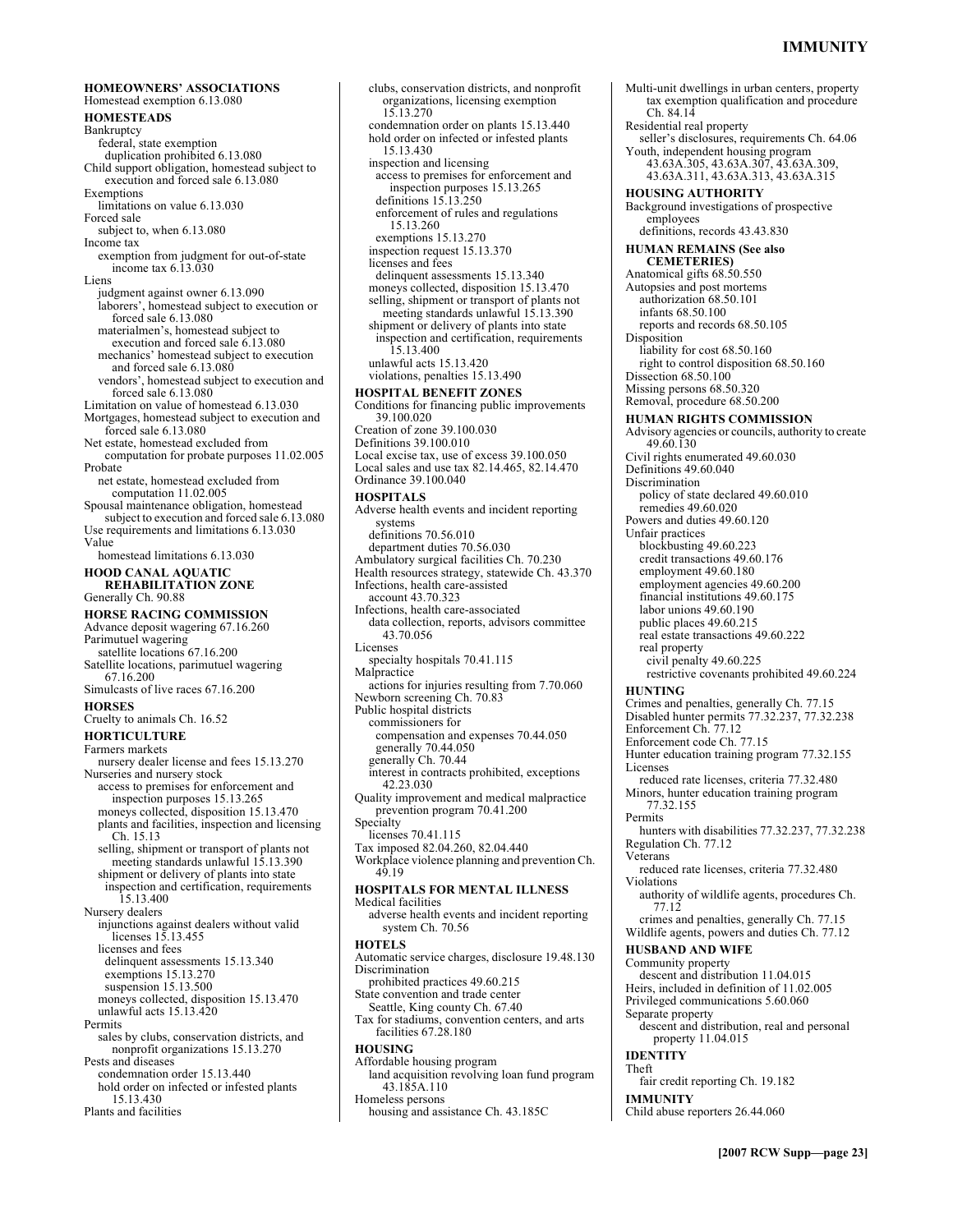### **IMMUNITY**

**HOMEOWNERS' ASSOCIATIONS** Homestead exemption 6.13.080 **HOMESTEADS**  Bankruptcy federal, state exemption duplication prohibited 6.13.080 Child support obligation, homestead subject to execution and forced sale 6.13.080 Exemptions limitations on value 6.13.030 Forced sale subject to, when 6.13.080 Income tax exemption from judgment for out-of-state income tax 6.13.030 Liens judgment against owner 6.13.090 laborers', homestead subject to execution or forced sale 6.13.080 materialmen's, homestead subject to execution and forced sale 6.13.080 mechanics' homestead subject to execution and forced sale 6.13.080 vendors', homestead subject to execution and forced sale 6.13.080 Limitation on value of homestead 6.13.030 Mortgages, homestead subject to execution and forced sale 6.13.080 Net estate, homestead excluded from computation for probate purposes 11.02.005 Probate net estate, homestead excluded from computation 11.02.005 Spousal maintenance obligation, homestead subject to execution and forced sale 6.13.080 Use requirements and limitations 6.13.030 Value homestead limitations 6.13.030 **HOOD CANAL AQUATIC REHABILITATION ZONE**  Generally Ch. 90.88 **HORSE RACING COMMISSION**  Advance deposit wagering 67.16.260 Parimutuel wagering satellite locations 67.16.200 Satellite locations, parimutuel wagering 67.16.200 Simulcasts of live races 67.16.200 **HORSES**  Cruelty to animals Ch. 16.52 **HORTICULTURE**  Farmers markets nursery dealer license and fees 15.13.270 Nurseries and nursery stock access to premises for enforcement and inspection purposes 15.13.265 moneys collected, disposition 15.13.470 plants and facilities, inspection and licensing Ch. 15.13 selling, shipment or transport of plants not meeting standards unlawful 15.13.390 shipment or delivery of plants into state inspection and certification, requirements 15.13.400 Nursery dealers injunctions against dealers without valid licenses 15.13.455 licenses and fees delinquent assessments 15.13.340 exemptions 15.13.270 suspension 15.13.500 moneys collected, disposition 15.13.470 unlawful acts 15.13.420 Permits sales by clubs, conservation districts, and nonprofit organizations 15.13.270 Pests and diseases condemnation order 15.13.440 hold order on infected or infested plants 15.13.430 Plants and facilities

clubs, conservation districts, and nonprofit organizations, licensing exemption 15.13.270 condemnation order on plants 15.13.440 hold order on infected or infested plants 15.13.430 inspection and licensing access to premises for enforcement and inspection purposes 15.13.265 definitions 15.13.250 enforcement of rules and regulations 15.13.260 exemptions 15.13.270 inspection request 15.13.370 licenses and fees delinquent assessments 15.13.340 moneys collected, disposition 15.13.470 selling, shipment or transport of plants not meeting standards unlawful 15.13.390 shipment or delivery of plants into state inspection and certification, requirements 15.13.400 unlawful acts 15.13.420 violations, penalties 15.13.490 **HOSPITAL BENEFIT ZONES**  Conditions for financing public improvements 39.100.020 Creation of zone 39.100.030 Definitions 39.100.010 Local excise tax, use of excess 39.100.050 Local sales and use tax 82.14.465, 82.14.470 Ordinance 39.100.040 **HOSPITALS**  Adverse health events and incident reporting systems definitions 70.56.010 department duties 70.56.030 Ambulatory surgical facilities Ch. 70.230 Health resources strategy, statewide Ch. 43.370 Infections, health care-assisted account 43.70.323 Infections, health care-associated data collection, reports, advisors committee 43.70.056 Licenses specialty hospitals 70.41.115 Malpractice actions for injuries resulting from 7.70.060 Newborn screening Ch. 70.83 Public hospital districts commissioners for compensation and expenses 70.44.050 generally 70.44.050 generally Ch. 70.44 interest in contracts prohibited, exceptions 42.23.030 Quality improvement and medical malpractice prevention program 70.41.200 Specialty licenses 70.41.115 Tax imposed 82.04.260, 82.04.440 Workplace violence planning and prevention Ch. 49.19 **HOSPITALS FOR MENTAL ILLNESS**  Medical facilities adverse health events and incident reporting system Ch. 70.56 **HOTELS**  Automatic service charges, disclosure 19.48.130 Discrimination prohibited practices 49.60.215 State convention and trade center Seattle, King county Ch. 67.40 Tax for stadiums, convention centers, and arts facilities 67.28.180 **HOUSING**  Affordable housing program land acquisition revolving loan fund program 43.185A.110 Homeless persons housing and assistance Ch. 43.185C

Multi-unit dwellings in urban centers, property tax exemption qualification and procedure Ch. 84.14 Residential real property seller's disclosures, requirements Ch. 64.06 Youth, independent housing program 43.63A.305, 43.63A.307, 43.63A.309, 43.63A.311, 43.63A.313, 43.63A.315 **HOUSING AUTHORITY**  Background investigations of prospective employees definitions, records 43.43.830 **HUMAN REMAINS (See also CEMETERIES)**  Anatomical gifts 68.50.550 Autopsies and post mortems authorization 68.50.101 infants 68.50.100 reports and records 68.50.105 Disposition liability for cost 68.50.160 right to control disposition 68.50.160 Dissection 68.50.100 Missing persons 68.50.320 Removal, procedure 68.50.200 **HUMAN RIGHTS COMMISSION**  Advisory agencies or councils, authority to create 49.60.130 Civil rights enumerated 49.60.030 Definitions 49.60.040 Discrimination policy of state declared 49.60.010 remedies 49.60.020 Powers and duties 49.60.120 Unfair practices blockbusting 49.60.223 credit transactions 49.60.176 employment 49.60.180 employment agencies 49.60.200 financial institutions 49.60.175 labor unions 49.60.190 public places 49.60.215 real estate transactions 49.60.222 real property civil penalty 49.60.225 restrictive covenants prohibited 49.60.224 **HUNTING**  Crimes and penalties, generally Ch. 77.15 Disabled hunter permits 77.32.237, 77.32.238 Enforcement Ch. 77.12 Enforcement code Ch. 77.15 Hunter education training program 77.32.155 Licenses reduced rate licenses, criteria 77.32.480 Minors, hunter education training program 77.32.155 Permits hunters with disabilities 77.32.237, 77.32.238 Regulation Ch. 77.12 Veterans reduced rate licenses, criteria 77.32.480 Violations authority of wildlife agents, procedures Ch. 77.12 crimes and penalties, generally Ch. 77.15 Wildlife agents, powers and duties Ch. 77.12 **HUSBAND AND WIFE**  Community property descent and distribution 11.04.015 Heirs, included in definition of 11.02.005 Privileged communications 5.60.060 Separate property descent and distribution, real and personal property 11.04.015 **IDENTITY**  Theft fair credit reporting Ch. 19.182 **IMMUNITY**  Child abuse reporters 26.44.060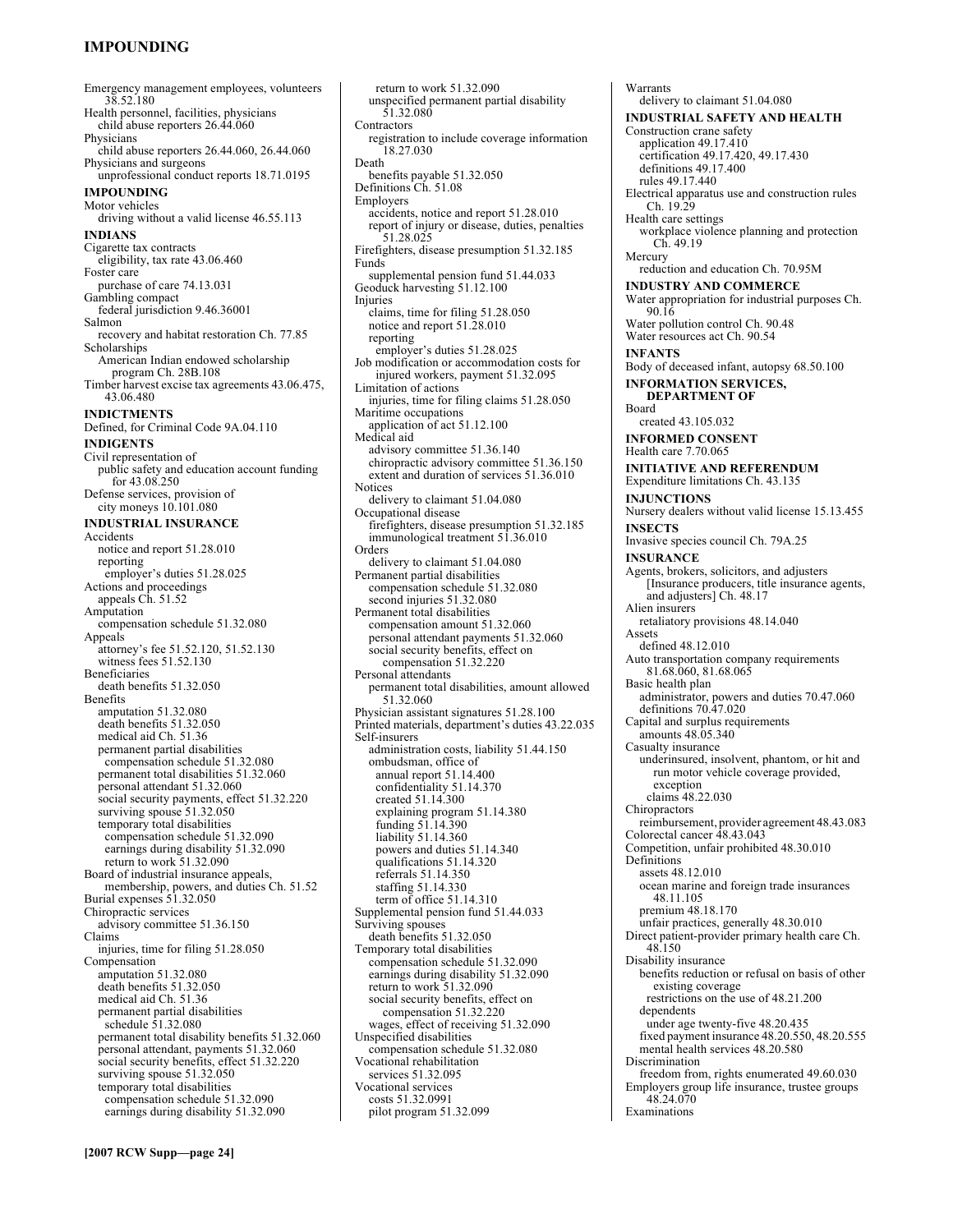# **IMPOUNDING**

Emergency management employees, volunteers 38.52.180 Health personnel, facilities, physicians child abuse reporters 26.44.060 Physicians child abuse reporters 26.44.060, 26.44.060 Physicians and surgeons unprofessional conduct reports 18.71.0195 **IMPOUNDING**  Motor vehicles driving without a valid license 46.55.113 **INDIANS**  Cigarette tax contracts eligibility, tax rate 43.06.460 Foster care purchase of care 74.13.031 Gambling compact federal jurisdiction 9.46.36001 Salmon recovery and habitat restoration Ch. 77.85 Scholarships American Indian endowed scholarship program Ch. 28B.108 Timber harvest excise tax agreements 43.06.475, 43.06.480 **INDICTMENTS**  Defined, for Criminal Code 9A.04.110 **INDIGENTS**  Civil representation of public safety and education account funding for 43.08.250 Defense services, provision of city moneys 10.101.080 **INDUSTRIAL INSURANCE**  Accidents notice and report 51.28.010 reporting employer's duties 51.28.025 Actions and proceedings appeals Ch. 51.52 Amputation compensation schedule 51.32.080 Appeals attorney's fee 51.52.120, 51.52.130 witness fees 51.52.130 Beneficiaries death benefits 51.32.050 Benefits amputation 51.32.080 death benefits 51.32.050 medical aid Ch. 51.36 permanent partial disabilities compensation schedule 51.32.080 permanent total disabilities 51.32.060 personal attendant 51.32.060 social security payments, effect 51.32.220 surviving spouse 51.32.050 temporary total disabilities compensation schedule 51.32.090 earnings during disability 51.32.090 return to work 51.32.090 Board of industrial insurance appeals, membership, powers, and duties Ch. 51.52 Burial expenses 51.32.050 Chiropractic services advisory committee 51.36.150 Claims injuries, time for filing 51.28.050 Compensation amputation 51.32.080 death benefits 51.32.050 medical aid Ch. 51.36 permanent partial disabilities schedule 51.32.080 permanent total disability benefits 51.32.060 personal attendant, payments 51.32.060 social security benefits, effect 51.32.220 surviving spouse 51.32.050 temporary total disabilities compensation schedule 51.32.090 earnings during disability 51.32.090

return to work 51.32.090 unspecified permanent partial disability 51.32.080 **Contractors** registration to include coverage information 18.27.030 Death benefits payable 51.32.050 Definitions Ch. 51.08 Employers accidents, notice and report 51.28.010 report of injury or disease, duties, penalties 51.28.025 Firefighters, disease presumption 51.32.185 Funds supplemental pension fund 51.44.033 Geoduck harvesting 51.12.100 Injuries claims, time for filing 51.28.050 notice and report 51.28.010 reporting employer's duties 51.28.025 Job modification or accommodation costs for injured workers, payment 51.32.095 Limitation of actions injuries, time for filing claims 51.28.050 Maritime occupations application of act 51.12.100 Medical aid advisory committee 51.36.140 chiropractic advisory committee 51.36.150 extent and duration of services 51.36.010 **Notices** delivery to claimant 51.04.080 Occupational disease firefighters, disease presumption 51.32.185 immunological treatment 51.36.010 Orders delivery to claimant 51.04.080 Permanent partial disabilities compensation schedule 51.32.080 second injuries 51.32.080 Permanent total disabilities compensation amount 51.32.060 personal attendant payments 51.32.060 social security benefits, effect on compensation 51.32.220 Personal attendants permanent total disabilities, amount allowed 51.32.060 Physician assistant signatures 51.28.100 Printed materials, department's duties 43.22.035 Self-insurers administration costs, liability 51.44.150 ombudsman, office of annual report 51.14.400 confidentiality 51.14.370 created 51.14.300 explaining program 51.14.380 funding 51.14.390 liability 51.14.360 powers and duties 51.14.340 qualifications 51.14.320 referrals 51.14.350 staffing 51.14.330 term of office 51.14.310 Supplemental pension fund 51.44.033 Surviving spouses death benefits 51.32.050 Temporary total disabilities compensation schedule 51.32.090 earnings during disability 51.32.090 return to work 51.32.090 social security benefits, effect on compensation 51.32.220 wages, effect of receiving 51.32.090 Unspecified disabilities compensation schedule 51.32.080 Vocational rehabilitation services 51.32.095 Vocational services costs 51.32.0991 pilot program 51.32.099

Warrants delivery to claimant 51.04.080 **INDUSTRIAL SAFETY AND HEALTH**  Construction crane safety application 49.17.410 certification 49.17.420, 49.17.430 definitions 49.17.400 rules 49.17.440 Electrical apparatus use and construction rules Ch. 19.29 Health care settings workplace violence planning and protection Ch. 49.19 Mercury reduction and education Ch. 70.95M **INDUSTRY AND COMMERCE**  Water appropriation for industrial purposes Ch. 90.16 Water pollution control Ch. 90.48 Water resources act Ch. 90.54 **INFANTS**  Body of deceased infant, autopsy 68.50.100 **INFORMATION SERVICES, DEPARTMENT OF**  Board created 43.105.032 **INFORMED CONSENT**  Health care 7.70.065 **INITIATIVE AND REFERENDUM**  Expenditure limitations Ch. 43.135 **INJUNCTIONS**  Nursery dealers without valid license 15.13.455 **INSECTS**  Invasive species council Ch. 79A.25 **INSURANCE**  Agents, brokers, solicitors, and adjusters [Insurance producers, title insurance agents, and adjusters] Ch. 48.17 Alien insurers retaliatory provisions 48.14.040 Assets defined 48.12.010 Auto transportation company requirements 81.68.060, 81.68.065 Basic health plan administrator, powers and duties 70.47.060 definitions 70.47.020 Capital and surplus requirements amounts 48.05.340 Casualty insurance underinsured, insolvent, phantom, or hit and run motor vehicle coverage provided, exception claims 48.22.030 **Chiropractors** reimbursement, provider agreement 48.43.083 Colorectal cancer 48.43.043 Competition, unfair prohibited 48.30.010 Definitions assets 48.12.010 ocean marine and foreign trade insurances 48.11.105 premium 48.18.170 unfair practices, generally 48.30.010 Direct patient-provider primary health care Ch. 48.150 Disability insurance benefits reduction or refusal on basis of other existing coverage restrictions on the use of 48.21.200 dependents under age twenty-five 48.20.435 fixed payment insurance 48.20.550, 48.20.555 mental health services 48.20.580 Discrimination freedom from, rights enumerated 49.60.030 Employers group life insurance, trustee groups 48.24.070 Examinations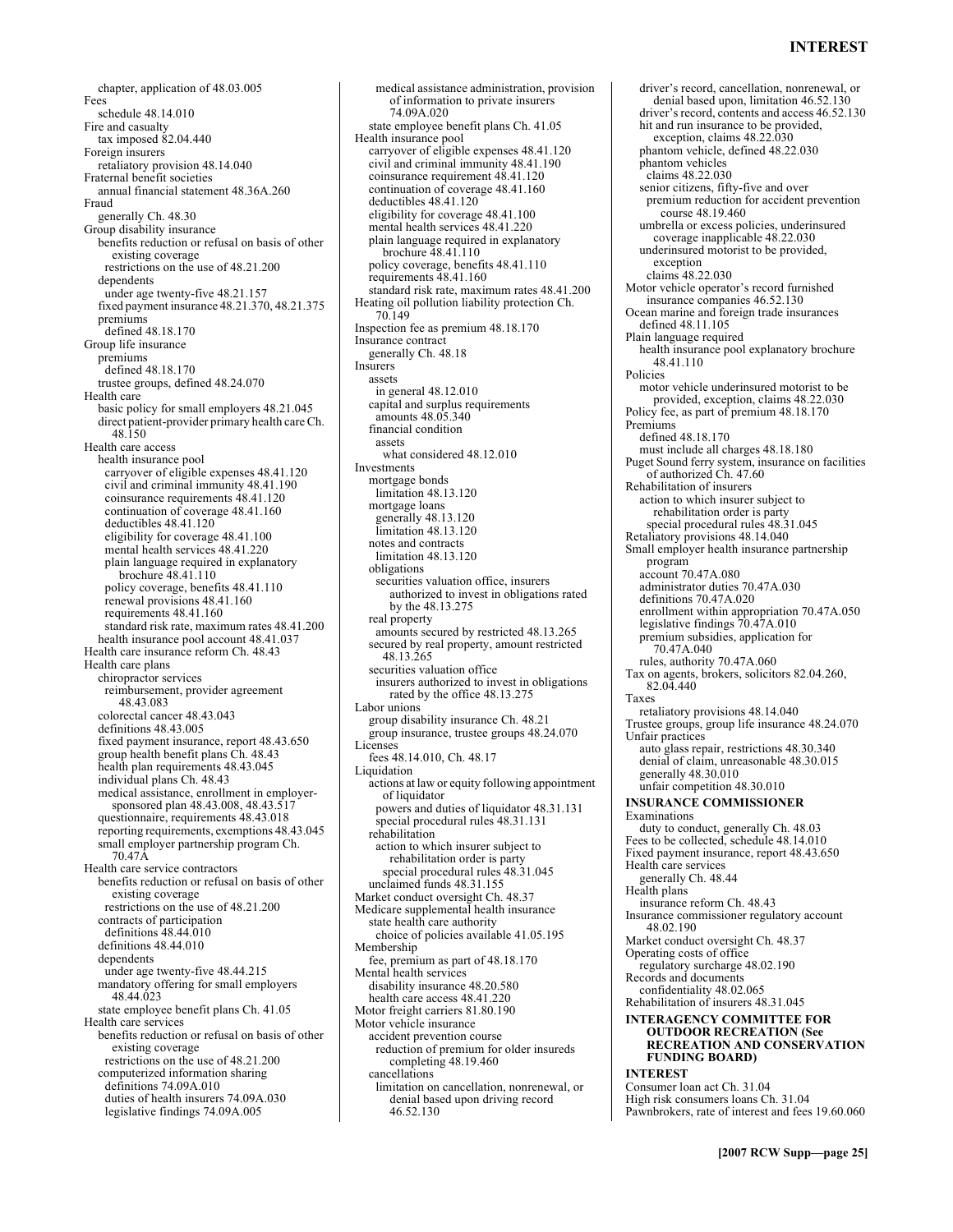### **INTEREST**

chapter, application of 48.03.005 Fees schedule 48.14.010 Fire and casualty tax imposed 82.04.440 Foreign insurers retaliatory provision 48.14.040 Fraternal benefit societies annual financial statement 48.36A.260 Fraud generally Ch. 48.30 Group disability insurance benefits reduction or refusal on basis of other existing coverage restrictions on the use of 48.21.200 dependents under age twenty-five 48.21.157 fixed payment insurance 48.21.370, 48.21.375 premiums defined 48.18.170 Group life insurance premiums defined 48.18.170 trustee groups, defined 48.24.070 Health care basic policy for small employers 48.21.045 direct patient-provider primary health care Ch. 48.150 Health care access health insurance pool carryover of eligible expenses 48.41.120 civil and criminal immunity 48.41.190 coinsurance requirements 48.41.120 continuation of coverage 48.41.160 deductibles 48.41.120 eligibility for coverage 48.41.100 mental health services 48.41.220 plain language required in explanatory brochure 48.41.110 policy coverage, benefits 48.41.110 renewal provisions 48.41.160 requirements 48.41.160 standard risk rate, maximum rates 48.41.200 health insurance pool account 48.41.037 Health care insurance reform Ch. 48.43 Health care plans chiropractor services reimbursement, provider agreement 48.43.083 colorectal cancer 48.43.043 definitions 48.43.005 fixed payment insurance, report 48.43.650 group health benefit plans Ch. 48.43 health plan requirements 48.43.045 individual plans Ch. 48.43 medical assistance, enrollment in employersponsored plan 48.43.008, 48.43.517 questionnaire, requirements 48.43.018 reporting requirements, exemptions 48.43.045 small employer partnership program Ch. 70.47A Health care service contractors benefits reduction or refusal on basis of other existing coverage restrictions on the use of 48.21.200 contracts of participation definitions 48.44.010 definitions 48.44.010 dependents under age twenty-five 48.44.215 mandatory offering for small employers 48.44.023 state employee benefit plans Ch. 41.05 Health care services benefits reduction or refusal on basis of other existing coverage restrictions on the use of 48.21.200 computerized information sharing definitions 74.09A.010 duties of health insurers 74.09A.030 legislative findings 74.09A.005

medical assistance administration, provision of information to private insurers 74.09A.020 state employee benefit plans Ch. 41.05 Health insurance pool carryover of eligible expenses 48.41.120 civil and criminal immunity 48.41.190 coinsurance requirement 48.41.120 continuation of coverage 48.41.160 deductibles 48.41.120 eligibility for coverage 48.41.100 mental health services 48.41.220 plain language required in explanatory brochure 48.41.110 policy coverage, benefits 48.41.110 requirements 48.41.160 standard risk rate, maximum rates 48.41.200 Heating oil pollution liability protection Ch. 70.149 Inspection fee as premium 48.18.170 Insurance contract generally Ch. 48.18 Insurers assets in general 48.12.010 capital and surplus requirements amounts 48.05.340 financial condition assets what considered 48.12.010 Investments mortgage bonds limitation 48.13.120 mortgage loans generally 48.13.120 limitation 48.13.120 notes and contracts limitation 48.13.120 obligations securities valuation office, insurers authorized to invest in obligations rated by the 48.13.275 real property amounts secured by restricted 48.13.265 secured by real property, amount restricted 48.13.265 securities valuation office insurers authorized to invest in obligations rated by the office 48.13.275 Labor unions group disability insurance Ch. 48.21 group insurance, trustee groups 48.24.070 Licenses fees 48.14.010, Ch. 48.17 Liquidation actions at law or equity following appointment of liquidator powers and duties of liquidator 48.31.131 special procedural rules 48.31.131 rehabilitation action to which insurer subject to rehabilitation order is party special procedural rules 48.31.045 unclaimed funds 48.31.155 Market conduct oversight Ch. 48.37 Medicare supplemental health insurance state health care authority choice of policies available 41.05.195 Membership fee, premium as part of 48.18.170 Mental health services disability insurance 48.20.580 health care access 48.41.220 Motor freight carriers 81.80.190 Motor vehicle insurance accident prevention course reduction of premium for older insureds completing 48.19.460 cancellations limitation on cancellation, nonrenewal, or denial based upon driving record 46.52.130

driver's record, cancellation, nonrenewal, or denial based upon, limitation 46.52.130 driver's record, contents and access 46.52.130 hit and run insurance to be provided, exception, claims 48.22.030 phantom vehicle, defined 48.22.030 phantom vehicles claims 48.22.030 senior citizens, fifty-five and over premium reduction for accident prevention course 48.19.460 umbrella or excess policies, underinsured coverage inapplicable 48.22.030 underinsured motorist to be provided, exception claims 48.22.030 Motor vehicle operator's record furnished insurance companies 46.52.130 Ocean marine and foreign trade insurances defined 48.11.105 Plain language required health insurance pool explanatory brochure 48.41.110 Policies motor vehicle underinsured motorist to be provided, exception, claims 48.22.030 Policy fee, as part of premium 48.18.170 Premiums defined 48.18.170 must include all charges 48.18.180 Puget Sound ferry system, insurance on facilities of authorized Ch. 47.60 Rehabilitation of insurers action to which insurer subject to rehabilitation order is party special procedural rules 48.31.045 Retaliatory provisions 48.14.040 Small employer health insurance partnership program account 70.47A.080 administrator duties 70.47A.030 definitions 70.47A.020 enrollment within appropriation 70.47A.050 legislative findings 70.47A.010 premium subsidies, application for 70.47A.040 rules, authority 70.47A.060 Tax on agents, brokers, solicitors 82.04.260, 82.04.440 Taxes retaliatory provisions 48.14.040 Trustee groups, group life insurance 48.24.070 Unfair practices auto glass repair, restrictions 48.30.340 denial of claim, unreasonable 48.30.015 generally 48.30.010 unfair competition 48.30.010 **INSURANCE COMMISSIONER**  Examinations duty to conduct, generally Ch. 48.03 Fees to be collected, schedule 48.14.010 Fixed payment insurance, report 48.43.650 Health care services generally Ch. 48.44 Health plans insurance reform Ch. 48.43 Insurance commissioner regulatory account 48.02.190 Market conduct oversight Ch. 48.37 Operating costs of office regulatory surcharge 48.02.190 Records and documents confidentiality 48.02.065 Rehabilitation of insurers 48.31.045 **INTERAGENCY COMMITTEE FOR OUTDOOR RECREATION (See RECREATION AND CONSERVATION FUNDING BOARD) INTEREST**  Consumer loan act Ch. 31.04 High risk consumers loans Ch. 31.04 Pawnbrokers, rate of interest and fees 19.60.060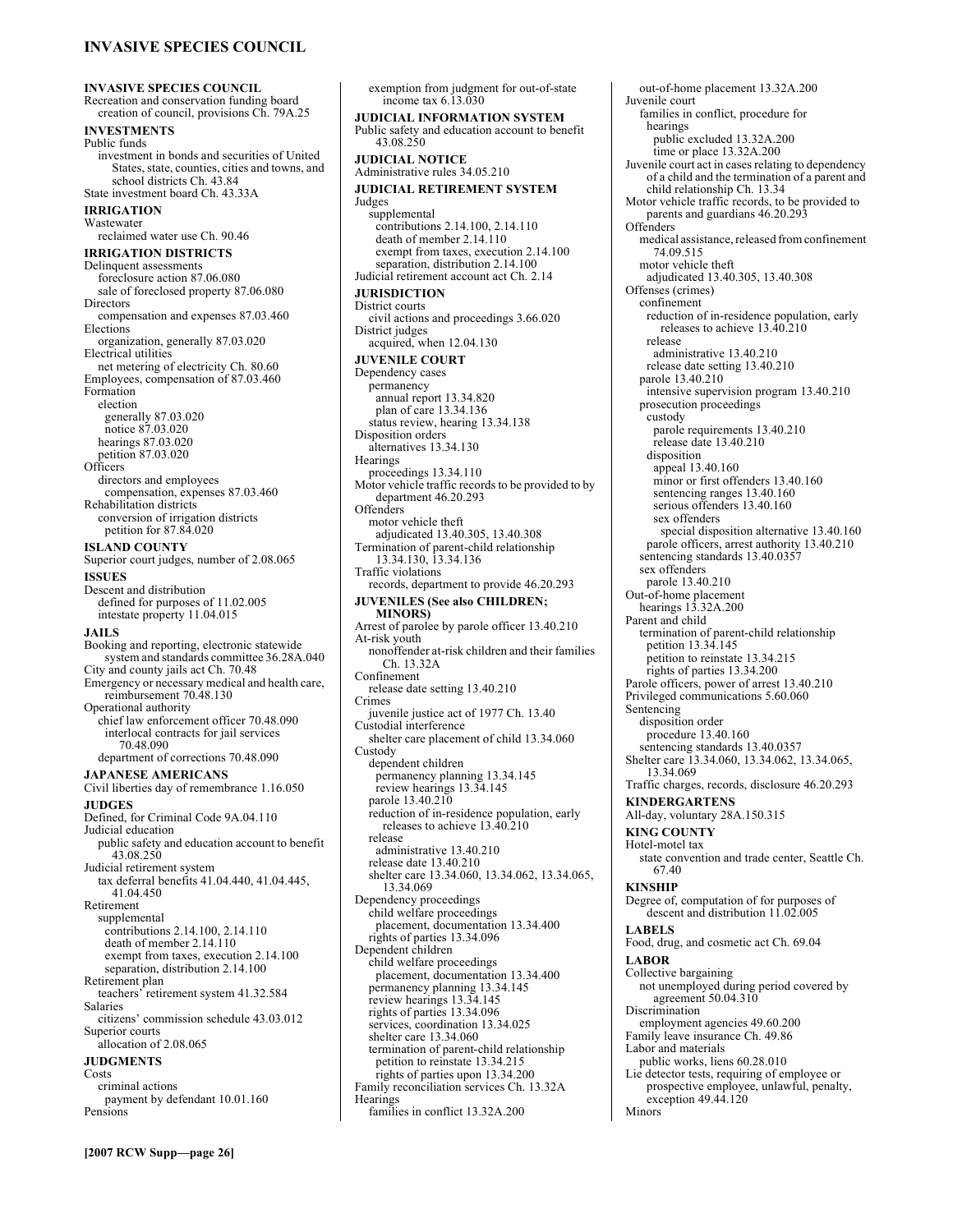### **INVASIVE SPECIES COUNCIL**

**INVASIVE SPECIES COUNCIL**  Recreation and conservation funding board creation of council, provisions Ch. 79A.25 **INVESTMENTS**  Public funds investment in bonds and securities of United States, state, counties, cities and towns, and school districts Ch. 43.84 State investment board Ch. 43.33A **IRRIGATION**  Wastewater reclaimed water use Ch. 90.46 **IRRIGATION DISTRICTS**  Delinquent assessments foreclosure action 87.06.080 sale of foreclosed property 87.06.080 Directors compensation and expenses 87.03.460 Elections organization, generally 87.03.020 Electrical utilities net metering of electricity Ch. 80.60 Employees, compensation of 87.03.460 Formation election generally 87.03.020 notice 87.03.020 hearings 87.03.020 petition 87.03.020 **Officers** directors and employees compensation, expenses 87.03.460 Rehabilitation districts conversion of irrigation districts petition for 87.84.020 **ISLAND COUNTY**  Superior court judges, number of 2.08.065 **ISSUES**  Descent and distribution defined for purposes of 11.02.005 intestate property 11.04.015 **JAILS**  Booking and reporting, electronic statewide system and standards committee 36.28A.040 City and county jails act Ch. 70.48 Emergency or necessary medical and health care, reimbursement 70.48.130 Operational authority chief law enforcement officer 70.48.090 interlocal contracts for jail services 70.48.090 department of corrections 70.48.090 **JAPANESE AMERICANS**  Civil liberties day of remembrance 1.16.050 **JUDGES**  Defined, for Criminal Code 9A.04.110 Judicial education public safety and education account to benefit 43.08.250 Judicial retirement system tax deferral benefits 41.04.440, 41.04.445, 41.04.450 Retirement supplemental contributions 2.14.100, 2.14.110 death of member 2.14.110 exempt from taxes, execution 2.14.100 separation, distribution 2.14.100 Retirement plan teachers<sup>3</sup> retirement system 41.32.584 Salaries citizens' commission schedule 43.03.012 Superior courts allocation of 2.08.065 **JUDGMENTS**  Costs criminal actions payment by defendant 10.01.160 Pensions

exemption from judgment for out-of-state income tax  $6.13.030$ **JUDICIAL INFORMATION SYSTEM**  Public safety and education account to benefit 43.08.250 **JUDICIAL NOTICE**  Administrative rules 34.05.210 **JUDICIAL RETIREMENT SYSTEM**  Judges supplemental contributions 2.14.100, 2.14.110  $\frac{2.1111100}{2.14110}$ exempt from taxes, execution 2.14.100 separation, distribution 2.14.100 Judicial retirement account act Ch. 2.14 **JURISDICTION**  District courts civil actions and proceedings 3.66.020 District judges acquired, when 12.04.130 **JUVENILE COURT**  Dependency cases permanency annual report 13.34.820 plan of care 13.34.136 status review, hearing 13.34.138 Disposition orders alternatives 13.34.130 **Hearings** proceedings 13.34.110 Motor vehicle traffic records to be provided to by department 46.20.293 **Offenders** motor vehicle theft adjudicated 13.40.305, 13.40.308 Termination of parent-child relationship 13.34.130, 13.34.136 Traffic violations records, department to provide 46.20.293 **JUVENILES (See also CHILDREN; MINORS)**  Arrest of parolee by parole officer 13.40.210 At-risk youth nonoffender at-risk children and their families Ch. 13.32A Confinement release date setting 13.40.210 Crimes juvenile justice act of 1977 Ch. 13.40 Custodial interference shelter care placement of child 13.34.060 **Custody** dependent children permanency planning 13.34.145 review hearings 13.34.145 parole 13.40.210 reduction of in-residence population, early releases to achieve 13.40.210 release administrative 13.40.210 release date 13.40.210 shelter care 13.34.060, 13.34.062, 13.34.065, 13.34.069 Dependency proceedings child welfare proceedings placement, documentation 13.34.400 rights of parties 13.34.096 Dependent children child welfare proceedings placement, documentation 13.34.400 permanency planning 13.34.145 review hearings 13.34.145 rights of parties 13.34.096 services, coordination 13.34.025 shelter care 13.34.060 termination of parent-child relationship petition to reinstate 13.34.215 rights of parties upon 13.34.200 Family reconciliation services Ch. 13.32A **Hearings** families in conflict 13.32A.200

out-of-home placement 13.32A.200 Juvenile court families in conflict, procedure for hearings public excluded 13.32A.200 time or place 13.32A.200 Juvenile court act in cases relating to dependency of a child and the termination of a parent and child relationship Ch. 13.34 Motor vehicle traffic records, to be provided to parents and guardians  $46.20.29<sup>3</sup>$ **Offenders** medical assistance, released from confinement 74.09.515 motor vehicle theft adjudicated 13.40.305, 13.40.308 Offenses (crimes) confinement reduction of in-residence population, early releases to achieve 13.40.210 release administrative 13.40.210 release date setting 13.40.210 parole 13.40.210 intensive supervision program 13.40.210 prosecution proceedings custody parole requirements 13.40.210 release date 13.40.210 disposition appeal 13.40.160 minor or first offenders 13.40.160 sentencing ranges 13.40.160 serious offenders 13.40.160 sex offenders special disposition alternative 13.40.160 parole officers, arrest authority 13.40.210 sentencing standards 13.40.0357 sex offenders parole 13.40.210 Out-of-home placement hearings 13.32A.200 Parent and child termination of parent-child relationship petition 13.34.145 petition to reinstate 13.34.215 rights of parties 13.34.200 Parole officers, power of arrest 13.40.210 Privileged communications 5.60.060 Sentencing disposition order procedure 13.40.160 sentencing standards 13.40.0357 Shelter care 13.34.060, 13.34.062, 13.34.065, 13.34.069 Traffic charges, records, disclosure 46.20.293 **KINDERGARTENS**  All-day, voluntary 28A.150.315 **KING COUNTY**  Hotel-motel tax state convention and trade center, Seattle Ch. 67.40 **KINSHIP**  Degree of, computation of for purposes of descent and distribution 11.02.005 **LABELS**  Food, drug, and cosmetic act Ch. 69.04 **LABOR**  Collective bargaining not unemployed during period covered by agreement 50.04.310 Discrimination employment agencies 49.60.200 Family leave insurance Ch. 49.86 Labor and materials public works, liens 60.28.010 Lie detector tests, requiring of employee or prospective employee, unlawful, penalty, exception 49.44.120 Minors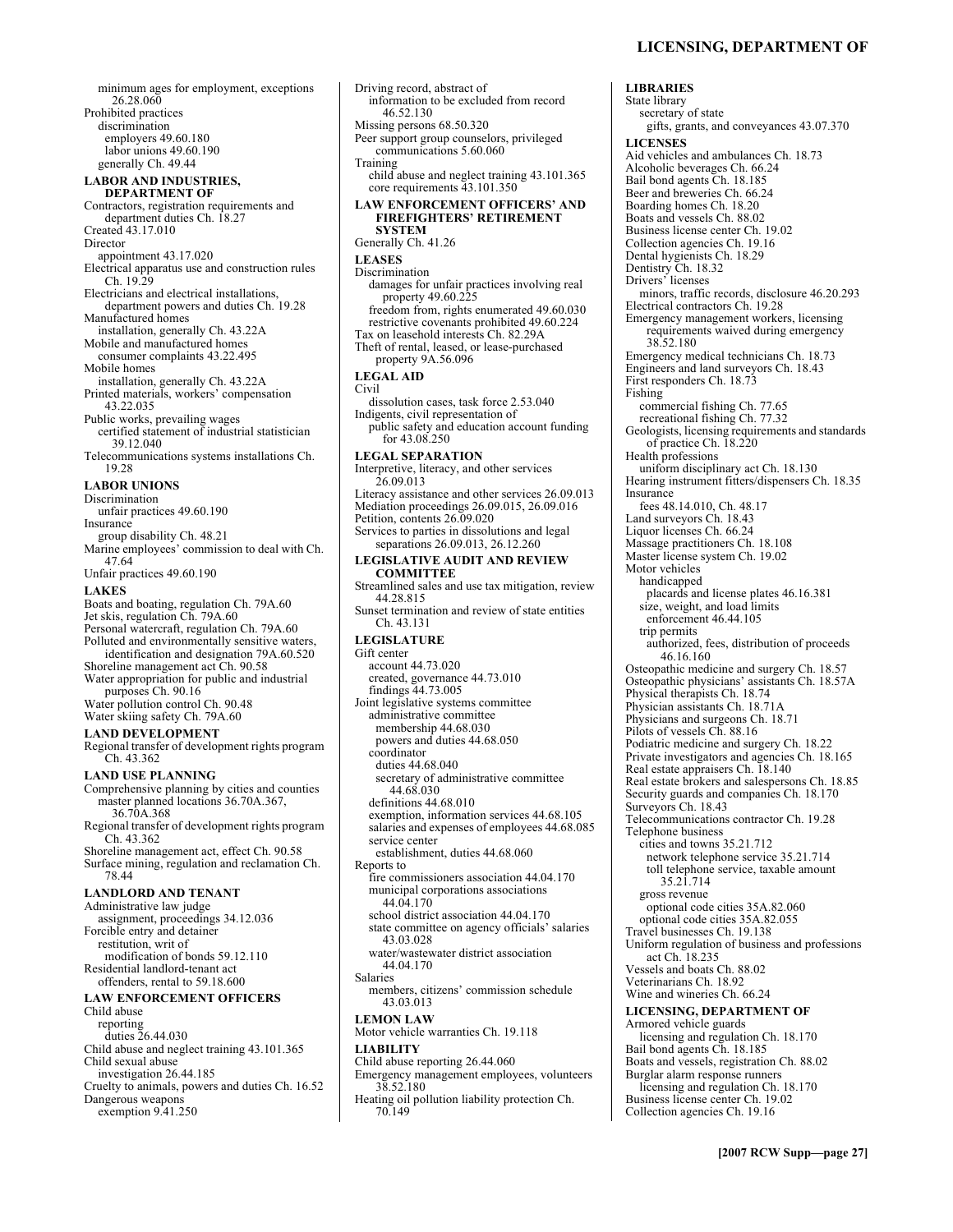minimum ages for employment, exceptions 26.28.060 Prohibited practices discrimination employers 49.60.180 labor unions 49.60.190 generally Ch. 49.44 **LABOR AND INDUSTRIES, DEPARTMENT OF**  Contractors, registration requirements and department duties Ch. 18.27 Created 43.17.010 Director appointment 43.17.020 Electrical apparatus use and construction rules Ch. 19.29 Electricians and electrical installations, department powers and duties Ch. 19.28 Manufactured homes installation, generally Ch. 43.22A Mobile and manufactured homes consumer complaints 43.22.495 Mobile homes installation, generally Ch. 43.22A Printed materials, workers' compensation 43.22.035 Public works, prevailing wages certified statement of industrial statistician 39.12.040 Telecommunications systems installations Ch. 19.28 **LABOR UNIONS**  Discrimination unfair practices 49.60.190 Insurance group disability Ch. 48.21 Marine employees' commission to deal with Ch. 47.64 Unfair practices 49.60.190 **LAKES**  Boats and boating, regulation Ch. 79A.60 Jet skis, regulation Ch. 79A.60 Personal watercraft, regulation Ch. 79A.60 Polluted and environmentally sensitive waters, identification and designation 79A.60.520 Shoreline management act Ch. 90.58 Water appropriation for public and industrial purposes Ch. 90.16 Water pollution control Ch. 90.48 Water skiing safety Ch. 79A.60 **LAND DEVELOPMENT**  Regional transfer of development rights program Ch. 43.362 **LAND USE PLANNING**  Comprehensive planning by cities and counties master planned locations 36.70A.367, 36.70A.368 Regional transfer of development rights program Ch. 43.362 Shoreline management act, effect Ch. 90.58 Surface mining, regulation and reclamation Ch. 78.44 **LANDLORD AND TENANT**  Administrative law judge assignment, proceedings 34.12.036 Forcible entry and detainer restitution, writ of modification of bonds 59.12.110 Residential landlord-tenant act offenders, rental to 59.18.600 **LAW ENFORCEMENT OFFICERS**  Child abuse reporting duties 26.44.030 Child abuse and neglect training 43.101.365 Child sexual abuse investigation 26.44.185 Cruelty to animals, powers and duties Ch. 16.52 Dangerous weapons exemption 9.41.250

Driving record, abstract of information to be excluded from record 46.52.130 Missing persons 68.50.320 Peer support group counselors, privileged communications 5.60.060 Training child abuse and neglect training 43.101.365 core requirements 43.101.350 **LAW ENFORCEMENT OFFICERS' AND FIREFIGHTERS' RETIREMENT SYSTEM**  Generally Ch. 41.26 **LEASES**  Discrimination damages for unfair practices involving real property 49.60.225 freedom from, rights enumerated 49.60.030 restrictive covenants prohibited 49.60.224 Tax on leasehold interests Ch. 82.29A Theft of rental, leased, or lease-purchased property 9A.56.096 **LEGAL AID**  Civil dissolution cases, task force 2.53.040 Indigents, civil representation of public safety and education account funding for 43.08.250 **LEGAL SEPARATION**  Interpretive, literacy, and other services 26.09.013 Literacy assistance and other services 26.09.013 Mediation proceedings 26.09.015, 26.09.016 Petition, contents 26.09.020 Services to parties in dissolutions and legal separations 26.09.013, 26.12.260 **LEGISLATIVE AUDIT AND REVIEW COMMITTEE**  Streamlined sales and use tax mitigation, review 44.28.815 Sunset termination and review of state entities Ch. 43.131 **LEGISLATURE**  Gift center account 44.73.020 created, governance 44.73.010 findings 44.73.005 Joint legislative systems committee administrative committee membership 44.68.030 powers and duties 44.68.050 coordinator duties 44.68.040 secretary of administrative committee 44.68.030 definitions 44.68.010 exemption, information services 44.68.105 salaries and expenses of employees 44.68.085 service center establishment, duties 44.68.060 Reports to fire commissioners association 44.04.170 municipal corporations associations 44.04.170 school district association 44.04.170 state committee on agency officials' salaries 43.03.028 water/wastewater district association 44.04.170 Salaries members, citizens' commission schedule 43.03.013 **LEMON LAW**  Motor vehicle warranties Ch. 19.118 **LIABILITY**  Child abuse reporting 26.44.060 Emergency management employees, volunteers 38.52.180 Heating oil pollution liability protection Ch. 70.149

**LIBRARIES**  State library secretary of state gifts, grants, and conveyances 43.07.370 **LICENSES**  Aid vehicles and ambulances Ch. 18.73 Alcoholic beverages Ch. 66.24 Bail bond agents Ch. 18.185 Beer and breweries Ch. 66.24 Boarding homes Ch. 18.20 Boats and vessels Ch. 88.02 Business license center Ch. 19.02 Collection agencies Ch. 19.16 Dental hygienists Ch. 18.29 Dentistry Ch. 18.32 Drivers<sup>7</sup> licenses minors, traffic records, disclosure 46.20.293 Electrical contractors Ch. 19.28 Emergency management workers, licensing requirements waived during emergency 38.52.180 Emergency medical technicians Ch. 18.73 Engineers and land surveyors Ch. 18.43 First responders Ch. 18.73 Fishing commercial fishing Ch. 77.65 recreational fishing Ch. 77.32 Geologists, licensing requirements and standards of practice Ch. 18.220 Health professions uniform disciplinary act Ch. 18.130 Hearing instrument fitters/dispensers Ch. 18.35 Insurance fees 48.14.010, Ch. 48.17 Land surveyors Ch. 18.43 Liquor licenses Ch. 66.24 Massage practitioners Ch. 18.108 Master license system Ch. 19.02 Motor vehicles handicapped placards and license plates 46.16.381 size, weight, and load limits enforcement 46.44.105 trip permits authorized, fees, distribution of proceeds 46.16.160 Osteopathic medicine and surgery Ch. 18.57 Osteopathic physicians' assistants Ch. 18.57A Physical therapists Ch. 18.74 Physician assistants Ch. 18.71A Physicians and surgeons Ch. 18.71 Pilots of vessels Ch. 88.16 Podiatric medicine and surgery Ch. 18.22 Private investigators and agencies Ch. 18.165 Real estate appraisers Ch. 18.140 Real estate brokers and salespersons Ch. 18.85 Security guards and companies Ch. 18.170 Surveyors Ch. 18.43 Telecommunications contractor Ch. 19.28 Telephone business cities and towns 35.21.712 network telephone service 35.21.714 toll telephone service, taxable amount 35.21.714 gross revenue optional code cities 35A.82.060 optional code cities 35A.82.055 Travel businesses Ch. 19.138 Uniform regulation of business and professions act Ch. 18.235 Vessels and boats Ch. 88.02 Veterinarians Ch. 18.92 Wine and wineries Ch. 66.24 **LICENSING, DEPARTMENT OF**  Armored vehicle guards licensing and regulation Ch. 18.170 Bail bond agents Ch. 18.185 Boats and vessels, registration Ch. 88.02 Burglar alarm response runners licensing and regulation Ch. 18.170 Business license center Ch. 19.02 Collection agencies Ch. 19.16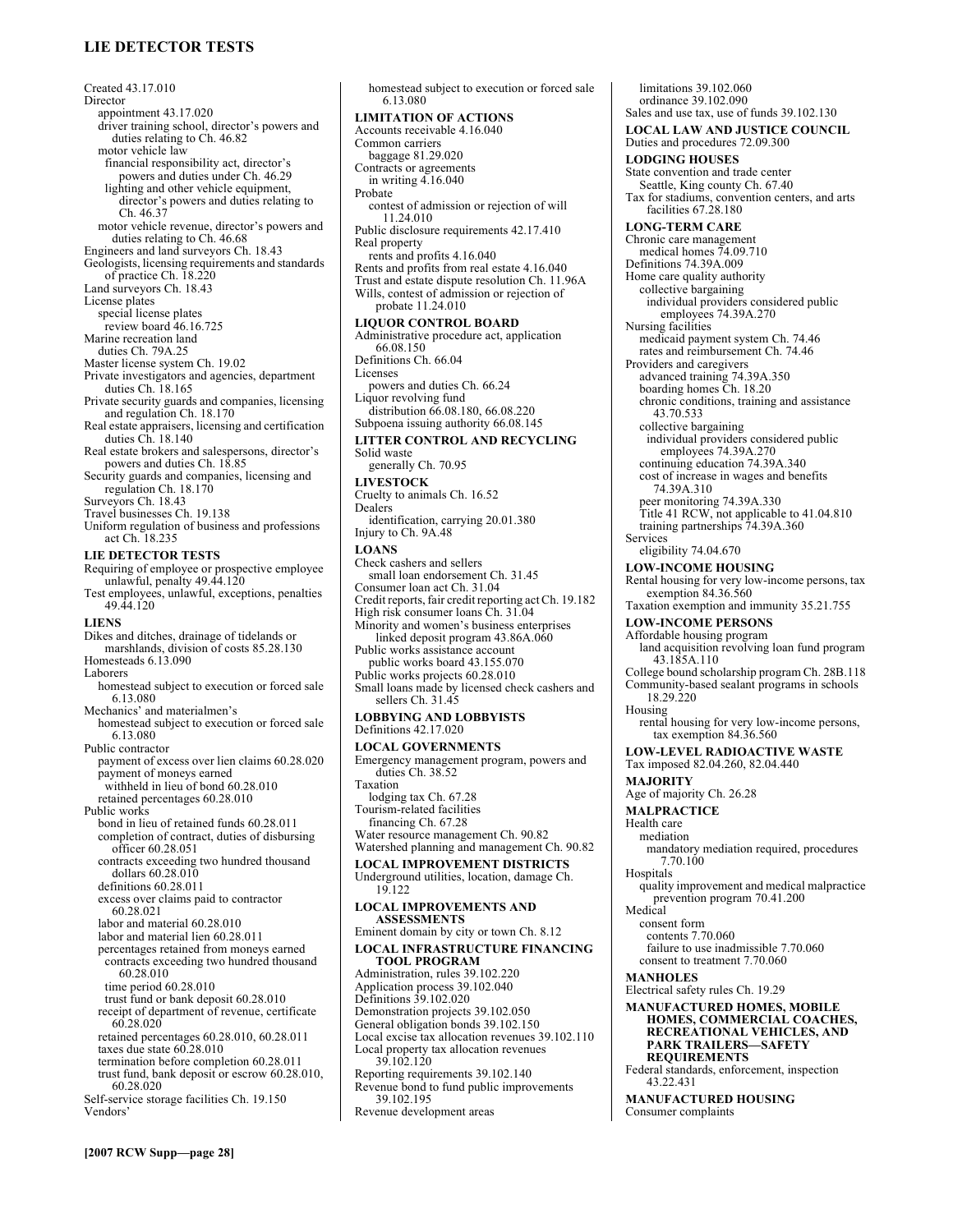# **LIE DETECTOR TESTS**

Created 43.17.010 Director appointment 43.17.020 driver training school, director's powers and duties relating to Ch. 46.82 motor vehicle law financial responsibility act, director's powers and duties under Ch. 46.29 lighting and other vehicle equipment, director's powers and duties relating to Ch. 46.37 motor vehicle revenue, director's powers and duties relating to Ch. 46.68 Engineers and land surveyors Ch. 18.43 Geologists, licensing requirements and standards of practice Ch. 18.220 Land surveyors Ch. 18.43 License plates special license plates review board 46.16.725 Marine recreation land duties Ch. 79A.25 Master license system Ch. 19.02 Private investigators and agencies, department duties Ch. 18.165 Private security guards and companies, licensing and regulation Ch. 18.170 Real estate appraisers, licensing and certification duties Ch. 18.140 Real estate brokers and salespersons, director's powers and duties Ch. 18.85 Security guards and companies, licensing and regulation Ch. 18.170 Surveyors Ch. 18.43 Travel businesses Ch. 19.138 Uniform regulation of business and professions act Ch. 18.235 **LIE DETECTOR TESTS**  Requiring of employee or prospective employee unlawful, penalty 49.44.120 Test employees, unlawful, exceptions, penalties 49.44.120 **LIENS**  Dikes and ditches, drainage of tidelands or marshlands, division of costs 85.28.130 Homesteads 6.13.090 Laborers homestead subject to execution or forced sale 6.13.080 Mechanics' and materialmen's homestead subject to execution or forced sale 6.13.080 Public contractor payment of excess over lien claims 60.28.020 payment of moneys earned withheld in lieu of bond 60.28.010 retained percentages 60.28.010 Public works bond in lieu of retained funds 60.28.011 completion of contract, duties of disbursing officer 60.28.051 contracts exceeding two hundred thousand dollars 60.28.010 definitions 60.28.011 excess over claims paid to contractor 60.28.021 labor and material 60.28.010 labor and material lien 60.28.011 percentages retained from moneys earned contracts exceeding two hundred thousand 60.28.010 time period 60.28.010 trust fund or bank deposit 60.28.010 receipt of department of revenue, certificate 60.28.020 retained percentages 60.28.010, 60.28.011 taxes due state 60.28.010 termination before completion 60.28.011 trust fund, bank deposit or escrow 60.28.010, 60.28.020 Self-service storage facilities Ch. 19.150 Vendors<sup>3</sup>

6.13.080 **LIMITATION OF ACTIONS**  Accounts receivable 4.16.040 Common carriers baggage 81.29.020 Contracts or agreements in writing 4.16.040 Probate contest of admission or rejection of will 11.24.010 Public disclosure requirements 42.17.410 Real property rents and profits 4.16.040 Rents and profits from real estate 4.16.040 Trust and estate dispute resolution Ch. 11.96A Wills, contest of admission or rejection of probate 11.24.010 **LIQUOR CONTROL BOARD**  Administrative procedure act, application 66.08.150 Definitions Ch. 66.04 Licenses powers and duties Ch. 66.24 Liquor revolving fund distribution 66.08.180, 66.08.220 Subpoena issuing authority 66.08.145 **LITTER CONTROL AND RECYCLING**  Solid waste generally Ch. 70.95 **LIVESTOCK**  Cruelty to animals Ch. 16.52 Dealers identification, carrying 20.01.380 Injury to Ch. 9A.48 **LOANS**  Check cashers and sellers small loan endorsement Ch. 31.45 Consumer loan act Ch. 31.04 Credit reports, fair credit reporting act Ch. 19.182 High risk consumer loans Ch. 31.04 Minority and womenís business enterprises linked deposit program 43.86A.060 Public works assistance account public works board 43.155.070 Public works projects 60.28.010 Small loans made by licensed check cashers and sellers Ch. 31.45 **LOBBYING AND LOBBYISTS**  Definitions 42.17.020 **LOCAL GOVERNMENTS**  Emergency management program, powers and duties Ch. 38.52 Taxation lodging tax Ch. 67.28 Tourism-related facilities financing Ch. 67.28 Water resource management Ch. 90.82 Watershed planning and management Ch. 90.82 **LOCAL IMPROVEMENT DISTRICTS**  Underground utilities, location, damage Ch. 19.122 **LOCAL IMPROVEMENTS AND ASSESSMENTS**  Eminent domain by city or town Ch. 8.12 **LOCAL INFRASTRUCTURE FINANCING TOOL PROGRAM**  Administration, rules 39.102.220 Application process 39.102.040 Definitions 39.102.020 Demonstration projects 39.102.050 General obligation bonds 39.102.150 Local excise tax allocation revenues 39.102.110 Local property tax allocation revenues 39.102.120 Reporting requirements 39.102.140 Revenue bond to fund public improvements 39.102.195 Revenue development areas

homestead subject to execution or forced sale

limitations 39.102.060 ordinance 39.102.090 Sales and use tax, use of funds 39.102.130 **LOCAL LAW AND JUSTICE COUNCIL**  Duties and procedures 72.09.300 **LODGING HOUSES**  State convention and trade center Seattle, King county Ch. 67.40 Tax for stadiums, convention centers, and arts facilities 67.28.180 **LONG-TERM CARE**  Chronic care management medical homes 74.09.710 Definitions 74.39A.009 Home care quality authority collective bargaining individual providers considered public employees 74.39A.270 Nursing facilities medicaid payment system Ch. 74.46 rates and reimbursement Ch. 74.46 Providers and caregivers advanced training 74.39A.350 boarding homes Ch. 18.20 chronic conditions, training and assistance 43.70.533 collective bargaining individual providers considered public employees 74.39A.270 continuing education 74.39A.340 cost of increase in wages and benefits 74.39A.310 peer monitoring 74.39A.330 Title 41 RCW, not applicable to 41.04.810 training partnerships 74.39A.360 Services eligibility 74.04.670 **LOW-INCOME HOUSING**  Rental housing for very low-income persons, tax exemption 84.36.560 Taxation exemption and immunity 35.21.755 **LOW-INCOME PERSONS**  Affordable housing program land acquisition revolving loan fund program 43.185A.110 College bound scholarship program Ch. 28B.118 Community-based sealant programs in schools 18.29.220 Housing rental housing for very low-income persons, tax exemption 84.36.560 **LOW-LEVEL RADIOACTIVE WASTE**  Tax imposed 82.04.260, 82.04.440 **MAJORITY**  Age of majority Ch. 26.28 **MALPRACTICE**  Health care mediation mandatory mediation required, procedures 7.70.100 **Hospitals** quality improvement and medical malpractice prevention program 70.41.200 Medical consent form contents 7.70.060 failure to use inadmissible 7.70.060 consent to treatment 7.70.060 **MANHOLES**  Electrical safety rules Ch. 19.29 **MANUFACTURED HOMES, MOBILE HOMES, COMMERCIAL COACHES, RECREATIONAL VEHICLES, AND PARK TRAILERS-SAFETY REQUIREMENTS**  Federal standards, enforcement, inspection 43.22.431 **MANUFACTURED HOUSING**  Consumer complaints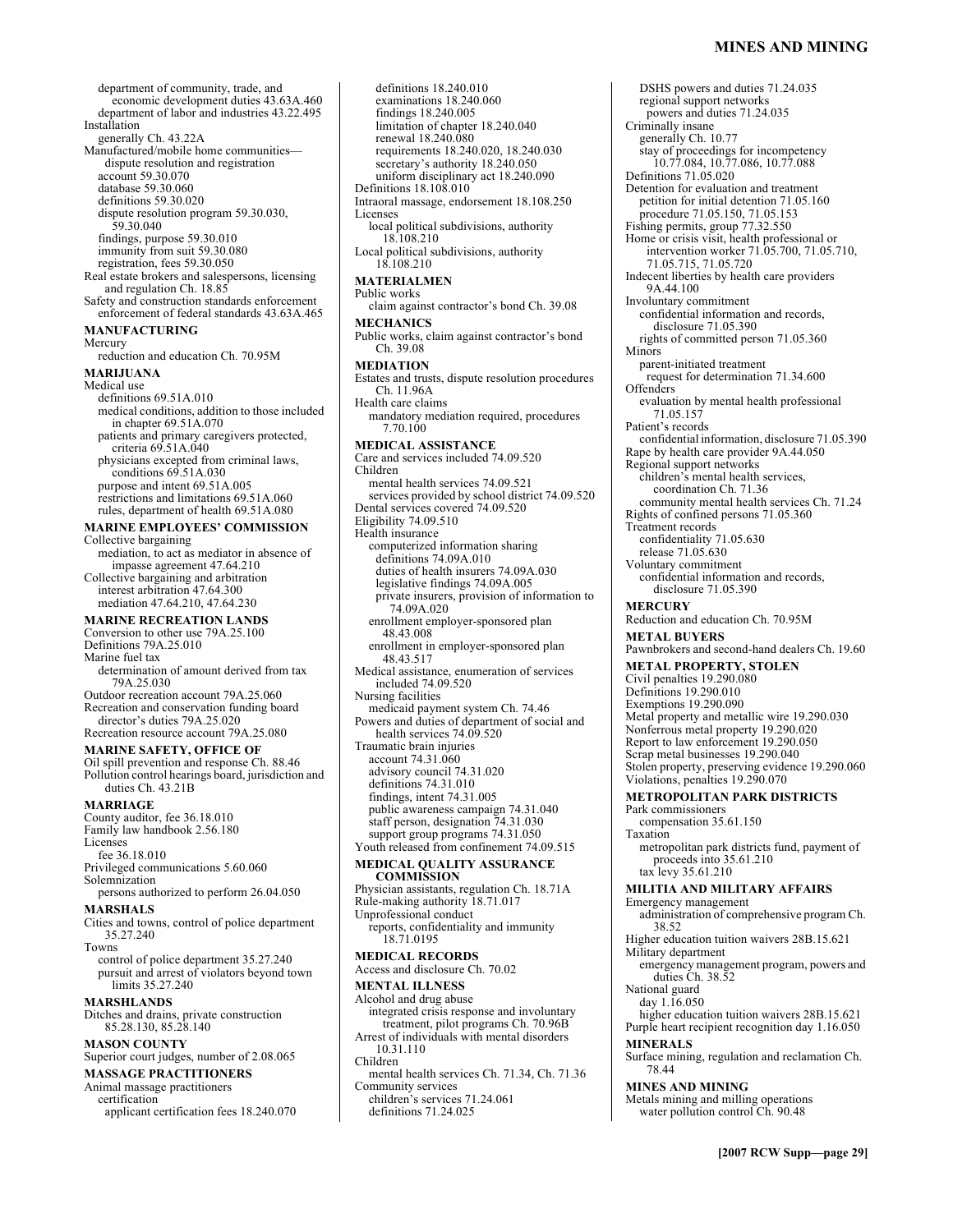economic development duties 43.63A.460 department of labor and industries 43.22.495 Installation generally Ch. 43.22A Manufactured/mobile home communitiesdispute resolution and registration account 59.30.070 database 59.30.060 definitions 59.30.020 dispute resolution program 59.30.030, 59.30.040 findings, purpose 59.30.010 immunity from suit 59.30.080 registration, fees 59.30.050 Real estate brokers and salespersons, licensing and regulation Ch. 18.85 Safety and construction standards enforcement enforcement of federal standards 43.63A.465 **MANUFACTURING**  Mercury reduction and education Ch. 70.95M **MARIJUANA**  Medical use definitions 69.51A.010 medical conditions, addition to those included in chapter 69.51A.070 patients and primary caregivers protected, criteria 69.51A.040 physicians excepted from criminal laws, conditions 69.51A.030 purpose and intent 69.51A.005 restrictions and limitations 69.51A.060 rules, department of health 69.51A.080 **MARINE EMPLOYEES' COMMISSION** Collective bargaining mediation, to act as mediator in absence of

department of community, trade, and

impasse agreement 47.64.210 Collective bargaining and arbitration interest arbitration 47.64.300 mediation 47.64.210, 47.64.230

### **MARINE RECREATION LANDS**

Conversion to other use 79A.25.100 Definitions 79A.25.010 Marine fuel tax determination of amount derived from tax 79A.25.030 Outdoor recreation account 79A.25.060 Recreation and conservation funding board

director's duties 79A.25.020 Recreation resource account 79A.25.080

#### **MARINE SAFETY, OFFICE OF**

Oil spill prevention and response Ch. 88.46 Pollution control hearings board, jurisdiction and duties Ch. 43.21B

**MARRIAGE** 

County auditor, fee 36.18.010 Family law handbook 2.56.180 Licenses fee 36.18.010

Privileged communications 5.60.060 Solemnization

persons authorized to perform 26.04.050

# **MARSHALS**

Cities and towns, control of police department 35.27.240 Towns

control of police department 35.27.240 pursuit and arrest of violators beyond town limits 35.27.240

# **MARSHLANDS**

Ditches and drains, private construction 85.28.130, 85.28.140

#### **MASON COUNTY**

Superior court judges, number of 2.08.065

#### **MASSAGE PRACTITIONERS**  Animal massage practitioners

certification

applicant certification fees 18.240.070

examinations 18.240.060 findings 18.240.005 limitation of chapter 18.240.040 renewal 18.240.080 requirements 18.240.020, 18.240.030 secretary's authority 18.240.050 uniform disciplinary act 18.240.090 Definitions 18.108.010 Intraoral massage, endorsement 18.108.250 Licenses local political subdivisions, authority 18.108.210 Local political subdivisions, authority 18.108.210 **MATERIALMEN** Public works claim against contractor's bond Ch. 39.08 **MECHANICS**  Public works, claim against contractor's bond Ch. 39.08 **MEDIATION**  Estates and trusts, dispute resolution procedures Ch. 11.96A Health care claims mandatory mediation required, procedures 7.70.100 **MEDICAL ASSISTANCE**  Care and services included 74.09.520 Children mental health services 74.09.521 services provided by school district 74.09.520 Dental services covered 74.09.520 Eligibility 74.09.510 Health insurance computerized information sharing definitions 74.09A.010 duties of health insurers 74.09A.030 legislative findings 74.09A.005 private insurers, provision of information to 74.09A.020 enrollment employer-sponsored plan 48.43.008 enrollment in employer-sponsored plan 48.43.517 Medical assistance, enumeration of services included 74.09.520 Nursing facilities medicaid payment system Ch. 74.46 Powers and duties of department of social and health services 74.09.520 Traumatic brain injuries account 74.31.060 advisory council 74.31.020 definitions 74.31.010 findings, intent 74.31.005 public awareness campaign 74.31.040 staff person, designation 74.31.030 support group programs 74.31.050 Youth released from confinement 74.09.515 **MEDICAL QUALITY ASSURANCE COMMISSION**  Physician assistants, regulation Ch. 18.71A Rule-making authority 18.71.017 Unprofessional conduct reports, confidentiality and immunity 18.71.0195 **MEDICAL RECORDS**  Access and disclosure Ch. 70.02 **MENTAL ILLNESS**  Alcohol and drug abuse integrated crisis response and involuntary treatment, pilot programs Ch. 70.96B Arrest of individuals with mental disorders 10.31.110 Children mental health services Ch. 71.34, Ch. 71.36 Community services

definitions 18.240.010

children's services 71.24.061 definitions 71.24.025

DSHS powers and duties 71.24.035 regional support networks powers and duties 71.24.035 Criminally insane generally Ch. 10.77 stay of proceedings for incompetency 10.77.084, 10.77.086, 10.77.088 Definitions 71.05.020 Detention for evaluation and treatment petition for initial detention 71.05.160 procedure 71.05.150, 71.05.153 Fishing permits, group 77.32.550 Home or crisis visit, health professional or intervention worker 71.05.700, 71.05.710, 71.05.715, 71.05.720 Indecent liberties by health care providers 9A.44.100 Involuntary commitment confidential information and records, disclosure 71.05.390 rights of committed person 71.05.360 Minors parent-initiated treatment request for determination 71.34.600 **Offenders** evaluation by mental health professional 71.05.157 Patient's records confidential information, disclosure 71.05.390 Rape by health care provider 9A.44.050 Regional support networks children's mental health services, coordination Ch. 71.36 community mental health services Ch. 71.24 Rights of confined persons 71.05.360 Treatment records confidentiality 71.05.630 release 71.05.630 Voluntary commitment confidential information and records, disclosure 71.05.390 **MERCURY**  Reduction and education Ch. 70.95M **METAL BUYERS**  Pawnbrokers and second-hand dealers Ch. 19.60 **METAL PROPERTY, STOLEN**  Civil penalties 19.290.080 Definitions 19.290.010 Exemptions 19.290.090 Metal property and metallic wire 19.290.030 Nonferrous metal property 19.290.020 Report to law enforcement 19.290.050 Scrap metal businesses 19.290.040 Stolen property, preserving evidence 19.290.060 Violations, penalties 19.290.070 **METROPOLITAN PARK DISTRICTS**  Park commissioners compensation 35.61.150 Taxation metropolitan park districts fund, payment of proceeds into 35.61.210 tax levy 35.61.210 **MILITIA AND MILITARY AFFAIRS**  Emergency management administration of comprehensive program Ch. 38.52 Higher education tuition waivers 28B.15.621 Military department emergency management program, powers and duties Ch. 38.52 National guard day 1.16.050 higher education tuition waivers 28B.15.621 Purple heart recipient recognition day 1.16.050 **MINERALS**  Surface mining, regulation and reclamation Ch. 78.44 **MINES AND MINING**  Metals mining and milling operations water pollution control Ch. 90.48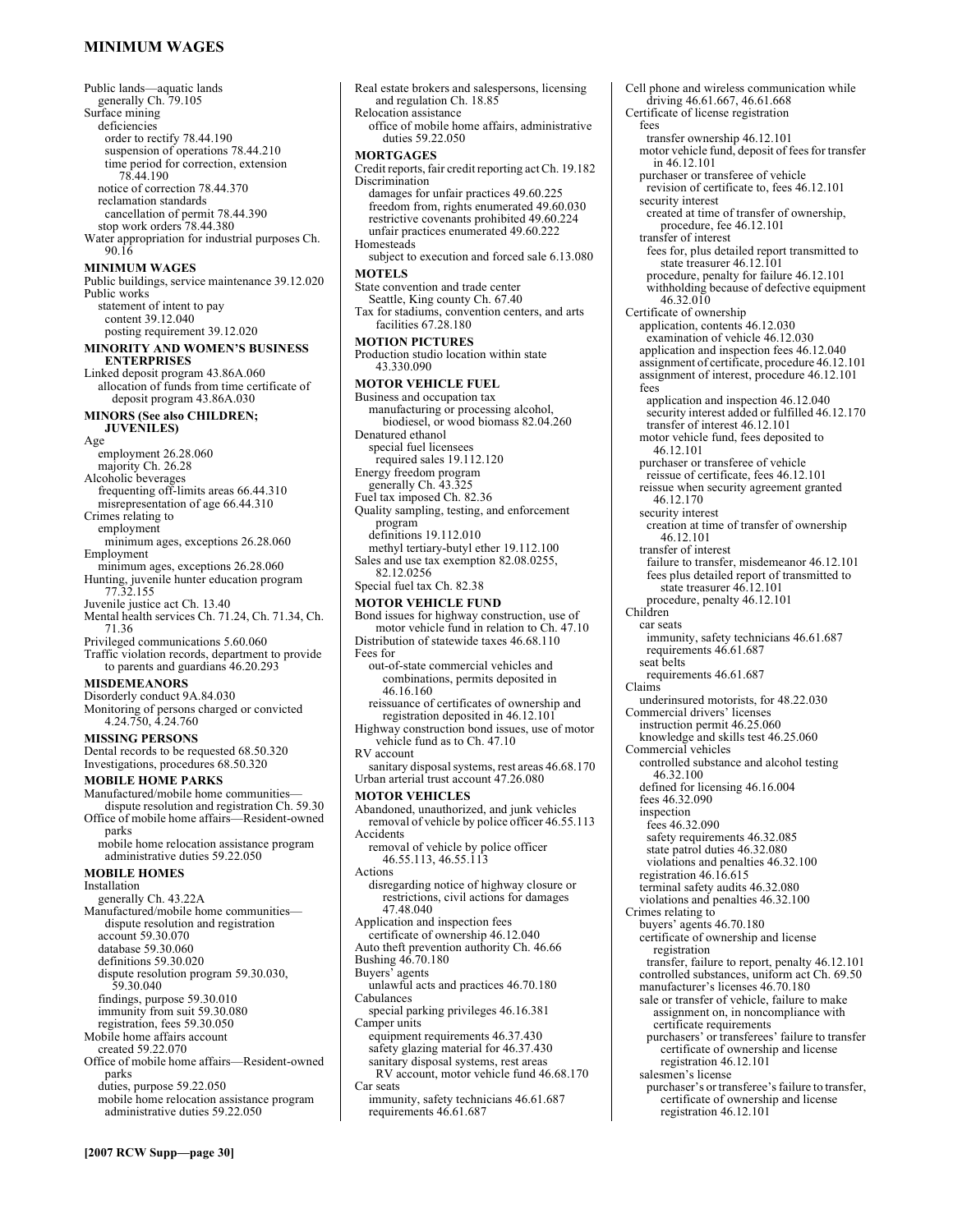### **MINIMUM WAGES**

Public lands—aquatic lands generally Ch. 79.105 Surface mining deficiencies order to rectify 78.44.190 suspension of operations 78.44.210 time period for correction, extension 78.44.190 notice of correction 78.44.370 reclamation standards cancellation of permit 78.44.390 stop work orders 78.44.380 Water appropriation for industrial purposes Ch. 90.16 **MINIMUM WAGES**  Public buildings, service maintenance 39.12.020 Public works statement of intent to pay content 39.12.040 posting requirement 39.12.020 **MINORITY AND WOMEN'S BUSINESS ENTERPRISES**  Linked deposit program 43.86A.060 allocation of funds from time certificate of deposit program 43.86A.030 **MINORS (See also CHILDREN; JUVENILES)**  Age employment 26.28.060 majority Ch. 26.28 Alcoholic beverages frequenting off-limits areas 66.44.310 misrepresentation of age 66.44.310 Crimes relating to employment minimum ages, exceptions 26.28.060 Employment minimum ages, exceptions 26.28.060 Hunting, juvenile hunter education program 77.32.155 Juvenile justice act Ch. 13.40 Mental health services Ch. 71.24, Ch. 71.34, Ch. 71.36 Privileged communications 5.60.060 Traffic violation records, department to provide to parents and guardians 46.20.293 **MISDEMEANORS**  Disorderly conduct 9A.84.030 Monitoring of persons charged or convicted 4.24.750, 4.24.760 **MISSING PERSONS**  Dental records to be requested 68.50.320 Investigations, procedures 68.50.320 **MOBILE HOME PARKS**  Manufactured/mobile home communitiesdispute resolution and registration Ch. 59.30 Office of mobile home affairs—Resident-owned parks mobile home relocation assistance program administrative duties 59.22.050 **MOBILE HOMES**  Installation generally Ch. 43.22A Manufactured/mobile home communitiesdispute resolution and registration account 59.30.070 database 59.30.060 definitions 59.30.020 dispute resolution program 59.30.030, 59.30.040 findings, purpose 59.30.010 immunity from suit 59.30.080 registration, fees 59.30.050 Mobile home affairs account created 59.22.070 Office of mobile home affairs—Resident-owned parks duties, purpose 59.22.050 mobile home relocation assistance program administrative duties 59.22.050

Real estate brokers and salespersons, licensing and regulation Ch. 18.85 Relocation assistance office of mobile home affairs, administrative duties 59.22.050 **MORTGAGES**  Credit reports, fair credit reporting act Ch. 19.182 Discrimination damages for unfair practices 49.60.225 freedom from, rights enumerated 49.60.030 restrictive covenants prohibited 49.60.224 unfair practices enumerated 49.60.222 **Homesteads** subject to execution and forced sale 6.13.080 **MOTELS**  State convention and trade center Seattle, King county Ch. 67.40 Tax for stadiums, convention centers, and arts facilities 67.28.180 **MOTION PICTURES**  Production studio location within state 43.330.090 **MOTOR VEHICLE FUEL**  Business and occupation tax manufacturing or processing alcohol, biodiesel, or wood biomass 82.04.260 Denatured ethanol special fuel licensees required sales 19.112.120 Energy freedom program generally Ch. 43.325 Fuel tax imposed Ch. 82.36 Quality sampling, testing, and enforcement program definitions 19.112.010 methyl tertiary-butyl ether 19.112.100 Sales and use tax exemption 82.08.0255, 82.12.0256 Special fuel tax Ch. 82.38 **MOTOR VEHICLE FUND**  Bond issues for highway construction, use of motor vehicle fund in relation to Ch. 47.10 Distribution of statewide taxes 46.68.110 Fees for out-of-state commercial vehicles and combinations, permits deposited in 46.16.160 reissuance of certificates of ownership and registration deposited in 46.12.101 Highway construction bond issues, use of motor vehicle fund as to Ch. 47.10 RV account sanitary disposal systems, rest areas 46.68.170 Urban arterial trust account 47.26.080 **MOTOR VEHICLES**  Abandoned, unauthorized, and junk vehicles removal of vehicle by police officer 46.55.113 Accidents removal of vehicle by police officer 46.55.113, 46.55.113 Actions disregarding notice of highway closure or restrictions, civil actions for damages 47.48.040 Application and inspection fees certificate of ownership 46.12.040 Auto theft prevention authority Ch. 46.66 Bushing 46.70.180 Buyers<sup>7</sup> agents unlawful acts and practices 46.70.180 Cabulances special parking privileges 46.16.381 Camper units equipment requirements 46.37.430 safety glazing material for 46.37.430 sanitary disposal systems, rest areas RV account, motor vehicle fund 46.68.170 Car seats immunity, safety technicians 46.61.687 requirements 46.61.687

Cell phone and wireless communication while driving 46.61.667, 46.61.668 Certificate of license registration fees transfer ownership 46.12.101 motor vehicle fund, deposit of fees for transfer in 46.12.101 purchaser or transferee of vehicle revision of certificate to, fees 46.12.101 security interest created at time of transfer of ownership, procedure, fee 46.12.101 transfer of interest fees for, plus detailed report transmitted to state treasurer 46.12.101 procedure, penalty for failure 46.12.101 withholding because of defective equipment 46.32.010 Certificate of ownership application, contents 46.12.030 examination of vehicle 46.12.030 application and inspection fees 46.12.040 assignment of certificate, procedure 46.12.101 assignment of interest, procedure 46.12.101 fees application and inspection 46.12.040 security interest added or fulfilled 46.12.170 transfer of interest 46.12.101 motor vehicle fund, fees deposited to 46.12.101 purchaser or transferee of vehicle reissue of certificate, fees 46.12.101 reissue when security agreement granted 46.12.170 security interest creation at time of transfer of ownership 46.12.101 transfer of interest failure to transfer, misdemeanor 46.12.101 fees plus detailed report of transmitted to state treasurer 46.12.101 procedure, penalty 46.12.101 Children car seats immunity, safety technicians 46.61.687 requirements 46.61.687 seat belts requirements 46.61.687 Claims underinsured motorists, for 48.22.030 Commercial drivers' licenses instruction permit 46.25.060 knowledge and skills test 46.25.060 Commercial vehicles controlled substance and alcohol testing 46.32.100 defined for licensing 46.16.004 fees 46.32.090 inspection fees 46.32.090 safety requirements 46.32.085 state patrol duties 46.32.080 violations and penalties 46.32.100 registration 46.16.615 terminal safety audits 46.32.080 violations and penalties 46.32.100 Crimes relating to buyers' agents 46.70.180 certificate of ownership and license registration transfer, failure to report, penalty 46.12.101 controlled substances, uniform act Ch. 69.50 manufacturer's licenses 46.70.180 sale or transfer of vehicle, failure to make assignment on, in noncompliance with certificate requirements purchasers' or transferees' failure to transfer certificate of ownership and license registration 46.12.101 salesmen's license purchaser's or transferee's failure to transfer, certificate of ownership and license

registration 46.12.101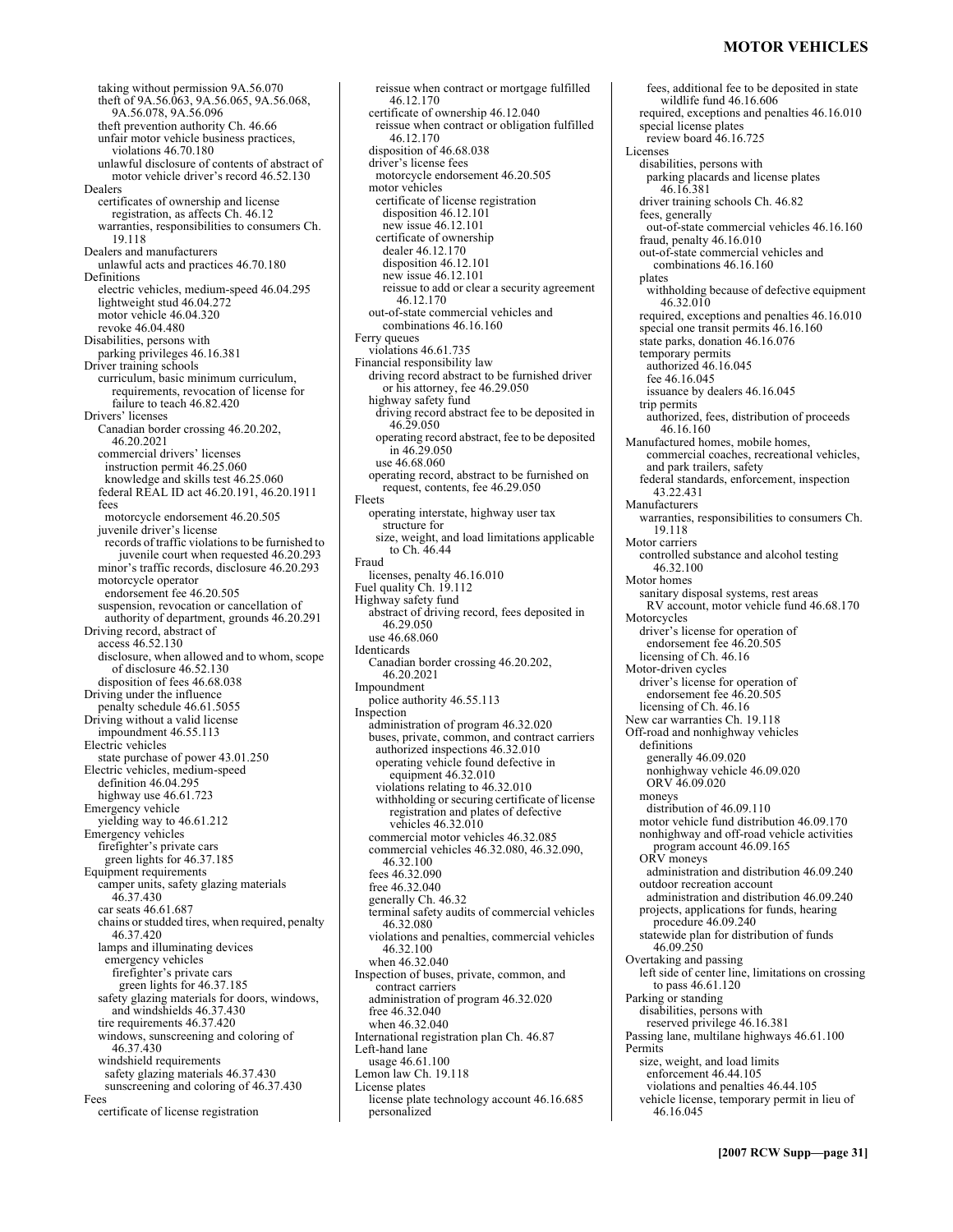### **MOTOR VEHICLES**

taking without permission 9A.56.070 theft of 9A.56.063, 9A.56.065, 9A.56.068, 9A.56.078, 9A.56.096 theft prevention authority Ch. 46.66 unfair motor vehicle business practices, violations 46.70.180 unlawful disclosure of contents of abstract of motor vehicle driver's record 46.52.130 Dealers certificates of ownership and license registration, as affects Ch. 46.12 warranties, responsibilities to consumers Ch. 19.118 Dealers and manufacturers unlawful acts and practices 46.70.180 Definitions electric vehicles, medium-speed 46.04.295 lightweight stud 46.04.272 motor vehicle 46.04.320 revoke 46.04.480 Disabilities, persons with parking privileges 46.16.381 Driver training schools curriculum, basic minimum curriculum, requirements, revocation of license for failure to teach 46.82.420 Drivers' licenses Canadian border crossing 46.20.202, 46.20.2021 commercial drivers' licenses instruction permit 46.25.060 knowledge and skills test 46.25.060 federal REAL ID act 46.20.191, 46.20.1911 fees motorcycle endorsement 46.20.505 juvenile driver's license records of traffic violations to be furnished to juvenile court when requested 46.20.293 minor's traffic records, disclosure 46.20.293 motorcycle operator endorsement fee 46.20.505 suspension, revocation or cancellation of authority of department, grounds 46.20.291 Driving record, abstract of access 46.52.130 disclosure, when allowed and to whom, scope of disclosure 46.52.130 disposition of fees 46.68.038 Driving under the influence penalty schedule 46.61.5055 Driving without a valid license impoundment 46.55.113 Electric vehicles state purchase of power 43.01.250 Electric vehicles, medium-speed definition 46.04.295 highway use 46.61.723 Emergency vehicle yielding way to 46.61.212 Emergency vehicles firefighter's private cars green lights for 46.37.185 Equipment requirements camper units, safety glazing materials 46.37.430 car seats 46.61.687 chains or studded tires, when required, penalty 46.37.420 lamps and illuminating devices emergency vehicles firefighter's private cars green lights for 46.37.185 safety glazing materials for doors, windows, and windshields 46.37.430 tire requirements 46.37.420 windows, sunscreening and coloring of 46.37.430 windshield requirements safety glazing materials 46.37.430 sunscreening and coloring of 46.37.430 Fees certificate of license registration

reissue when contract or mortgage fulfilled 46.12.170 certificate of ownership 46.12.040 reissue when contract or obligation fulfilled 46.12.170 disposition of 46.68.038 driver's license fees motorcycle endorsement 46.20.505 motor vehicles certificate of license registration disposition 46.12.101 new issue 46.12.101 certificate of ownership dealer 46.12.170 disposition 46.12.101 new issue 46.12.101 reissue to add or clear a security agreement 46.12.170 out-of-state commercial vehicles and combinations 46.16.160 Ferry queues violations 46.61.735 Financial responsibility law driving record abstract to be furnished driver or his attorney, fee 46.29.050 highway safety fund driving record abstract fee to be deposited in 46.29.050 operating record abstract, fee to be deposited in 46.29.050 use 46.68.060 operating record, abstract to be furnished on request, contents, fee 46.29.050 Fleets operating interstate, highway user tax structure for size, weight, and load limitations applicable to Ch. 46.44 Fraud licenses, penalty 46.16.010 Fuel quality Ch. 19.112 Highway safety fund abstract of driving record, fees deposited in 46.29.050 use 46.68.060 Identicards Canadian border crossing 46.20.202, 46.20.2021 Impoundment police authority 46.55.113 Inspection administration of program 46.32.020 buses, private, common, and contract carriers authorized inspections 46.32.010 operating vehicle found defective in equipment 46.32.010 violations relating to 46.32.010 withholding or securing certificate of license registration and plates of defective vehicles 46.32.010 commercial motor vehicles 46.32.085 commercial vehicles 46.32.080, 46.32.090, 46.32.100 fees 46.32.090 free 46.32.040 generally Ch. 46.32 terminal safety audits of commercial vehicles 46.32.080 violations and penalties, commercial vehicles 46.32.100 when 46.32.040 Inspection of buses, private, common, and contract carriers administration of program 46.32.020 free 46.32.040 when 46.32.040 International registration plan Ch. 46.87 Left-hand lane usage 46.61.100 Lemon law Ch. 19.118 License plates license plate technology account 46.16.685 personalized

fees, additional fee to be deposited in state wildlife fund 46.16.606 required, exceptions and penalties 46.16.010 special license plates review board 46.16.725 Licenses disabilities, persons with parking placards and license plates 46.16.381 driver training schools Ch. 46.82 fees, generally out-of-state commercial vehicles 46.16.160 fraud, penalty 46.16.010 out-of-state commercial vehicles and combinations 46.16.160 plates withholding because of defective equipment 46.32.010 required, exceptions and penalties 46.16.010 special one transit permits 46.16.160 state parks, donation 46.16.076 temporary permits authorized 46.16.045 fee 46.16.045 issuance by dealers 46.16.045 trip permits authorized, fees, distribution of proceeds 46.16.160 Manufactured homes, mobile homes, commercial coaches, recreational vehicles, and park trailers, safety federal standards, enforcement, inspection 43.22.431 Manufacturers warranties, responsibilities to consumers Ch. 19.118 Motor carriers controlled substance and alcohol testing 46.32.100 Motor homes sanitary disposal systems, rest areas RV account, motor vehicle fund 46.68.170 Motorcycles driver's license for operation of endorsement fee 46.20.505 licensing of Ch. 46.16 Motor-driven cycles driver's license for operation of endorsement fee 46.20.505 licensing of Ch. 46.16 New car warranties Ch. 19.118 Off-road and nonhighway vehicles definitions generally 46.09.020 nonhighway vehicle 46.09.020 ORV 46.09.020 moneys distribution of 46.09.110 motor vehicle fund distribution 46.09.170 nonhighway and off-road vehicle activities program account 46.09.165 ORV moneys administration and distribution 46.09.240 outdoor recreation account administration and distribution 46.09.240 projects, applications for funds, hearing procedure 46.09.240 statewide plan for distribution of funds 46.09.250 Overtaking and passing left side of center line, limitations on crossing to pass 46.61.120 Parking or standing disabilities, persons with reserved privilege 46.16.381 Passing lane, multilane highways 46.61.100 **Permits** size, weight, and load limits enforcement 46.44.105 violations and penalties 46.44.105 vehicle license, temporary permit in lieu of 46.16.045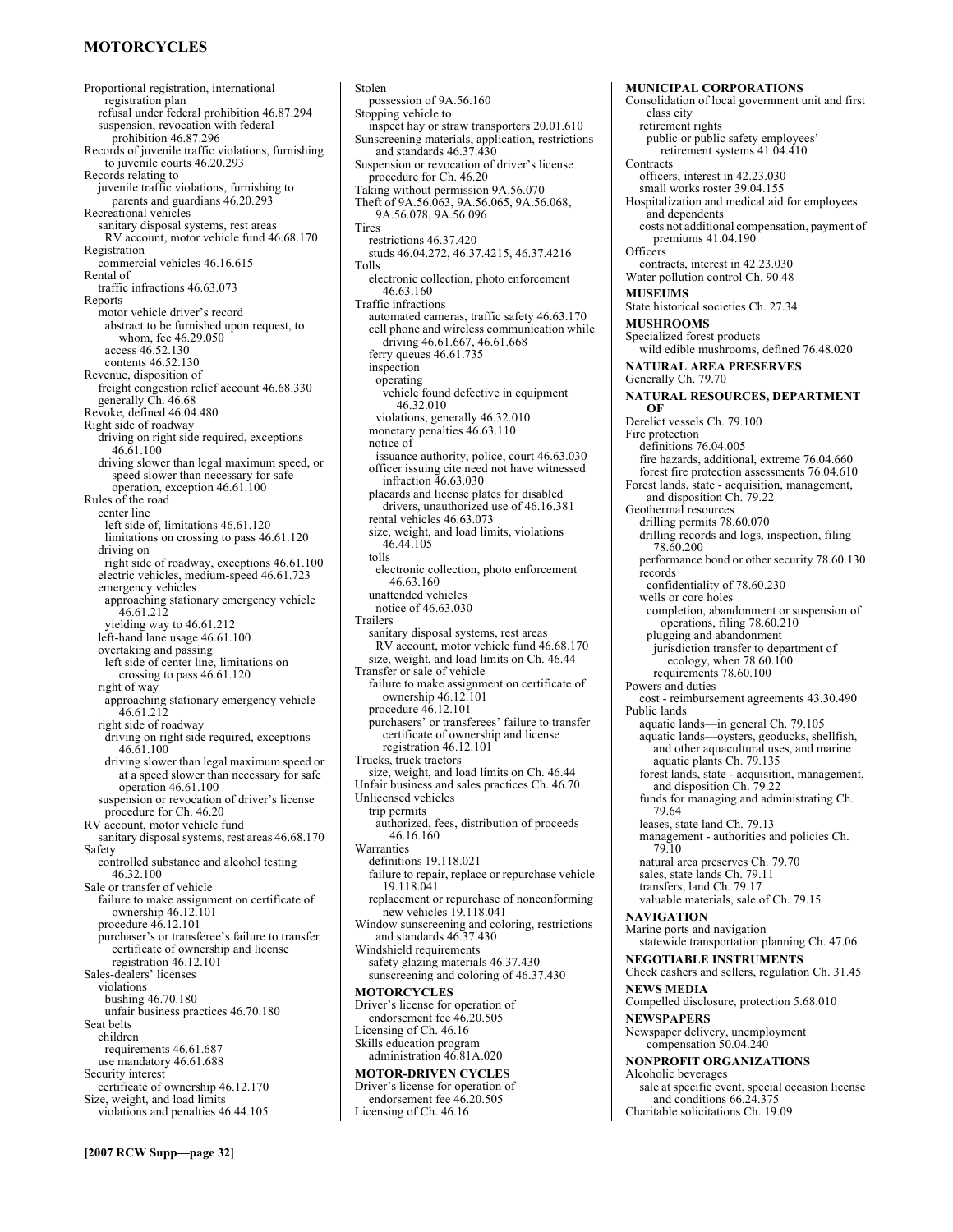# **MOTORCYCLES**

Proportional registration, international registration plan refusal under federal prohibition 46.87.294 suspension, revocation with federal prohibition 46.87.296 Records of juvenile traffic violations, furnishing to juvenile courts 46.20.293 Records relating to juvenile traffic violations, furnishing to parents and guardians 46.20.293 Recreational vehicles sanitary disposal systems, rest areas RV account, motor vehicle fund 46.68.170 Registration commercial vehicles 46.16.615 Rental of traffic infractions 46.63.073 Reports motor vehicle driver's record abstract to be furnished upon request, to whom, fee 46.29.050 access 46.52.130 contents 46.52.130 Revenue, disposition of freight congestion relief account 46.68.330 generally Ch. 46.68 Revoke, defined 46.04.480 Right side of roadway driving on right side required, exceptions 46.61.100 driving slower than legal maximum speed, or speed slower than necessary for safe operation, exception 46.61.100 Rules of the road center line left side of, limitations 46.61.120 limitations on crossing to pass 46.61.120 driving on right side of roadway, exceptions 46.61.100 electric vehicles, medium-speed 46.61.723 emergency vehicles approaching stationary emergency vehicle 46.61.212 yielding way to 46.61.212 left-hand lane usage 46.61.100 overtaking and passing left side of center line, limitations on crossing to pass 46.61.120 right of way approaching stationary emergency vehicle 46.61.212 right side of roadway driving on right side required, exceptions 46.61.100 driving slower than legal maximum speed or at a speed slower than necessary for safe operation 46.61.100 suspension or revocation of driver's license procedure for Ch. 46.20 RV account, motor vehicle fund sanitary disposal systems, rest areas 46.68.170 Safety controlled substance and alcohol testing 46.32.100 Sale or transfer of vehicle failure to make assignment on certificate of ownership 46.12.101 procedure 46.12.101 purchaser's or transferee's failure to transfer certificate of ownership and license registration 46.12.101 Sales-dealers' licenses violations bushing 46.70.180 unfair business practices 46.70.180 Seat belts children requirements 46.61.687 use mandatory 46.61.688 Security interest certificate of ownership 46.12.170 Size, weight, and load limits violations and penalties 46.44.105

Stolen possession of 9A.56.160 Stopping vehicle to inspect hay or straw transporters 20.01.610 Sunscreening materials, application, restrictions and standards 46.37.430 Suspension or revocation of driver's license procedure for Ch. 46.20 Taking without permission 9A.56.070 Theft of 9A.56.063, 9A.56.065, 9A.56.068, 9A.56.078, 9A.56.096 Tires restrictions 46.37.420 studs 46.04.272, 46.37.4215, 46.37.4216 Tolls electronic collection, photo enforcement 46.63.160 Traffic infractions automated cameras, traffic safety 46.63.170 cell phone and wireless communication while driving 46.61.667, 46.61.668 ferry queues 46.61.735 inspection operating vehicle found defective in equipment 46.32.010 violations, generally 46.32.010 monetary penalties 46.63.110 notice of issuance authority, police, court 46.63.030 officer issuing cite need not have witnessed infraction 46.63.030 placards and license plates for disabled drivers, unauthorized use of 46.16.381 rental vehicles 46.63.073 size, weight, and load limits, violations 46.44.105 tolls electronic collection, photo enforcement 46.63.160 unattended vehicles notice of 46.63.030 Trailers sanitary disposal systems, rest areas RV account, motor vehicle fund 46.68.170 size, weight, and load limits on Ch. 46.44 Transfer or sale of vehicle failure to make assignment on certificate of ownership 46.12.101 procedure 46.12.101 purchasers' or transferees' failure to transfer certificate of ownership and license registration 46.12.101 Trucks, truck tractors size, weight, and load limits on Ch. 46.44 Unfair business and sales practices Ch. 46.70 Unlicensed vehicles trip permits authorized, fees, distribution of proceeds 46.16.160 Warranties definitions 19.118.021 failure to repair, replace or repurchase vehicle 19.118.041 replacement or repurchase of nonconforming new vehicles 19.118.041 Window sunscreening and coloring, restrictions and standards 46.37.430 Windshield requirements safety glazing materials 46.37.430 sunscreening and coloring of 46.37.430 **MOTORCYCLES**  Driver's license for operation of endorsement fee 46.20.505 Licensing of Ch. 46.16 Skills education program administration 46.81A.020 **MOTOR-DRIVEN CYCLES**  Driver's license for operation of

endorsement fee 46.20.505 Licensing of Ch. 46.16

Consolidation of local government unit and first class city retirement rights public or public safety employees' retirement systems 41.04.410 **Contracts** officers, interest in 42.23.030 small works roster 39.04.155 Hospitalization and medical aid for employees and dependents costs not additional compensation, payment of premiums 41.04.190 **Officers** contracts, interest in 42.23.030 Water pollution control Ch. 90.48 **MUSEUMS**  State historical societies Ch. 27.34 **MUSHROOMS**  Specialized forest products wild edible mushrooms, defined 76.48.020 **NATURAL AREA PRESERVES**  Generally Ch. 79.70 **NATURAL RESOURCES, DEPARTMENT OF**  Derelict vessels Ch. 79.100 Fire protection definitions 76.04.005 fire hazards, additional, extreme 76.04.660 forest fire protection assessments 76.04.610 Forest lands, state - acquisition, management, and disposition Ch. 79.22 Geothermal resources drilling permits 78.60.070 drilling records and logs, inspection, filing 78.60.200 performance bond or other security 78.60.130 records confidentiality of 78.60.230 wells or core holes completion, abandonment or suspension of operations, filing 78.60.210 plugging and abandonment jurisdiction transfer to department of ecology, when 78.60.100 requirements 78.60.100 Powers and duties cost - reimbursement agreements 43.30.490 Public lands aquatic lands—in general Ch. 79.105 aquatic lands—oysters, geoducks, shellfish, and other aquacultural uses, and marine aquatic plants Ch. 79.135 forest lands, state - acquisition, management, and disposition Ch. 79.22 funds for managing and administrating Ch. 79.64 leases, state land Ch. 79.13 management - authorities and policies Ch. 79.10 natural area preserves Ch. 79.70 sales, state lands Ch. 79.11 transfers, land Ch. 79.17 valuable materials, sale of Ch. 79.15 **NAVIGATION**  Marine ports and navigation statewide transportation planning Ch. 47.06 **NEGOTIABLE INSTRUMENTS**  Check cashers and sellers, regulation Ch. 31.45 **NEWS MEDIA**  Compelled disclosure, protection 5.68.010 **NEWSPAPERS**  Newspaper delivery, unemployment compensation 50.04.240 **NONPROFIT ORGANIZATIONS**  Alcoholic beverages sale at specific event, special occasion license and conditions 66.24.375 Charitable solicitations Ch. 19.09

**MUNICIPAL CORPORATIONS**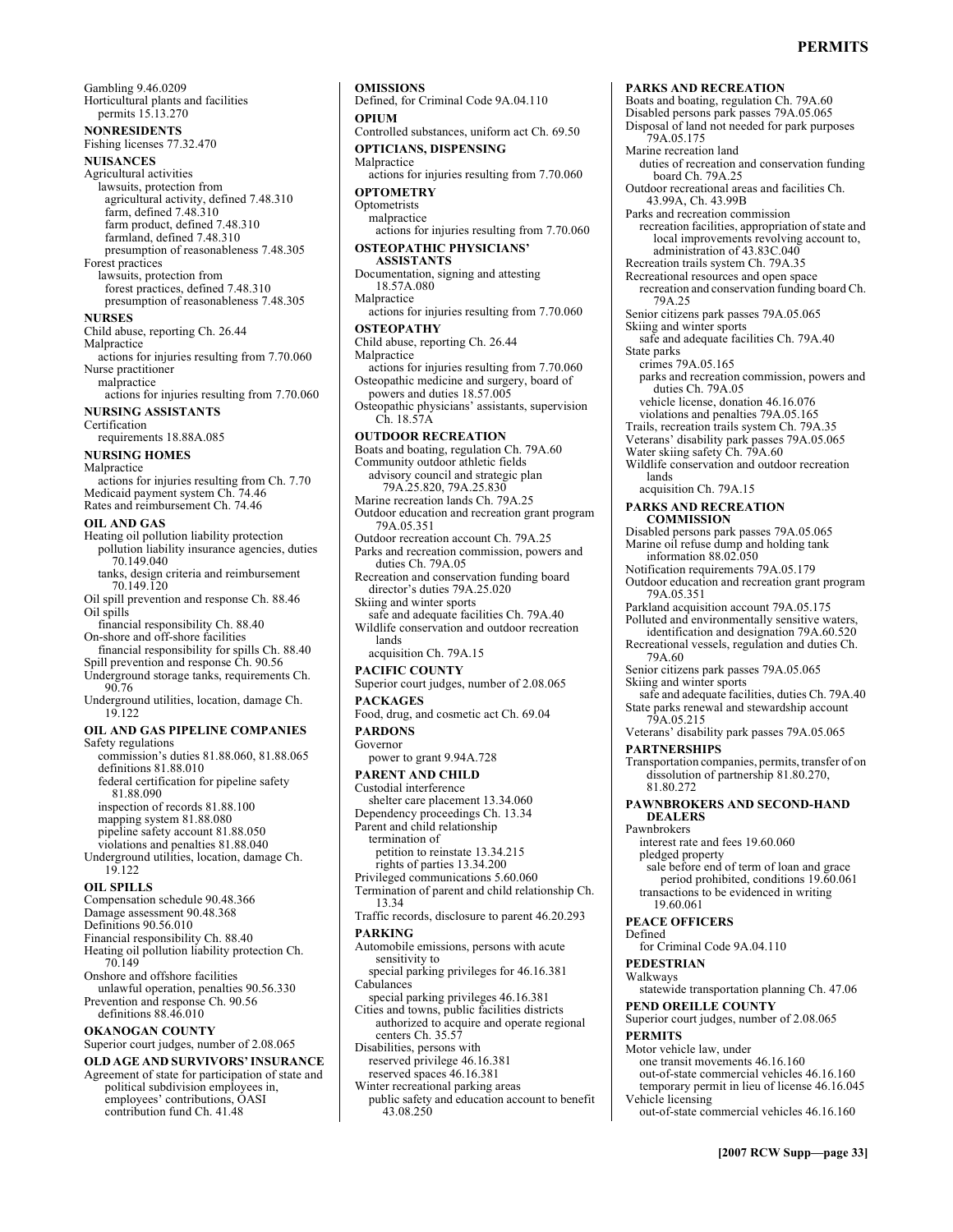### **PERMITS**

Gambling 9.46.0209 Horticultural plants and facilities permits 15.13.270 **NONRESIDENTS**  Fishing licenses 77.32.470 **NUISANCES**  Agricultural activities lawsuits, protection from agricultural activity, defined 7.48.310 farm, defined 7.48.310 farm product, defined 7.48.310 farmland, defined 7.48.310 presumption of reasonableness 7.48.305 Forest practices lawsuits, protection from forest practices, defined 7.48.310 presumption of reasonableness 7.48.305 **NURSES**  Child abuse, reporting Ch. 26.44 Malpractice actions for injuries resulting from 7.70.060 Nurse practitioner malpractice actions for injuries resulting from 7.70.060 **NURSING ASSISTANTS**  Certification requirements 18.88A.085 **NURSING HOMES**  Malpractice actions for injuries resulting from Ch. 7.70 Medicaid payment system Ch. 74.46 Rates and reimbursement Ch. 74.46 **OIL AND GAS**  Heating oil pollution liability protection pollution liability insurance agencies, duties 70.149.040 tanks, design criteria and reimbursement 70.149.120 Oil spill prevention and response Ch. 88.46 Oil spills financial responsibility Ch. 88.40 On-shore and off-shore facilities financial responsibility for spills Ch. 88.40 Spill prevention and response Ch. 90.56 Underground storage tanks, requirements Ch. 90.76 Underground utilities, location, damage Ch. 19.122 **OIL AND GAS PIPELINE COMPANIES**  Safety regulations commission's duties 81.88.060, 81.88.065 definitions 81.88.010 federal certification for pipeline safety 81.88.090 inspection of records 81.88.100 mapping system 81.88.080 pipeline safety account 81.88.050 violations and penalties 81.88.040 Underground utilities, location, damage Ch. 19.122 **OIL SPILLS**  Compensation schedule 90.48.366 Damage assessment 90.48.368 Definitions 90.56.010 Financial responsibility Ch. 88.40 Heating oil pollution liability protection Ch. 70.149 Onshore and offshore facilities unlawful operation, penalties 90.56.330 Prevention and response Ch. 90.56 definitions 88.46.010 **OKANOGAN COUNTY**  Superior court judges, number of 2.08.065 **OLD AGE AND SURVIVORS' INSURANCE OMISSIONS OPIUM**  Malpractice **OPTOMETRY**  Optometrists malpractice Malpractice **OSTEOPATHY**  Malpractice lands **PACKAGES PARDONS**  Governor 13.34 **PARKING Cabulances** 

Agreement of state for participation of state and political subdivision employees in, employees' contributions, OASI contribution fund Ch. 41.48

Defined, for Criminal Code 9A.04.110 Controlled substances, uniform act Ch. 69.50 **OPTICIANS, DISPENSING**  actions for injuries resulting from 7.70.060 actions for injuries resulting from 7.70.060 **OSTEOPATHIC PHYSICIANS' ASSISTANTS**  Documentation, signing and attesting 18.57A.080 actions for injuries resulting from 7.70.060 Child abuse, reporting Ch. 26.44 actions for injuries resulting from 7.70.060 Osteopathic medicine and surgery, board of powers and duties 18.57.005 Osteopathic physicians' assistants, supervision Ch. 18.57A **OUTDOOR RECREATION**  Boats and boating, regulation Ch. 79A.60 Community outdoor athletic fields advisory council and strategic plan 79A.25.820, 79A.25.830 Marine recreation lands Ch. 79A.25 Outdoor education and recreation grant program 79A.05.351 Outdoor recreation account Ch. 79A.25 Parks and recreation commission, powers and duties Ch. 79A.05 Recreation and conservation funding board director's duties 79A.25.020 Skiing and winter sports safe and adequate facilities Ch. 79A.40 Wildlife conservation and outdoor recreation acquisition Ch. 79A.15 **PACIFIC COUNTY**  Superior court judges, number of 2.08.065 Food, drug, and cosmetic act Ch. 69.04 power to grant 9.94A.728 **PARENT AND CHILD**  Custodial interference shelter care placement 13.34.060 Dependency proceedings Ch. 13.34 Parent and child relationship termination of petition to reinstate 13.34.215 rights of parties 13.34.200 Privileged communications 5.60.060 Termination of parent and child relationship Ch. Traffic records, disclosure to parent 46.20.293 Automobile emissions, persons with acute sensitivity to special parking privileges for 46.16.381 special parking privileges 46.16.381 Cities and towns, public facilities districts authorized to acquire and operate regional centers Ch. 35.57 Disabilities, persons with reserved privilege 46.16.381 reserved spaces 46.16.381 Winter recreational parking areas public safety and education account to benefit 43.08.250

**PARKS AND RECREATION**  Boats and boating, regulation Ch. 79A.60 Disabled persons park passes 79A.05.065 Disposal of land not needed for park purposes 79A.05.175 Marine recreation land duties of recreation and conservation funding board Ch. 79A.25 Outdoor recreational areas and facilities Ch. 43.99A, Ch. 43.99B Parks and recreation commission recreation facilities, appropriation of state and local improvements revolving account to, administration of 43.83C.040 Recreation trails system Ch. 79A.35 Recreational resources and open space recreation and conservation funding board Ch. 79A.25 Senior citizens park passes 79A.05.065 Skiing and winter sports safe and adequate facilities Ch. 79A.40 State parks crimes 79A.05.165 parks and recreation commission, powers and duties Ch. 79A.05 vehicle license, donation 46.16.076 violations and penalties 79A.05.165 Trails, recreation trails system Ch. 79A.35 Veterans' disability park passes 79A.05.065 Water skiing safety Ch. 79A.60 Wildlife conservation and outdoor recreation lands acquisition Ch. 79A.15 **PARKS AND RECREATION COMMISSION**  Disabled persons park passes 79A.05.065 Marine oil refuse dump and holding tank information 88.02.050 Notification requirements 79A.05.179 Outdoor education and recreation grant program 79A.05.351 Parkland acquisition account 79A.05.175 Polluted and environmentally sensitive waters, identification and designation 79A.60.520 Recreational vessels, regulation and duties Ch. 79A.60 Senior citizens park passes 79A.05.065 Skiing and winter sports safe and adequate facilities, duties Ch. 79A.40 State parks renewal and stewardship account 79A.05.215 Veterans' disability park passes 79A.05.065 **PARTNERSHIPS**  Transportation companies, permits, transfer of on dissolution of partnership 81.80.270, 81.80.272 **PAWNBROKERS AND SECOND-HAND DEALERS**  Pawnbrokers interest rate and fees 19.60.060 pledged property sale before end of term of loan and grace period prohibited, conditions 19.60.061 transactions to be evidenced in writing 19.60.061 **PEACE OFFICERS**  Defined for Criminal Code 9A.04.110 **PEDESTRIAN**  Walkways statewide transportation planning Ch. 47.06 **PEND OREILLE COUNTY**  Superior court judges, number of 2.08.065 **PERMITS**  Motor vehicle law, under one transit movements 46.16.160 out-of-state commercial vehicles 46.16.160 temporary permit in lieu of license 46.16.045 Vehicle licensing out-of-state commercial vehicles 46.16.160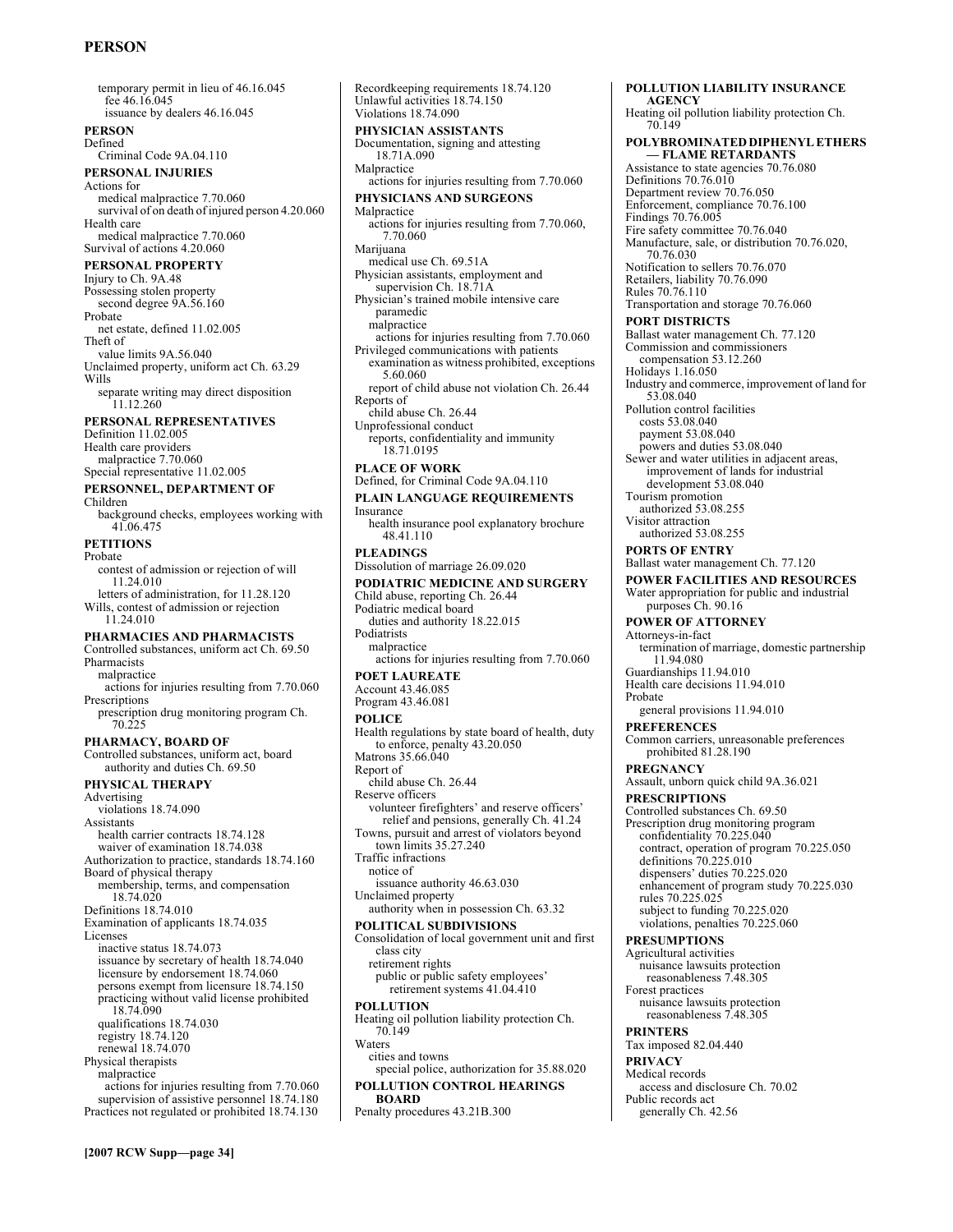# **PERSON**

temporary permit in lieu of 46.16.045 fee 46.16.045 issuance by dealers 46.16.045 **PERSON**  Defined Criminal Code 9A.04.110 **PERSONAL INJURIES**  Actions for medical malpractice 7.70.060 survival of on death of injured person 4.20.060 Health care medical malpractice 7.70.060 Survival of actions 4.20.060 **PERSONAL PROPERTY**  Injury to Ch. 9A.48 Possessing stolen property second degree  $9A.56.160$ Probate net estate, defined 11.02.005 Theft of value limits 9A.56.040 Unclaimed property, uniform act Ch. 63.29 Wills separate writing may direct disposition 11.12.260 **PERSONAL REPRESENTATIVES**  Definition 11.02.005 Health care providers malpractice 7.70.060 Special representative 11.02.005 **PERSONNEL, DEPARTMENT OF**  Children background checks, employees working with 41.06.475 **PETITIONS**  Probate contest of admission or rejection of will 11.24.010 letters of administration, for 11.28.120 Wills, contest of admission or rejection 11.24.010 **PHARMACIES AND PHARMACISTS**  Controlled substances, uniform act Ch. 69.50 Pharmacists malpractice actions for injuries resulting from 7.70.060 Prescriptions prescription drug monitoring program Ch. 70.225 **PHARMACY, BOARD OF**  Controlled substances, uniform act, board authority and duties Ch. 69.50 **PHYSICAL THERAPY**  Advertising violations 18.74.090 Assistants health carrier contracts 18.74.128 waiver of examination 18.74.038 Authorization to practice, standards 18.74.160 Board of physical therapy membership, terms, and compensation 18.74.020 Definitions 18.74.010 Examination of applicants 18.74.035 Licenses inactive status 18.74.073 issuance by secretary of health 18.74.040 licensure by endorsement 18.74.060 persons exempt from licensure 18.74.150 practicing without valid license prohibited 18.74.090 qualifications 18.74.030 registry 18.74.120 renewal 18.74.070 Physical therapists malpractice actions for injuries resulting from 7.70.060 supervision of assistive personnel 18.74.180 Practices not regulated or prohibited 18.74.130

Recordkeeping requirements 18.74.120 Unlawful activities 18.74.150 Violations 18.74.090 **PHYSICIAN ASSISTANTS**  Documentation, signing and attesting 18.71A.090 Malpractice actions for injuries resulting from 7.70.060 **PHYSICIANS AND SURGEONS**  Malpractice actions for injuries resulting from 7.70.060, 7.70.060 Marijuana medical use Ch. 69.51A Physician assistants, employment and supervision Ch. 18.71A Physician's trained mobile intensive care paramedic malpractice actions for injuries resulting from 7.70.060 Privileged communications with patients examination as witness prohibited, exceptions 5.60.060 report of child abuse not violation Ch. 26.44 Reports of child abuse Ch. 26.44 Unprofessional conduct reports, confidentiality and immunity 18.71.0195 **PLACE OF WORK**  Defined, for Criminal Code 9A.04.110 **PLAIN LANGUAGE REQUIREMENTS**  Insurance health insurance pool explanatory brochure 48.41.110 **PLEADINGS**  Dissolution of marriage 26.09.020 **PODIATRIC MEDICINE AND SURGERY**  Child abuse, reporting Ch. 26.44 Podiatric medical board duties and authority 18.22.015 Podiatrists malpractice actions for injuries resulting from 7.70.060 **POET LAUREATE**  Account 43.46.085 Program 43.46.081 **POLICE**  Health regulations by state board of health, duty to enforce, penalty 43.20.050 Matrons 35.66.040 Report of child abuse Ch. 26.44 Reserve officers volunteer firefighters' and reserve officers' relief and pensions, generally Ch. 41.24 Towns, pursuit and arrest of violators beyond town limits 35.27.240 Traffic infractions notice of issuance authority 46.63.030 Unclaimed property authority when in possession Ch. 63.32 **POLITICAL SUBDIVISIONS**  Consolidation of local government unit and first class city retirement rights public or public safety employees' retirement systems 41.04.410 **POLLUTION**  Heating oil pollution liability protection Ch. 70.149 Waters cities and towns special police, authorization for 35.88.020 **POLLUTION CONTROL HEARINGS BOARD**  Penalty procedures 43.21B.300

**POLLUTION LIABILITY INSURANCE AGENCY**  Heating oil pollution liability protection Ch. 70.149 **POLYBROMINATED DIPHENYL ETHERS ó FLAME RETARDANTS**  Assistance to state agencies 70.76.080 Definitions 70.76.010 Department review 70.76.050 Enforcement, compliance 70.76.100 Findings 70.76.005 Fire safety committee 70.76.040 Manufacture, sale, or distribution 70.76.020, 70.76.030 Notification to sellers 70.76.070 Retailers, liability 70.76.090 Rules 70.76.110 Transportation and storage 70.76.060 **PORT DISTRICTS**  Ballast water management Ch. 77.120 Commission and commissioners compensation 53.12.260 Holidays 1.16.050 Industry and commerce, improvement of land for 53.08.040 Pollution control facilities costs 53.08.040 payment 53.08.040 powers and duties 53.08.040 Sewer and water utilities in adjacent areas, improvement of lands for industrial development 53.08.040 Tourism promotion authorized 53.08.255 Visitor attraction authorized 53.08.255 **PORTS OF ENTRY**  Ballast water management Ch. 77.120 **POWER FACILITIES AND RESOURCES**  Water appropriation for public and industrial purposes Ch. 90.16 **POWER OF ATTORNEY**  Attorneys-in-fact termination of marriage, domestic partnership 11.94.080 Guardianships 11.94.010 Health care decisions 11.94.010 Probate general provisions 11.94.010 **PREFERENCES**  Common carriers, unreasonable preferences prohibited 81.28.190 **PREGNANCY**  Assault, unborn quick child 9A.36.021 **PRESCRIPTIONS**  Controlled substances Ch. 69.50 Prescription drug monitoring program confidentiality 70.225.040 contract, operation of program 70.225.050 definitions 70.225.010 dispensers' duties 70.225.020 enhancement of program study 70.225.030 rules 70.225.025 subject to funding 70.225.020 violations, penalties 70.225.060 **PRESUMPTIONS**  Agricultural activities nuisance lawsuits protection reasonableness 7.48.305 Forest practices nuisance lawsuits protection reasonableness 7.48.305 **PRINTERS**  Tax imposed 82.04.440 **PRIVACY**  Medical records access and disclosure Ch. 70.02 Public records act generally Ch. 42.56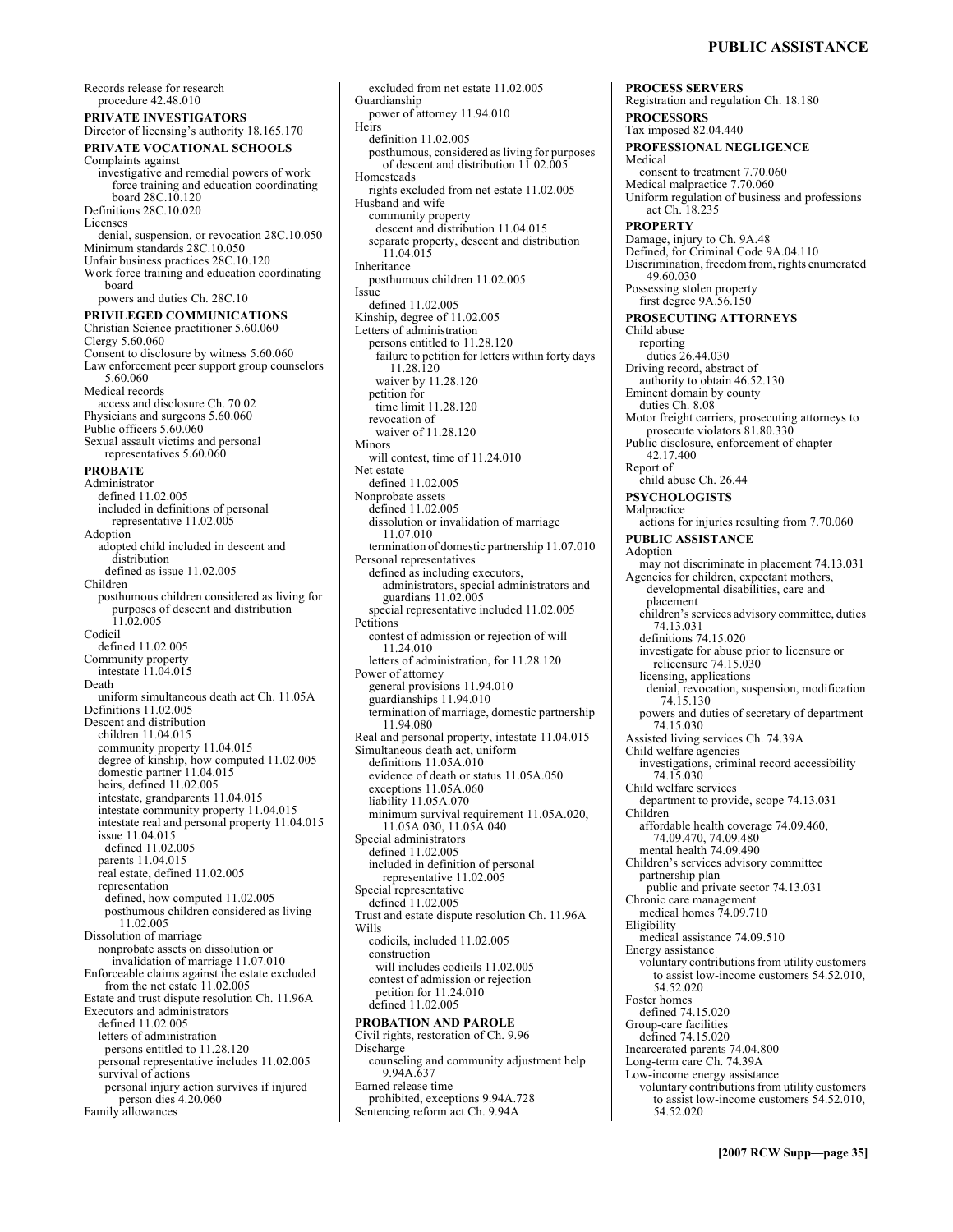**PROCESS SERVERS** 

**PROCESSORS** 

Registration and regulation Ch. 18.180

Records release for research procedure 42.48.010 **PRIVATE INVESTIGATORS**  Director of licensing's authority 18.165.170 **PRIVATE VOCATIONAL SCHOOLS**  Complaints against investigative and remedial powers of work force training and education coordinating board 28C.10.120 Definitions 28C.10.020 Licenses denial, suspension, or revocation 28C.10.050 Minimum standards 28C.10.050 Unfair business practices 28C.10.120 Work force training and education coordinating board powers and duties Ch. 28C.10 **PRIVILEGED COMMUNICATIONS**  Christian Science practitioner 5.60.060 Clergy 5.60.060 Consent to disclosure by witness 5.60.060 Law enforcement peer support group counselors 5.60.060 Medical records access and disclosure Ch. 70.02 Physicians and surgeons 5.60.060 Public officers 5.60.060 Sexual assault victims and personal representatives 5.60.060 **PROBATE**  Administrator defined 11.02.005 included in definitions of personal representative 11.02.005 **Adoption** adopted child included in descent and distribution defined as issue 11.02.005 Children posthumous children considered as living for purposes of descent and distribution 11.02.005 Codicil defined 11.02.005 Community property intestate 11.04.015 Death uniform simultaneous death act Ch. 11.05A Definitions 11.02.005 Descent and distribution children 11.04.015 community property 11.04.015 degree of kinship, how computed 11.02.005 domestic partner 11.04.015 heirs, defined 11.02.005 intestate, grandparents 11.04.015 intestate community property 11.04.015 intestate real and personal property 11.04.015 issue 11.04.015 defined 11.02.005 parents 11.04.015 real estate, defined 11.02.005 representation defined, how computed 11.02.005 posthumous children considered as living 11.02.005 Dissolution of marriage nonprobate assets on dissolution or invalidation of marriage 11.07.010 Enforceable claims against the estate excluded from the net estate 11.02.005 Estate and trust dispute resolution Ch. 11.96A Executors and administrators defined 11.02.005 letters of administration persons entitled to 11.28.120 personal representative includes 11.02.005 survival of actions personal injury action survives if injured person dies 4.20.060 Family allowances

Guardianship power of attorney 11.94.010 Heirs definition 11.02.005 posthumous, considered as living for purposes of descent and distribution 11.02.005 **Homesteads** rights excluded from net estate 11.02.005 Husband and wife community property descent and distribution 11.04.015 separate property, descent and distribution 11.04.015 Inheritance posthumous children 11.02.005 Issue defined 11.02.005 Kinship, degree of 11.02.005 Letters of administration persons entitled to 11.28.120 failure to petition for letters within forty days 11.28.120 waiver by 11.28.120 petition for time limit 11.28.120 revocation of waiver of 11.28.120 Minors will contest, time of 11.24.010 Net estate defined 11.02.005 Nonprobate assets defined 11.02.005 dissolution or invalidation of marriage 11.07.010 termination of domestic partnership 11.07.010 Personal representatives defined as including executors, administrators, special administrators and guardians 11.02.005 special representative included 11.02.005 Petitions contest of admission or rejection of will 11.24.010 letters of administration, for 11.28.120 Power of attorney general provisions 11.94.010 guardianships 11.94.010 termination of marriage, domestic partnership 11.94.080 Real and personal property, intestate 11.04.015 Simultaneous death act, uniform definitions 11.05A.010 evidence of death or status 11.05A.050 exceptions 11.05A.060 liability 11.05A.070 minimum survival requirement 11.05A.020, 11.05A.030, 11.05A.040 Special administrators defined 11.02.005 included in definition of personal representative 11.02.005 Special representative defined 11.02.005 Trust and estate dispute resolution Ch. 11.96A Wills codicils, included 11.02.005 construction will includes codicils 11.02.005 contest of admission or rejection petition for 11.24.010 defined 11.02.005 **PROBATION AND PAROLE**  Civil rights, restoration of Ch. 9.96 Discharge counseling and community adjustment help 9.94A.637 Earned release time prohibited, exceptions 9.94A.728 Sentencing reform act Ch. 9.94A

excluded from net estate 11.02.005

Tax imposed 82.04.440 **PROFESSIONAL NEGLIGENCE**  Medical consent to treatment 7.70.060 Medical malpractice 7.70.060 Uniform regulation of business and professions act Ch. 18.235 **PROPERTY**  Damage, injury to Ch. 9A.48 Defined, for Criminal Code 9A.04.110 Discrimination, freedom from, rights enumerated 49.60.030 Possessing stolen property first degree 9A.56.150 **PROSECUTING ATTORNEYS**  Child abuse reporting duties 26.44.030 Driving record, abstract of authority to obtain 46.52.130 Eminent domain by county duties Ch. 8.08 Motor freight carriers, prosecuting attorneys to prosecute violators 81.80.330 Public disclosure, enforcement of chapter 42.17.400 Report of child abuse Ch. 26.44 **PSYCHOLOGISTS**  Malpractice actions for injuries resulting from 7.70.060 **PUBLIC ASSISTANCE**  Adoption may not discriminate in placement 74.13.031 Agencies for children, expectant mothers, developmental disabilities, care and placement children's services advisory committee, duties 74.13.031 definitions 74.15.020 investigate for abuse prior to licensure or relicensure 74.15.030 licensing, applications denial, revocation, suspension, modification 74.15.130 powers and duties of secretary of department 74.15.030 Assisted living services Ch. 74.39A Child welfare agencies investigations, criminal record accessibility 74.15.030 Child welfare services department to provide, scope 74.13.031 Children affordable health coverage 74.09.460, 74.09.470, 74.09.480 mental health 74.09.490 Children's services advisory committee partnership plan public and private sector 74.13.031 Chronic care management medical homes 74.09.710 Eligibility medical assistance 74.09.510 Energy assistance voluntary contributions from utility customers to assist low-income customers 54.52.010, 54.52.020 Foster homes defined 74.15.020 Group-care facilities defined 74.15.020 Incarcerated parents 74.04.800 Long-term care Ch. 74.39A Low-income energy assistance voluntary contributions from utility customers to assist low-income customers 54.52.010, 54.52.020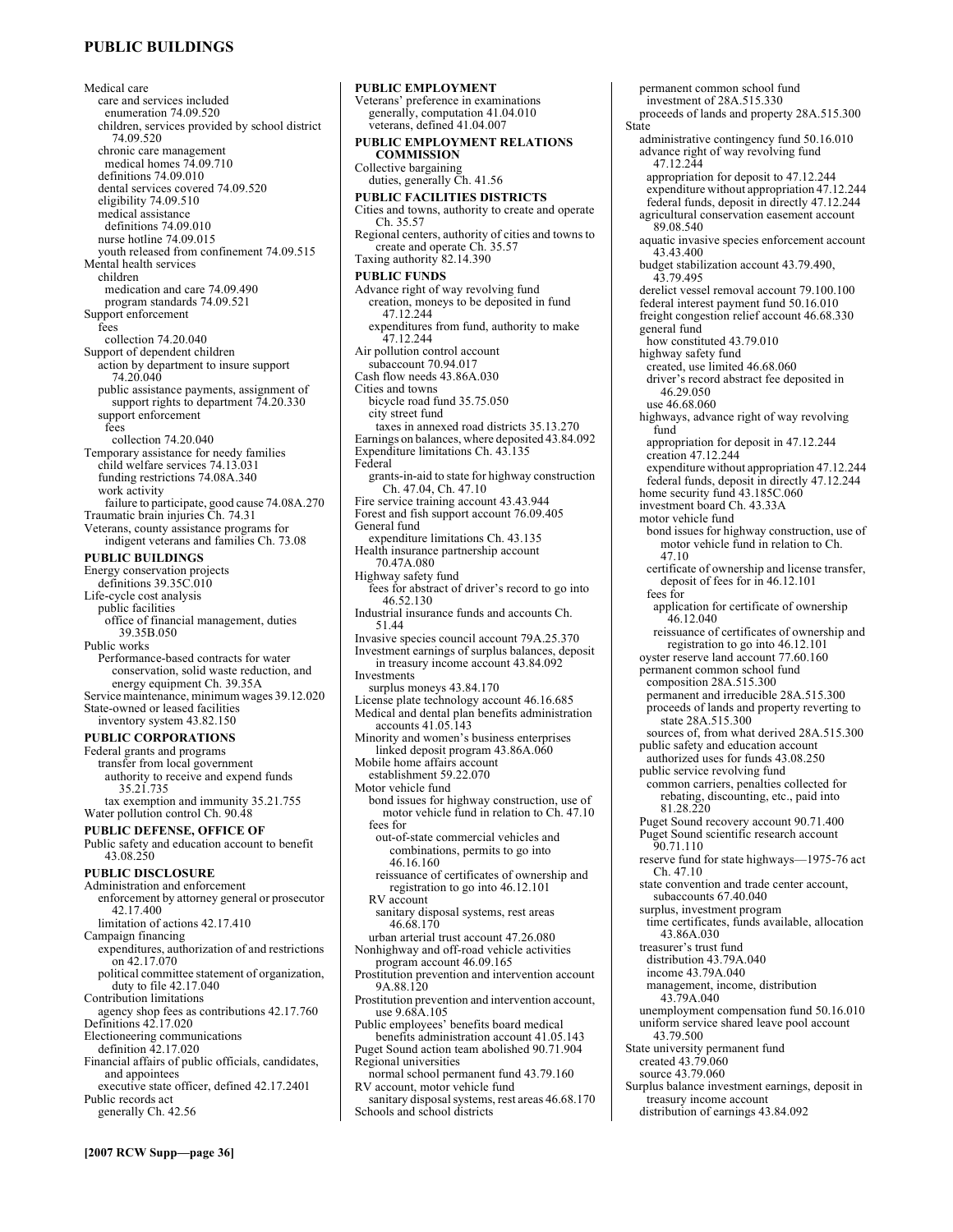# **PUBLIC BUILDINGS**

Medical care care and services included enumeration 74.09.520 children, services provided by school district 74.09.520 chronic care management medical homes 74.09.710 definitions 74.09.010 dental services covered 74.09.520 eligibility 74.09.510 medical assistance definitions 74.09.010 nurse hotline 74.09.015 youth released from confinement 74.09.515 Mental health services children medication and care 74.09.490 program standards 74.09.521 Support enforcement fees collection 74.20.040 Support of dependent children action by department to insure support 74.20.040 public assistance payments, assignment of support rights to department 74.20.330 support enforcement fees collection 74.20.040 Temporary assistance for needy families child welfare services 74.13.031 funding restrictions 74.08A.340 work activity failure to participate, good cause 74.08A.270 Traumatic brain injuries Ch. 74.31 Veterans, county assistance programs for indigent veterans and families Ch. 73.08 **PUBLIC BUILDINGS**  Energy conservation projects definitions 39.35C.010 Life-cycle cost analysis public facilities office of financial management, duties 39.35B.050 Public works Performance-based contracts for water conservation, solid waste reduction, and energy equipment Ch. 39.35A Service maintenance, minimum wages 39.12.020 State-owned or leased facilities inventory system 43.82.150 **PUBLIC CORPORATIONS**  Federal grants and programs transfer from local government authority to receive and expend funds 35.21.735 tax exemption and immunity 35.21.755 Water pollution control Ch. 90.48 **PUBLIC DEFENSE, OFFICE OF**  Public safety and education account to benefit 43.08.250 **PUBLIC DISCLOSURE**  Administration and enforcement enforcement by attorney general or prosecutor 42.17.400 limitation of actions 42.17.410 Campaign financing expenditures, authorization of and restrictions on 42.17.070 political committee statement of organization, duty to file 42.17.040 Contribution limitations agency shop fees as contributions 42.17.760 Definitions 42.17.020 Electioneering communications definition 42.17.020 Financial affairs of public officials, candidates, and appointees

executive state officer, defined 42.17.2401 Public records act generally Ch. 42.56

**PUBLIC EMPLOYMENT**  Veterans' preference in examinations generally, computation 41.04.010 veterans, defined 41.04.007 **PUBLIC EMPLOYMENT RELATIONS COMMISSION**  Collective bargaining duties, generally Ch. 41.56 **PUBLIC FACILITIES DISTRICTS**  Cities and towns, authority to create and operate Ch. 35.57 Regional centers, authority of cities and towns to create and operate Ch. 35.57 Taxing authority 82.14.390 **PUBLIC FUNDS**  Advance right of way revolving fund creation, moneys to be deposited in fund 47.12.244 expenditures from fund, authority to make 47.12.244 Air pollution control account subaccount 70.94.017 Cash flow needs 43.86A.030 Cities and towns bicycle road fund 35.75.050 city street fund taxes in annexed road districts 35.13.270 Earnings on balances, where deposited 43.84.092 Expenditure limitations Ch. 43.135 Federal grants-in-aid to state for highway construction Ch. 47.04, Ch. 47.10 Fire service training account 43.43.944 Forest and fish support account 76.09.405 General fund expenditure limitations Ch. 43.135 Health insurance partnership account 70.47A.080 Highway safety fund fees for abstract of driver's record to go into 46.52.130 Industrial insurance funds and accounts Ch. 51.44 Invasive species council account 79A.25.370 Investment earnings of surplus balances, deposit in treasury income account 43.84.092 Investments surplus moneys 43.84.170 License plate technology account 46.16.685 Medical and dental plan benefits administration accounts 41.05.143 Minority and women's business enterprises linked deposit program 43.86A.060 Mobile home affairs account establishment 59.22.070 Motor vehicle fund bond issues for highway construction, use of motor vehicle fund in relation to Ch. 47.10 fees for out-of-state commercial vehicles and combinations, permits to go into 46.16.160 reissuance of certificates of ownership and registration to go into 46.12.101 RV account sanitary disposal systems, rest areas 46.68.170 urban arterial trust account 47.26.080 Nonhighway and off-road vehicle activities program account 46.09.165 Prostitution prevention and intervention account 9A.88.120 Prostitution prevention and intervention account, use 9.68A.105 Public employees' benefits board medical benefits administration account 41.05.143 Puget Sound action team abolished 90.71.904 Regional universities normal school permanent fund 43.79.160 RV account, motor vehicle fund sanitary disposal systems, rest areas 46.68.170 Schools and school districts

permanent common school fund investment of 28A.515.330 proceeds of lands and property 28A.515.300 State administrative contingency fund 50.16.010 advance right of way revolving fund 47.12.244 appropriation for deposit to 47.12.244 expenditure without appropriation 47.12.244 federal funds, deposit in directly 47.12.244 agricultural conservation easement account 89.08.540 aquatic invasive species enforcement account 43.43.400 budget stabilization account 43.79.490, 43.79.495 derelict vessel removal account 79.100.100 federal interest payment fund 50.16.010 freight congestion relief account 46.68.330 general fund how constituted 43.79.010 highway safety fund created, use limited 46.68.060 driver's record abstract fee deposited in 46.29.050 use 46.68.060 highways, advance right of way revolving fund appropriation for deposit in 47.12.244 creation 47.12.244 expenditure without appropriation 47.12.244 federal funds, deposit in directly 47.12.244 home security fund 43.185C.060 investment board Ch. 43.33A motor vehicle fund bond issues for highway construction, use of motor vehicle fund in relation to Ch. 47.10 certificate of ownership and license transfer, deposit of fees for in 46.12.101 fees for application for certificate of ownership 46.12.040 reissuance of certificates of ownership and registration to go into 46.12.101 oyster reserve land account 77.60.160 permanent common school fund composition 28A.515.300 permanent and irreducible 28A.515.300 proceeds of lands and property reverting to state 28A.515.300 sources of, from what derived 28A.515.300 public safety and education account authorized uses for funds 43.08.250 public service revolving fund common carriers, penalties collected for rebating, discounting, etc., paid into 81.28.220 Puget Sound recovery account 90.71.400 Puget Sound scientific research account 90.71.110 reserve fund for state highways—1975-76 act Ch. 47.10 state convention and trade center account, subaccounts 67.40.040 surplus, investment program time certificates, funds available, allocation 43.86A.030 treasurer's trust fund distribution 43.79A.040 income 43.79A.040 management, income, distribution 43.79A.040 unemployment compensation fund 50.16.010 uniform service shared leave pool account 43.79.500 State university permanent fund created 43.79.060 source 43.79.060

Surplus balance investment earnings, deposit in treasury income account distribution of earnings 43.84.092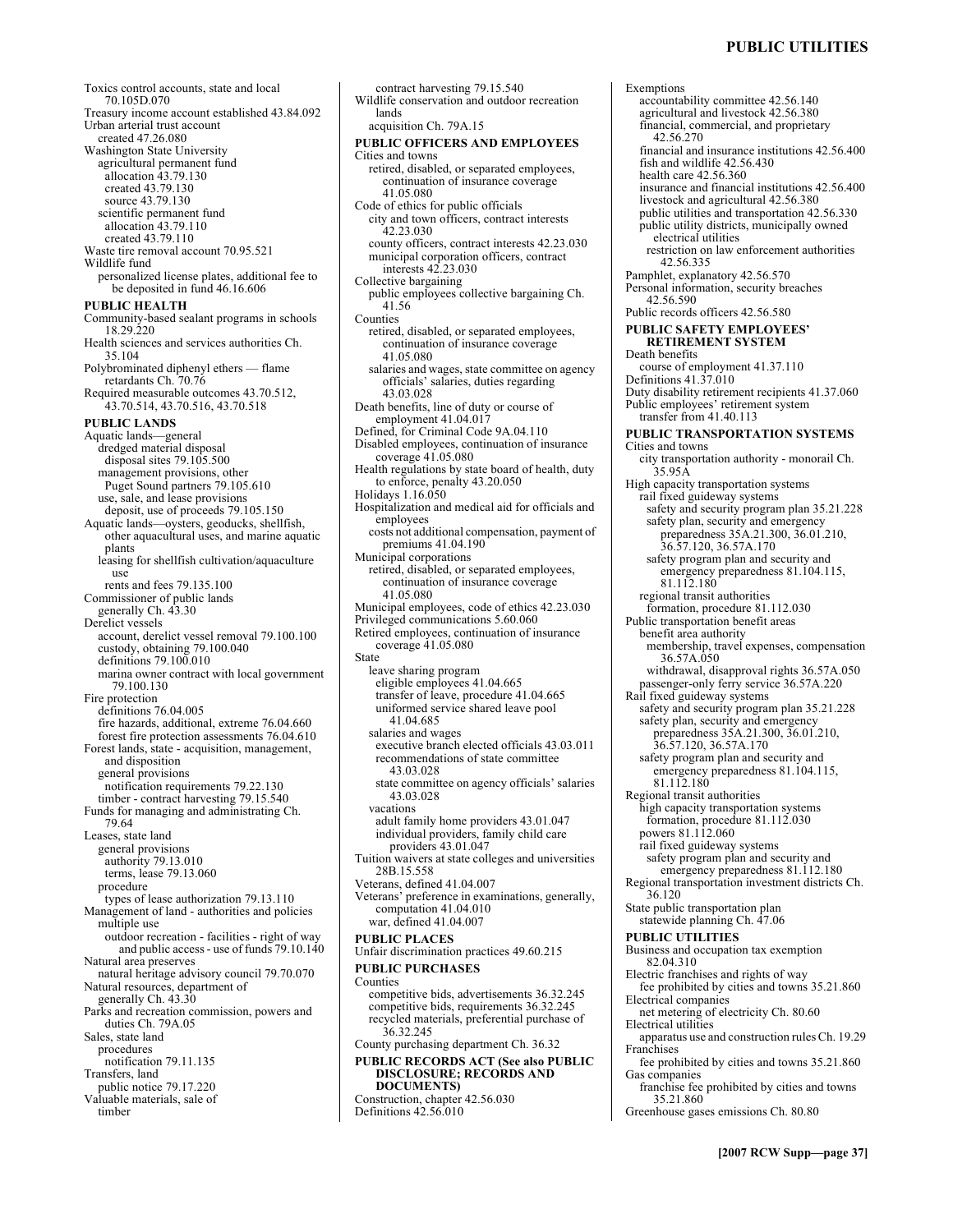Toxics control accounts, state and local 70.105D.070 Treasury income account established 43.84.092 Urban arterial trust account created 47.26.080 Washington State University agricultural permanent fund allocation 43.79.130 created 43.79.130 source 43.79.130 scientific permanent fund allocation 43.79.110 created 43.79.110 Waste tire removal account 70.95.521 Wildlife fund personalized license plates, additional fee to be deposited in fund 46.16.606 **PUBLIC HEALTH**  Community-based sealant programs in schools 18.29.220 Health sciences and services authorities Ch. 35.104 Polybrominated diphenyl ethers - flame retardants Ch. 70.76 Required measurable outcomes 43.70.512, 43.70.514, 43.70.516, 43.70.518 **PUBLIC LANDS**  Aquatic lands-general dredged material disposal disposal sites 79.105.500 management provisions, other Puget Sound partners 79.105.610 use, sale, and lease provisions deposit, use of proceeds 79.105.150 Aquatic lands-oysters, geoducks, shellfish, other aquacultural uses, and marine aquatic plants leasing for shellfish cultivation/aquaculture use rents and fees 79.135.100 Commissioner of public lands generally Ch. 43.30 Derelict vessels account, derelict vessel removal 79.100.100 custody, obtaining 79.100.040 definitions 79.100.010 marina owner contract with local government 79.100.130 Fire protection definitions 76.04.005 fire hazards, additional, extreme 76.04.660 forest fire protection assessments 76.04.610 Forest lands, state - acquisition, management, and disposition general provisions notification requirements 79.22.130 timber - contract harvesting 79.15.540 Funds for managing and administrating Ch. 79.64 Leases, state land general provisions authority 79.13.010 terms, lease 79.13.060 procedure types of lease authorization 79.13.110 Management of land - authorities and policies multiple use outdoor recreation - facilities - right of way and public access - use of funds 79.10.140 Natural area preserves natural heritage advisory council 79.70.070 Natural resources, department of generally Ch. 43.30 Parks and recreation commission, powers and duties Ch. 79A.05 Sales, state land procedures notification 79.11.135 Transfers, land public notice 79.17.220 Valuable materials, sale of timber contract harvesting 79.15.540 State Counties

Wildlife conservation and outdoor recreation lands acquisition Ch. 79A.15 **PUBLIC OFFICERS AND EMPLOYEES**  Cities and towns retired, disabled, or separated employees, continuation of insurance coverage 41.05.080 Code of ethics for public officials city and town officers, contract interests 42.23.030 county officers, contract interests 42.23.030 municipal corporation officers, contract interests 42.23.030 Collective bargaining public employees collective bargaining Ch. 41.56 Counties retired, disabled, or separated employees, continuation of insurance coverage 41.05.080 salaries and wages, state committee on agency officials' salaries, duties regarding 43.03.028 Death benefits, line of duty or course of employment 41.04.017 Defined, for Criminal Code 9A.04.110 Disabled employees, continuation of insurance  $coverage\ 41.05.080$ Health regulations by state board of health, duty to enforce, penalty 43.20.050 Holidays 1.16.050 Hospitalization and medical aid for officials and employees costs not additional compensation, payment of premiums 41.04.190 Municipal corporations retired, disabled, or separated employees, continuation of insurance coverage 41.05.080 Municipal employees, code of ethics 42.23.030 Privileged communications 5.60.060 Retired employees, continuation of insurance coverage 41.05.080 leave sharing program eligible employees 41.04.665 transfer of leave, procedure 41.04.665 uniformed service shared leave pool 41.04.685 salaries and wages executive branch elected officials 43.03.011 recommendations of state committee 43.03.028 state committee on agency officials' salaries 43.03.028 vacations adult family home providers 43.01.047 individual providers, family child care providers 43.01.047 Tuition waivers at state colleges and universities 28B.15.558 Veterans, defined 41.04.007 Veterans' preference in examinations, generally, computation 41.04.010 war, defined 41.04.007 **PUBLIC PLACES**  Unfair discrimination practices 49.60.215 **PUBLIC PURCHASES**  competitive bids, advertisements 36.32.245 competitive bids, requirements 36.32.245 recycled materials, preferential purchase of 36.32.245 County purchasing department Ch. 36.32 **PUBLIC RECORDS ACT (See also PUBLIC DISCLOSURE; RECORDS AND DOCUMENTS)**  Construction, chapter 42.56.030 Definitions 42.56.010

Exemptions accountability committee 42.56.140 agricultural and livestock 42.56.380 financial, commercial, and proprietary 42.56.270 financial and insurance institutions 42.56.400 fish and wildlife 42.56.430 health care 42.56.360 insurance and financial institutions 42.56.400 livestock and agricultural 42.56.380 public utilities and transportation 42.56.330 public utility districts, municipally owned electrical utilities restriction on law enforcement authorities 42.56.335 Pamphlet, explanatory 42.56.570 Personal information, security breaches 42.56.590 Public records officers 42.56.580 **PUBLIC SAFETY EMPLOYEES' RETIREMENT SYSTEM**  Death benefits course of employment 41.37.110 Definitions 41.37.010 Duty disability retirement recipients 41.37.060 Public employees' retirement system transfer from 41.40.113 **PUBLIC TRANSPORTATION SYSTEMS**  Cities and towns city transportation authority - monorail Ch. 35.95A High capacity transportation systems rail fixed guideway systems safety and security program plan 35.21.228 safety plan, security and emergency preparedness 35A.21.300, 36.01.210, 36.57.120, 36.57A.170 safety program plan and security and emergency preparedness 81.104.115, 81.112.180 regional transit authorities formation, procedure 81.112.030 Public transportation benefit areas benefit area authority membership, travel expenses, compensation 36.57A.050 withdrawal, disapproval rights 36.57A.050 passenger-only ferry service 36.57A.220 Rail fixed guideway systems safety and security program plan 35.21.228 safety plan, security and emergency preparedness 35A.21.300, 36.01.210, 36.57.120, 36.57A.170 safety program plan and security and emergency preparedness 81.104.115, 81.112.180 Regional transit authorities high capacity transportation systems formation, procedure 81.112.030 powers 81.112.060 rail fixed guideway systems safety program plan and security and emergency preparedness 81.112.180 Regional transportation investment districts Ch. 36.120 State public transportation plan statewide planning Ch. 47.06 **PUBLIC UTILITIES**  Business and occupation tax exemption 82.04.310 Electric franchises and rights of way fee prohibited by cities and towns 35.21.860 Electrical companies net metering of electricity Ch. 80.60 Electrical utilities apparatus use and construction rules Ch. 19.29 Franchises fee prohibited by cities and towns 35.21.860 Gas companies franchise fee prohibited by cities and towns 35.21.860 Greenhouse gases emissions Ch. 80.80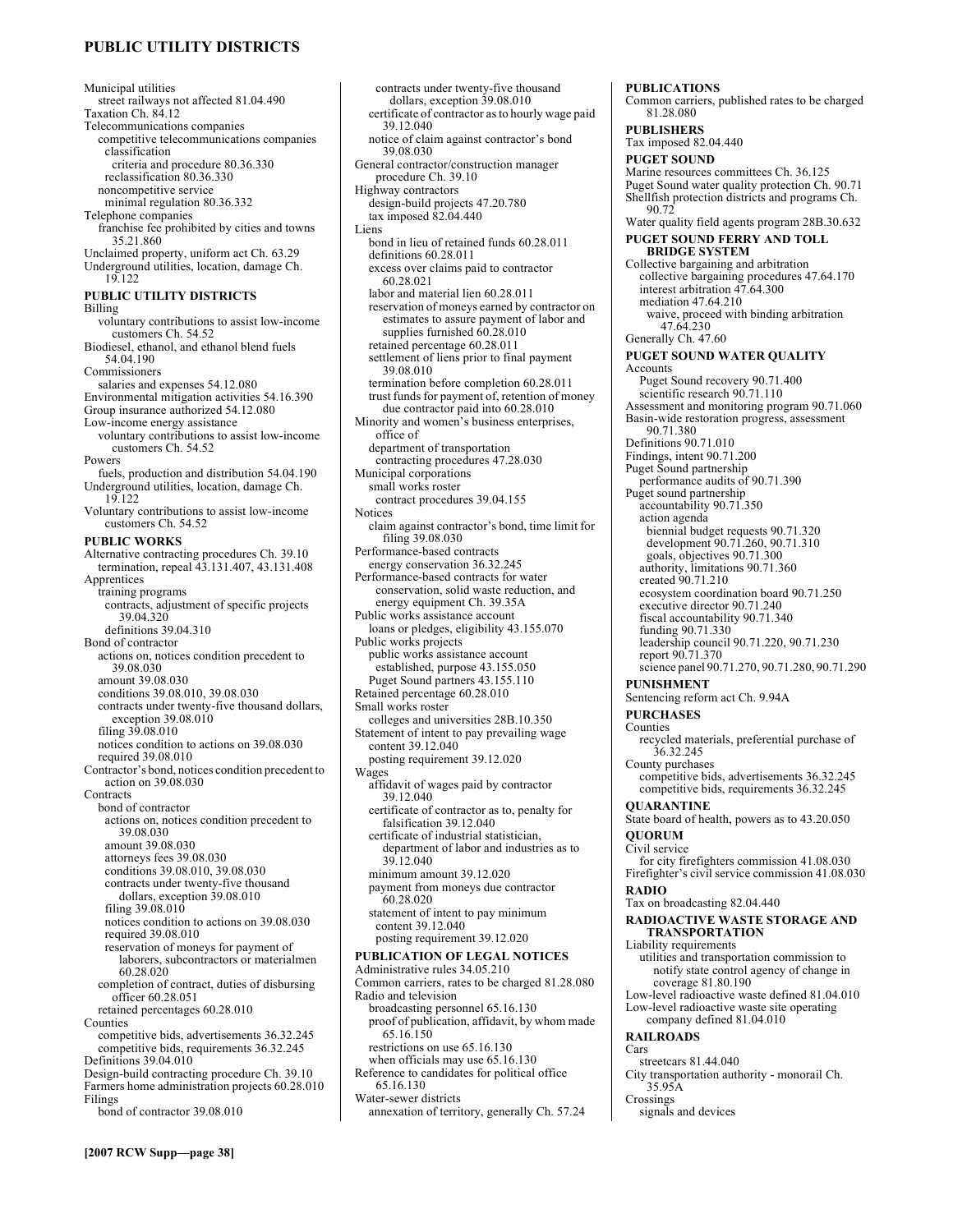# **PUBLIC UTILITY DISTRICTS**

Municipal utilities street railways not affected 81.04.490 Taxation Ch. 84.12 Telecommunications companies competitive telecommunications companies classification criteria and procedure 80.36.330 reclassification 80.36.330 noncompetitive service minimal regulation 80.36.332 Telephone companies franchise fee prohibited by cities and towns 35.21.860 Unclaimed property, uniform act Ch. 63.29 Underground utilities, location, damage Ch. 19.122 **PUBLIC UTILITY DISTRICTS**  Billing voluntary contributions to assist low-income customers Ch. 54.52 Biodiesel, ethanol, and ethanol blend fuels 54.04.190 Commissioners salaries and expenses 54.12.080 Environmental mitigation activities 54.16.390 Group insurance authorized 54.12.080 Low-income energy assistance voluntary contributions to assist low-income customers Ch. 54.52 Powers fuels, production and distribution 54.04.190 Underground utilities, location, damage Ch. 19.122 Voluntary contributions to assist low-income customers Ch. 54.52 **PUBLIC WORKS**  Alternative contracting procedures Ch. 39.10 termination, repeal 43.131.407, 43.131.408 Apprentices training programs contracts, adjustment of specific projects 39.04.320 definitions 39.04.310 Bond of contractor actions on, notices condition precedent to 39.08.030 amount 39.08.030 conditions 39.08.010, 39.08.030 contracts under twenty-five thousand dollars, exception 39.08.010 filing 39.08.010 notices condition to actions on 39.08.030 required 39.08.010 Contractor's bond, notices condition precedent to action on 39.08.030 **Contracts** bond of contractor actions on, notices condition precedent to 39.08.030 amount 39.08.030 attorneys fees 39.08.030 conditions 39.08.010, 39.08.030 contracts under twenty-five thousand dollars, exception 39.08.010 filing 39.08.010 notices condition to actions on 39.08.030 required 39.08.010 reservation of moneys for payment of laborers, subcontractors or materialmen 60.28.020 completion of contract, duties of disbursing officer 60.28.051 retained percentages 60.28.010 Counties competitive bids, advertisements 36.32.245 competitive bids, requirements 36.32.245 Definitions 39.04.010 Design-build contracting procedure Ch. 39.10 Farmers home administration projects 60.28.010 Filings bond of contractor 39.08.010

contracts under twenty-five thousand dollars, exception 39.08.010 certificate of contractor as to hourly wage paid 39.12.040 notice of claim against contractor's bond 39.08.030 General contractor/construction manager procedure Ch. 39.10 Highway contractors design-build projects 47.20.780 tax imposed 82.04.440 Liens bond in lieu of retained funds 60.28.011 definitions 60.28.011 excess over claims paid to contractor 60.28.021 labor and material lien 60.28.011 reservation of moneys earned by contractor on estimates to assure payment of labor and supplies furnished  $60.28.010$ retained percentage 60.28.011 settlement of liens prior to final payment 39.08.010 termination before completion 60.28.011 trust funds for payment of, retention of money due contractor paid into 60.28.010 Minority and women's business enterprises, office of department of transportation contracting procedures 47.28.030 Municipal corporations small works roster contract procedures 39.04.155 **Notices** claim against contractor's bond, time limit for filing 39.08.030 Performance-based contracts energy conservation 36.32.245 Performance-based contracts for water conservation, solid waste reduction, and energy equipment Ch. 39.35A Public works assistance account loans or pledges, eligibility 43.155.070 Public works projects public works assistance account established, purpose 43.155.050 Puget Sound partners 43.155.110 Retained percentage 60.28.010 Small works roster colleges and universities 28B.10.350 Statement of intent to pay prevailing wage content 39.12.040 posting requirement 39.12.020 Wages affidavit of wages paid by contractor 39.12.040 certificate of contractor as to, penalty for falsification 39.12.040 certificate of industrial statistician, department of labor and industries as to 39.12.040 minimum amount 39.12.020 payment from moneys due contractor 60.28.020 statement of intent to pay minimum content 39.12.040 posting requirement 39.12.020 **PUBLICATION OF LEGAL NOTICES**  Administrative rules 34.05.210 Common carriers, rates to be charged 81.28.080 Radio and television broadcasting personnel 65.16.130 proof of publication, affidavit, by whom made 65.16.150 restrictions on use 65.16.130 when officials may use 65.16.130 Reference to candidates for political office 65.16.130 Water-sewer districts annexation of territory, generally Ch. 57.24

**PUBLICATIONS**  Common carriers, published rates to be charged 81.28.080 **PUBLISHERS**  Tax imposed 82.04.440 **PUGET SOUND**  Marine resources committees Ch. 36.125 Puget Sound water quality protection Ch. 90.71 Shellfish protection districts and programs Ch. 90.72 Water quality field agents program 28B.30.632 **PUGET SOUND FERRY AND TOLL BRIDGE SYSTEM**  Collective bargaining and arbitration collective bargaining procedures 47.64.170 interest arbitration 47.64.300 mediation 47.64.210 waive, proceed with binding arbitration 47.64.230 Generally Ch. 47.60 **PUGET SOUND WATER QUALITY**  Accounts Puget Sound recovery 90.71.400 scientific research 90.71.110 Assessment and monitoring program 90.71.060 Basin-wide restoration progress, assessment 90.71.380 Definitions 90.71.010 Findings, intent 90.71.200 Puget Sound partnership performance audits of 90.71.390 Puget sound partnership accountability 90.71.350 action agenda biennial budget requests 90.71.320 development 90.71.260, 90.71.310 goals, objectives 90.71.300 authority, limitations 90.71.360 created 90.71.210 ecosystem coordination board 90.71.250 executive director 90.71.240 fiscal accountability 90.71.340 funding 90.71.330 leadership council 90.71.220, 90.71.230 report 90.71.370 science panel 90.71.270, 90.71.280, 90.71.290 **PUNISHMENT**  Sentencing reform act Ch. 9.94A **PURCHASES**  Counties recycled materials, preferential purchase of 36.32.245 County purchases competitive bids, advertisements 36.32.245 competitive bids, requirements 36.32.245 **QUARANTINE**  State board of health, powers as to 43.20.050 **QUORUM**  Civil service for city firefighters commission 41.08.030 Firefighter's civil service commission 41.08.030 **RADIO**  Tax on broadcasting 82.04.440 **RADIOACTIVE WASTE STORAGE AND TRANSPORTATION**  Liability requirements utilities and transportation commission to notify state control agency of change in coverage 81.80.190 Low-level radioactive waste defined 81.04.010 Low-level radioactive waste site operating company defined 81.04.010 **RAILROADS**  Cars streetcars 81.44.040 City transportation authority - monorail Ch. 35.95A Crossings

signals and devices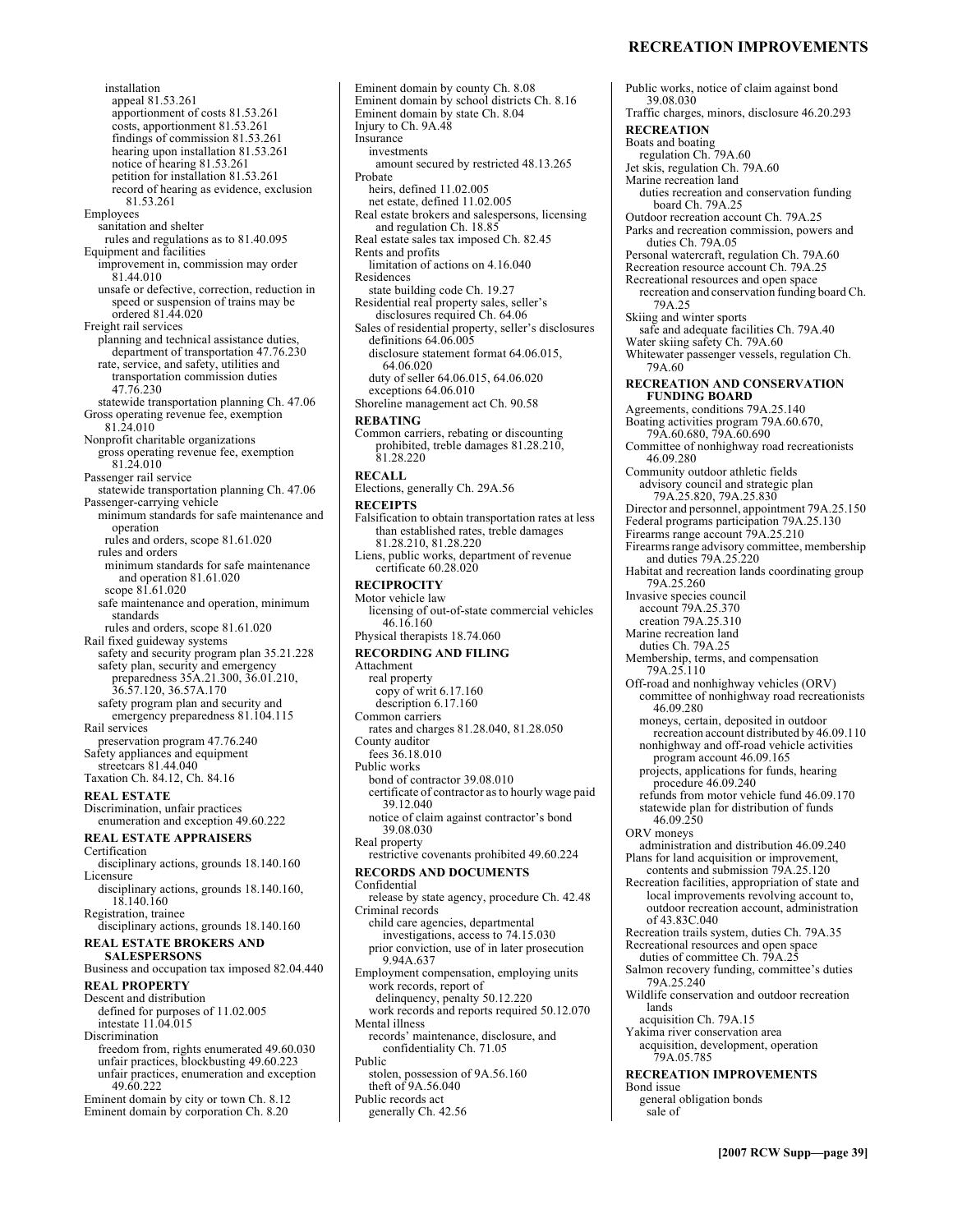### **RECREATION IMPROVEMENTS**

Public works, notice of claim against bond

39.08.030

installation appeal 81.53.261 apportionment of costs 81.53.261 costs, apportionment 81.53.261 findings of commission 81.53.261 hearing upon installation 81.53.261 notice of hearing 81.53.261 petition for installation 81.53.261 record of hearing as evidence, exclusion 81.53.261 Employees sanitation and shelter rules and regulations as to 81.40.095 Equipment and facilities improvement in, commission may order 81.44.010 unsafe or defective, correction, reduction in speed or suspension of trains may be ordered 81.44.020 Freight rail services planning and technical assistance duties, department of transportation 47.76.230 rate, service, and safety, utilities and transportation commission duties 47.76.230 statewide transportation planning Ch. 47.06 Gross operating revenue fee, exemption 81.24.010 Nonprofit charitable organizations gross operating revenue fee, exemption 81.24.010 Passenger rail service statewide transportation planning Ch. 47.06 Passenger-carrying vehicle minimum standards for safe maintenance and operation rules and orders, scope 81.61.020 rules and orders minimum standards for safe maintenance and operation 81.61.020 scope 81.61.020 safe maintenance and operation, minimum standards rules and orders, scope 81.61.020 Rail fixed guideway systems safety and security program plan 35.21.228 safety plan, security and emergency preparedness 35A.21.300, 36.01.210, 36.57.120, 36.57A.170 safety program plan and security and emergency preparedness 81.104.115 Rail services preservation program 47.76.240 Safety appliances and equipment streetcars 81.44.040 Taxation Ch. 84.12, Ch. 84.16 **REAL ESTATE**  Discrimination, unfair practices enumeration and exception 49.60.222 **REAL ESTATE APPRAISERS**  Certification disciplinary actions, grounds 18.140.160 Licensure disciplinary actions, grounds 18.140.160, 18.140.160 Registration, trainee disciplinary actions, grounds 18.140.160 **REAL ESTATE BROKERS AND SALESPERSONS**  Business and occupation tax imposed 82.04.440 **REAL PROPERTY**  Descent and distribution defined for purposes of 11.02.005 intestate 11.04.015 Discrimination freedom from, rights enumerated 49.60.030 unfair practices, blockbusting 49.60.223 unfair practices, enumeration and exception 49.60.222 Eminent domain by city or town Ch. 8.12 Eminent domain by corporation Ch. 8.20

Eminent domain by county Ch. 8.08 Eminent domain by school districts Ch. 8.16 Eminent domain by state Ch. 8.04 Injury to Ch. 9A.48 **Insurance** investments amount secured by restricted 48.13.265 Probate heirs, defined 11.02.005 net estate, defined 11.02.005 Real estate brokers and salespersons, licensing and regulation Ch. 18.85 Real estate sales tax imposed Ch. 82.45 Rents and profits limitation of actions on 4.16.040 Residences state building code Ch. 19.27 Residential real property sales, seller's disclosures required Ch. 64.06 Sales of residential property, seller's disclosures definitions 64.06.005 disclosure statement format 64.06.015, 64.06.020 duty of seller 64.06.015, 64.06.020 exceptions 64.06.010 Shoreline management act Ch. 90.58 **REBATING**  Common carriers, rebating or discounting prohibited, treble damages 81.28.210,  $81.28.220$ **RECALL**  Elections, generally Ch. 29A.56 **RECEIPTS**  Falsification to obtain transportation rates at less than established rates, treble damages 81.28.210, 81.28.220 Liens, public works, department of revenue certificate 60.28.020 **RECIPROCITY**  Motor vehicle law licensing of out-of-state commercial vehicles 46.16.160 Physical therapists 18.74.060 **RECORDING AND FILING**  Attachment real property copy of writ 6.17.160 description 6.17.160 Common carriers rates and charges 81.28.040, 81.28.050 County auditor fees 36.18.010 Public works bond of contractor 39.08.010 certificate of contractor as to hourly wage paid 39.12.040 notice of claim against contractor's bond 39.08.030 Real property restrictive covenants prohibited 49.60.224 **RECORDS AND DOCUMENTS**  Confidential release by state agency, procedure Ch. 42.48 Criminal records child care agencies, departmental investigations, access to 74.15.030 prior conviction, use of in later prosecution 9.94A.637 Employment compensation, employing units work records, report of delinquency, penalty 50.12.220 work records and reports required 50.12.070 Mental illness records' maintenance, disclosure, and confidentiality Ch. 71.05 Public stolen, possession of 9A.56.160 theft of 9A.56.040 Public records act generally Ch. 42.56

Traffic charges, minors, disclosure 46.20.293 **RECREATION**  Boats and boating regulation Ch. 79A.60 Jet skis, regulation Ch. 79A.60 Marine recreation land duties recreation and conservation funding board Ch. 79A.25 Outdoor recreation account Ch. 79A.25 Parks and recreation commission, powers and duties Ch. 79A.05 Personal watercraft, regulation Ch. 79A.60 Recreation resource account Ch. 79A.25 Recreational resources and open space recreation and conservation funding board Ch. 79A.25 Skiing and winter sports safe and adequate facilities Ch. 79A.40 Water skiing safety Ch. 79A.60 Whitewater passenger vessels, regulation Ch. 79A.60 **RECREATION AND CONSERVATION FUNDING BOARD**  Agreements, conditions 79A.25.140 Boating activities program 79A.60.670, 79A.60.680, 79A.60.690 Committee of nonhighway road recreationists 46.09.280 Community outdoor athletic fields advisory council and strategic plan 79A.25.820, 79A.25.830 Director and personnel, appointment 79A.25.150 Federal programs participation 79A.25.130 Firearms range account 79A.25.210 Firearms range advisory committee, membership and duties 79A.25.220 Habitat and recreation lands coordinating group 79A.25.260 Invasive species council account 79A.25.370 creation 79A.25.310 Marine recreation land duties Ch. 79A.25 Membership, terms, and compensation 79A.25.110 Off-road and nonhighway vehicles (ORV) committee of nonhighway road recreationists 46.09.280 moneys, certain, deposited in outdoor recreation account distributed by 46.09.110 nonhighway and off-road vehicle activities program account 46.09.165 projects, applications for funds, hearing procedure 46.09.240 refunds from motor vehicle fund 46.09.170 statewide plan for distribution of funds 46.09.250 ORV moneys administration and distribution 46.09.240 Plans for land acquisition or improvement, contents and submission 79A.25.120 Recreation facilities, appropriation of state and local improvements revolving account to, outdoor recreation account, administration of 43.83C.040 Recreation trails system, duties Ch. 79A.35 Recreational resources and open space duties of committee Ch. 79A.25 Salmon recovery funding, committee's duties 79A.25.240 Wildlife conservation and outdoor recreation lands acquisition Ch. 79A.15 Yakima river conservation area acquisition, development, operation 79A.05.785 **RECREATION IMPROVEMENTS**  Bond issue general obligation bonds sale of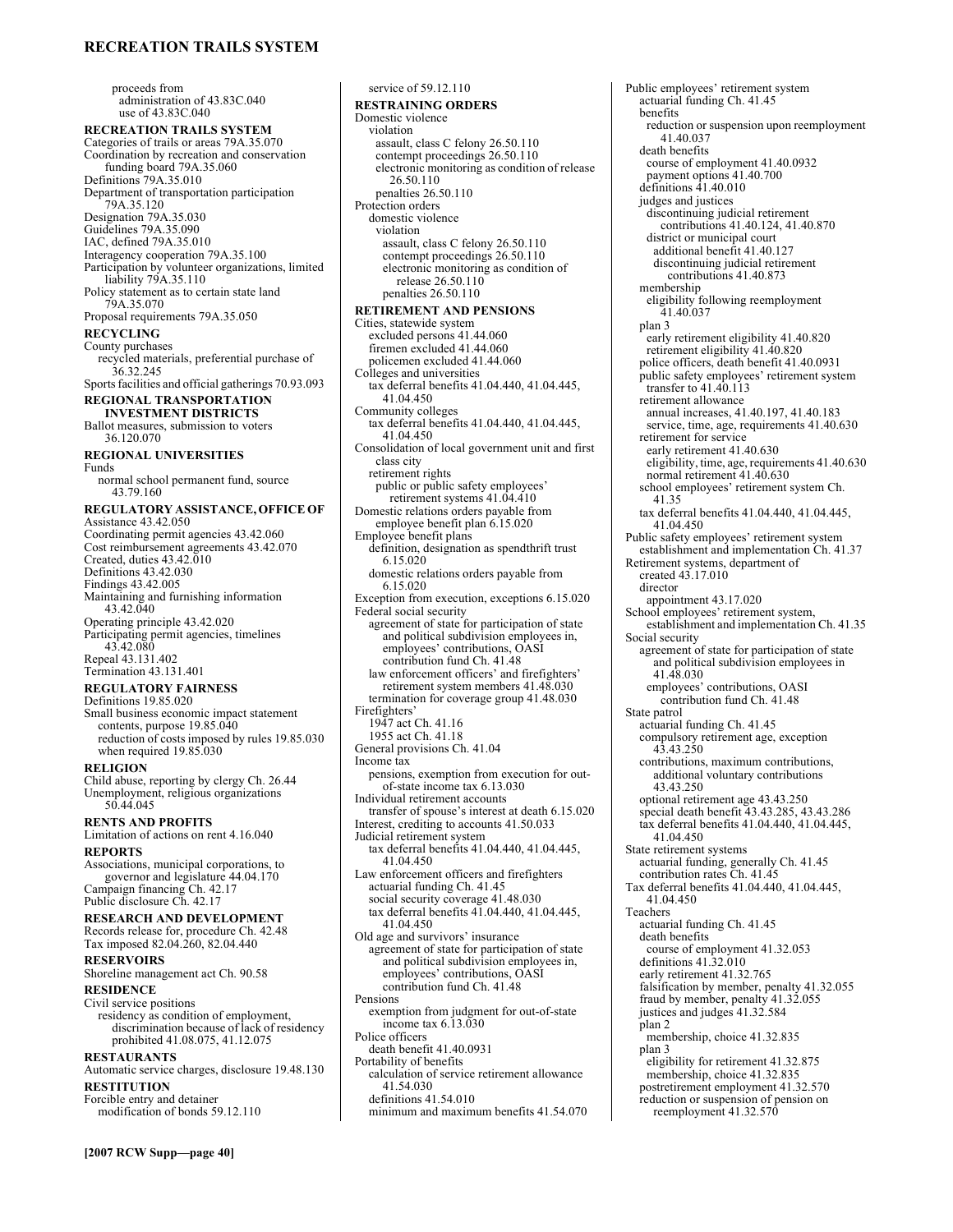### **RECREATION TRAILS SYSTEM**

proceeds from administration of 43.83C.040 use of 43.83C.040 **RECREATION TRAILS SYSTEM**  Categories of trails or areas 79A.35.070 Coordination by recreation and conservation funding board 79A.35.060 Definitions 79A.35.010 Department of transportation participation 79A.35.120 Designation 79A.35.030 Guidelines 79A.35.090 IAC, defined 79A.35.010 Interagency cooperation 79A.35.100 Participation by volunteer organizations, limited liability 79A.35.110 Policy statement as to certain state land 79A.35.070 Proposal requirements 79A.35.050 **RECYCLING**  County purchases recycled materials, preferential purchase of 36.32.245 Sports facilities and official gatherings 70.93.093 **REGIONAL TRANSPORTATION INVESTMENT DISTRICTS**  Ballot measures, submission to voters 36.120.070 **REGIONAL UNIVERSITIES**  Funds normal school permanent fund, source 43.79.160 **REGULATORY ASSISTANCE, OFFICE OF**  Assistance 43.42.050 Coordinating permit agencies 43.42.060 Cost reimbursement agreements 43.42.070 Created, duties  $43.42.\overline{0}10$ Definitions 43.42.030 Findings 43.42.005 Maintaining and furnishing information 43.42.040 Operating principle 43.42.020 Participating permit agencies, timelines 43.42.080 Repeal 43.131.402 Termination 43.131.401 **REGULATORY FAIRNESS**  Definitions 19.85.020 Small business economic impact statement contents, purpose 19.85.040 reduction of costs imposed by rules 19.85.030 when required 19.85.030 **RELIGION**  Child abuse, reporting by clergy Ch. 26.44 Unemployment, religious organizations 50.44.045 **RENTS AND PROFITS**  Limitation of actions on rent 4.16.040 **REPORTS**  Associations, municipal corporations, to governor and legislature 44.04.170 Campaign financing Ch. 42.17 Public disclosure Ch. 42.17 **RESEARCH AND DEVELOPMENT**  Records release for, procedure Ch. 42.48 Tax imposed 82.04.260, 82.04.440 **RESERVOIRS**  Shoreline management act Ch. 90.58 **RESIDENCE**  Civil service positions residency as condition of employment, discrimination because of lack of residency prohibited 41.08.075, 41.12.075 **RESTAURANTS**  Automatic service charges, disclosure 19.48.130 **RESTITUTION**  Forcible entry and detainer modification of bonds 59.12.110

**RESTRAINING ORDERS**  Domestic violence violation assault, class C felony 26.50.110 contempt proceedings 26.50.110 electronic monitoring as condition of release 26.50.110 penalties 26.50.110 Protection orders domestic violence violation assault, class C felony 26.50.110 contempt proceedings 26.50.110 electronic monitoring as condition of release 26.50.110 penalties 26.50.110 **RETIREMENT AND PENSIONS**  Cities, statewide system excluded persons 41.44.060 firemen excluded 41.44.060 policemen excluded 41.44.060 Colleges and universities tax deferral benefits 41.04.440, 41.04.445, 41.04.450 Community colleges tax deferral benefits 41.04.440, 41.04.445, 41.04.450 Consolidation of local government unit and first class city retirement rights public or public safety employees'<br>retirement systems 41.04.410 Domestic relations orders payable from employee benefit plan 6.15.020 Employee benefit plans definition, designation as spendthrift trust 6.15.020 domestic relations orders payable from 6.15.020 Exception from execution, exceptions 6.15.020 Federal social security agreement of state for participation of state and political subdivision employees in, employees' contributions, OASI contribution fund Ch. 41.48 law enforcement officers' and firefighters' retirement system members 41.48.030 termination for coverage group 41.48.030 Firefighters' 1947 act Ch. 41.16 1955 act Ch. 41.18 General provisions Ch. 41.04 Income tax pensions, exemption from execution for outof-state income tax 6.13.030 Individual retirement accounts transfer of spouse's interest at death 6.15.020 Interest, crediting to accounts 41.50.033 Judicial retirement system tax deferral benefits 41.04.440, 41.04.445, 41.04.450 Law enforcement officers and firefighters actuarial funding Ch. 41.45 social security coverage 41.48.030 tax deferral benefits 41.04.440, 41.04.445, 41.04.450 Old age and survivors' insurance agreement of state for participation of state and political subdivision employees in, employeesí contributions, OASI contribution fund Ch. 41.48 Pensions exemption from judgment for out-of-state income tax 6.13.030 Police officers death benefit 41.40.0931 Portability of benefits calculation of service retirement allowance 41.54.030 definitions 41.54.010 minimum and maximum benefits 41.54.070

service of 59.12.110

Public employees' retirement system actuarial funding Ch. 41.45 benefits reduction or suspension upon reemployment 41.40.037 death benefits course of employment 41.40.0932 payment options 41.40.700 definitions 41.40.010 judges and justices discontinuing judicial retirement contributions 41.40.124, 41.40.870 district or municipal court additional benefit 41.40.127 discontinuing judicial retirement contributions 41.40.873 membership eligibility following reemployment 41.40.037 plan 3 early retirement eligibility 41.40.820 retirement eligibility 41.40.820 police officers, death benefit 41.40.0931 public safety employees' retirement system transfer to 41.40.113 retirement allowance annual increases, 41.40.197, 41.40.183 service, time, age, requirements 41.40.630 retirement for service early retirement 41.40.630 eligibility, time, age, requirements 41.40.630 normal retirement 41.40.630 school employees' retirement system Ch. 41.35 tax deferral benefits 41.04.440, 41.04.445, 41.04.450 Public safety employees' retirement system establishment and implementation Ch. 41.37 Retirement systems, department of created 43.17.010 director appointment 43.17.020 School employees' retirement system,<br>
establishment and implementation Ch. 41.35 Social security agreement of state for participation of state and political subdivision employees in 41.48.030 employees' contributions, OASI contribution fund Ch. 41.48 State patrol actuarial funding Ch. 41.45 compulsory retirement age, exception 43.43.250 contributions, maximum contributions, additional voluntary contributions 43.43.250 optional retirement age 43.43.250 special death benefit 43.43.285, 43.43.286 tax deferral benefits 41.04.440, 41.04.445, 41.04.450 State retirement systems actuarial funding, generally Ch. 41.45 contribution rates Ch. 41.45 Tax deferral benefits 41.04.440, 41.04.445, 41.04.450 Teachers actuarial funding Ch. 41.45 death benefits course of employment 41.32.053 definitions  $41.\overline{3}2.\overline{0}10$ early retirement 41.32.765 falsification by member, penalty 41.32.055 fraud by member, penalty 41.32.055 justices and judges 41.32.584 plan 2 membership, choice 41.32.835 plan 3 eligibility for retirement 41.32.875 membership, choice 41.32.835 postretirement employment 41.32.570 reduction or suspension of pension on reemployment 41.32.570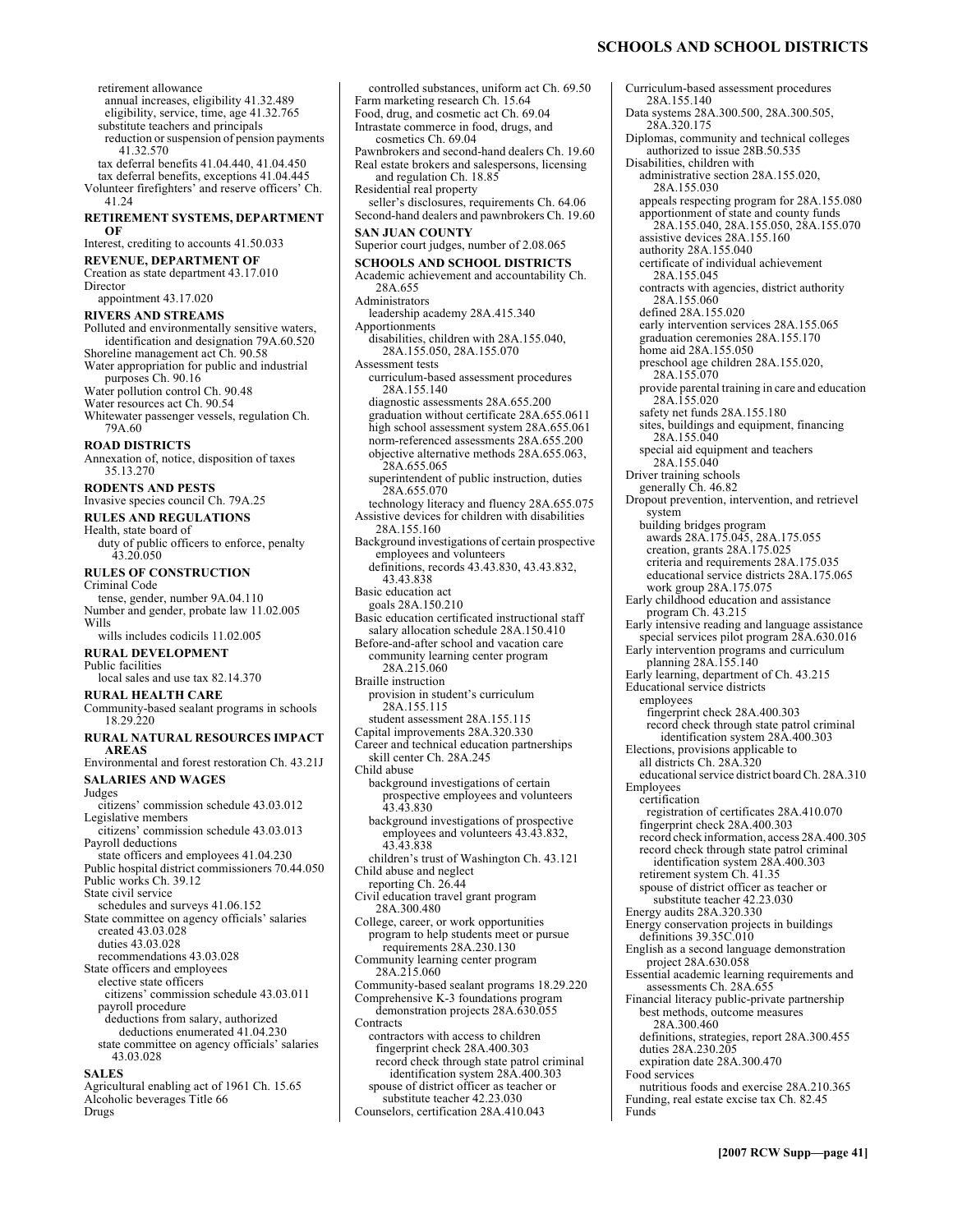annual increases, eligibility 41.32.489 eligibility, service, time, age 41.32.765 substitute teachers and principals reduction or suspension of pension payments 41.32.570 tax deferral benefits 41.04.440, 41.04.450 tax deferral benefits, exceptions 41.04.445 Volunteer firefighters' and reserve officers' Ch. 41.24 **RETIREMENT SYSTEMS, DEPARTMENT OF**  Interest, crediting to accounts 41.50.033 **REVENUE, DEPARTMENT OF**  Creation as state department 43.17.010 Director appointment 43.17.020 **RIVERS AND STREAMS**  Polluted and environmentally sensitive waters, identification and designation 79A.60.520 Shoreline management act Ch. 90.58 Water appropriation for public and industrial purposes Ch. 90.16 Water pollution control Ch. 90.48 Water resources act Ch. 90.54 Whitewater passenger vessels, regulation Ch. 79A.60 **ROAD DISTRICTS**  Annexation of, notice, disposition of taxes 35.13.270 **RODENTS AND PESTS**  Invasive species council Ch. 79A.25 **RULES AND REGULATIONS**  Health, state board of duty of public officers to enforce, penalty 43.20.050 **RULES OF CONSTRUCTION**  Criminal Code tense, gender, number 9A.04.110 Number and gender, probate law 11.02.005 Wills wills includes codicils 11.02.005 **RURAL DEVELOPMENT**  Public facilities local sales and use tax 82.14.370 **RURAL HEALTH CARE**  Community-based sealant programs in schools 18.29.220 **RURAL NATURAL RESOURCES IMPACT AREAS**  Environmental and forest restoration Ch. 43.21J **SALARIES AND WAGES**  Judges citizens' commission schedule 43.03.012 Legislative members citizens' commission schedule 43.03.013 Payroll deductions state officers and employees 41.04.230 Public hospital district commissioners 70.44.050 Public works Ch. 39.12 State civil service schedules and surveys 41.06.152 State committee on agency officials' salaries created 43.03.028 duties 43.03.028 recommendations 43.03.028 State officers and employees elective state officers citizens' commission schedule 43.03.011 payroll procedure deductions from salary, authorized deductions enumerated 41.04.230 state committee on agency officials' salaries 43.03.028 **SALES**  Agricultural enabling act of 1961 Ch. 15.65 Alcoholic beverages Title 66

Drugs

retirement allowance

Intrastate commerce in food, drugs, and cosmetics Ch. 69.04 Pawnbrokers and second-hand dealers Ch. 19.60 Real estate brokers and salespersons, licensing and regulation Ch. 18.85 Residential real property seller's disclosures, requirements Ch. 64.06 Second-hand dealers and pawnbrokers Ch. 19.60 **SAN JUAN COUNTY**  Superior court judges, number of 2.08.065 **SCHOOLS AND SCHOOL DISTRICTS**  Academic achievement and accountability Ch. 28A.655 Administrators leadership academy 28A.415.340 Apportionments disabilities, children with 28A.155.040, 28A.155.050, 28A.155.070 Assessment tests curriculum-based assessment procedures 28A.155.140 diagnostic assessments 28A.655.200 graduation without certificate 28A.655.0611 high school assessment system 28A.655.061 norm-referenced assessments 28A.655.200 objective alternative methods 28A.655.063, 28A.655.065 superintendent of public instruction, duties 28A.655.070 technology literacy and fluency 28A.655.075 Assistive devices for children with disabilities 28A.155.160 Background investigations of certain prospective employees and volunteers definitions, records 43.43.830, 43.43.832, 43.43.838 Basic education act goals 28A.150.210 Basic education certificated instructional staff salary allocation schedule 28A.150.410 Before-and-after school and vacation care community learning center program 28A.215.060 Braille instruction provision in student's curriculum 28A.155.115 student assessment 28A.155.115 Capital improvements 28A.320.330 Career and technical education partnerships skill center Ch. 28A.245 Child abuse background investigations of certain prospective employees and volunteers 43.43.830 background investigations of prospective employees and volunteers 43.43.832, 43.43.838 children's trust of Washington Ch. 43.121 Child abuse and neglect reporting Ch. 26.44 Civil education travel grant program 28A.300.480 College, career, or work opportunities program to help students meet or pursue requirements 28A.230.130 Community learning center program 28A.215.060 Community-based sealant programs 18.29.220 Comprehensive K-3 foundations program demonstration projects 28A.630.055 **Contracts** contractors with access to children fingerprint check 28A.400.303 record check through state patrol criminal identification system 28A.400.303 spouse of district officer as teacher or substitute teacher 42.23.030 Counselors, certification 28A.410.043

controlled substances, uniform act Ch. 69.50

Farm marketing research Ch. 15.64 Food, drug, and cosmetic act Ch. 69.04

#### **SCHOOLS AND SCHOOL DISTRICTS**

Curriculum-based assessment procedures 28A.155.140 Data systems 28A.300.500, 28A.300.505, 28A.320.175 Diplomas, community and technical colleges authorized to issue 28B.50.535 Disabilities, children with administrative section 28A.155.020, 28A.155.030 appeals respecting program for 28A.155.080 apportionment of state and county funds 28A.155.040, 28A.155.050, 28A.155.070 assistive devices 28A.155.160 authority 28A.155.040 certificate of individual achievement 28A.155.045 contracts with agencies, district authority 28A.155.060 defined 28A.155.020 early intervention services 28A.155.065 graduation ceremonies 28A.155.170 home aid 28A.155.050 preschool age children 28A.155.020, 28A.155.070 provide parental training in care and education 28A.155.020 safety net funds 28A.155.180 sites, buildings and equipment, financing 28A.155.040 special aid equipment and teachers 28A.155.040 Driver training schools generally Ch. 46.82 Dropout prevention, intervention, and retrievel system building bridges program awards 28A.175.045, 28A.175.055 creation, grants 28A.175.025 criteria and requirements 28A.175.035 educational service districts 28A.175.065 work group 28A.175.075 Early childhood education and assistance program Ch. 43.215 Early intensive reading and language assistance special services pilot program 28A.630.016 Early intervention programs and curriculum planning 28A.155.140 Early learning, department of Ch. 43.215 Educational service districts employees fingerprint check 28A.400.303 record check through state patrol criminal identification system 28A.400.303 Elections, provisions applicable to all districts Ch. 28A.320 educational service district board Ch. 28A.310 Employees certification registration of certificates 28A.410.070 fingerprint check 28A.400.303 record check information, access 28A.400.305 record check through state patrol criminal identification system 28A.400.303 retirement system Ch. 41.35 spouse of district officer as teacher or substitute teacher 42.23.030 Energy audits 28A.320.330 Energy conservation projects in buildings definitions 39.35C.010 English as a second language demonstration project 28A.630.058 Essential academic learning requirements and assessments Ch. 28A.655 Financial literacy public-private partnership best methods, outcome measures 28A.300.460 definitions, strategies, report 28A.300.455 duties 28A.230.205 expiration date 28A.300.470 Food services nutritious foods and exercise 28A.210.365 Funding, real estate excise tax Ch. 82.45 Funds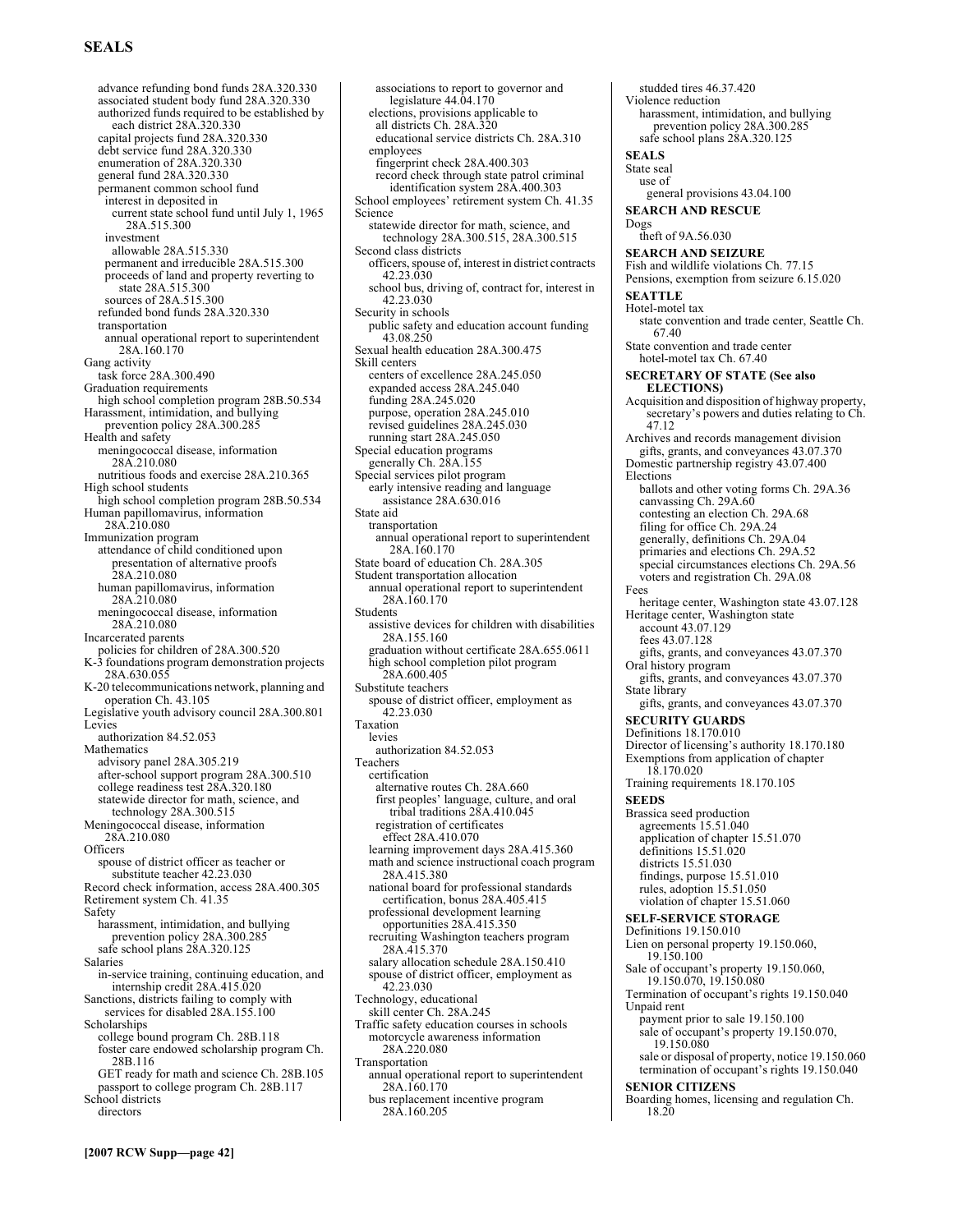# **SEALS**

advance refunding bond funds 28A.320.330 associated student body fund 28A.320.330 authorized funds required to be established by each district 28A.320.330 capital projects fund 28A.320.330 debt service fund 28A.320.330 enumeration of 28A.320.330 general fund 28A.320.330 permanent common school fund interest in deposited in current state school fund until July 1, 1965 28A.515.300 investment allowable 28A.515.330 permanent and irreducible 28A.515.300 proceeds of land and property reverting to state 28A.515.300 sources of 28A.515.300 refunded bond funds 28A.320.330 transportation annual operational report to superintendent 28A.160.170 Gang activity task force 28A.300.490 Graduation requirements high school completion program 28B.50.534 Harassment, intimidation, and bullying prevention policy 28A.300.285 Health and safety meningococcal disease, information 28A.210.080 nutritious foods and exercise 28A.210.365 High school students high school completion program 28B.50.534 Human papillomavirus, information 28A.210.080 Immunization program attendance of child conditioned upon presentation of alternative proofs 28A.210.080 human papillomavirus, information 28A.210.080 meningococcal disease, information 28A.210.080 Incarcerated parents policies for children of 28A.300.520 K-3 foundations program demonstration projects 28A.630.055 K-20 telecommunications network, planning and operation Ch. 43.105 Legislative youth advisory council 28A.300.801 Levies authorization 84.52.053 Mathematics advisory panel 28A.305.219 after-school support program 28A.300.510 college readiness test 28A.320.180 statewide director for math, science, and technology 28A.300.515 Meningococcal disease, information 28A.210.080 **Officers** spouse of district officer as teacher or substitute teacher 42.23.030 Record check information, access 28A.400.305 Retirement system Ch. 41.35 Safety harassment, intimidation, and bullying prevention policy 28A.300.285 safe school plans 28A.320.125 Salaries in-service training, continuing education, and internship credit 28A.415.020 Sanctions, districts failing to comply with services for disabled 28A.155.100 Scholarships college bound program Ch. 28B.118 foster care endowed scholarship program Ch. 28B.116 GET ready for math and science Ch. 28B.105 passport to college program Ch. 28B.117 School districts directors

associations to report to governor and legislature 44.04.170 elections, provisions applicable to all districts Ch. 28A.320 educational service districts Ch. 28A.310 employees fingerprint check 28A.400.303 record check through state patrol criminal identification system 28A.400.303 School employees' retirement system Ch. 41.35 Science statewide director for math, science, and technology 28A.300.515, 28A.300.515 Second class districts officers, spouse of, interest in district contracts 42.23.030 school bus, driving of, contract for, interest in 42.23.030 Security in schools public safety and education account funding 43.08.250 Sexual health education 28A.300.475 Skill centers centers of excellence 28A.245.050 expanded access 28A.245.040 funding 28A.245.020 purpose, operation 28A.245.010 revised guidelines 28A.245.030 running start 28A.245.050 Special education programs generally Ch. 28A.155 Special services pilot program early intensive reading and language assistance 28A.630.016 State aid transportation annual operational report to superintendent 28A.160.170 State board of education Ch. 28A.305 Student transportation allocation annual operational report to superintendent 28A.160.170 Students assistive devices for children with disabilities 28A.155.160 graduation without certificate 28A.655.0611 high school completion pilot program 28A.600.405 Substitute teachers spouse of district officer, employment as 42.23.030 Taxation levies authorization 84.52.053 Teachers certification alternative routes Ch. 28A.660 first peoples' language, culture, and oral tribal traditions 28A.410.045 registration of certificates effect 28A.410.070 learning improvement days 28A.415.360 math and science instructional coach program 28A.415.380 national board for professional standards certification, bonus 28A.405.415 professional development learning opportunities 28A.415.350 recruiting Washington teachers program 28A.415.370 salary allocation schedule 28A.150.410 spouse of district officer, employment as 42.23.030 Technology, educational skill center Ch. 28A.245 Traffic safety education courses in schools motorcycle awareness information 28A.220.080 Transportation annual operational report to superintendent 28A.160.170 bus replacement incentive program 28A.160.205

studded tires 46.37.420 Violence reduction harassment, intimidation, and bullying prevention policy 28A.300.285 safe school plans 28A.320.125 **SEALS**  State seal use of general provisions 43.04.100 **SEARCH AND RESCUE**  Dogs theft of 9A.56.030 **SEARCH AND SEIZURE**  Fish and wildlife violations Ch. 77.15 Pensions, exemption from seizure 6.15.020 **SEATTLE**  Hotel-motel tax state convention and trade center, Seattle Ch. 67.40 State convention and trade center hotel-motel tax Ch. 67.40 **SECRETARY OF STATE (See also ELECTIONS)**  Acquisition and disposition of highway property, secretary's powers and duties relating to Ch. 47.12 Archives and records management division gifts, grants, and conveyances 43.07.370 Domestic partnership registry 43.07.400 Elections ballots and other voting forms Ch. 29A.36 canvassing Ch. 29A.60 contesting an election Ch. 29A.68 filing for office Ch. 29A.24 generally, definitions Ch. 29A.04 primaries and elections Ch. 29A.52 special circumstances elections Ch. 29A.56 voters and registration Ch. 29A.08 Fees heritage center, Washington state 43.07.128 Heritage center, Washington state account 43.07.129 fees 43.07.128 gifts, grants, and conveyances 43.07.370 Oral history program gifts, grants, and conveyances 43.07.370 State library gifts, grants, and conveyances 43.07.370 **SECURITY GUARDS**  Definitions 18.170.010 Director of licensing's authority 18.170.180 Exemptions from application of chapter 18.170.020 Training requirements 18.170.105 **SEEDS**  Brassica seed production agreements 15.51.040 application of chapter 15.51.070 definitions 15.51.020 districts 15.51.030 findings, purpose 15.51.010 rules, adoption 15.51.050 violation of chapter 15.51.060 **SELF-SERVICE STORAGE**  Definitions 19.150.010 Lien on personal property 19.150.060, 19.150.100 Sale of occupant's property 19.150.060, 19.150.070, 19.150.080 Termination of occupant's rights 19.150.040 Unpaid rent payment prior to sale 19.150.100 sale of occupant's property 19.150.070, 19.150.080 sale or disposal of property, notice 19.150.060 termination of occupant's rights 19.150.040 **SENIOR CITIZENS**  Boarding homes, licensing and regulation Ch. 18.20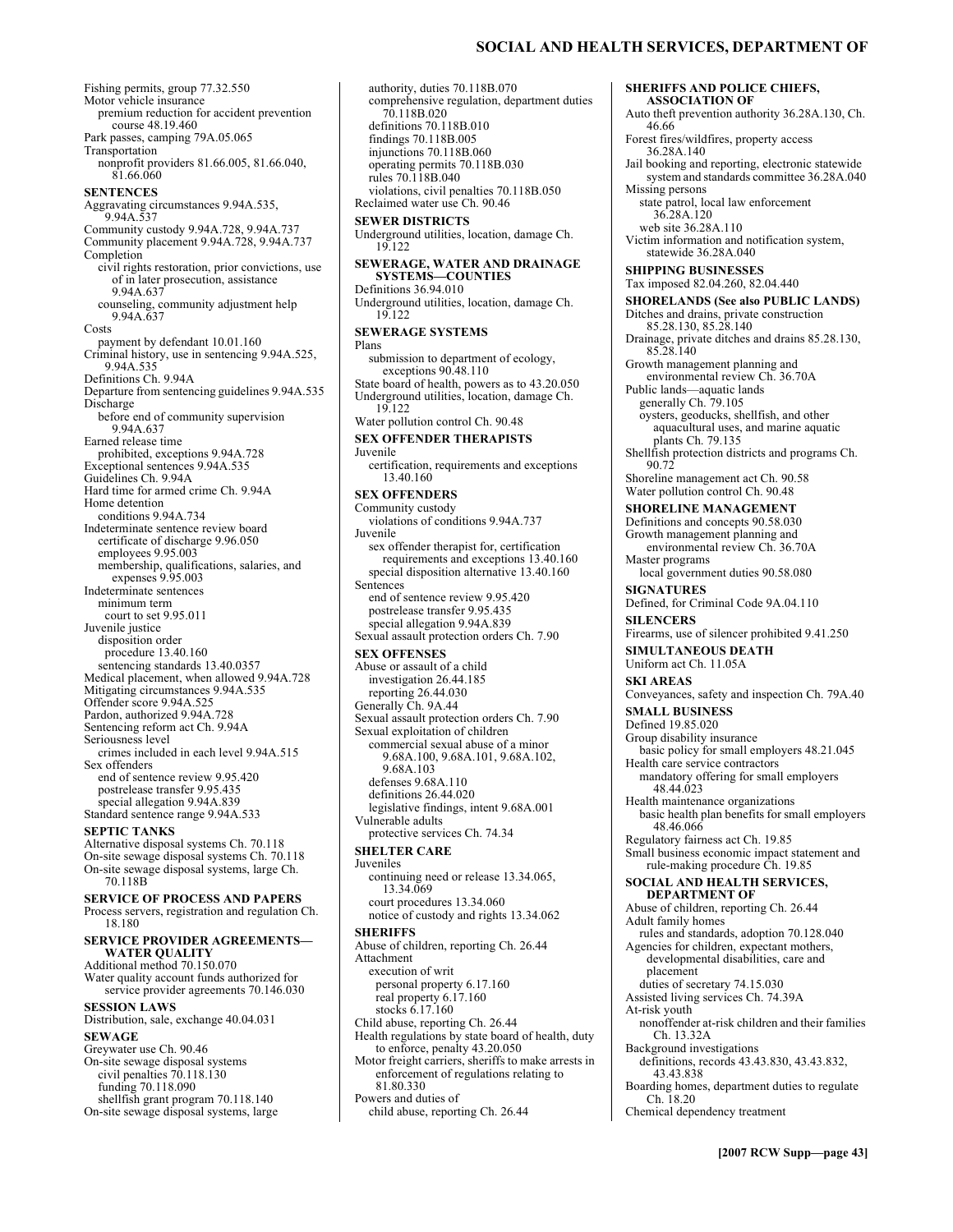### **SOCIAL AND HEALTH SERVICES, DEPARTMENT OF**

**SHERIFFS AND POLICE CHIEFS, ASSOCIATION OF** 

Auto theft prevention authority 36.28A.130, Ch.

Fishing permits, group 77.32.550 Motor vehicle insurance premium reduction for accident prevention course 48.19.460 Park passes, camping 79A.05.065 Transportation nonprofit providers 81.66.005, 81.66.040, 81.66.060 **SENTENCES**  Aggravating circumstances 9.94A.535, 9.94A.537 Community custody 9.94A.728, 9.94A.737 Community placement 9.94A.728, 9.94A.737 Completion civil rights restoration, prior convictions, use of in later prosecution, assistance 9.94A.637 counseling, community adjustment help 9.94A.637 Costs payment by defendant 10.01.160 Criminal history, use in sentencing 9.94A.525, 9.94A.535 Definitions Ch. 9.94A Departure from sentencing guidelines 9.94A.535 Discharge before end of community supervision 9.94A.637 Earned release time prohibited, exceptions 9.94A.728 Exceptional sentences 9.94A.535 Guidelines Ch. 9.94A Hard time for armed crime Ch. 9.94A Home detention conditions 9.94A.734 Indeterminate sentence review board certificate of discharge 9.96.050 employees 9.95.003 membership, qualifications, salaries, and expenses 9.95.003 Indeterminate sentences minimum term court to set 9.95.011 Juvenile justice disposition order procedure 13.40.160 sentencing standards 13.40.0357 Medical placement, when allowed 9.94A.728 Mitigating circumstances 9.94A.535 Offender score 9.94A.525 Pardon, authorized 9.94A.728 Sentencing reform act Ch. 9.94A Seriousness level crimes included in each level 9.94A.515 Sex offenders end of sentence review 9.95.420 postrelease transfer 9.95.435 special allegation 9.94A.839 Standard sentence range 9.94A.533 **SEPTIC TANKS**  Alternative disposal systems Ch. 70.118 On-site sewage disposal systems Ch. 70.118 On-site sewage disposal systems, large Ch. 70.118B **SERVICE OF PROCESS AND PAPERS**  Process servers, registration and regulation Ch. 18.180 **SERVICE PROVIDER AGREEMENTS-WATER QUALITY**  Additional method 70.150.070 Water quality account funds authorized for service provider agreements 70.146.030 **SESSION LAWS**  Distribution, sale, exchange 40.04.031 **SEWAGE**  Greywater use Ch. 90.46 On-site sewage disposal systems civil penalties 70.118.130 funding 70.118.090 shellfish grant program 70.118.140 On-site sewage disposal systems, large

authority, duties 70.118B.070 comprehensive regulation, department duties 70.118B.020 definitions 70.118B.010 findings 70.118B.005 injunctions 70.118B.060 operating permits 70.118B.030 rules 70.118B.040 violations, civil penalties 70.118B.050 Reclaimed water use Ch. 90.46 **SEWER DISTRICTS**  Underground utilities, location, damage Ch. 19.122 **SEWERAGE, WATER AND DRAINAGE SYSTEMS-COUNTIES** Definitions 36.94.010 Underground utilities, location, damage Ch.  $19.122$ **SEWERAGE SYSTEMS**  Plans submission to department of ecology, exceptions 90.48.110 State board of health, powers as to 43.20.050 Underground utilities, location, damage Ch. 19.122 Water pollution control Ch. 90.48 **SEX OFFENDER THERAPISTS**  Juvenile certification, requirements and exceptions 13.40.160 **SEX OFFENDERS**  Community custody violations of conditions 9.94A.737 Juvenile sex offender therapist for, certification requirements and exceptions 13.40.160 special disposition alternative 13.40.160 Sentences end of sentence review 9.95.420 postrelease transfer 9.95.435 special allegation 9.94A.839 Sexual assault protection orders Ch. 7.90 **SEX OFFENSES**  Abuse or assault of a child investigation 26.44.185 reporting 26.44.030 Generally Ch. 9A.44 Sexual assault protection orders Ch. 7.90 Sexual exploitation of children commercial sexual abuse of a minor 9.68A.100, 9.68A.101, 9.68A.102, 9.68A.103 defenses 9.68A.110 definitions 26.44.020 legislative findings, intent 9.68A.001 Vulnerable adults protective services Ch. 74.34 **SHELTER CARE**  Juveniles continuing need or release 13.34.065, 13.34.069 court procedures 13.34.060 notice of custody and rights 13.34.062 **SHERIFFS**  Abuse of children, reporting Ch. 26.44 Attachment execution of writ personal property 6.17.160 real property 6.17.160 stocks 6.17.160 Child abuse, reporting Ch. 26.44 Health regulations by state board of health, duty to enforce, penalty 43.20.050 Motor freight carriers, sheriffs to make arrests in enforcement of regulations relating to 81.80.330 Powers and duties of child abuse, reporting Ch. 26.44

46.66 Forest fires/wildfires, property access 36.28A.140 Jail booking and reporting, electronic statewide system and standards committee 36.28A.040 Missing persons state patrol, local law enforcement 36.28A.120 web site 36.28A.110 Victim information and notification system, statewide 36.28A.040 **SHIPPING BUSINESSES**  Tax imposed 82.04.260, 82.04.440 **SHORELANDS (See also PUBLIC LANDS)**  Ditches and drains, private construction 85.28.130, 85.28.140 Drainage, private ditches and drains 85.28.130, 85.28.140 Growth management planning and environmental review Ch. 36.70A Public lands—aquatic lands generally Ch. 79.105 oysters, geoducks, shellfish, and other aquacultural uses, and marine aquatic plants Ch. 79.135 Shellfish protection districts and programs Ch. 90.72 Shoreline management act Ch. 90.58 Water pollution control Ch. 90.48 **SHORELINE MANAGEMENT**  Definitions and concepts 90.58.030 Growth management planning and environmental review Ch. 36.70A Master programs local government duties 90.58.080 **SIGNATURES**  Defined, for Criminal Code 9A.04.110 **SILENCERS**  Firearms, use of silencer prohibited 9.41.250 **SIMULTANEOUS DEATH**  Uniform act Ch. 11.05A **SKI AREAS**  Conveyances, safety and inspection Ch. 79A.40 **SMALL BUSINESS**  Defined 19.85.020 Group disability insurance basic policy for small employers 48.21.045 Health care service contractors mandatory offering for small employers 48.44.023 Health maintenance organizations basic health plan benefits for small employers 48.46.066 Regulatory fairness act Ch. 19.85 Small business economic impact statement and rule-making procedure Ch. 19.85 **SOCIAL AND HEALTH SERVICES, DEPARTMENT OF**  Abuse of children, reporting Ch. 26.44 Adult family homes rules and standards, adoption 70.128.040 Agencies for children, expectant mothers, developmental disabilities, care and placement duties of secretary 74.15.030 Assisted living services Ch. 74.39A At-risk youth nonoffender at-risk children and their families Ch. 13.32A Background investigations definitions, records 43.43.830, 43.43.832, 43.43.838 Boarding homes, department duties to regulate Ch. 18.20 Chemical dependency treatment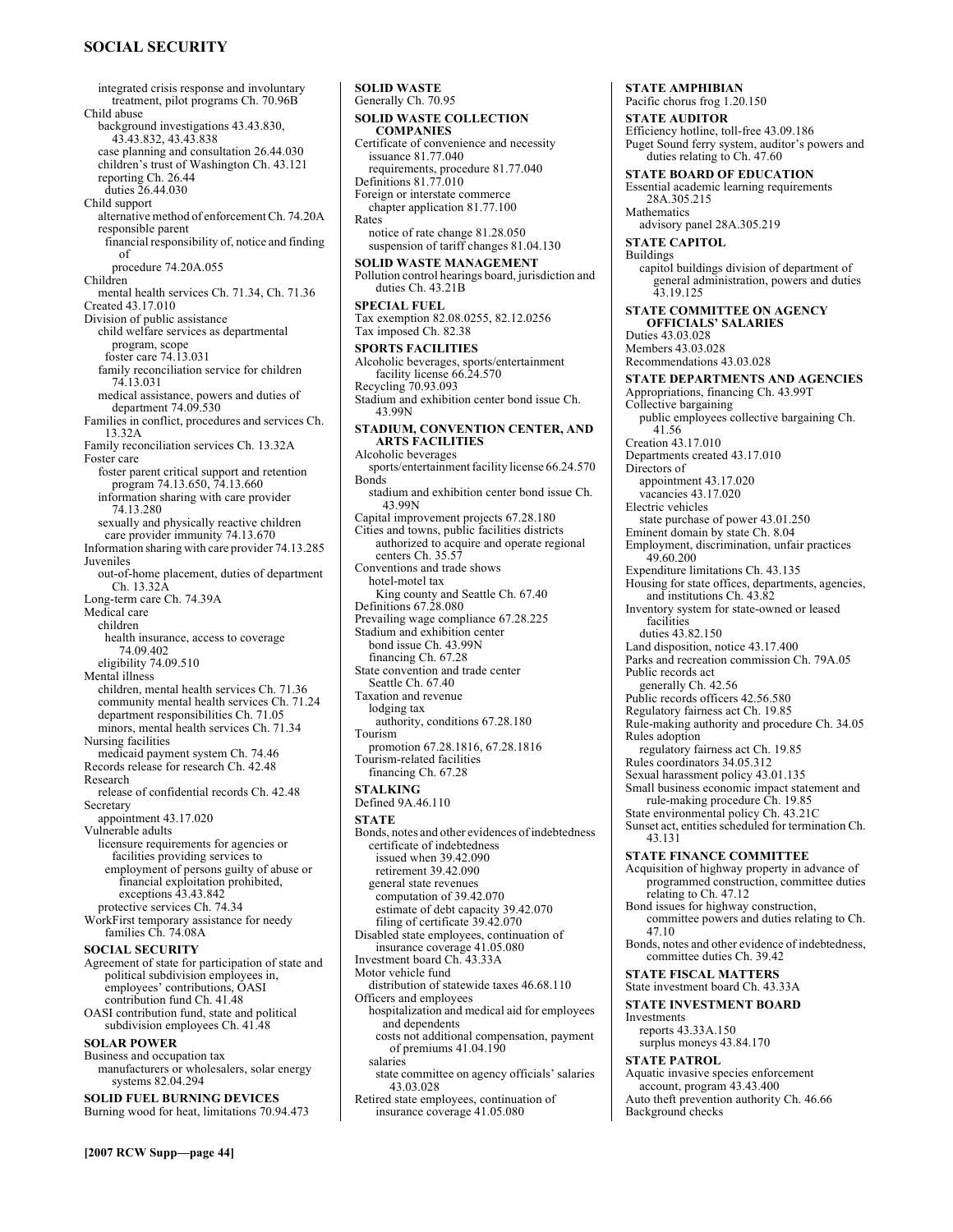# **SOCIAL SECURITY**

[2007 RCW Supp-page 44] integrated crisis response and involuntary treatment, pilot programs Ch. 70.96B Child abuse background investigations 43.43.830, 43.43.832, 43.43.838 case planning and consultation 26.44.030 children's trust of Washington Ch. 43.121 reporting Ch. 26.44 duties 26.44.030 Child support alternative method of enforcement Ch. 74.20A responsible parent financial responsibility of, notice and finding of procedure 74.20A.055 Children mental health services Ch. 71.34, Ch. 71.36 Created 43.17.010 Division of public assistance child welfare services as departmental program, scope foster care 74.13.031 family reconciliation service for children 74.13.031 medical assistance, powers and duties of department 74.09.530 Families in conflict, procedures and services Ch. 13.32A Family reconciliation services Ch. 13.32A Foster care foster parent critical support and retention program 74.13.650, 74.13.660 information sharing with care provider 74.13.280 sexually and physically reactive children care provider immunity 74.13.670 Information sharing with care provider 74.13.285 Juveniles out-of-home placement, duties of department Ch. 13.32A Long-term care Ch. 74.39A Medical care children health insurance, access to coverage 74.09.402 eligibility 74.09.510 Mental illness children, mental health services Ch. 71.36 community mental health services Ch. 71.24 department responsibilities Ch. 71.05 minors, mental health services Ch. 71.34 Nursing facilities medicaid payment system Ch. 74.46 Records release for research Ch. 42.48 Research release of confidential records Ch. 42.48 Secretary appointment 43.17.020 Vulnerable adults licensure requirements for agencies or facilities providing services to employment of persons guilty of abuse or financial exploitation prohibited, exceptions 43.43.842 protective services Ch. 74.34 WorkFirst temporary assistance for needy families Ch. 74.08A **SOCIAL SECURITY**  Agreement of state for participation of state and political subdivision employees in, employees' contributions, OASI contribution fund Ch. 41.48 OASI contribution fund, state and political subdivision employees Ch. 41.48 **SOLAR POWER**  Business and occupation tax manufacturers or wholesalers, solar energy systems 82.04.294 **SOLID FUEL BURNING DEVICES**  Burning wood for heat, limitations 70.94.473

**SOLID WASTE**  Generally Ch. 70.95 **SOLID WASTE COLLECTION COMPANIES**  Certificate of convenience and necessity issuance 81.77.040 requirements, procedure 81.77.040 Definitions 81.77.010 Foreign or interstate commerce chapter application 81.77.100 Rates notice of rate change 81.28.050 suspension of tariff changes 81.04.130 **SOLID WASTE MANAGEMENT**  Pollution control hearings board, jurisdiction and duties Ch. 43.21B **SPECIAL FUEL**  Tax exemption 82.08.0255, 82.12.0256 Tax imposed Ch. 82.38 **SPORTS FACILITIES**  Alcoholic beverages, sports/entertainment facility license 66.24.570 Recycling 70.93.093 Stadium and exhibition center bond issue Ch. 43.99N **STADIUM, CONVENTION CENTER, AND ARTS FACILITIES**  Alcoholic beverages sports/entertainment facility license 66.24.570 Bonds stadium and exhibition center bond issue Ch. 43.99N Capital improvement projects 67.28.180 Cities and towns, public facilities districts authorized to acquire and operate regional centers Ch. 35.57 Conventions and trade shows hotel-motel tax King county and Seattle Ch. 67.40 Definitions 67.28.080 Prevailing wage compliance 67.28.225 Stadium and exhibition center bond issue Ch. 43.99N financing Ch. 67.28 State convention and trade center Seattle Ch. 67.40 Taxation and revenue lodging tax authority, conditions 67.28.180 Tourism promotion 67.28.1816, 67.28.1816 Tourism-related facilities financing Ch. 67.28 **STALKING**  Defined 9A.46.110 **STATE**  Bonds, notes and other evidences of indebtedness certificate of indebtedness issued when 39.42.090 retirement 39.42.090 general state revenues computation of 39.42.070 estimate of debt capacity 39.42.070 filing of certificate 39.42.070 Disabled state employees, continuation of insurance coverage 41.05.080 Investment board Ch. 43.33A Motor vehicle fund distribution of statewide taxes 46.68.110 Officers and employees hospitalization and medical aid for employees and dependents costs not additional compensation, payment of premiums 41.04.190 salaries state committee on agency officials' salaries 43.03.028 Retired state employees, continuation of insurance coverage 41.05.080

**STATE AMPHIBIAN**  Pacific chorus frog 1.20.150 **STATE AUDITOR**  Efficiency hotline, toll-free 43.09.186 Puget Sound ferry system, auditor's powers and duties relating to Ch. 47.60 **STATE BOARD OF EDUCATION**  Essential academic learning requirements 28A.305.215 **Mathematics** advisory panel 28A.305.219 **STATE CAPITOL**  Buildings capitol buildings division of department of general administration, powers and duties 43.19.125 **STATE COMMITTEE ON AGENCY OFFICIALS' SALARIES** Duties 43.03.028 Members 43.03.028 Recommendations 43.03.028 **STATE DEPARTMENTS AND AGENCIES**  Appropriations, financing Ch. 43.99T Collective bargaining public employees collective bargaining Ch. 41.56 Creation 43.17.010 Departments created 43.17.010 Directors of appointment 43.17.020 vacancies 43.17.020 Electric vehicles state purchase of power 43.01.250 Eminent domain by state Ch. 8.04 Employment, discrimination, unfair practices 49.60.200 Expenditure limitations Ch. 43.135 Housing for state offices, departments, agencies, and institutions Ch. 43.82 Inventory system for state-owned or leased facilities duties 43.82.150 Land disposition, notice 43.17.400 Parks and recreation commission Ch. 79A.05 Public records act generally Ch. 42.56 Public records officers 42.56.580 Regulatory fairness act Ch. 19.85 Rule-making authority and procedure Ch. 34.05 Rules adoption regulatory fairness act Ch. 19.85 Rules coordinators 34.05.312 Sexual harassment policy 43.01.135 Small business economic impact statement and rule-making procedure Ch. 19.85 State environmental policy Ch. 43.21C Sunset act, entities scheduled for termination Ch. 43.131 **STATE FINANCE COMMITTEE**  Acquisition of highway property in advance of programmed construction, committee duties relating to Ch. 47.12 Bond issues for highway construction, committee powers and duties relating to Ch. 47.10 Bonds, notes and other evidence of indebtedness, committee duties Ch. 39.42 **STATE FISCAL MATTERS**  State investment board Ch. 43.33A **STATE INVESTMENT BOARD**  Investments reports 43.33A.150 surplus moneys 43.84.170 **STATE PATROL**  Aquatic invasive species enforcement account, program 43.43.400 Auto theft prevention authority Ch. 46.66 Background checks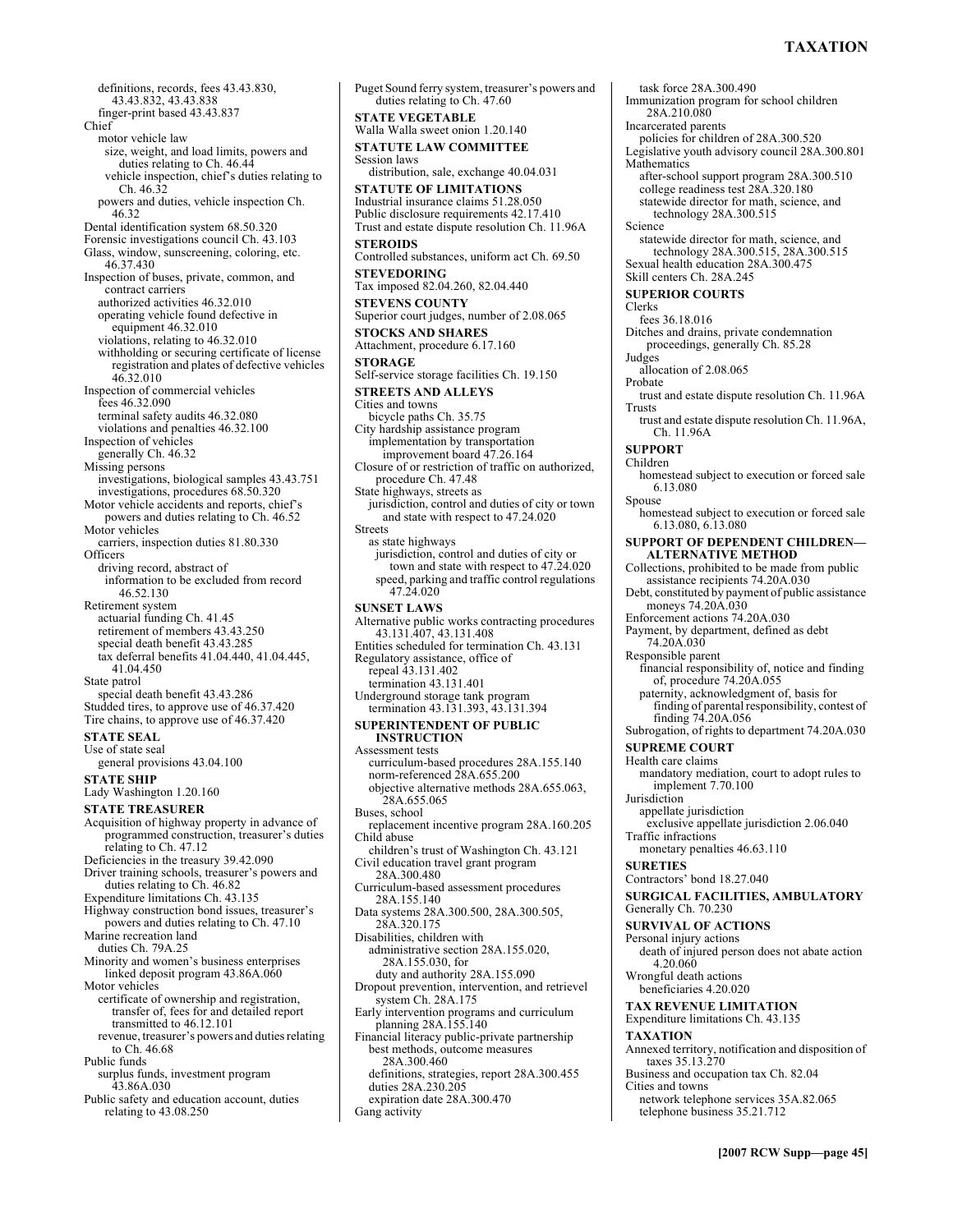# **TAXATION**

definitions, records, fees 43.43.830, 43.43.832, 43.43.838 finger-print based 43.43.837 Chief motor vehicle law size, weight, and load limits, powers and duties relating to Ch. 46.44 vehicle inspection, chief's duties relating to Ch. 46.32 powers and duties, vehicle inspection Ch. 46.32 Dental identification system 68.50.320 Forensic investigations council Ch. 43.103 Glass, window, sunscreening, coloring, etc. 46.37.430 Inspection of buses, private, common, and contract carriers authorized activities 46.32.010 operating vehicle found defective in equipment 46.32.010 violations, relating to 46.32.010 withholding or securing certificate of license registration and plates of defective vehicles 46.32.010 Inspection of commercial vehicles fees 46.32.090 terminal safety audits 46.32.080 violations and penalties 46.32.100 Inspection of vehicles generally Ch. 46.32 Missing persons investigations, biological samples 43.43.751 investigations, procedures 68.50.320 Motor vehicle accidents and reports, chief's powers and duties relating to Ch. 46.52 Motor vehicles carriers, inspection duties 81.80.330 Officers driving record, abstract of information to be excluded from record 46.52.130 Retirement system actuarial funding Ch. 41.45 retirement of members 43.43.250 special death benefit 43.43.285 tax deferral benefits 41.04.440, 41.04.445, 41.04.450 State patrol special death benefit 43.43.286 Studded tires, to approve use of 46.37.420 Tire chains, to approve use of 46.37.420 **STATE SEAL**  Use of state seal general provisions 43.04.100 **STATE SHIP**  Lady Washington 1.20.160 **STATE TREASURER**  Acquisition of highway property in advance of programmed construction, treasurer's duties relating to Ch. 47.12 Deficiencies in the treasury 39.42.090 Driver training schools, treasurer's powers and duties relating to Ch. 46.82 Expenditure limitations Ch. 43.135 Highway construction bond issues, treasurer's powers and duties relating to Ch. 47.10 Marine recreation land duties Ch. 79A.25 Minority and women's business enterprises linked deposit program 43.86A.060 Motor vehicles certificate of ownership and registration, transfer of, fees for and detailed report transmitted to 46.12.101 revenue, treasurer's powers and duties relating to Ch. 46.68 Public funds surplus funds, investment program 43.86A.030

Public safety and education account, duties relating to 43.08.250

Puget Sound ferry system, treasurer's powers and duties relating to Ch. 47.60 **STATE VEGETABLE**  Walla Walla sweet onion 1.20.140 **STATUTE LAW COMMITTEE**  Session laws distribution, sale, exchange 40.04.031 **STATUTE OF LIMITATIONS**  Industrial insurance claims 51.28.050 Public disclosure requirements 42.17.410 Trust and estate dispute resolution Ch. 11.96A **STEROIDS**  Controlled substances, uniform act Ch. 69.50 **STEVEDORING**  Tax imposed 82.04.260, 82.04.440 **STEVENS COUNTY**  Superior court judges, number of 2.08.065 **STOCKS AND SHARES**  Attachment, procedure 6.17.160 **STORAGE**  Self-service storage facilities Ch. 19.150 **STREETS AND ALLEYS**  Cities and towns bicycle paths Ch. 35.75 City hardship assistance program implementation by transportation improvement board 47.26.164 Closure of or restriction of traffic on authorized, procedure Ch. 47.48 State highways, streets as jurisdiction, control and duties of city or town and state with respect to 47.24.020 Streets as state highways jurisdiction, control and duties of city or town and state with respect to 47.24.020 speed, parking and traffic control regulations 47.24.020 **SUNSET LAWS**  Alternative public works contracting procedures 43.131.407, 43.131.408 Entities scheduled for termination Ch. 43.131 Regulatory assistance, office of repeal 43.131.402 termination 43.131.401 Underground storage tank program termination 43.131.393, 43.131.394 **SUPERINTENDENT OF PUBLIC INSTRUCTION**  Assessment tests curriculum-based procedures 28A.155.140 norm-referenced 28A.655.200 objective alternative methods 28A.655.063, 28A.655.065 Buses, school replacement incentive program 28A.160.205 Child abuse children's trust of Washington Ch. 43.121 Civil education travel grant program 28A.300.480 Curriculum-based assessment procedures 28A.155.140 Data systems 28A.300.500, 28A.300.505, 28A.320.175 Disabilities, children with administrative section 28A.155.020, 28A.155.030, for duty and authority 28A.155.090 Dropout prevention, intervention, and retrievel system Ch. 28A.175 Early intervention programs and curriculum planning 28A.155.140 Financial literacy public-private partnership best methods, outcome measures 28A.300.460 definitions, strategies, report 28A.300.455 duties 28A.230.205 expiration date 28A.300.470 Gang activity

task force 28A.300.490 Immunization program for school children 28A.210.080 Incarcerated parents policies for children of 28A.300.520 Legislative youth advisory council 28A.300.801 **Mathematics** after-school support program 28A.300.510 college readiness test 28A.320.180 statewide director for math, science, and technology 28A.300.515 Science statewide director for math, science, and technology 28A.300.515, 28A.300.515 Sexual health education 28A.300.475 Skill centers Ch. 28A.245 **SUPERIOR COURTS**  Clerks fees 36.18.016 Ditches and drains, private condemnation proceedings, generally Ch. 85.28 Judges allocation of 2.08.065 Probate trust and estate dispute resolution Ch. 11.96A Trusts trust and estate dispute resolution Ch. 11.96A, Ch. 11.96A **SUPPORT**  Children homestead subject to execution or forced sale 6.13.080 Spouse homestead subject to execution or forced sale 6.13.080, 6.13.080 **SUPPORT OF DEPENDENT CHILDREN-ALTERNATIVE METHOD**  Collections, prohibited to be made from public assistance recipients 74.20A.030 Debt, constituted by payment of public assistance moneys 74.20A.030 Enforcement actions 74.20A.030 Payment, by department, defined as debt 74.20A.030 Responsible parent financial responsibility of, notice and finding of, procedure 74.20A.055 paternity, acknowledgment of, basis for finding of parental responsibility, contest of finding 74.20A.056 Subrogation, of rights to department 74.20A.030 **SUPREME COURT**  Health care claims mandatory mediation, court to adopt rules to implement 7.70.100 **Jurisdiction** appellate jurisdiction exclusive appellate jurisdiction 2.06.040 Traffic infractions monetary penalties 46.63.110 **SURETIES**  Contractors' bond 18.27.040 **SURGICAL FACILITIES, AMBULATORY**  Generally Ch. 70.230 **SURVIVAL OF ACTIONS**  Personal injury actions death of injured person does not abate action 4.20.060 Wrongful death actions beneficiaries 4.20.020 **TAX REVENUE LIMITATION**  Expenditure limitations Ch. 43.135 **TAXATION**  Annexed territory, notification and disposition of taxes 35.13.270 Business and occupation tax Ch. 82.04 Cities and towns network telephone services 35A.82.065 telephone business 35.21.712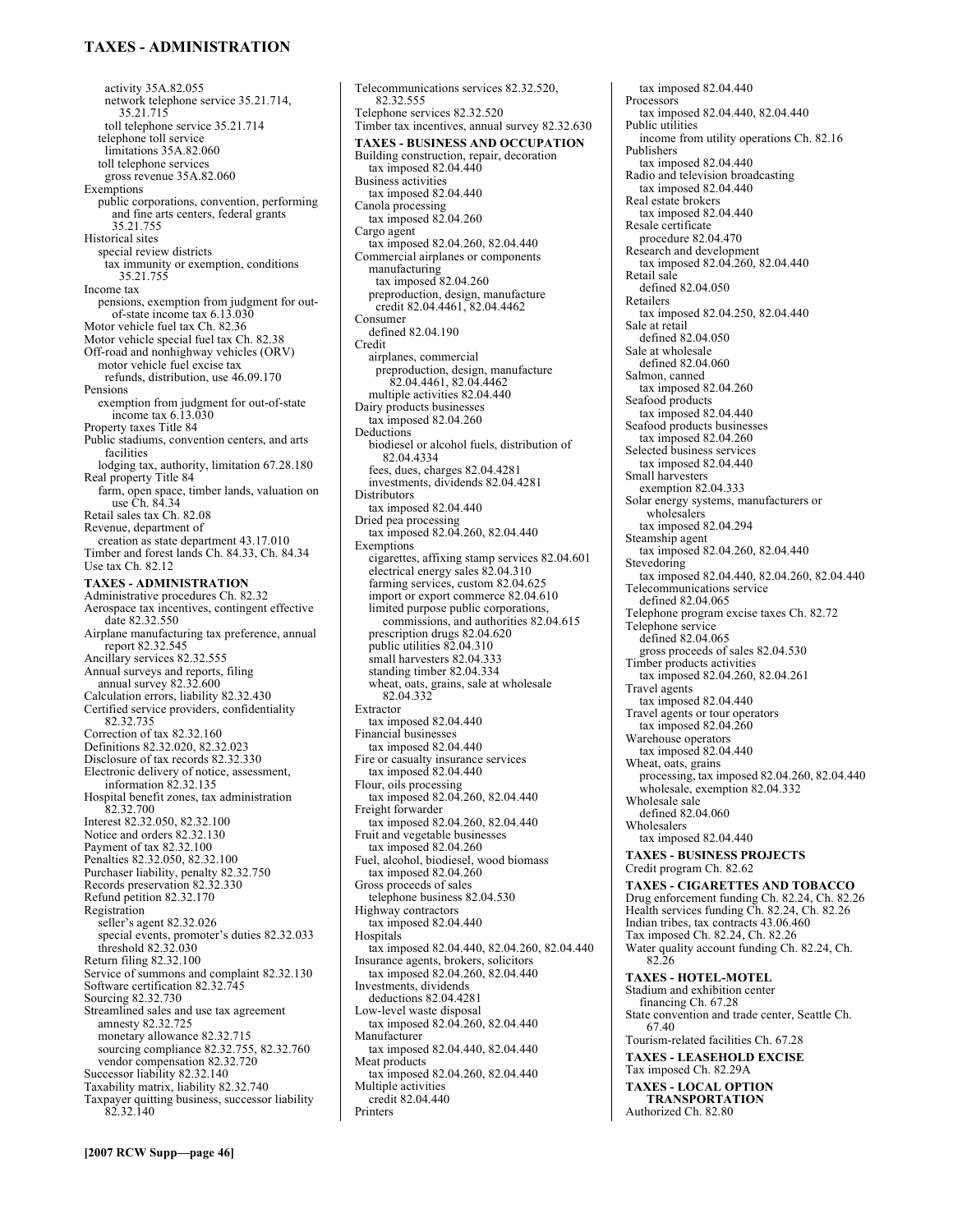### **TAXES - ADMINISTRATION**

activity 35A.82.055 network telephone service 35.21.714, 35.21.715 toll telephone service 35.21.714 telephone toll service limitations 35A.82.060 toll telephone services gross revenue 35A.82.060 Exemptions public corporations, convention, performing and fine arts centers, federal grants 35.21.755 Historical sites special review districts tax immunity or exemption, conditions 35.21.755 Income tax pensions, exemption from judgment for outof-state income tax 6.13.030 Motor vehicle fuel tax Ch. 82.36 Motor vehicle special fuel tax Ch. 82.38 Off-road and nonhighway vehicles (ORV) motor vehicle fuel excise tax refunds, distribution, use 46.09.170 Pensions exemption from judgment for out-of-state income tax 6.13.030 Property taxes Title 84 Public stadiums, convention centers, and arts facilities lodging tax, authority, limitation 67.28.180 Real property Title 84 farm, open space, timber lands, valuation on use Ch. 84.34 Retail sales tax Ch. 82.08 Revenue, department of creation as state department 43.17.010 Timber and forest lands Ch. 84.33, Ch. 84.34 Use tax Ch. 82.12 **TAXES - ADMINISTRATION**  Administrative procedures Ch. 82.32 Aerospace tax incentives, contingent effective date 82.32.550 Airplane manufacturing tax preference, annual report 82.32.545 Ancillary services 82.32.555 Annual surveys and reports, filing annual survey 82.32.600 Calculation errors, liability 82.32.430 Certified service providers, confidentiality 82.32.735 Correction of tax 82.32.160 Definitions 82.32.020, 82.32.023 Disclosure of tax records 82.32.330 Electronic delivery of notice, assessment, information 82.32.135 Hospital benefit zones, tax administration 82.32.700 Interest 82.32.050, 82.32.100 Notice and orders 82.32.130 Payment of tax 82.32.100 Penalties 82.32.050, 82.32.100 Purchaser liability, penalty 82.32.750 Records preservation 82.32.330 Refund petition 82.32.170 Registration seller's agent 82.32.026 special events, promoter's duties 82.32.033 threshold 82.32.030 Return filing 82.32.100 Service of summons and complaint 82.32.130 Software certification 82.32.745 Sourcing 82.32.730 Streamlined sales and use tax agreement amnesty 82.32.725 monetary allowance 82.32.715 sourcing compliance 82.32.755, 82.32.760 vendor compensation 82.32.720 Successor liability 82.32.140 Taxability matrix, liability 82.32.740 Taxpayer quitting business, successor liability 82.32.140

82.32.555 Telephone services 82.32.520 Timber tax incentives, annual survey 82.32.630 **TAXES - BUSINESS AND OCCUPATION**  Building construction, repair, decoration tax imposed 82.04.440 Business activities tax imposed 82.04.440 Canola processing tax imposed 82.04.260 Cargo agent tax imposed 82.04.260, 82.04.440 Commercial airplanes or components manufacturing tax imposed 82.04.260 preproduction, design, manufacture credit 82.04.4461, 82.04.4462 Consumer defined 82.04.190 Credit airplanes, commercial preproduction, design, manufacture 82.04.4461, 82.04.4462 multiple activities 82.04.440 Dairy products businesses tax imposed 82.04.260 **Deductions** biodiesel or alcohol fuels, distribution of 82.04.4334 fees, dues, charges 82.04.4281 investments, dividends 82.04.4281 Distributors tax imposed 82.04.440 Dried pea processing tax imposed 82.04.260, 82.04.440 **Exemptions** cigarettes, affixing stamp services 82.04.601 electrical energy sales 82.04.310 farming services, custom 82.04.625 import or export commerce 82.04.610 limited purpose public corporations, commissions, and authorities 82.04.615 prescription drugs 82.04.620 public utilities 82.04.310 small harvesters 82.04.333 standing timber 82.04.334 wheat, oats, grains, sale at wholesale 82.04.332 Extractor tax imposed 82.04.440 Financial businesses tax imposed 82.04.440 Fire or casualty insurance services tax imposed 82.04.440 Flour, oils processing tax imposed 82.04.260, 82.04.440 Freight forwarder tax imposed 82.04.260, 82.04.440 Fruit and vegetable businesses tax imposed 82.04.260 Fuel, alcohol, biodiesel, wood biomass tax imposed 82.04.260 Gross proceeds of sales telephone business 82.04.530 Highway contractors tax imposed 82.04.440 **Hospitals** tax imposed 82.04.440, 82.04.260, 82.04.440 Insurance agents, brokers, solicitors tax imposed 82.04.260, 82.04.440 Investments, dividends deductions 82.04.4281 Low-level waste disposal tax imposed 82.04.260, 82.04.440 Manufacturer tax imposed 82.04.440, 82.04.440 Meat products tax imposed 82.04.260, 82.04.440 Multiple activities credit 82.04.440 Printers

Telecommunications services 82.32.520,

tax imposed 82.04.440 Processors tax imposed 82.04.440, 82.04.440 Public utilities income from utility operations Ch. 82.16 Publishers tax imposed 82.04.440 Radio and television broadcasting tax imposed 82.04.440 Real estate brokers tax imposed 82.04.440 Resale certificate procedure 82.04.470 Research and development tax imposed 82.04.260, 82.04.440 Retail sale defined 82.04.050 Retailers tax imposed 82.04.250, 82.04.440 Sale at retail defined 82.04.050 Sale at wholesale defined 82.04.060 Salmon, canned tax imposed 82.04.260 Seafood products tax imposed 82.04.440 Seafood products businesses tax imposed 82.04.260 Selected business services tax imposed 82.04.440 Small harvesters exemption 82.04.333 Solar energy systems, manufacturers or wholesalers tax imposed 82.04.294 Steamship agent tax imposed 82.04.260, 82.04.440 Stevedoring tax imposed 82.04.440, 82.04.260, 82.04.440 Telecommunications service defined 82.04.065 Telephone program excise taxes Ch. 82.72 Telephone service defined 82.04.065 gross proceeds of sales 82.04.530 Timber products activities tax imposed 82.04.260, 82.04.261 Travel agents tax imposed 82.04.440 Travel agents or tour operators tax imposed 82.04.260 Warehouse operators tax imposed 82.04.440 Wheat, oats, grains processing, tax imposed 82.04.260, 82.04.440 wholesale, exemption 82.04.332 Wholesale sale defined 82.04.060 Wholesalers tax imposed 82.04.440 **TAXES - BUSINESS PROJECTS**  Credit program Ch. 82.62 **TAXES - CIGARETTES AND TOBACCO**  Drug enforcement funding Ch. 82.24, Ch. 82.26 Health services funding Ch. 82.24, Ch. 82.26 Indian tribes, tax contracts 43.06.460 Tax imposed Ch. 82.24, Ch. 82.26 Water quality account funding Ch. 82.24, Ch. 82.26 **TAXES - HOTEL-MOTEL**  Stadium and exhibition center financing Ch. 67.28 State convention and trade center, Seattle Ch. 67.40 Tourism-related facilities Ch. 67.28 **TAXES - LEASEHOLD EXCISE**  Tax imposed Ch. 82.29A **TAXES - LOCAL OPTION TRANSPORTATION**  Authorized Ch. 82.80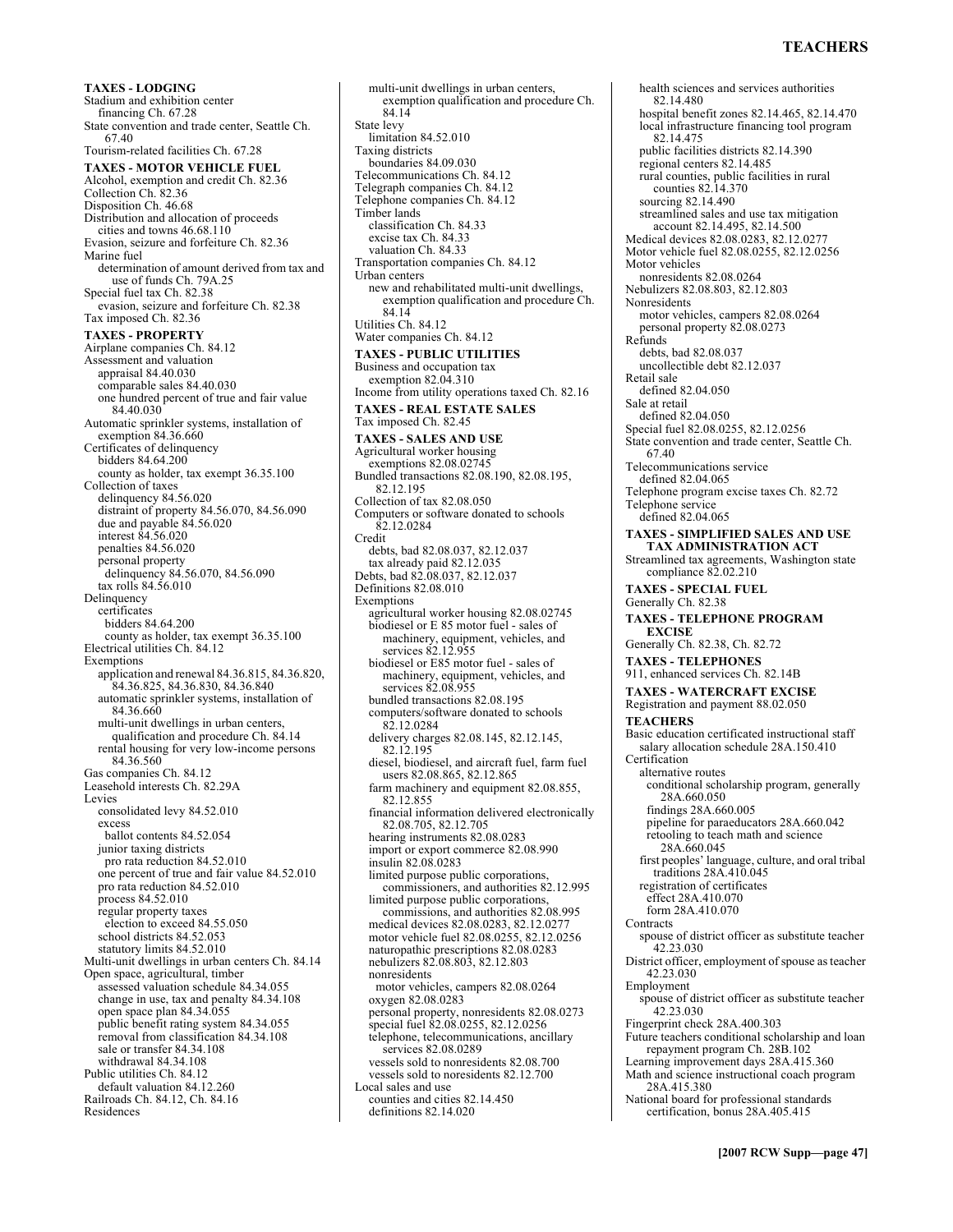# **TEACHERS**

**TAXES - LODGING**  Stadium and exhibition center financing Ch. 67.28 State convention and trade center, Seattle Ch. 67.40 Tourism-related facilities Ch. 67.28 **TAXES - MOTOR VEHICLE FUEL**  Alcohol, exemption and credit Ch. 82.36 Collection Ch. 82.36 Disposition Ch. 46.68 Distribution and allocation of proceeds cities and towns 46.68.110 Evasion, seizure and forfeiture Ch. 82.36 Marine fuel determination of amount derived from tax and use of funds Ch. 79A.25 Special fuel tax Ch. 82.38 evasion, seizure and forfeiture Ch. 82.38 Tax imposed Ch. 82.36 **TAXES - PROPERTY**  Airplane companies Ch. 84.12 Assessment and valuation appraisal 84.40.030 comparable sales 84.40.030 one hundred percent of true and fair value 84.40.030 Automatic sprinkler systems, installation of exemption 84.36.660 Certificates of delinquency bidders 84.64.200 county as holder, tax exempt 36.35.100 Collection of taxes delinquency 84.56.020 distraint of property 84.56.070, 84.56.090 due and payable 84.56.020 interest 84.56.020 penalties 84.56.020 personal property delinquency 84.56.070, 84.56.090 tax rolls 84.56.010 Delinquency certificates bidders 84.64.200 county as holder, tax exempt 36.35.100 Electrical utilities Ch. 84.12 Exemptions application and renewal 84.36.815, 84.36.820, 84.36.825, 84.36.830, 84.36.840 automatic sprinkler systems, installation of 84.36.660 multi-unit dwellings in urban centers, qualification and procedure Ch. 84.14 rental housing for very low-income persons 84.36.560 Gas companies Ch. 84.12 Leasehold interests Ch. 82.29A Levies consolidated levy 84.52.010 excess ballot contents 84.52.054 junior taxing districts pro rata reduction 84.52.010 one percent of true and fair value 84.52.010 pro rata reduction 84.52.010 process 84.52.010 regular property taxes election to exceed 84.55.050 school districts 84.52.053 statutory limits 84.52.010 Multi-unit dwellings in urban centers Ch. 84.14 Open space, agricultural, timber assessed valuation schedule 84.34.055 change in use, tax and penalty 84.34.108 open space plan 84.34.055 public benefit rating system 84.34.055 removal from classification 84.34.108 sale or transfer 84.34.108 withdrawal 84.34.108 Public utilities Ch. 84.12 default valuation 84.12.260 Railroads Ch. 84.12, Ch. 84.16 Residences

multi-unit dwellings in urban centers, exemption qualification and procedure Ch. 84.14 State levy limitation 84.52.010 Taxing districts boundaries 84.09.030 Telecommunications Ch. 84.12 Telegraph companies Ch. 84.12 Telephone companies Ch. 84.12 Timber lands classification Ch. 84.33 excise tax Ch. 84.33 valuation Ch. 84.33 Transportation companies Ch. 84.12 Urban centers new and rehabilitated multi-unit dwellings, exemption qualification and procedure Ch. 84.14 Utilities Ch. 84.12 Water companies Ch. 84.12 **TAXES - PUBLIC UTILITIES**  Business and occupation tax exemption 82.04.310 Income from utility operations taxed Ch. 82.16 **TAXES - REAL ESTATE SALES**  Tax imposed Ch. 82.45 **TAXES - SALES AND USE**  Agricultural worker housing exemptions 82.08.02745 Bundled transactions 82.08.190, 82.08.195, 82.12.195 Collection of tax 82.08.050 Computers or software donated to schools 82.12.0284 Credit debts, bad 82.08.037, 82.12.037 tax already paid 82.12.035 Debts, bad 82.08.037, 82.12.037 Definitions 82.08.010 Exemptions agricultural worker housing 82.08.02745 biodiesel or E 85 motor fuel - sales of machinery, equipment, vehicles, and services 82.12.955 biodiesel or E85 motor fuel - sales of machinery, equipment, vehicles, and services 82.08.955 bundled transactions 82.08.195 computers/software donated to schools 82.12.0284 delivery charges 82.08.145, 82.12.145, 82.12.195 diesel, biodiesel, and aircraft fuel, farm fuel users 82.08.865, 82.12.865 farm machinery and equipment 82.08.855, 82.12.855 financial information delivered electronically 82.08.705, 82.12.705 hearing instruments 82.08.0283 import or export commerce 82.08.990 insulin 82.08.0283 limited purpose public corporations, commissioners, and authorities 82.12.995 limited purpose public corporations, commissions, and authorities 82.08.995 medical devices 82.08.0283, 82.12.0277 motor vehicle fuel 82.08.0255, 82.12.0256 naturopathic prescriptions 82.08.0283 nebulizers 82.08.803, 82.12.803 nonresidents motor vehicles, campers 82.08.0264 oxygen 82.08.0283 personal property, nonresidents 82.08.0273 special fuel 82.08.0255, 82.12.0256 telephone, telecommunications, ancillary services 82.08.0289 vessels sold to nonresidents 82.08.700 vessels sold to noresidents 82.12.700 Local sales and use counties and cities 82.14.450 definitions 82.14.020

health sciences and services authorities 82.14.480 hospital benefit zones 82.14.465, 82.14.470 local infrastructure financing tool program 82.14.475 public facilities districts 82.14.390 regional centers 82.14.485 rural counties, public facilities in rural counties 82.14.370 sourcing 82.14.490 streamlined sales and use tax mitigation account 82.14.495, 82.14.500 Medical devices 82.08.0283, 82.12.0277 Motor vehicle fuel 82.08.0255, 82.12.0256 Motor vehicles nonresidents 82.08.0264 Nebulizers 82.08.803, 82.12.803 Nonresidents motor vehicles, campers 82.08.0264 personal property 82.08.0273 Refunds debts, bad 82.08.037 uncollectible debt 82.12.037 Retail sale defined 82.04.050 Sale at retail defined 82.04.050 Special fuel 82.08.0255, 82.12.0256 State convention and trade center, Seattle Ch. 67.40 Telecommunications service defined 82.04.065 Telephone program excise taxes Ch. 82.72 Telephone service defined 82.04.065 **TAXES - SIMPLIFIED SALES AND USE TAX ADMINISTRATION ACT**  Streamlined tax agreements, Washington state compliance 82.02.210 **TAXES - SPECIAL FUEL**  Generally Ch. 82.38 **TAXES - TELEPHONE PROGRAM EXCISE**  Generally Ch. 82.38, Ch. 82.72 **TAXES - TELEPHONES**  911, enhanced services Ch. 82.14B **TAXES - WATERCRAFT EXCISE**  Registration and payment 88.02.050 **TEACHERS**  Basic education certificated instructional staff salary allocation schedule 28A.150.410 Certification alternative routes conditional scholarship program, generally 28A.660.050 findings 28A.660.005 pipeline for paraeducators 28A.660.042 retooling to teach math and science 28A.660.045 first peoplesí language, culture, and oral tribal traditions 28A.410.045 registration of certificates effect 28A.410.070 form 28A.410.070 **Contracts** spouse of district officer as substitute teacher 42.23.030 District officer, employment of spouse as teacher 42.23.030 Employment spouse of district officer as substitute teacher 42.23.030 Fingerprint check 28A.400.303 Future teachers conditional scholarship and loan repayment program Ch. 28B.102 Learning improvement days 28A.415.360 Math and science instructional coach program 28A.415.380 National board for professional standards certification, bonus 28A.405.415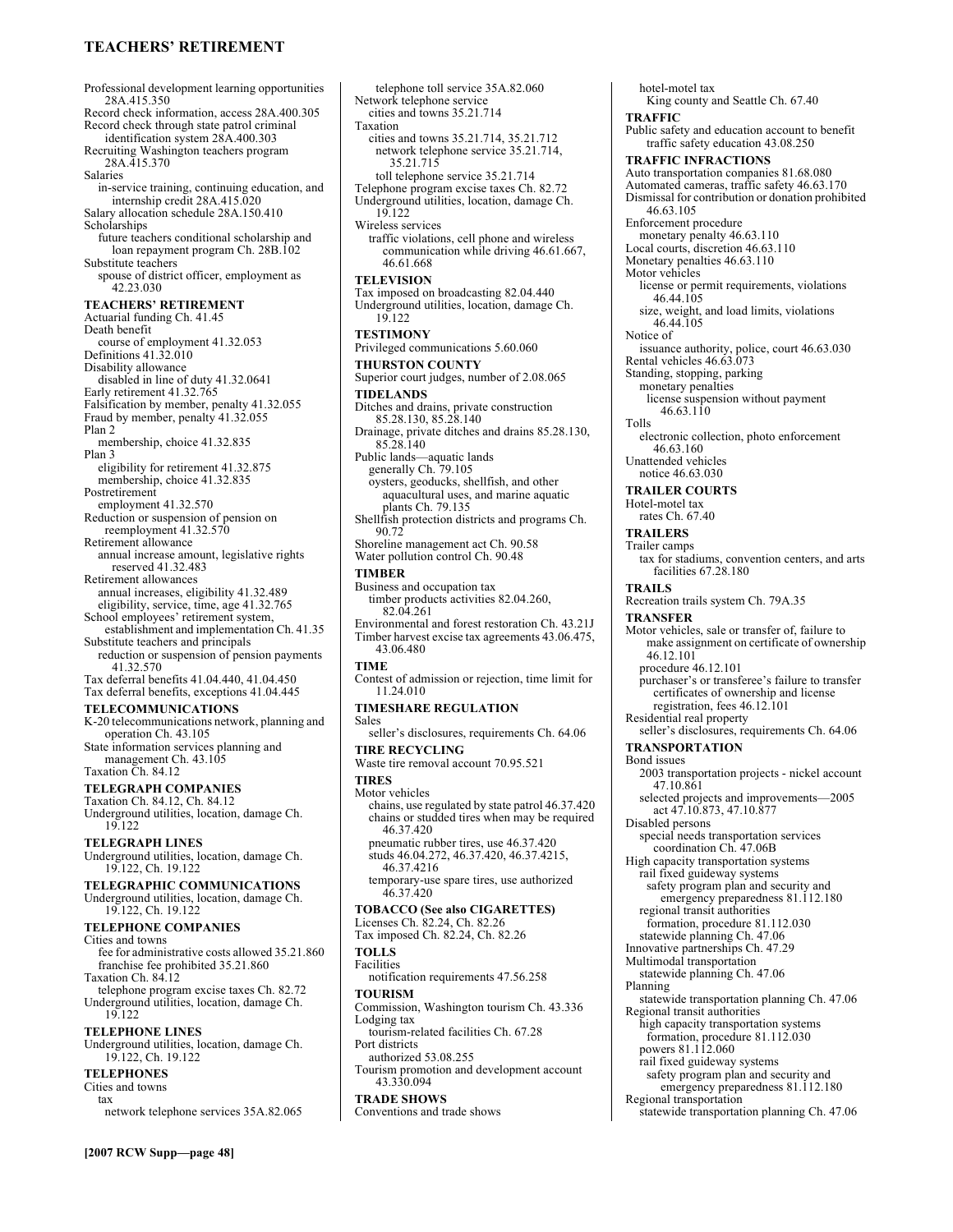### **TEACHERSí RETIREMENT**

Professional development learning opportunities 28A.415.350 Record check information, access 28A.400.305 Record check through state patrol criminal identification system 28A.400.303 Recruiting Washington teachers program 28A.415.370 Salaries in-service training, continuing education, and internship credit 28A.415.020 Salary allocation schedule 28A.150.410 Scholarships future teachers conditional scholarship and loan repayment program Ch. 28B.102 Substitute teachers spouse of district officer, employment as 42.23.030 **TEACHERS' RETIREMENT** Actuarial funding Ch. 41.45 Death benefit course of employment 41.32.053 Definitions 41.32.010 Disability allowance disabled in line of duty 41.32.0641 Early retirement 41.32.765 Falsification by member, penalty 41.32.055 Fraud by member, penalty 41.32.055 Plan 2 membership, choice 41.32.835 Plan 3 eligibility for retirement 41.32.875 membership, choice 41.32.835 Postretirement employment 41.32.570 Reduction or suspension of pension on reemployment 41.32.570 Retirement allowance annual increase amount, legislative rights reserved 41.32.483 Retirement allowances annual increases, eligibility 41.32.489 eligibility, service, time, age 41.32.765 School employees' retirement system, establishment and implementation Ch. 41.35 Substitute teachers and principals reduction or suspension of pension payments 41.32.570 Tax deferral benefits 41.04.440, 41.04.450 Tax deferral benefits, exceptions 41.04.445 **TELECOMMUNICATIONS**  K-20 telecommunications network, planning and operation Ch. 43.105 State information services planning and management Ch. 43.105 Taxation Ch. 84.12 **TELEGRAPH COMPANIES**  Taxation Ch. 84.12, Ch. 84.12 Underground utilities, location, damage Ch. 19.122 **TELEGRAPH LINES**  Underground utilities, location, damage Ch. 19.122, Ch. 19.122 **TELEGRAPHIC COMMUNICATIONS**  Underground utilities, location, damage Ch. 19.122, Ch. 19.122 **TELEPHONE COMPANIES**  Cities and towns fee for administrative costs allowed 35.21.860 franchise fee prohibited 35.21.860 Taxation Ch. 84.12 telephone program excise taxes Ch. 82.72 Underground utilities, location, damage Ch. 19.122 **TELEPHONE LINES**  Underground utilities, location, damage Ch. 19.122, Ch. 19.122 **TELEPHONES**  Cities and towns tax network telephone services 35A.82.065

telephone toll service 35A.82.060 Network telephone service cities and towns 35.21.714 Taxation cities and towns 35.21.714, 35.21.712 network telephone service 35.21.714, 35.21.715 toll telephone service 35.21.714 Telephone program excise taxes Ch. 82.72 Underground utilities, location, damage Ch. 19.122 Wireless services traffic violations, cell phone and wireless communication while driving 46.61.667, 46.61.668 **TELEVISION**  Tax imposed on broadcasting 82.04.440 Underground utilities, location, damage Ch. 19.122 **TESTIMONY**  Privileged communications 5.60.060 **THURSTON COUNTY**  Superior court judges, number of 2.08.065 **TIDELANDS**  Ditches and drains, private construction 85.28.130, 85.28.140 Drainage, private ditches and drains 85.28.130, 85.28.140 Public lands—aquatic lands generally Ch. 79.105 oysters, geoducks, shellfish, and other aquacultural uses, and marine aquatic plants Ch. 79.135 Shellfish protection districts and programs Ch. 90.72 Shoreline management act Ch. 90.58 Water pollution control Ch. 90.48 **TIMBER**  Business and occupation tax timber products activities 82.04.260, 82.04.261 Environmental and forest restoration Ch. 43.21J Timber harvest excise tax agreements 43.06.475, 43.06.480 **TIME**  Contest of admission or rejection, time limit for 11.24.010 **TIMESHARE REGULATION**  Sales seller's disclosures, requirements Ch. 64.06 **TIRE RECYCLING**  Waste tire removal account 70.95.521 **TIRES**  Motor vehicles chains, use regulated by state patrol 46.37.420 chains or studded tires when may be required 46.37.420 pneumatic rubber tires, use 46.37.420 studs 46.04.272, 46.37.420, 46.37.4215, 46.37.4216 temporary-use spare tires, use authorized 46.37.420 **TOBACCO (See also CIGARETTES)**  Licenses Ch. 82.24, Ch. 82.26 Tax imposed Ch. 82.24, Ch. 82.26 **TOLLS**  Facilities notification requirements 47.56.258 **TOURISM**  Commission, Washington tourism Ch. 43.336 Lodging tax tourism-related facilities Ch. 67.28 Port districts authorized 53.08.255 Tourism promotion and development account 43.330.094 **TRADE SHOWS**  Conventions and trade shows

hotel-motel tax King county and Seattle Ch. 67.40 **TRAFFIC**  Public safety and education account to benefit traffic safety education 43.08.250 **TRAFFIC INFRACTIONS**  Auto transportation companies 81.68.080 Automated cameras, traffic safety 46.63.170 Dismissal for contribution or donation prohibited 46.63.105 Enforcement procedure monetary penalty 46.63.110 Local courts, discretion 46.63.110 Monetary penalties 46.63.110 Motor vehicles license or permit requirements, violations 46.44.105 size, weight, and load limits, violations 46.44.105 Notice of issuance authority, police, court 46.63.030 Rental vehicles 46.63.073 Standing, stopping, parking monetary penalties license suspension without payment 46.63.110 Tolls electronic collection, photo enforcement 46.63.160 Unattended vehicles notice 46.63.030 **TRAILER COURTS**  Hotel-motel tax rates Ch. 67.40 **TRAILERS**  Trailer camps tax for stadiums, convention centers, and arts facilities 67.28.180 **TRAILS**  Recreation trails system Ch. 79A.35 **TRANSFER**  Motor vehicles, sale or transfer of, failure to make assignment on certificate of ownership 46.12.101 procedure 46.12.101 purchaser's or transferee's failure to transfer certificates of ownership and license registration, fees 46.12.101 Residential real property seller's disclosures, requirements Ch. 64.06 **TRANSPORTATION**  Bond issues 2003 transportation projects - nickel account 47.10.861 selected projects and improvements-2005 act 47.10.873, 47.10.877 Disabled persons special needs transportation services coordination Ch. 47.06B High capacity transportation systems rail fixed guideway systems safety program plan and security and emergency preparedness 81.112.180 regional transit authorities formation, procedure 81.112.030 statewide planning Ch. 47.06 Innovative partnerships Ch. 47.29 Multimodal transportation statewide planning Ch. 47.06 Planning statewide transportation planning Ch. 47.06 Regional transit authorities high capacity transportation systems formation, procedure 81.112.030 powers 81.112.060 rail fixed guideway systems safety program plan and security and emergency preparedness 81.112.180 Regional transportation statewide transportation planning Ch. 47.06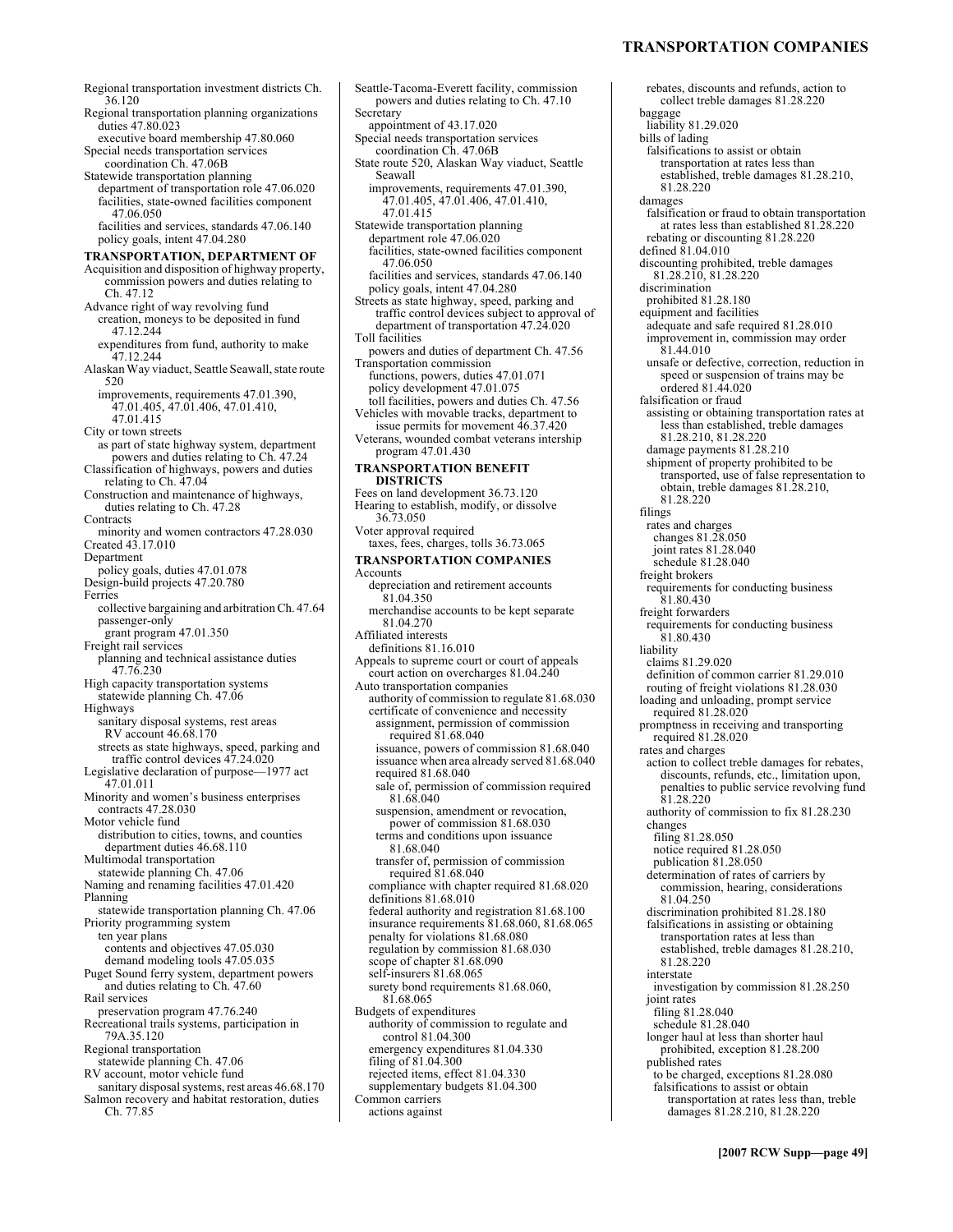### **TRANSPORTATION COMPANIES**

Regional transportation investment districts Ch. 36.120 Regional transportation planning organizations duties 47.80.023 executive board membership 47.80.060 Special needs transportation services coordination Ch. 47.06B Statewide transportation planning department of transportation role 47.06.020 facilities, state-owned facilities component 47.06.050 facilities and services, standards 47.06.140 policy goals, intent 47.04.280 **TRANSPORTATION, DEPARTMENT OF**  Acquisition and disposition of highway property, commission powers and duties relating to Ch. 47.12 Advance right of way revolving fund creation, moneys to be deposited in fund 47.12.244 expenditures from fund, authority to make 47.12.244 Alaskan Way viaduct, Seattle Seawall, state route 520 improvements, requirements 47.01.390, 47.01.405, 47.01.406, 47.01.410, 47.01.415 City or town streets as part of state highway system, department powers and duties relating to Ch. 47.24 Classification of highways, powers and duties relating to Ch. 47.04 Construction and maintenance of highways, duties relating to Ch. 47.28 **Contracts** minority and women contractors 47.28.030 Created 43.17.010 Department policy goals, duties 47.01.078 Design-build projects 47.20.780 Ferries collective bargaining and arbitration Ch. 47.64 passenger-only grant program 47.01.350 Freight rail services planning and technical assistance duties 47.76.230 High capacity transportation systems statewide planning Ch. 47.06 Highways sanitary disposal systems, rest areas RV account 46.68.170 streets as state highways, speed, parking and traffic control devices 47.24.020 Legislative declaration of purpose-1977 act 47.01.011 Minority and women's business enterprises contracts 47.28.030 Motor vehicle fund distribution to cities, towns, and counties department duties 46.68.110 Multimodal transportation statewide planning Ch. 47.06 Naming and renaming facilities 47.01.420 Planning statewide transportation planning Ch. 47.06 Priority programming system ten year plans contents and objectives 47.05.030 demand modeling tools 47.05.035 Puget Sound ferry system, department powers and duties relating to Ch. 47.60 Rail services preservation program 47.76.240 Recreational trails systems, participation in 79A.35.120 Regional transportation statewide planning Ch. 47.06 RV account, motor vehicle fund sanitary disposal systems, rest areas 46.68.170 Salmon recovery and habitat restoration, duties Ch. 77.85

Seattle-Tacoma-Everett facility, commission powers and duties relating to Ch. 47.10 Secretary appointment of 43.17.020 Special needs transportation services coordination Ch. 47.06B State route 520, Alaskan Way viaduct, Seattle Seawall improvements, requirements 47.01.390, 47.01.405, 47.01.406, 47.01.410, 47.01.415 Statewide transportation planning department role 47.06.020 facilities, state-owned facilities component 47.06.050 facilities and services, standards 47.06.140 policy goals, intent 47.04.280 Streets as state highway, speed, parking and traffic control devices subject to approval of department of transportation 47.24.020 Toll facilities powers and duties of department Ch. 47.56 Transportation commission functions, powers, duties 47.01.071 policy development 47.01.075 toll facilities, powers and duties Ch. 47.56 Vehicles with movable tracks, department to issue permits for movement 46.37.420 Veterans, wounded combat veterans intership program 47.01.430 **TRANSPORTATION BENEFIT DISTRICTS**  Fees on land development 36.73.120 Hearing to establish, modify, or dissolve 36.73.050 Voter approval required taxes, fees, charges, tolls 36.73.065 **TRANSPORTATION COMPANIES**  Accounts depreciation and retirement accounts 81.04.350 merchandise accounts to be kept separate 81.04.270 Affiliated interests definitions 81.16.010 Appeals to supreme court or court of appeals court action on overcharges 81.04.240 Auto transportation companies authority of commission to regulate 81.68.030 certificate of convenience and necessity assignment, permission of commission required 81.68.040 issuance, powers of commission 81.68.040 issuance when area already served 81.68.040 required 81.68.040 sale of, permission of commission required 81.68.040 suspension, amendment or revocation, power of commission 81.68.030 terms and conditions upon issuance 81.68.040 transfer of, permission of commission required 81.68.040 compliance with chapter required 81.68.020 definitions 81.68.010 federal authority and registration 81.68.100 insurance requirements 81.68.060, 81.68.065 penalty for violations 81.68.080 regulation by commission 81.68.030 scope of chapter 81.68.090 self-insurers 81.68.065 surety bond requirements 81.68.060, 81.68.065 Budgets of expenditures authority of commission to regulate and control 81.04.300 emergency expenditures 81.04.330 filing of 81.04.300 rejected items, effect 81.04.330 supplementary budgets 81.04.300 Common carriers actions against

rebates, discounts and refunds, action to collect treble damages 81.28.220 baggage liability 81.29.020 bills of lading falsifications to assist or obtain transportation at rates less than established, treble damages 81.28.210, 81.28.220 damages falsification or fraud to obtain transportation at rates less than established 81.28.220 rebating or discounting 81.28.220 defined  $81.04.010$ discounting prohibited, treble damages 81.28.210, 81.28.220 discrimination prohibited 81.28.180 equipment and facilities adequate and safe required 81.28.010 improvement in, commission may order  $81.44.010$ unsafe or defective, correction, reduction in speed or suspension of trains may be ordered 81.44.020 falsification or fraud assisting or obtaining transportation rates at less than established, treble damages 81.28.210, 81.28.220 damage payments 81.28.210 shipment of property prohibited to be transported, use of false representation to obtain, treble damages 81.28.210, 81.28.220 filings rates and charges changes 81.28.050 joint rates 81.28.040 schedule 81.28.040 freight brokers requirements for conducting business 81.80.430 freight forwarders requirements for conducting business 81.80.430 liability claims 81.29.020 definition of common carrier 81.29.010 routing of freight violations 81.28.030 loading and unloading, prompt service required 81.28.020 promptness in receiving and transporting required 81.28.020 rates and charges action to collect treble damages for rebates, discounts, refunds, etc., limitation upon, penalties to public service revolving fund 81.28.220 authority of commission to fix 81.28.230 changes filing 81.28.050 notice required 81.28.050 publication 81.28.050 determination of rates of carriers by commission, hearing, considerations 81.04.250 discrimination prohibited 81.28.180 falsifications in assisting or obtaining transportation rates at less than established, treble damages 81.28.210, 81.28.220 interstate investigation by commission 81.28.250 joint rates filing 81.28.040 schedule 81.28.040 longer haul at less than shorter haul prohibited, exception 81.28.200 published rates to be charged, exceptions 81.28.080 falsifications to assist or obtain transportation at rates less than, treble damages 81.28.210, 81.28.220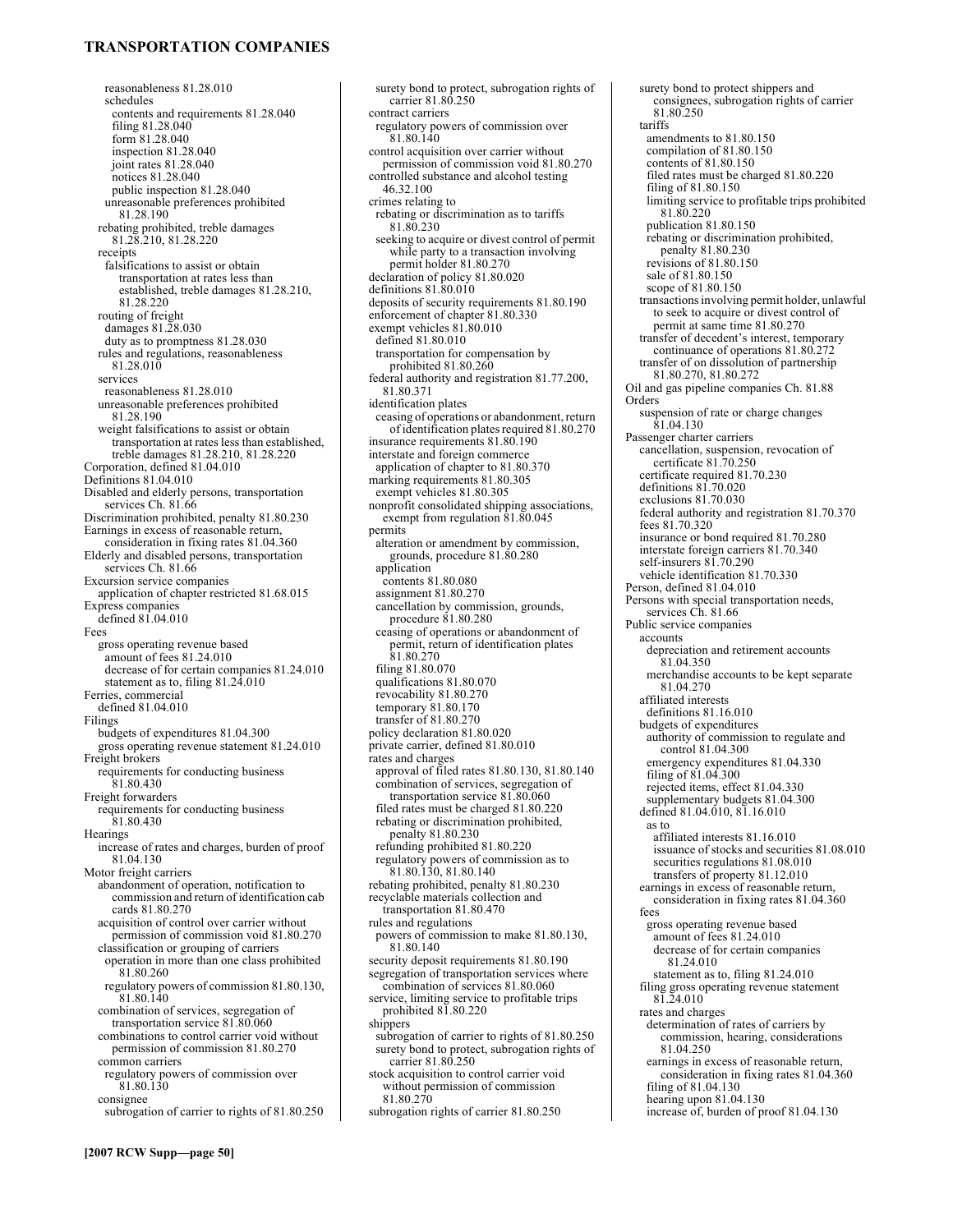# **TRANSPORTATION COMPANIES**

reasonableness 81.28.010 schedules contents and requirements 81.28.040 filing 81.28.040 form 81.28.040 inspection 81.28.040 joint rates 81.28.040 notices 81.28.040 public inspection 81.28.040 unreasonable preferences prohibited 81.28.190 rebating prohibited, treble damages 81.28.210, 81.28.220 receipts falsifications to assist or obtain transportation at rates less than established, treble damages 81.28.210, 81.28.220 routing of freight damages 81.28.030 duty as to promptness 81.28.030 rules and regulations, reasonableness 81.28.010 services reasonableness 81.28.010 unreasonable preferences prohibited 81.28.190 weight falsifications to assist or obtain transportation at rates less than established, treble damages 81.28.210, 81.28.220 Corporation, defined 81.04.010 Definitions 81.04.010 Disabled and elderly persons, transportation services Ch. 81.66 Discrimination prohibited, penalty 81.80.230 Earnings in excess of reasonable return, consideration in fixing rates 81.04.360 Elderly and disabled persons, transportation services Ch. 81.66 Excursion service companies application of chapter restricted 81.68.015 Express companies defined 81.04.010 Fees gross operating revenue based amount of fees 81.24.010 decrease of for certain companies 81.24.010 statement as to, filing 81.24.010 Ferries, commercial defined 81.04.010 Filings budgets of expenditures 81.04.300 gross operating revenue statement 81.24.010 Freight brokers requirements for conducting business 81.80.430 Freight forwarders requirements for conducting business 81.80.430 Hearings increase of rates and charges, burden of proof 81.04.130 Motor freight carriers abandonment of operation, notification to commission and return of identification cab cards 81.80.270 acquisition of control over carrier without permission of commission void 81.80.270 classification or grouping of carriers operation in more than one class prohibited 81.80.260 regulatory powers of commission 81.80.130, 81.80.140 combination of services, segregation of transportation service 81.80.060 combinations to control carrier void without permission of commission 81.80.270 common carriers regulatory powers of commission over 81.80.130 consignee subrogation of carrier to rights of 81.80.250

surety bond to protect, subrogation rights of carrier 81.80.250 contract carriers regulatory powers of commission over 81.80.140 control acquisition over carrier without permission of commission void 81.80.270 controlled substance and alcohol testing 46.32.100 crimes relating to rebating or discrimination as to tariffs 81.80.230 seeking to acquire or divest control of permit while party to a transaction involving permit holder 81.80.270 declaration of policy 81.80.020 definitions 81.80.010 deposits of security requirements 81.80.190 enforcement of chapter 81.80.330 exempt vehicles 81.80.010 defined 81.80.010 transportation for compensation by prohibited 81.80.260 federal authority and registration 81.77.200, 81.80.371 identification plates ceasing of operations or abandonment, return of identification plates required 81.80.270 insurance requirements 81.80.190 interstate and foreign commerce application of chapter to 81.80.370 marking requirements 81.80.305 exempt vehicles 81.80.305 nonprofit consolidated shipping associations, exempt from regulation 81.80.045 permits alteration or amendment by commission, grounds, procedure 81.80.280 application contents 81.80.080 assignment 81.80.270 cancellation by commission, grounds, procedure 81.80.280 ceasing of operations or abandonment of permit, return of identification plates 81.80.270 filing 81.80.070 qualifications 81.80.070 revocability 81.80.270 temporary 81.80.170 transfer of 81.80.270 policy declaration 81.80.020 private carrier, defined 81.80.010 rates and charges approval of filed rates 81.80.130, 81.80.140 combination of services, segregation of transportation service 81.80.060 filed rates must be charged 81.80.220 rebating or discrimination prohibited, penalty 81.80.230 refunding prohibited 81.80.220 regulatory powers of commission as to 81.80.130, 81.80.140 rebating prohibited, penalty 81.80.230 recyclable materials collection and transportation 81.80.470 rules and regulations powers of commission to make 81.80.130, 81.80.140 security deposit requirements 81.80.190 segregation of transportation services where combination of services 81.80.060 service, limiting service to profitable trips prohibited 81.80.220 shippers subrogation of carrier to rights of 81.80.250 surety bond to protect, subrogation rights of carrier 81.80.250 stock acquisition to control carrier void without permission of commission 81.80.270

subrogation rights of carrier 81.80.250

surety bond to protect shippers and consignees, subrogation rights of carrier 81.80.250 tariffs amendments to 81.80.150 compilation of 81.80.150 contents of 81.80.150 filed rates must be charged 81.80.220 filing of 81.80.150 limiting service to profitable trips prohibited 81.80.220 publication 81.80.150 rebating or discrimination prohibited, penalty 81.80.230 revisions of 81.80.150 sale of 81.80.150 scope of 81.80.150 transactions involving permit holder, unlawful to seek to acquire or divest control of permit at same time 81.80.270 transfer of decedent's interest, temporary continuance of operations 81.80.272 transfer of on dissolution of partnership 81.80.270, 81.80.272 Oil and gas pipeline companies Ch. 81.88 Orders suspension of rate or charge changes  $$1.04.130$ Passenger charter carriers cancellation, suspension, revocation of certificate 81.70.250 certificate required 81.70.230 definitions 81.70.020 exclusions 81.70.030 federal authority and registration 81.70.370 fees 81.70.320 insurance or bond required 81.70.280 interstate foreign carriers 81.70.340 self-insurers 81.70.290 vehicle identification 81.70.330 Person, defined 81.04.010 Persons with special transportation needs, services Ch. 81.66 Public service companies accounts depreciation and retirement accounts 81.04.350 merchandise accounts to be kept separate 81.04.270 affiliated interests definitions 81.16.010 budgets of expenditures authority of commission to regulate and control 81.04.300 emergency expenditures 81.04.330 filing of 81.04.300 rejected items, effect 81.04.330 supplementary budgets 81.04.300 defined 81.04.010, 81.16.010 as to affiliated interests 81.16.010 issuance of stocks and securities 81.08.010 securities regulations 81.08.010 transfers of property 81.12.010 earnings in excess of reasonable return, consideration in fixing rates 81.04.360 fees gross operating revenue based amount of fees 81.24.010 decrease of for certain companies 81.24.010 statement as to, filing 81.24.010 filing gross operating revenue statement 81.24.010 rates and charges determination of rates of carriers by commission, hearing, considerations 81.04.250 earnings in excess of reasonable return, consideration in fixing rates 81.04.360 filing of 81.04.130 hearing upon 81.04.130 increase of, burden of proof 81.04.130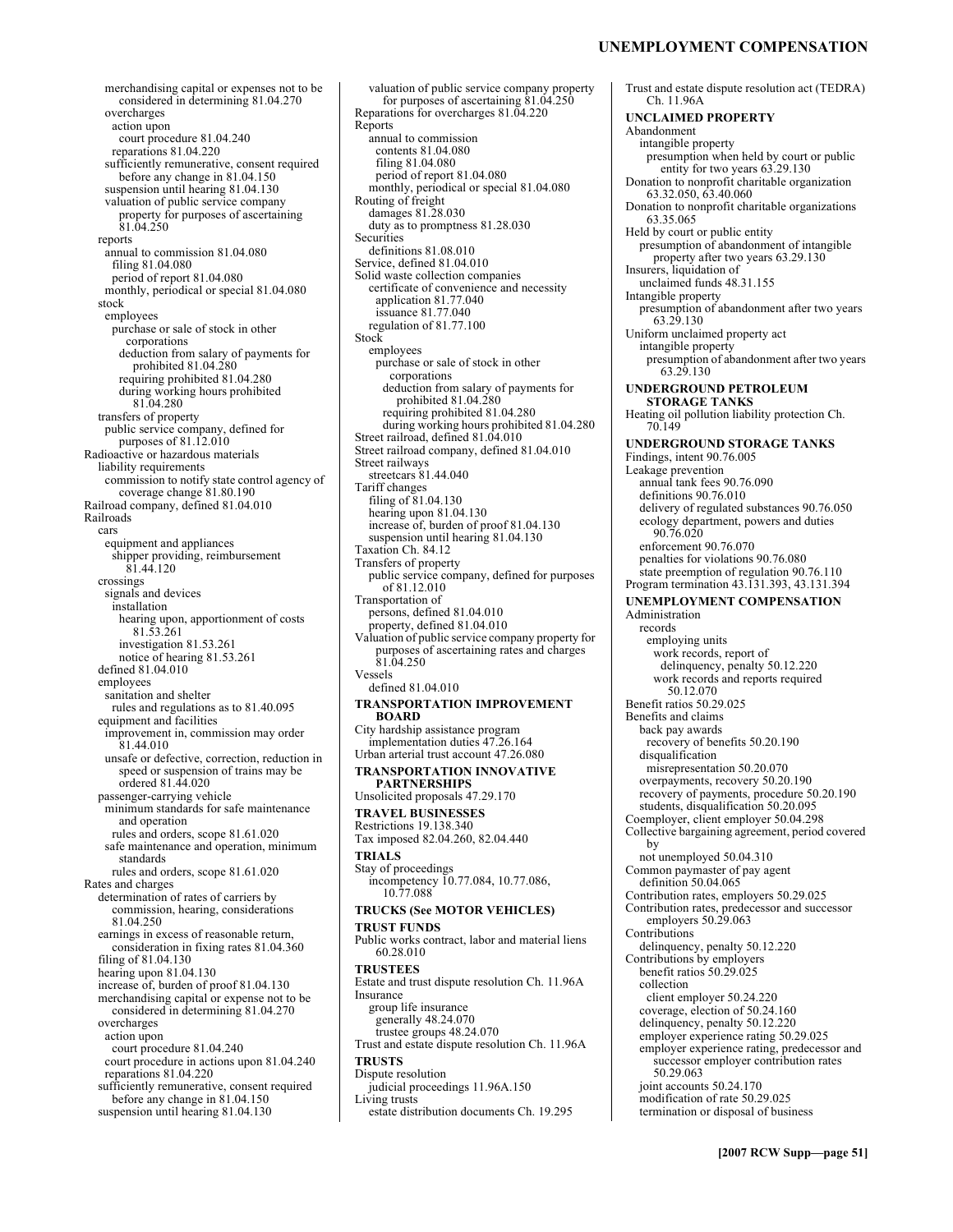merchandising capital or expenses not to be considered in determining 81.04.270 overcharges action upon court procedure 81.04.240 reparations 81.04.220 sufficiently remunerative, consent required before any change in 81.04.150 suspension until hearing 81.04.130 valuation of public service company property for purposes of ascertaining 81.04.250 reports annual to commission 81.04.080 filing 81.04.080 period of report 81.04.080 monthly, periodical or special 81.04.080 stock employees purchase or sale of stock in other corporations deduction from salary of payments for prohibited 81.04.280 requiring prohibited 81.04.280 during working hours prohibited 81.04.280 transfers of property public service company, defined for purposes of 81.12.010 Radioactive or hazardous materials liability requirements commission to notify state control agency of coverage change 81.80.190 Railroad company, defined 81.04.010 Railroads cars equipment and appliances shipper providing, reimbursement 81.44.120 crossings signals and devices installation hearing upon, apportionment of costs 81.53.261 investigation 81.53.261 notice of hearing 81.53.261 defined 81.04.010 employees sanitation and shelter rules and regulations as to 81.40.095 equipment and facilities improvement in, commission may order 81.44.010 unsafe or defective, correction, reduction in speed or suspension of trains may be ordered 81.44.020 passenger-carrying vehicle minimum standards for safe maintenance and operation rules and orders, scope 81.61.020 safe maintenance and operation, minimum standards rules and orders, scope 81.61.020 Rates and charges determination of rates of carriers by commission, hearing, considerations 81.04.250 earnings in excess of reasonable return, consideration in fixing rates 81.04.360 filing of 81.04.130 hearing upon 81.04.130 increase of, burden of proof 81.04.130 merchandising capital or expense not to be considered in determining 81.04.270 overcharges action upon court procedure 81.04.240 court procedure in actions upon 81.04.240 reparations 81.04.220 sufficiently remunerative, consent required before any change in 81.04.150 suspension until hearing 81.04.130

valuation of public service company property for purposes of ascertaining 81.04.250 Reparations for overcharges 81.04.220 Reports annual to commission contents 81.04.080 filing 81.04.080 period of report 81.04.080 monthly, periodical or special 81.04.080 Routing of freight damages 81.28.030 duty as to promptness 81.28.030 **Securities** definitions 81.08.010 Service, defined 81.04.010 Solid waste collection companies certificate of convenience and necessity application 81.77.040 issuance 81.77.040 regulation of 81.77.100 **Stock** employees purchase or sale of stock in other corporations deduction from salary of payments for prohibited 81.04.280 requiring prohibited 81.04.280 during working hours prohibited 81.04.280 Street railroad, defined 81.04.010 Street railroad company, defined 81.04.010 Street railways streetcars 81.44.040 Tariff changes filing of 81.04.130 hearing upon 81.04.130 increase of, burden of proof 81.04.130 suspension until hearing 81.04.130 Taxation Ch. 84.12 Transfers of property public service company, defined for purposes of 81.12.010 Transportation of persons, defined 81.04.010 property, defined 81.04.010 Valuation of public service company property for purposes of ascertaining rates and charges 81.04.250 Vessels defined 81.04.010 **TRANSPORTATION IMPROVEMENT BOARD**  City hardship assistance program implementation duties 47.26.164 Urban arterial trust account 47.26.080 **TRANSPORTATION INNOVATIVE PARTNERSHIPS**  Unsolicited proposals 47.29.170 **TRAVEL BUSINESSES**  Restrictions 19.138.340 Tax imposed 82.04.260, 82.04.440 **TRIALS**  Stay of proceedings incompetency 10.77.084, 10.77.086, 10.77.088 **TRUCKS (See MOTOR VEHICLES) TRUST FUNDS**  Public works contract, labor and material liens 60.28.010 **TRUSTEES**  Estate and trust dispute resolution Ch. 11.96A Insurance group life insurance generally  $48.24.070$ trustee groups 48.24.070 Trust and estate dispute resolution Ch. 11.96A **TRUSTS**  Dispute resolution judicial proceedings 11.96A.150 Living trusts estate distribution documents Ch. 19.295

### **UNEMPLOYMENT COMPENSATION**

Trust and estate dispute resolution act (TEDRA) Ch. 11.96A **UNCLAIMED PROPERTY**  Abandonment intangible property presumption when held by court or public entity for two years 63.29.130 Donation to nonprofit charitable organization 63.32.050, 63.40.060 Donation to nonprofit charitable organizations 63.35.065 Held by court or public entity presumption of abandonment of intangible property after two years 63.29.130 Insurers, liquidation of unclaimed funds 48.31.155 Intangible property presumption of abandonment after two years 63.29.130 Uniform unclaimed property act intangible property presumption of abandonment after two years 63.29.130 **UNDERGROUND PETROLEUM STORAGE TANKS**  Heating oil pollution liability protection Ch. 70.149 **UNDERGROUND STORAGE TANKS**  Findings, intent 90.76.005 Leakage prevention annual tank fees 90.76.090 definitions 90.76.010 delivery of regulated substances 90.76.050 ecology department, powers and duties 90.76.020 enforcement 90.76.070 penalties for violations 90.76.080 state preemption of regulation 90.76.110 Program termination 43.131.393, 43.131.394 **UNEMPLOYMENT COMPENSATION**  Administration records employing units work records, report of delinquency, penalty 50.12.220 work records and reports required 50.12.070 Benefit ratios 50.29.025 Benefits and claims back pay awards recovery of benefits 50.20.190 disqualification misrepresentation 50.20.070 overpayments, recovery 50.20.190 recovery of payments, procedure 50.20.190 students, disqualification 50.20.095 Coemployer, client employer 50.04.298 Collective bargaining agreement, period covered by not unemployed 50.04.310 Common paymaster of pay agent definition 50.04.065 Contribution rates, employers 50.29.025 Contribution rates, predecessor and successor employers 50.29.063 Contributions delinquency, penalty 50.12.220 Contributions by employers benefit ratios 50.29.025 collection client employer 50.24.220 coverage, election of 50.24.160 delinquency, penalty 50.12.220 employer experience rating 50.29.025 employer experience rating, predecessor and successor employer contribution rates 50.29.063 joint accounts 50.24.170 modification of rate 50.29.025 termination or disposal of business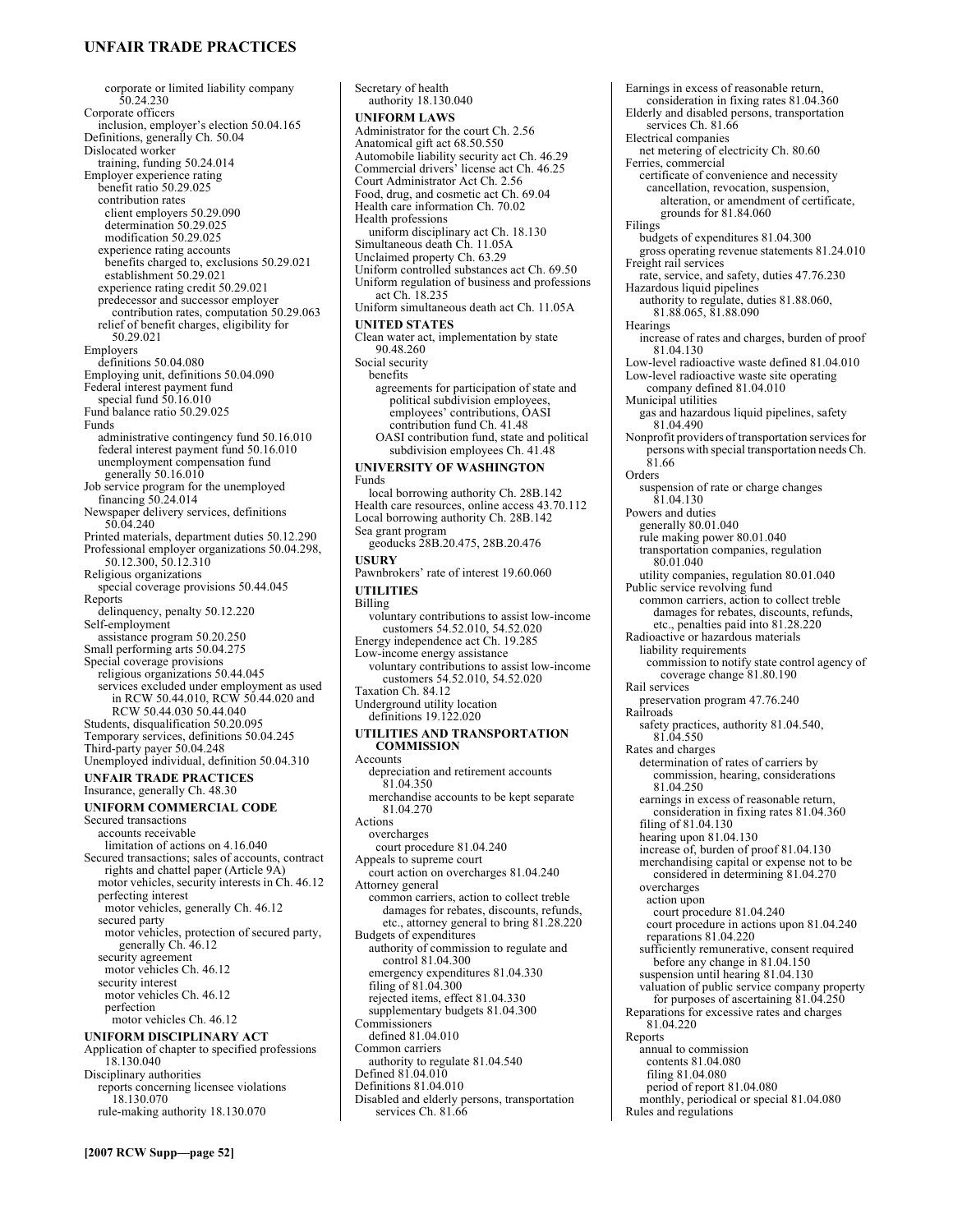### **UNFAIR TRADE PRACTICES**

corporate or limited liability company 50.24.230 Corporate officers inclusion, employer's election 50.04.165 Definitions, generally Ch. 50.04 Dislocated worker training, funding 50.24.014 Employer experience rating benefit ratio 50.29.025 contribution rates client employers 50.29.090 determination 50.29.025 modification 50.29.025 experience rating accounts benefits charged to, exclusions 50.29.021 establishment 50.29.021 experience rating credit 50.29.021 predecessor and successor employer contribution rates, computation 50.29.063 relief of benefit charges, eligibility for 50.29.021 Employers definitions 50.04.080 Employing unit, definitions 50.04.090 Federal interest payment fund special fund 50.16.010 Fund balance ratio 50.29.025 Funds administrative contingency fund 50.16.010 federal interest payment fund 50.16.010 unemployment compensation fund generally 50.16.010 Job service program for the unemployed financing 50.24.014 Newspaper delivery services, definitions 50.04.240 Printed materials, department duties 50.12.290 Professional employer organizations 50.04.298, 50.12.300, 50.12.310 Religious organizations special coverage provisions 50.44.045 Reports delinquency, penalty 50.12.220 Self-employment assistance program 50.20.250 Small performing arts 50.04.275 Special coverage provisions religious organizations 50.44.045 services excluded under employment as used in RCW 50.44.010, RCW 50.44.020 and RCW 50.44.030 50.44.040 Students, disqualification 50.20.095 Temporary services, definitions 50.04.245 Third-party payer 50.04.248 Unemployed individual, definition 50.04.310 **UNFAIR TRADE PRACTICES**  Insurance, generally Ch. 48.30 **UNIFORM COMMERCIAL CODE**  Secured transactions accounts receivable limitation of actions on 4.16.040 Secured transactions; sales of accounts, contract rights and chattel paper (Article 9A) motor vehicles, security interests in Ch. 46.12 perfecting interest

motor vehicles, generally Ch. 46.12 secured party motor vehicles, protection of secured party, generally Ch. 46.12 security agreement motor vehicles Ch. 46.12 security interest motor vehicles Ch. 46.12 perfection motor vehicles Ch. 46.12 **UNIFORM DISCIPLINARY ACT** 

Application of chapter to specified professions 18.130.040 Disciplinary authorities reports concerning licensee violations 18.130.070 rule-making authority 18.130.070

Secretary of health authority 18.130.040 **UNIFORM LAWS**  Administrator for the court Ch. 2.56 Anatomical gift act 68.50.550 Automobile liability security act Ch. 46.29 Commercial drivers' license act Ch. 46.25 Court Administrator Act Ch. 2.56 Food, drug, and cosmetic act Ch. 69.04 Health care information Ch. 70.02 Health professions uniform disciplinary act Ch. 18.130 Simultaneous death Ch. 11.05A Unclaimed property Ch. 63.29 Uniform controlled substances act Ch. 69.50 Uniform regulation of business and professions act Ch. 18.235 Uniform simultaneous death act Ch. 11.05A **UNITED STATES**  Clean water act, implementation by state 90.48.260 Social security benefits agreements for participation of state and political subdivision employees, employees' contributions, OASI contribution fund Ch. 41.48 OASI contribution fund, state and political subdivision employees Ch. 41.48 **UNIVERSITY OF WASHINGTON**  Funds local borrowing authority Ch. 28B.142 Health care resources, online access 43.70.112 Local borrowing authority Ch. 28B.142 Sea grant program geoducks 28B.20.475, 28B.20.476 **USURY**  Pawnbrokers' rate of interest 19.60.060 **UTILITIES**  Billing voluntary contributions to assist low-income customers 54.52.010, 54.52.020 Energy independence act Ch. 19.285 Low-income energy assistance voluntary contributions to assist low-income customers 54.52.010, 54.52.020 Taxation Ch. 84.12 Underground utility location definitions 19.122.020 **UTILITIES AND TRANSPORTATION COMMISSION**  Accounts depreciation and retirement accounts 81.04.350 merchandise accounts to be kept separate 81.04.270 Actions overcharges court procedure 81.04.240 Appeals to supreme court court action on overcharges 81.04.240 Attorney general common carriers, action to collect treble damages for rebates, discounts, refunds, etc., attorney general to bring 81.28.220 Budgets of expenditures authority of commission to regulate and control 81.04.300 emergency expenditures 81.04.330 filing of 81.04.300 rejected items, effect 81.04.330 supplementary budgets 81.04.300 **Commissioners** defined 81.04.010 Common carriers authority to regulate 81.04.540 Defined 81.04.010 Definitions 81.04.010 Disabled and elderly persons, transportation

services Ch. 81.66

Earnings in excess of reasonable return, consideration in fixing rates 81.04.360 Elderly and disabled persons, transportation services Ch. 81.66 Electrical companies net metering of electricity Ch. 80.60 Ferries, commercial certificate of convenience and necessity cancellation, revocation, suspension, alteration, or amendment of certificate, grounds for 81.84.060 Filings budgets of expenditures 81.04.300 gross operating revenue statements 81.24.010 Freight rail services rate, service, and safety, duties 47.76.230 Hazardous liquid pipelines authority to regulate, duties 81.88.060, 81.88.065, 81.88.090 **Hearings** increase of rates and charges, burden of proof 81.04.130 Low-level radioactive waste defined 81.04.010 Low-level radioactive waste site operating company defined 81.04.010 Municipal utilities gas and hazardous liquid pipelines, safety 81.04.490 Nonprofit providers of transportation services for persons with special transportation needs Ch. 81.66 Orders suspension of rate or charge changes 81.04.130 Powers and duties generally 80.01.040 rule making power 80.01.040 transportation companies, regulation 80.01.040 utility companies, regulation 80.01.040 Public service revolving fund common carriers, action to collect treble damages for rebates, discounts, refunds, etc., penalties paid into 81.28.220 Radioactive or hazardous materials liability requirements commission to notify state control agency of coverage change 81.80.190 Rail services preservation program 47.76.240 Railroads safety practices, authority 81.04.540, 81.04.550 Rates and charges determination of rates of carriers by commission, hearing, considerations 81.04.250 earnings in excess of reasonable return, consideration in fixing rates 81.04.360 filing of 81.04.130 hearing upon 81.04.130 increase of, burden of proof 81.04.130 merchandising capital or expense not to be considered in determining 81.04.270 overcharges action upon court procedure 81.04.240 court procedure in actions upon 81.04.240 reparations 81.04.220 sufficiently remunerative, consent required before any change in 81.04.150 suspension until hearing 81.04.130 valuation of public service company property for purposes of ascertaining 81.04.250 Reparations for excessive rates and charges 81.04.220 Reports annual to commission contents 81.04.080 filing 81.04.080 period of report 81.04.080 monthly, periodical or special 81.04.080

Rules and regulations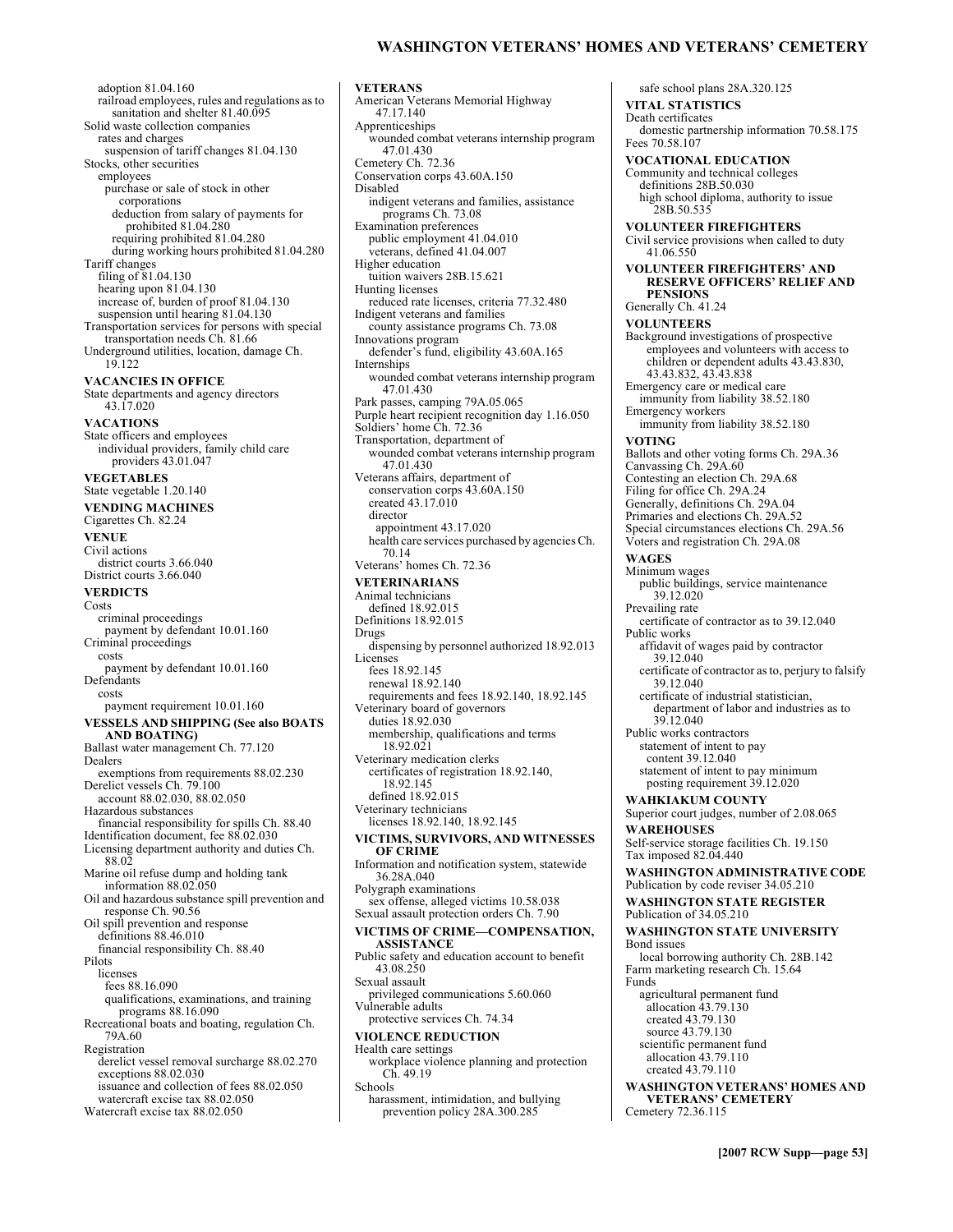### **WASHINGTON VETERANS' HOMES AND VETERANS' CEMETERY**

adoption 81.04.160 railroad employees, rules and regulations as to sanitation and shelter 81.40.095 Solid waste collection companies rates and charges suspension of tariff changes 81.04.130 Stocks, other securities employees purchase or sale of stock in other corporations deduction from salary of payments for prohibited 81.04.280 requiring prohibited 81.04.280 during working hours prohibited 81.04.280 Tariff changes filing of 81.04.130 hearing upon 81.04.130 increase of, burden of proof 81.04.130 suspension until hearing 81.04.130 Transportation services for persons with special transportation needs Ch. 81.66 Underground utilities, location, damage Ch. 19.122 **VACANCIES IN OFFICE**  State departments and agency directors 43.17.020 **VACATIONS**  State officers and employees individual providers, family child care providers 43.01.047 **VEGETABLES**  State vegetable 1.20.140 **VENDING MACHINES**  Cigarettes Ch. 82.24 **VENUE**  Civil actions district courts 3.66.040 District courts 3.66.040 **VERDICTS**  Costs criminal proceedings payment by defendant 10.01.160 Criminal proceedings costs payment by defendant 10.01.160 Defendants costs payment requirement 10.01.160 **VESSELS AND SHIPPING (See also BOATS AND BOATING)**  Ballast water management Ch. 77.120 Dealers exemptions from requirements 88.02.230 Derelict vessels Ch. 79.100 account 88.02.030, 88.02.050 Hazardous substances financial responsibility for spills Ch. 88.40 Identification document, fee 88.02.030 Licensing department authority and duties Ch. 88.02 Marine oil refuse dump and holding tank information 88.02.050 Oil and hazardous substance spill prevention and response Ch. 90.56 Oil spill prevention and response definitions 88.46.010 financial responsibility Ch. 88.40 Pilots licenses fees 88.16.090 qualifications, examinations, and training programs 88.16.090 Recreational boats and boating, regulation Ch. 79A.60 Registration derelict vessel removal surcharge 88.02.270 exceptions 88.02.030 issuance and collection of fees 88.02.050 watercraft excise tax 88.02.050 Watercraft excise tax 88.02.050

**VETERANS**  American Veterans Memorial Highway 47.17.140 Apprenticeships wounded combat veterans internship program 47.01.430 Cemetery Ch. 72.36 Conservation corps 43.60A.150 Disabled indigent veterans and families, assistance programs Ch. 73.08 Examination preferences public employment 41.04.010 veterans, defined 41.04.007 Higher education tuition waivers 28B.15.621 Hunting licenses reduced rate licenses, criteria 77.32.480 Indigent veterans and families county assistance programs Ch. 73.08 Innovations program defender's fund, eligibility 43.60A.165 Internships wounded combat veterans internship program 47.01.430 Park passes, camping 79A.05.065 Purple heart recipient recognition day 1.16.050 Soldiers' home Ch. 72.36 Transportation, department of wounded combat veterans internship program 47.01.430 Veterans affairs, department of conservation corps 43.60A.150 created 43.17.010 director appointment 43.17.020 health care services purchased by agencies Ch. 70.14 Veterans' homes Ch. 72.36 **VETERINARIANS**  Animal technicians defined 18.92.015 Definitions 18.92.015 Drugs dispensing by personnel authorized 18.92.013 Licenses fees 18.92.145 renewal 18.92.140 requirements and fees 18.92.140, 18.92.145 Veterinary board of governors duties 18.92.030 membership, qualifications and terms 18.92.021 Veterinary medication clerks certificates of registration 18.92.140, 18.92.145 defined 18.92.015 Veterinary technicians licenses 18.92.140, 18.92.145 **VICTIMS, SURVIVORS, AND WITNESSES OF CRIME**  Information and notification system, statewide 36.28A.040 Polygraph examinations sex offense, alleged victims 10.58.038 Sexual assault protection orders Ch. 7.90 **VICTIMS OF CRIME-COMPENSATION, ASSISTANCE**  Public safety and education account to benefit 43.08.250 Sexual assault privileged communications 5.60.060 Vulnerable adults protective services Ch. 74.34 **VIOLENCE REDUCTION**  Health care settings workplace violence planning and protection Ch. 49.19 Schools harassment, intimidation, and bullying prevention policy 28A.300.285

safe school plans 28A.320.125 **VITAL STATISTICS**  Death certificates domestic partnership information 70.58.175 Fees 70.58.107 **VOCATIONAL EDUCATION**  Community and technical colleges definitions 28B.50.030 high school diploma, authority to issue 28B.50.535 **VOLUNTEER FIREFIGHTERS**  Civil service provisions when called to duty 41.06.550 **VOLUNTEER FIREFIGHTERS' AND RESERVE OFFICERS' RELIEF AND PENSIONS**  Generally Ch. 41.24 **VOLUNTEERS**  Background investigations of prospective employees and volunteers with access to children or dependent adults 43.43.830, 43.43.832, 43.43.838 Emergency care or medical care immunity from liability 38.52.180 Emergency workers immunity from liability 38.52.180 **VOTING**  Ballots and other voting forms Ch. 29A.36 Canvassing Ch. 29A.60 Contesting an election Ch. 29A.68 Filing for office Ch. 29A.24 Generally, definitions Ch. 29A.04 Primaries and elections Ch. 29A.52 Special circumstances elections Ch. 29A.56 Voters and registration Ch. 29A.08 **WAGES**  Minimum wages public buildings, service maintenance 39.12.020 Prevailing rate certificate of contractor as to 39.12.040 Public works affidavit of wages paid by contractor 39.12.040 certificate of contractor as to, perjury to falsify 39.12.040 certificate of industrial statistician, department of labor and industries as to 39.12.040 Public works contractors statement of intent to pay content 39.12.040 statement of intent to pay minimum posting requirement 39.12.020 **WAHKIAKUM COUNTY**  Superior court judges, number of 2.08.065 **WAREHOUSES**  Self-service storage facilities Ch. 19.150 Tax imposed 82.04.440 **WASHINGTON ADMINISTRATIVE CODE**  Publication by code reviser 34.05.210 **WASHINGTON STATE REGISTER**  Publication of 34.05.210 **WASHINGTON STATE UNIVERSITY**  Bond issues local borrowing authority Ch. 28B.142 Farm marketing research Ch. 15.64 Funds agricultural permanent fund allocation 43.79.130 created 43.79.130 source 43.79.130 scientific permanent fund allocation 43.79.110 created 43.79.110 **WASHINGTON VETERANSí HOMES AND VETERANS' CEMETERY** Cemetery 72.36.115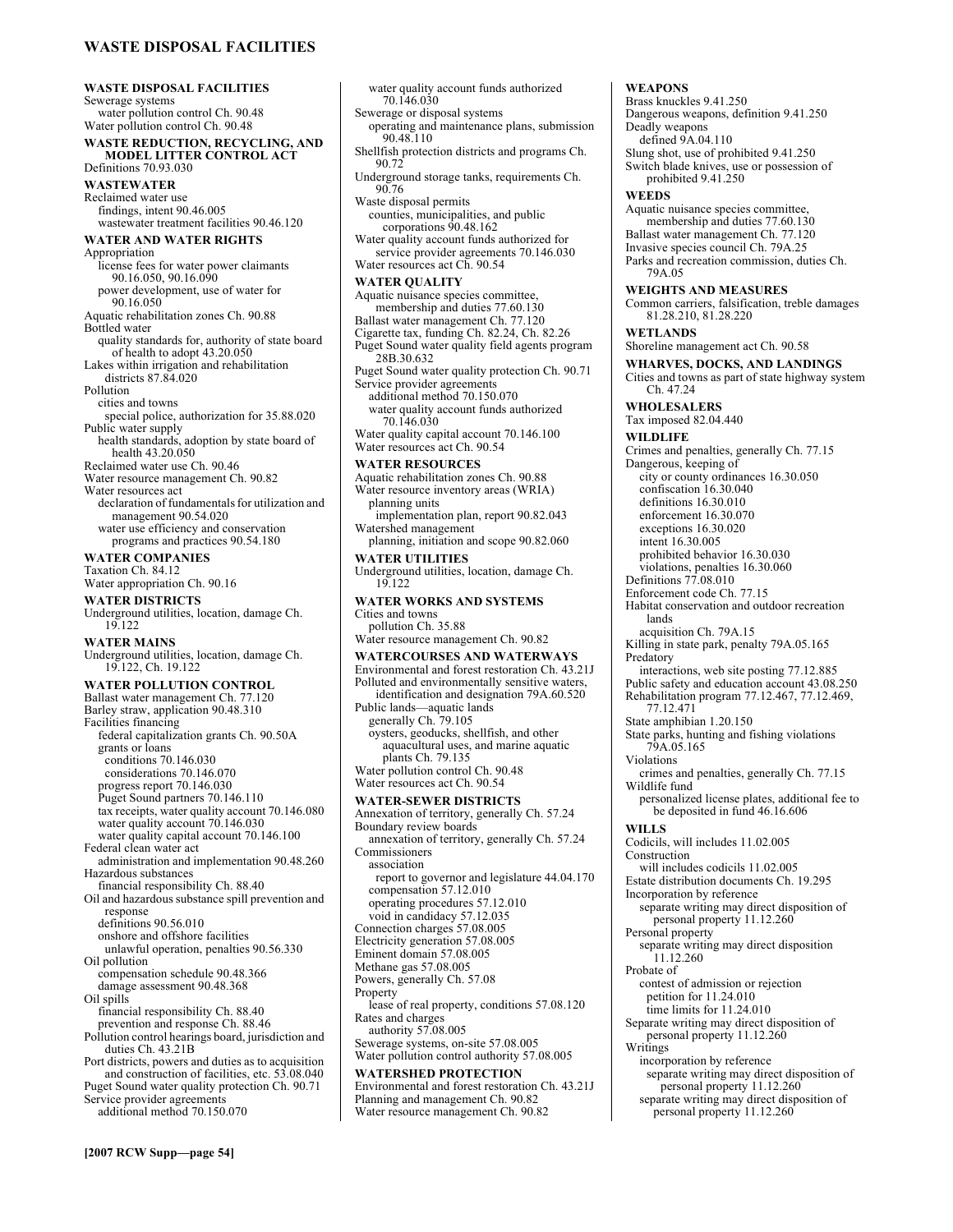**WASTE DISPOSAL FACILITIES WASTE DISPOSAL FACILITIES**  Sewerage systems water pollution control Ch. 90.48 Water pollution control Ch. 90.48 **WASTE REDUCTION, RECYCLING, AND MODEL LITTER CONTROL ACT**  Definitions 70.93.030 **WASTEWATER**  Reclaimed water use findings, intent 90.46.005 wastewater treatment facilities 90.46.120 **WATER AND WATER RIGHTS**  Appropriation license fees for water power claimants 90.16.050, 90.16.090 power development, use of water for 90.16.050 Aquatic rehabilitation zones Ch. 90.88 Bottled water quality standards for, authority of state board of health to adopt 43.20.050 Lakes within irrigation and rehabilitation districts 87.84.020 Pollution cities and towns special police, authorization for 35.88.020 Public water supply health standards, adoption by state board of health 43.20.050 Reclaimed water use Ch. 90.46 Water resource management Ch. 90.82 Water resources act declaration of fundamentals for utilization and management 90.54.020 water use efficiency and conservation programs and practices 90.54.180 **WATER COMPANIES**  Taxation Ch. 84.12 Water appropriation Ch. 90.16 **WATER DISTRICTS**  Underground utilities, location, damage Ch. 19.122 **WATER MAINS**  Underground utilities, location, damage Ch. 19.122, Ch. 19.122 **WATER POLLUTION CONTROL**  Ballast water management Ch. 77.120 Barley straw, application 90.48.310 Facilities financing federal capitalization grants Ch. 90.50A grants or loans conditions 70.146.030 considerations 70.146.070 progress report 70.146.030 Puget Sound partners 70.146.110 tax receipts, water quality account 70.146.080 water quality account 70.146.030 water quality capital account 70.146.100 Federal clean water act administration and implementation 90.48.260 Hazardous substances financial responsibility Ch. 88.40 Oil and hazardous substance spill prevention and response definitions 90.56.010 onshore and offshore facilities unlawful operation, penalties 90.56.330 Oil pollution compensation schedule 90.48.366 damage assessment 90.48.368 Oil spills financial responsibility Ch. 88.40 prevention and response Ch. 88.46 Pollution control hearings board, jurisdiction and duties Ch. 43.21B Port districts, powers and duties as to acquisition and construction of facilities, etc. 53.08.040 Puget Sound water quality protection Ch. 90.71

**WATER UTILITIES**  Underground utilities, location, damage Ch. 19.122 **WATER WORKS AND SYSTEMS**  Cities and towns pollution Ch. 35.88 Water resource management Ch. 90.82 **WATERCOURSES AND WATERWAYS**  Environmental and forest restoration Ch. 43.21J Polluted and environmentally sensitive waters, identification and designation 79A.60.520 Public lands—aquatic lands generally Ch. 79.105 oysters, geoducks, shellfish, and other aquacultural uses, and marine aquatic plants Ch. 79.135 Water pollution control Ch. 90.48 Water resources act Ch. 90.54 **WATER-SEWER DISTRICTS**  Annexation of territory, generally Ch. 57.24 Boundary review boards annexation of territory, generally Ch. 57.24 Commissioners association report to governor and legislature 44.04.170 compensation 57.12.010 operating procedures 57.12.010 void in candidacy 57.12.035 Connection charges 57.08.005 Electricity generation 57.08.005 Eminent domain 57.08.005 Methane gas 57.08.005 Powers, generally Ch. 57.08 Property lease of real property, conditions 57.08.120 Rates and charges authority 57.08.005 Sewerage systems, on-site 57.08.005 Water pollution control authority 57.08.005 **WATERSHED PROTECTION**  Environmental and forest restoration Ch. 43.21J Planning and management Ch. 90.82 Water resource management Ch. 90.82

water quality account funds authorized

operating and maintenance plans, submission

Shellfish protection districts and programs Ch.

Underground storage tanks, requirements Ch.

counties, municipalities, and public corporations 90.48.162 Water quality account funds authorized for service provider agreements 70.146.030

Water resources act Ch. 90.54 **WATER QUALITY** 

28B.30.632

70.146.030

planning units

Watershed management

Service provider agreements additional method 70.150.070 water quality account funds authorized

Aquatic nuisance species committee, membership and duties 77.60.130 Ballast water management Ch. 77.120 Cigarette tax, funding Ch. 82.24, Ch. 82.26 Puget Sound water quality field agents program

Puget Sound water quality protection Ch. 90.71

Water quality capital account 70.146.100 Water resources act Ch. 90.54 **WATER RESOURCES** 

Aquatic rehabilitation zones Ch. 90.88 Water resource inventory areas (WRIA)

implementation plan, report 90.82.043

planning, initiation and scope 90.82.060

70.146.030 Sewerage or disposal systems

90.48.110

90.72

90.76 Waste disposal permits **WEAPONS**  Brass knuckles 9.41.250 Dangerous weapons, definition 9.41.250 Deadly weapons defined 9A.04.110 Slung shot, use of prohibited 9.41.250 Switch blade knives, use or possession of prohibited 9.41.250 **WEEDS**  Aquatic nuisance species committee, membership and duties 77.60.130 Ballast water management Ch. 77.120 Invasive species council Ch. 79A.25 Parks and recreation commission, duties Ch. 79A.05 **WEIGHTS AND MEASURES**  Common carriers, falsification, treble damages 81.28.210, 81.28.220 **WETLANDS**  Shoreline management act Ch. 90.58 **WHARVES, DOCKS, AND LANDINGS**  Cities and towns as part of state highway system Ch. 47.24 **WHOLESALERS**  Tax imposed 82.04.440 **WILDLIFE**  Crimes and penalties, generally Ch. 77.15 Dangerous, keeping of city or county ordinances 16.30.050 confiscation 16.30.040 definitions 16.30.010 enforcement 16.30.070 exceptions 16.30.020 intent 16.30.005 prohibited behavior 16.30.030 violations, penalties 16.30.060 Definitions 77.08.010 Enforcement code Ch. 77.15 Habitat conservation and outdoor recreation lands acquisition Ch. 79A.15 Killing in state park, penalty 79A.05.165 Predatory interactions, web site posting 77.12.885 Public safety and education account 43.08.250 Rehabilitation program 77.12.467, 77.12.469, 77.12.471 State amphibian 1.20.150 State parks, hunting and fishing violations 79A.05.165 Violations crimes and penalties, generally Ch. 77.15 Wildlife fund personalized license plates, additional fee to be deposited in fund 46.16.606 **WILLS**  Codicils, will includes 11.02.005 Construction will includes codicils 11.02.005 Estate distribution documents Ch. 19.295 Incorporation by reference separate writing may direct disposition of personal property 11.12.260 Personal property separate writing may direct disposition 11.12.260 Probate of contest of admission or rejection petition for 11.24.010 time limits for 11.24.010 Separate writing may direct disposition of personal property 11.12.260 Writings incorporation by reference separate writing may direct disposition of personal property 11.12.260 separate writing may direct disposition of personal property 11.12.260

Service provider agreements additional method 70.150.070